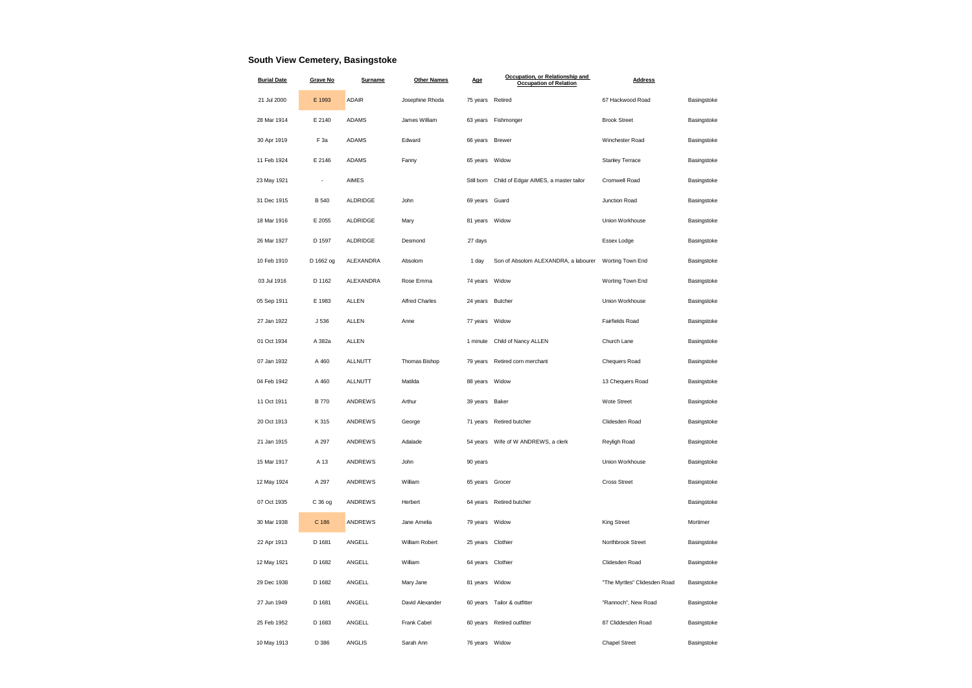## **South View Cemetery, Basingstoke**

| <b>Burial Date</b> | <b>Grave No</b> | Surname        | <b>Other Names</b>    | Age              | Occupation, or Relationship and<br><b>Occupation of Relation</b> | <b>Address</b>               |             |
|--------------------|-----------------|----------------|-----------------------|------------------|------------------------------------------------------------------|------------------------------|-------------|
| 21 Jul 2000        | E 1993          | <b>ADAIR</b>   | Josephine Rhoda       | 75 years Retired |                                                                  | 67 Hackwood Road             | Basingstoke |
| 28 Mar 1914        | E 2140          | <b>ADAMS</b>   | James William         | 63 years         | Fishmonger                                                       | <b>Brook Street</b>          | Basingstoke |
| 30 Apr 1919        | F <sub>3a</sub> | <b>ADAMS</b>   | Edward                | 66 years         | <b>Brewer</b>                                                    | Winchester Road              | Basingstoke |
| 11 Feb 1924        | E 2146          | <b>ADAMS</b>   | Fanny                 | 65 years         | Widow                                                            | Stanley Terrace              | Basingstoke |
| 23 May 1921        | ÷,              | AIMES          |                       | Still born       | Child of Edgar AIMES, a master tailor                            | Cromwell Road                | Basingstoke |
| 31 Dec 1915        | <b>B</b> 540    | ALDRIDGE       | John                  | 69 years         | Guard                                                            | Junction Road                | Basingstoke |
| 18 Mar 1916        | E 2055          | ALDRIDGE       | Mary                  | 81 years Widow   |                                                                  | Union Workhouse              | Basingstoke |
| 26 Mar 1927        | D 1597          | ALDRIDGE       | Desmond               | 27 days          |                                                                  | Essex Lodge                  | Basingstoke |
| 10 Feb 1910        | D 1662 og       | ALEXANDRA      | Absolom               | 1 day            | Son of Absolom ALEXANDRA, a labourer                             | Worting Town End             | Basingstoke |
| 03 Jul 1916        | D 1162          | ALEXANDRA      | Rose Emma             | 74 years         | Widow                                                            | Worting Town End             | Basingstoke |
| 05 Sep 1911        | E 1983          | <b>ALLEN</b>   | <b>Alfred Charles</b> | 24 years         | Butcher                                                          | Union Workhouse              | Basingstoke |
| 27 Jan 1922        | J 536           | ALLEN          | Anne                  | 77 years         | Widow                                                            | Fairfields Road              | Basingstoke |
| 01 Oct 1934        | A 382a          | <b>ALLEN</b>   |                       | 1 minute         | Child of Nancy ALLEN                                             | Church Lane                  | Basingstoke |
| 07 Jan 1932        | A 460           | ALLNUTT        | Thomas Bishop         | 79 years         | Retired corn merchant                                            | Chequers Road                | Basingstoke |
| 04 Feb 1942        | A 460           | <b>ALLNUTT</b> | Matilda               | 88 years         | Widow                                                            | 13 Chequers Road             | Basingstoke |
| 11 Oct 1911        | <b>B</b> 770    | <b>ANDREWS</b> | Arthur                | 39 years         | Baker                                                            | Wote Street                  | Basingstoke |
| 20 Oct 1913        | K 315           | ANDREWS        | George                | 71 years         | Retired butcher                                                  | Clidesden Road               | Basingstoke |
| 21 Jan 1915        | A 297           | <b>ANDREWS</b> | Adalade               | 54 years         | Wife of W ANDREWS, a clerk                                       | Reyligh Road                 | Basingstoke |
| 15 Mar 1917        | A 13            | ANDREWS        | John                  | 90 years         |                                                                  | Union Workhouse              | Basingstoke |
| 12 May 1924        | A 297           | <b>ANDREWS</b> | William               | 65 years         | Grocer                                                           | <b>Cross Street</b>          | Basingstoke |
| 07 Oct 1935        | C 36 og         | ANDREWS        | Herbert               | 64 years         | Retired butcher                                                  |                              | Basingstoke |
| 30 Mar 1938        | C 186           | <b>ANDREWS</b> | Jane Amelia           | 79 years         | Widow                                                            | King Street                  | Mortimer    |
| 22 Apr 1913        | D 1681          | ANGELL         | William Robert        | 25 years         | Clothier                                                         | Northbrook Street            | Basingstoke |
| 12 May 1921        | D 1682          | ANGELL         | William               | 64 years         | Clothier                                                         | Clidesden Road               | Basingstoke |
| 29 Dec 1938        | D 1682          | ANGELL         | Mary Jane             | 81 years         | Widow                                                            | "The Myrtles" Clidesden Road | Basingstoke |
| 27 Jun 1949        | D 1681          | ANGELL         | David Alexander       | 60 years         | Tailor & outfitter                                               | "Rannoch", New Road          | Basingstoke |
| 25 Feb 1952        | D 1683          | ANGELL         | Frank Cabel           | 60 years         | Retired outfitter                                                | 87 Cliddesden Road           | Basingstoke |
| 10 May 1913        | D 386           | <b>ANGLIS</b>  | Sarah Ann             | 76 years         | Widow                                                            | <b>Chapel Street</b>         | Basingstoke |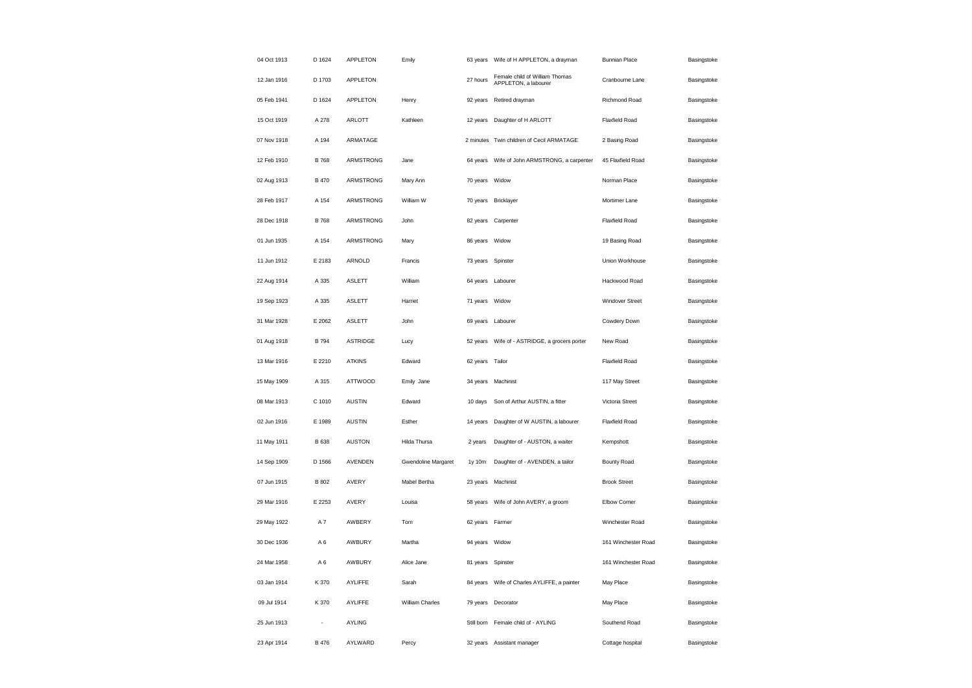| 04 Oct 1913 | D 1624         | APPLETON        | Emily               | 63 years          | Wife of H APPLETON, a drayman                          | <b>Bunnian Place</b>  | Basingstoke |
|-------------|----------------|-----------------|---------------------|-------------------|--------------------------------------------------------|-----------------------|-------------|
| 12 Jan 1916 | D 1703         | APPLETON        |                     | 27 hours          | Female child of William Thomas<br>APPLETON, a labourer | Cranbourne Lane       | Basingstoke |
| 05 Feb 1941 | D 1624         | APPLETON        | Henry               | 92 years          | Retired drayman                                        | Richmond Road         | Basingstoke |
| 15 Oct 1919 | A 278          | <b>ARLOTT</b>   | Kathleen            | 12 years          | Daughter of H ARLOTT                                   | Flaxfield Road        | Basingstoke |
| 07 Nov 1918 | A 194          | ARMATAGE        |                     | 2 minutes         | Twin children of Cecil ARMATAGE                        | 2 Basing Road         | Basingstoke |
| 12 Feb 1910 | <b>B768</b>    | ARMSTRONG       | Jane                | 64 years          | Wife of John ARMSTRONG, a carpenter                    | 45 Flaxfield Road     | Basingstoke |
| 02 Aug 1913 | <b>B</b> 470   | ARMSTRONG       | Mary Ann            | 70 years          | Widow                                                  | Norman Place          | Basingstoke |
| 28 Feb 1917 | A 154          | ARMSTRONG       | William W           |                   | 70 years Bricklayer                                    | Mortimer Lane         | Basingstoke |
| 28 Dec 1918 | <b>B768</b>    | ARMSTRONG       | John                | 82 years          | Carpenter                                              | Flaxfield Road        | Basingstoke |
| 01 Jun 1935 | A 154          | ARMSTRONG       | Mary                | 86 years Widow    |                                                        | 19 Basing Road        | Basingstoke |
| 11 Jun 1912 | E 2183         | ARNOLD          | Francis             | 73 years          | Spinster                                               | Union Workhouse       | Basingstoke |
| 22 Aug 1914 | A 335          | <b>ASLETT</b>   | William             | 64 years Labourer |                                                        | Hackwood Road         | Basingstoke |
| 19 Sep 1923 | A 335          | <b>ASLETT</b>   | Harriet             | 71 years          | Widow                                                  | Windover Street       | Basingstoke |
| 31 Mar 1928 | E 2062         | <b>ASLETT</b>   | John                | 69 years          | Labourer                                               | Cowdery Down          | Basingstoke |
| 01 Aug 1918 | <b>B</b> 794   | <b>ASTRIDGE</b> | Lucy                | 52 years          | Wife of - ASTRIDGE, a grocers porter                   | New Road              | Basingstoke |
| 13 Mar 1916 | E 2210         | <b>ATKINS</b>   | Edward              | 62 years          | Tailor                                                 | <b>Flaxfield Road</b> | Basingstoke |
| 15 May 1909 | A 315          | <b>ATTWOOD</b>  | Emily Jane          | 34 years          | Machinist                                              | 117 May Street        | Basingstoke |
| 08 Mar 1913 | C 1010         | <b>AUSTIN</b>   | Edward              | 10 days           | Son of Arthur AUSTIN, a fitter                         | Victoria Street       | Basingstoke |
| 02 Jun 1916 | E 1989         | <b>AUSTIN</b>   | Esther              | 14 years          | Daughter of W AUSTIN, a labourer                       | <b>Flaxfield Road</b> | Basingstoke |
| 11 May 1911 | <b>B</b> 638   | <b>AUSTON</b>   | Hilda Thursa        | 2 years           | Daughter of - AUSTON, a waiter                         | Kempshott             | Basingstoke |
| 14 Sep 1909 | D 1566         | AVENDEN         | Gwendoline Margaret | 1y 10m            | Daughter of - AVENDEN, a tailor                        | <b>Bounty Road</b>    | Basingstoke |
| 07 Jun 1915 | B 802          | AVERY           | Mabel Bertha        | 23 years          | Machinist                                              | <b>Brook Street</b>   | Basingstoke |
| 29 Mar 1916 | E 2253         | AVERY           | Louisa              | 58 years          | Wife of John AVERY, a groom                            | Elbow Corner          | Basingstoke |
| 29 May 1922 | A7             | AWBERY          | Tom                 | 62 years          | Farmer                                                 | Winchester Road       | Basingstoke |
| 30 Dec 1936 | A6             | AWBURY          | Martha              | 94 years Widow    |                                                        | 161 Winchester Road   | Basingstoke |
| 24 Mar 1958 | A <sub>6</sub> | AWBURY          | Alice Jane          | 81 years          | Spinster                                               | 161 Winchester Road   | Basingstoke |
| 03 Jan 1914 | K 370          | AYLIFFE         | Sarah               | 84 years          | Wife of Charles AYLIFFE, a painter                     | May Place             | Basingstoke |
| 09 Jul 1914 | K 370          | AYLIFFE         | William Charles     | 79 years          | Decorator                                              | May Place             | Basingstoke |
| 25 Jun 1913 |                | <b>AYLING</b>   |                     | Still born        | Female child of - AYLING                               | Southend Road         | Basingstoke |
| 23 Apr 1914 | B 476          | AYLWARD         | Percy               | 32 years          | Assistant manager                                      | Cottage hospital      | Basingstoke |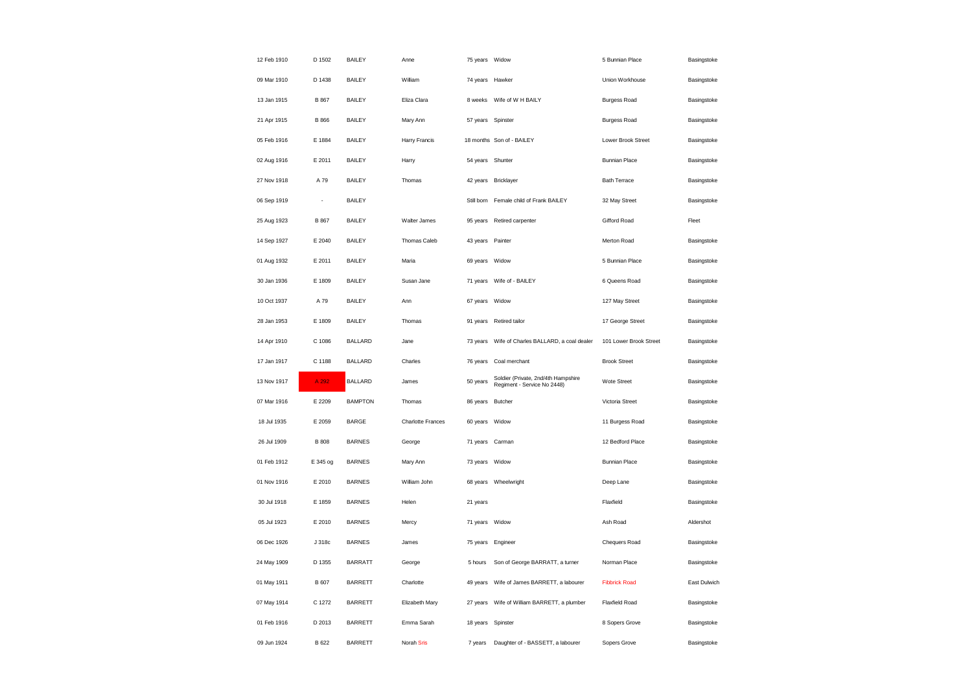| 12 Feb 1910 | D 1502       | <b>BAILEY</b>  | Anne                     | 75 years Widow    |                                                                    | 5 Bunnian Place        | Basingstoke  |
|-------------|--------------|----------------|--------------------------|-------------------|--------------------------------------------------------------------|------------------------|--------------|
| 09 Mar 1910 | D 1438       | <b>BAILEY</b>  | William                  | 74 years Hawker   |                                                                    | Union Workhouse        | Basingstoke  |
| 13 Jan 1915 | B 867        | <b>BAILEY</b>  | Eliza Clara              | 8 weeks           | Wife of W H BAILY                                                  | <b>Burgess Road</b>    | Basingstoke  |
| 21 Apr 1915 | <b>B</b> 866 | <b>BAILEY</b>  | Mary Ann                 | 57 years          | Spinster                                                           | <b>Burgess Road</b>    | Basingstoke  |
| 05 Feb 1916 | E 1884       | <b>BAILEY</b>  | Harry Francis            |                   | 18 months Son of - BAILEY                                          | Lower Brook Street     | Basingstoke  |
| 02 Aug 1916 | E 2011       | <b>BAILEY</b>  | Harry                    | 54 years Shunter  |                                                                    | <b>Bunnian Place</b>   | Basingstoke  |
| 27 Nov 1918 | A 79         | <b>BAILEY</b>  | Thomas                   | 42 years          | Bricklayer                                                         | <b>Bath Terrace</b>    | Basingstoke  |
| 06 Sep 1919 | ÷,           | <b>BAILEY</b>  |                          | Still born        | Female child of Frank BAILEY                                       | 32 May Street          | Basingstoke  |
| 25 Aug 1923 | B 867        | <b>BAILEY</b>  | Walter James             | 95 years          | Retired carpenter                                                  | Gifford Road           | Fleet        |
| 14 Sep 1927 | E 2040       | <b>BAILEY</b>  | Thomas Caleb             | 43 years Painter  |                                                                    | Merton Road            | Basingstoke  |
| 01 Aug 1932 | E 2011       | <b>BAILEY</b>  | Maria                    | 69 years          | Widow                                                              | 5 Bunnian Place        | Basingstoke  |
| 30 Jan 1936 | E 1809       | <b>BAILEY</b>  | Susan Jane               |                   | 71 years Wife of - BAILEY                                          | 6 Queens Road          | Basingstoke  |
| 10 Oct 1937 | A 79         | <b>BAILEY</b>  | Ann                      | 67 years          | Widow                                                              | 127 May Street         | Basingstoke  |
| 28 Jan 1953 | E 1809       | <b>BAILEY</b>  | Thomas                   | 91 years          | Retired tailor                                                     | 17 George Street       | Basingstoke  |
| 14 Apr 1910 | C 1086       | <b>BALLARD</b> | Jane                     | 73 years          | Wife of Charles BALLARD, a coal dealer                             | 101 Lower Brook Street | Basingstoke  |
| 17 Jan 1917 | C 1188       | <b>BALLARD</b> | Charles                  | 76 years          | Coal merchant                                                      | <b>Brook Street</b>    | Basingstoke  |
| 13 Nov 1917 | A 292        | <b>BALLARD</b> | James                    | 50 years          | Soldier (Private, 2nd/4th Hampshire<br>Regiment - Service No 2448) | Wote Street            | Basingstoke  |
| 07 Mar 1916 | E 2209       | <b>BAMPTON</b> | Thomas                   | 86 years          | <b>Butcher</b>                                                     | Victoria Street        | Basingstoke  |
| 18 Jul 1935 | E 2059       | <b>BARGE</b>   | <b>Charlotte Frances</b> | 60 years          | Widow                                                              | 11 Burgess Road        | Basingstoke  |
| 26 Jul 1909 | <b>B</b> 808 | <b>BARNES</b>  | George                   | 71 years          | Carman                                                             | 12 Bedford Place       | Basingstoke  |
| 01 Feb 1912 | E 345 og     | <b>BARNES</b>  | Mary Ann                 | 73 years          | Widow                                                              | <b>Bunnian Place</b>   | Basingstoke  |
| 01 Nov 1916 | E 2010       | <b>BARNES</b>  | William John             | 68 years          | Wheelwright                                                        | Deep Lane              | Basingstoke  |
| 30 Jul 1918 | E 1859       | <b>BARNES</b>  | Helen                    | 21 years          |                                                                    | Flaxfield              | Basingstoke  |
| 05 Jul 1923 | E 2010       | <b>BARNES</b>  | Mercy                    | 71 years          | Widow                                                              | Ash Road               | Aldershot    |
| 06 Dec 1926 | J 318c       | <b>BARNES</b>  | James                    | 75 years Engineer |                                                                    | Chequers Road          | Basingstoke  |
| 24 May 1909 | D 1355       | <b>BARRATT</b> | George                   | 5 hours           | Son of George BARRATT, a turner                                    | Norman Place           | Basingstoke  |
| 01 May 1911 | <b>B</b> 607 | <b>BARRETT</b> | Charlotte                | 49 years          | Wife of James BARRETT, a labourer                                  | <b>Fibbrick Road</b>   | East Dulwich |
| 07 May 1914 | C 1272       | <b>BARRETT</b> | Elizabeth Mary           | 27 years          | Wife of William BARRETT, a plumber                                 | <b>Flaxfield Road</b>  | Basingstoke  |
| 01 Feb 1916 | D 2013       | <b>BARRETT</b> | Emma Sarah               | 18 years          | Spinster                                                           | 8 Sopers Grove         | Basingstoke  |
| 09 Jun 1924 | B 622        | <b>BARRETT</b> | Norah Sris               | 7 years           | Daughter of - BASSETT, a labourer                                  | Sopers Grove           | Basingstoke  |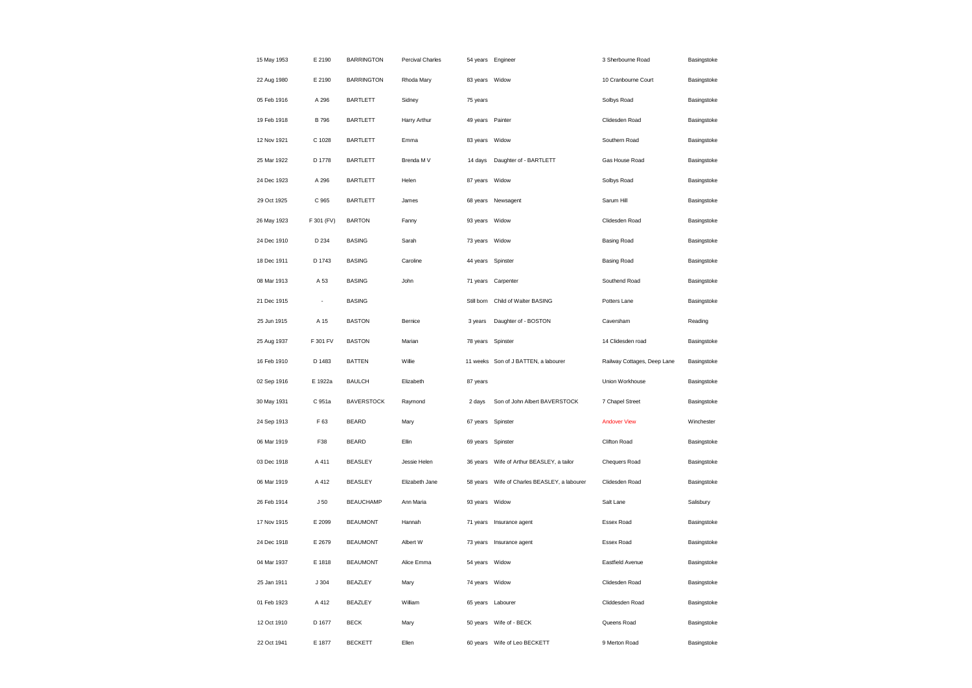| 15 May 1953 | E 2190          | <b>BARRINGTON</b> | Percival Charles |                  | 54 years Engineer                    | 3 Sherbourne Road           | Basingstoke |
|-------------|-----------------|-------------------|------------------|------------------|--------------------------------------|-----------------------------|-------------|
| 22 Aug 1980 | E 2190          | <b>BARRINGTON</b> | Rhoda Mary       | 83 years Widow   |                                      | 10 Cranbourne Court         | Basingstoke |
| 05 Feb 1916 | A 296           | <b>BARTLETT</b>   | Sidney           | 75 years         |                                      | Solbys Road                 | Basingstoke |
| 19 Feb 1918 | <b>B</b> 796    | <b>BARTLETT</b>   | Harry Arthur     | 49 years Painter |                                      | Clidesden Road              | Basingstoke |
| 12 Nov 1921 | C 1028          | <b>BARTLETT</b>   | Emma             | 83 years Widow   |                                      | Southern Road               | Basingstoke |
| 25 Mar 1922 | D 1778          | <b>BARTLETT</b>   | Brenda M V       | 14 days          | Daughter of - BARTLETT               | Gas House Road              | Basingstoke |
| 24 Dec 1923 | A 296           | <b>BARTLETT</b>   | Helen            | 87 years         | Widow                                | Solbys Road                 | Basingstoke |
| 29 Oct 1925 | C 965           | <b>BARTLETT</b>   | James            |                  | 68 years Newsagent                   | Sarum Hill                  | Basingstoke |
| 26 May 1923 | F 301 (FV)      | <b>BARTON</b>     | Fanny            | 93 years         | Widow                                | Clidesden Road              | Basingstoke |
| 24 Dec 1910 | D 234           | <b>BASING</b>     | Sarah            | 73 years Widow   |                                      | <b>Basing Road</b>          | Basingstoke |
| 18 Dec 1911 | D 1743          | <b>BASING</b>     | Caroline         | 44 years         | Spinster                             | <b>Basing Road</b>          | Basingstoke |
| 08 Mar 1913 | A 53            | <b>BASING</b>     | John             | 71 years         | Carpenter                            | Southend Road               | Basingstoke |
| 21 Dec 1915 | ÷,              | <b>BASING</b>     |                  | Still born       | Child of Walter BASING               | Potters Lane                | Basingstoke |
| 25 Jun 1915 | A 15            | <b>BASTON</b>     | Bernice          | 3 years          | Daughter of - BOSTON                 | Caversham                   | Reading     |
| 25 Aug 1937 | F 301 FV        | <b>BASTON</b>     | Marian           | 78 years         | Spinster                             | 14 Clidesden road           | Basingstoke |
| 16 Feb 1910 | D 1483          | <b>BATTEN</b>     | Willie           |                  | 11 weeks Son of J BATTEN, a labourer | Railway Cottages, Deep Lane | Basingstoke |
| 02 Sep 1916 | E 1922a         | <b>BAULCH</b>     | Elizabeth        | 87 years         |                                      | Union Workhouse             | Basingstoke |
| 30 May 1931 | C 951a          | <b>BAVERSTOCK</b> | Raymond          | 2 days           | Son of John Albert BAVERSTOCK        | 7 Chapel Street             | Basingstoke |
| 24 Sep 1913 | F 63            | <b>BEARD</b>      | Mary             |                  | 67 years Spinster                    | <b>Andover View</b>         | Winchester  |
| 06 Mar 1919 | F38             | <b>BEARD</b>      | Ellin            | 69 years         | Spinster                             | Clifton Road                | Basingstoke |
| 03 Dec 1918 | A 411           | <b>BEASLEY</b>    | Jessie Helen     | 36 years         | Wife of Arthur BEASLEY, a tailor     | Chequers Road               | Basingstoke |
| 06 Mar 1919 | A 412           | <b>BEASLEY</b>    | Elizabeth Jane   | 58 years         | Wife of Charles BEASLEY, a labourer  | Clidesden Road              | Basingstoke |
| 26 Feb 1914 | J <sub>50</sub> | <b>BEAUCHAMP</b>  | Ann Maria        | 93 years Widow   |                                      | Salt Lane                   | Salisbury   |
| 17 Nov 1915 | E 2099          | <b>BEAUMONT</b>   | Hannah           | 71 years         | Insurance agent                      | Essex Road                  | Basingstoke |
| 24 Dec 1918 | E 2679          | <b>BEAUMONT</b>   | Albert W         |                  | 73 years Insurance agent             | Essex Road                  | Basingstoke |
| 04 Mar 1937 | E 1818          | <b>BEAUMONT</b>   | Alice Emma       | 54 years         | Widow                                | Eastfield Avenue            | Basingstoke |
| 25 Jan 1911 |                 |                   |                  |                  | 74 years Widow                       | Clidesden Road              |             |
|             | J304            | BEAZLEY           | Mary             |                  |                                      |                             | Basingstoke |
| 01 Feb 1923 | A 412           | <b>BEAZLEY</b>    | William          | 65 years         | Labourer                             | Cliddesden Road             | Basingstoke |
| 12 Oct 1910 | D 1677          | <b>BECK</b>       | Mary             |                  | 50 years Wife of - BECK              | Queens Road                 | Basingstoke |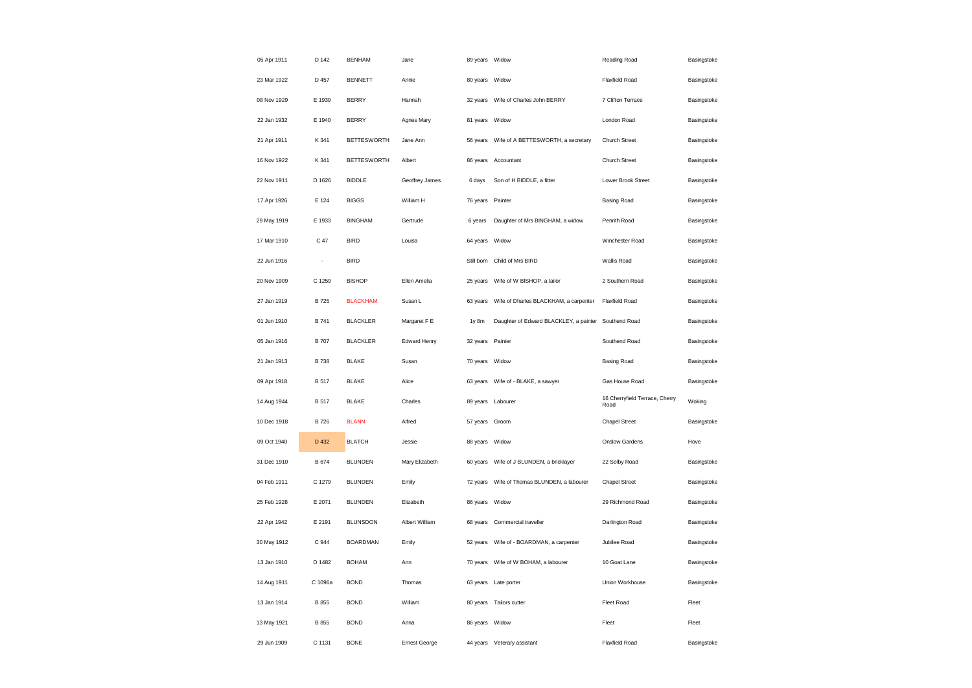| 05 Apr 1911 | D 142                    | <b>BENHAM</b>      | Jane                 | 89 years Widow |                                                      | Reading Road                           | Basingstoke |
|-------------|--------------------------|--------------------|----------------------|----------------|------------------------------------------------------|----------------------------------------|-------------|
| 23 Mar 1922 | D 457                    | <b>BENNETT</b>     | Annie                | 80 years Widow |                                                      | Flaxfield Road                         | Basingstoke |
| 08 Nov 1929 | E 1939                   | <b>BERRY</b>       | Hannah               | 32 years       | Wife of Charles John BERRY                           | 7 Clifton Terrace                      | Basingstoke |
| 22 Jan 1932 | E 1940                   | <b>BERRY</b>       | Agnes Mary           | 81 years       | Widow                                                | London Road                            | Basingstoke |
| 21 Apr 1911 | K 341                    | <b>BETTESWORTH</b> | Jane Ann             | 56 years       | Wife of A BETTESWORTH, a secretary                   | Church Street                          | Basingstoke |
| 16 Nov 1922 | K 341                    | <b>BETTESWORTH</b> | Albert               | 86 years       | Accountant                                           | Church Street                          | Basingstoke |
| 22 Nov 1911 | D 1626                   | <b>BIDDLE</b>      | Geoffrey James       | 6 days         | Son of H BIDDLE, a fitter                            | Lower Brook Street                     | Basingstoke |
| 17 Apr 1926 | E 124                    | <b>BIGGS</b>       | William H            | 76 years       | Painter                                              | <b>Basing Road</b>                     | Basingstoke |
| 29 May 1919 | E 1933                   | <b>BINGHAM</b>     | Gertrude             | 6 years        | Daughter of Mrs BINGHAM, a widow                     | Penrith Road                           | Basingstoke |
| 17 Mar 1910 | C 47                     | <b>BIRD</b>        | Louisa               | 64 years       | Widow                                                | Winchester Road                        | Basingstoke |
| 22 Jun 1916 | $\overline{\phantom{a}}$ | <b>BIRD</b>        |                      | Still born     | Child of Mrs BIRD                                    | Wallis Road                            | Basingstoke |
| 20 Nov 1909 | C 1259                   | <b>BISHOP</b>      | Ellen Amelia         | 25 years       | Wife of W BISHOP, a tailor                           | 2 Southern Road                        | Basingstoke |
| 27 Jan 1919 | <b>B725</b>              | <b>BLACKHAM</b>    | Susan L              | 63 years       | Wife of Dharles BLACKHAM, a carpenter                | Flaxfield Road                         | Basingstoke |
| 01 Jun 1910 | <b>B741</b>              | <b>BLACKLER</b>    | Margaret F E         | 1y 8m          | Daughter of Edward BLACKLEY, a painter Southend Road |                                        | Basingstoke |
| 05 Jan 1916 | <b>B</b> 707             | <b>BLACKLER</b>    | Edward Henry         | 32 years       | Painter                                              | Southend Road                          | Basingstoke |
| 21 Jan 1913 | <b>B</b> 738             | <b>BLAKE</b>       | Susan                | 70 years       | Widow                                                | <b>Basing Road</b>                     | Basingstoke |
| 09 Apr 1918 | <b>B</b> 517             | <b>BLAKE</b>       | Alice                | 63 years       | Wife of - BLAKE, a sawyer                            | Gas House Road                         | Basingstoke |
| 14 Aug 1944 | <b>B</b> 517             | <b>BLAKE</b>       | Charles              | 89 years       | Labourer                                             | 16 Cherryfield Terrace, Cherry<br>Road | Woking      |
| 10 Dec 1918 | <b>B</b> 726             | <b>BLANN</b>       | Alfred               | 57 years       | Groom                                                | <b>Chapel Street</b>                   | Basingstoke |
| 09 Oct 1940 | D 432                    | <b>BLATCH</b>      | Jessie               | 88 years       | Widow                                                | Onslow Gardens                         | Hove        |
| 31 Dec 1910 | B 674                    | <b>BLUNDEN</b>     | Mary Elizabeth       | 60 years       | Wife of J BLUNDEN, a bricklayer                      | 22 Solby Road                          | Basingstoke |
| 04 Feb 1911 | C 1279                   | <b>BLUNDEN</b>     | Emily                | 72 years       | Wife of Thomas BLUNDEN, a labourer                   | <b>Chapel Street</b>                   | Basingstoke |
| 25 Feb 1928 | E 2071                   | <b>BLUNDEN</b>     | Elizabeth            | 86 years       | Widow                                                | 29 Richmond Road                       | Basingstoke |
| 22 Apr 1942 | E 2191                   | <b>BLUNSDON</b>    | Albert William       | 68 years       | Commercial traveller                                 | Darlington Road                        | Basingstoke |
| 30 May 1912 | C 944                    | <b>BOARDMAN</b>    | Emily                | 52 years       | Wife of - BOARDMAN, a carpenter                      | Jubilee Road                           | Basingstoke |
| 13 Jan 1910 | D 1482                   | <b>BOHAM</b>       | Ann                  | 70 years       | Wife of W BOHAM, a labourer                          | 10 Goat Lane                           | Basingstoke |
| 14 Aug 1911 | C 1096a                  | <b>BOND</b>        | Thomas               | 63 years       | Late porter                                          | Union Workhouse                        | Basingstoke |
| 13 Jan 1914 | <b>B</b> 855             | <b>BOND</b>        | William              | 80 years       | Tailors cutter                                       | Fleet Road                             | Fleet       |
| 13 May 1921 | B 855                    | <b>BOND</b>        | Anna                 | 86 years       | Widow                                                | Fleet                                  | Fleet       |
| 29 Jun 1909 | C 1131                   | <b>BONE</b>        | <b>Ernest George</b> | 44 years       | Veterary assistant                                   | <b>Flaxfield Road</b>                  | Basingstoke |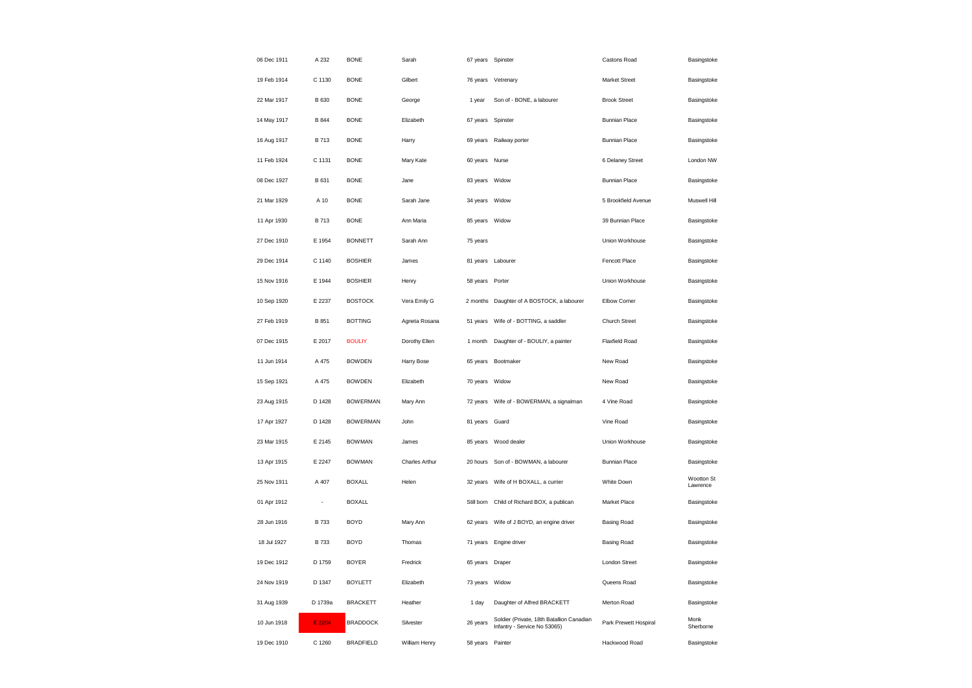| 06 Dec 1911 | A 232                    | <b>BONE</b>      | Sarah          |                | 67 years Spinster                                                         | Castons Road          | Basingstoke            |
|-------------|--------------------------|------------------|----------------|----------------|---------------------------------------------------------------------------|-----------------------|------------------------|
| 19 Feb 1914 | C 1130                   | <b>BONE</b>      | Gilbert        | 76 years       | Vetrenary                                                                 | Market Street         | Basingstoke            |
| 22 Mar 1917 | B 630                    | <b>BONE</b>      | George         | 1 year         | Son of - BONE, a labourer                                                 | <b>Brook Street</b>   | Basingstoke            |
| 14 May 1917 | <b>B</b> 844             | <b>BONE</b>      | Elizabeth      | 67 years       | Spinster                                                                  | <b>Bunnian Place</b>  | Basingstoke            |
| 16 Aug 1917 | B 713                    | <b>BONE</b>      | Harry          | 69 years       | Railway porter                                                            | <b>Bunnian Place</b>  | Basingstoke            |
| 11 Feb 1924 | C 1131                   | <b>BONE</b>      | Mary Kate      | 60 years       | Nurse                                                                     | 6 Delaney Street      | London NW              |
| 08 Dec 1927 | B 631                    | <b>BONE</b>      | Jane           | 83 years Widow |                                                                           | <b>Bunnian Place</b>  | Basingstoke            |
| 21 Mar 1929 | A 10                     | <b>BONE</b>      | Sarah Jane     | 34 years Widow |                                                                           | 5 Brookfield Avenue   | Muswell Hill           |
| 11 Apr 1930 | <b>B713</b>              | <b>BONE</b>      | Ann Maria      | 85 years Widow |                                                                           | 39 Bunnian Place      | Basingstoke            |
| 27 Dec 1910 | E 1954                   | <b>BONNETT</b>   | Sarah Ann      | 75 years       |                                                                           | Union Workhouse       | Basingstoke            |
| 29 Dec 1914 | C 1140                   | <b>BOSHIER</b>   | James          | 81 years       | Labourer                                                                  | <b>Fencott Place</b>  | Basingstoke            |
| 15 Nov 1916 | E 1944                   | <b>BOSHIER</b>   | Henry          | 58 years       | Porter                                                                    | Union Workhouse       | Basingstoke            |
| 10 Sep 1920 | E 2237                   | <b>BOSTOCK</b>   | Vera Emily G   | 2 months       | Daughter of A BOSTOCK, a labourer                                         | <b>Elbow Corner</b>   | Basingstoke            |
| 27 Feb 1919 | B 851                    | <b>BOTTING</b>   | Agneta Rosana  | 51 years       | Wife of - BOTTING, a saddler                                              | Church Street         | Basingstoke            |
| 07 Dec 1915 | E 2017                   | <b>BOULIY</b>    | Dorothy Ellen  | 1 month        | Daughter of - BOULIY, a painter                                           | <b>Flaxfield Road</b> | Basingstoke            |
| 11 Jun 1914 | A 475                    | <b>BOWDEN</b>    | Harry Bose     | 65 years       | Bootmaker                                                                 | New Road              | Basingstoke            |
| 15 Sep 1921 | A 475                    | <b>BOWDEN</b>    | Elizabeth      | 70 years       | Widow                                                                     | New Road              | Basingstoke            |
| 23 Aug 1915 | D 1428                   | <b>BOWERMAN</b>  | Mary Ann       | 72 years       | Wife of - BOWERMAN, a signalman                                           | 4 Vine Road           | Basingstoke            |
| 17 Apr 1927 | D 1428                   | <b>BOWERMAN</b>  | John           | 81 years       | Guard                                                                     | Vine Road             | Basingstoke            |
| 23 Mar 1915 | E 2145                   | <b>BOWMAN</b>    | James          | 85 years       | Wood dealer                                                               | Union Workhouse       | Basingstoke            |
| 13 Apr 1915 | E 2247                   | <b>BOWMAN</b>    | Charles Arthur | 20 hours       | Son of - BOWMAN, a labourer                                               | <b>Bunnian Place</b>  | Basingstoke            |
| 25 Nov 1911 | A 407                    | <b>BOXALL</b>    | Helen          | 32 years       | Wife of H BOXALL, a currier                                               | White Down            | Wootton St<br>Lawrence |
| 01 Apr 1912 | $\overline{\phantom{a}}$ | <b>BOXALL</b>    |                |                | Still born Child of Richard BOX, a publican                               | Market Place          | Basingstoke            |
| 28 Jun 1916 | B 733                    | <b>BOYD</b>      | Mary Ann       | 62 years       | Wife of J BOYD, an engine driver                                          | <b>Basing Road</b>    | Basingstoke            |
| 18 Jul 1927 | <b>B</b> 733             | <b>BOYD</b>      | Thomas         |                | 71 years Engine driver                                                    | <b>Basing Road</b>    | Basingstoke            |
| 19 Dec 1912 | D 1759                   | <b>BOYER</b>     | Fredrick       | 65 years       | Draper                                                                    | London Street         | Basingstoke            |
| 24 Nov 1919 | D 1347                   | <b>BOYLETT</b>   | Elizabeth      | 73 years       | Widow                                                                     | Queens Road           | Basingstoke            |
| 31 Aug 1939 | D 1739a                  | <b>BRACKETT</b>  | Heather        | 1 day          | Daughter of Alfred BRACKETT                                               | Merton Road           | Basingstoke            |
| 10 Jun 1918 | E 2204                   | <b>BRADDOCK</b>  | Silvester      | 26 years       | Soldier (Private, 18th Batallion Canadian<br>Infantry - Service No 53065) | Park Prewett Hospiral | Monk<br>Sherborne      |
| 19 Dec 1910 | C 1260                   | <b>BRADFIELD</b> | William Henry  | 58 years       | Painter                                                                   | Hackwood Road         | Basingstoke            |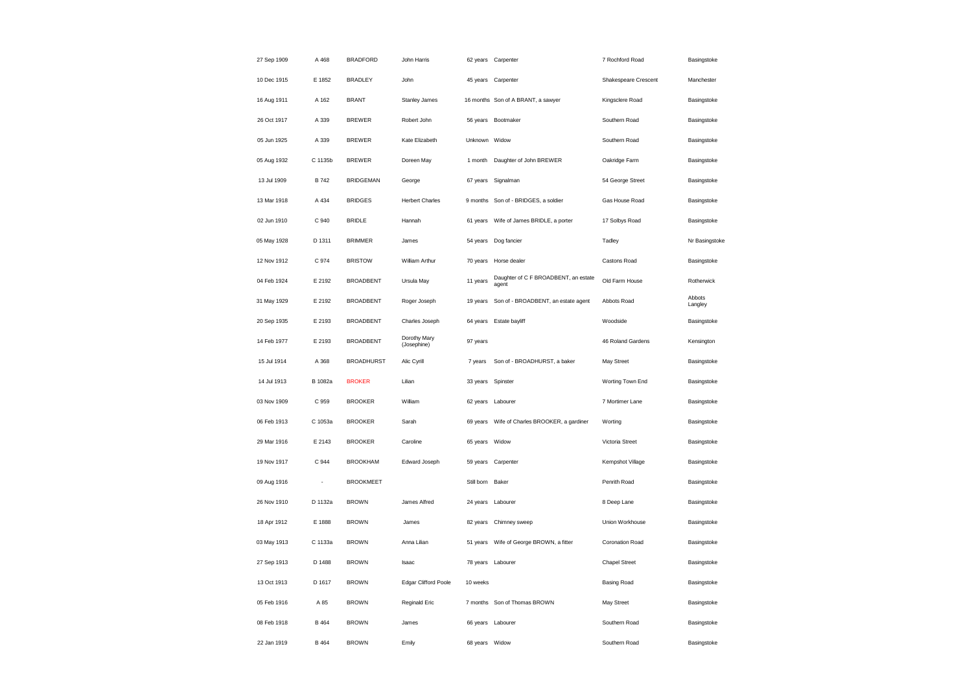| 27 Sep 1909 | A 468   | <b>BRADFORD</b>   | John Harris                 |                | 62 years Carpenter                            | 7 Rochford Road      | Basingstoke       |
|-------------|---------|-------------------|-----------------------------|----------------|-----------------------------------------------|----------------------|-------------------|
| 10 Dec 1915 | E 1852  | <b>BRADLEY</b>    | John                        |                | 45 years Carpenter                            | Shakespeare Crescent | Manchester        |
| 16 Aug 1911 | A 162   | <b>BRANT</b>      | Stanley James               |                | 16 months Son of A BRANT, a sawyer            | Kingsclere Road      | Basingstoke       |
| 26 Oct 1917 | A 339   | <b>BREWER</b>     | Robert John                 |                | 56 years Bootmaker                            | Southern Road        | Basingstoke       |
| 05 Jun 1925 | A 339   | <b>BREWER</b>     | Kate Elizabeth              | Unknown        | Widow                                         | Southern Road        | Basingstoke       |
| 05 Aug 1932 | C 1135b | <b>BREWER</b>     | Doreen May                  | 1 month        | Daughter of John BREWER                       | Oakridge Farm        | Basingstoke       |
| 13 Jul 1909 | B 742   | <b>BRIDGEMAN</b>  | George                      | 67 years       | Signalman                                     | 54 George Street     | Basingstoke       |
| 13 Mar 1918 | A 434   | <b>BRIDGES</b>    | <b>Herbert Charles</b>      | 9 months       | Son of - BRIDGES, a soldier                   | Gas House Road       | Basingstoke       |
| 02 Jun 1910 | C 940   | <b>BRIDLE</b>     | Hannah                      | 61 years       | Wife of James BRIDLE, a porter                | 17 Solbys Road       | Basingstoke       |
| 05 May 1928 | D 1311  | <b>BRIMMER</b>    | James                       |                | 54 years Dog fancier                          | Tadley               | Nr Basingstoke    |
| 12 Nov 1912 | C 974   | <b>BRISTOW</b>    | William Arthur              | 70 years       | Horse dealer                                  | Castons Road         | Basingstoke       |
| 04 Feb 1924 | E 2192  | <b>BROADBENT</b>  | Ursula May                  | 11 years       | Daughter of C F BROADBENT, an estate<br>agent | Old Farm House       | Rotherwick        |
| 31 May 1929 | E 2192  | <b>BROADBENT</b>  | Roger Joseph                | 19 years       | Son of - BROADBENT, an estate agent           | Abbots Road          | Abbots<br>Langley |
| 20 Sep 1935 | E 2193  | <b>BROADBENT</b>  | Charles Joseph              |                | 64 years Estate bayliff                       | Woodside             | Basingstoke       |
| 14 Feb 1977 | E 2193  | <b>BROADBENT</b>  | Dorothy Mary<br>(Josephine) | 97 years       |                                               | 46 Roland Gardens    | Kensington        |
| 15 Jul 1914 | A 368   | <b>BROADHURST</b> | Alic Cyrill                 | 7 years        | Son of - BROADHURST, a baker                  | May Street           | Basingstoke       |
| 14 Jul 1913 | B 1082a | <b>BROKER</b>     | Lilian                      | 33 years       | Spinster                                      | Worting Town End     | Basingstoke       |
| 03 Nov 1909 | C 959   | <b>BROOKER</b>    | William                     | 62 years       | Labourer                                      | 7 Mortimer Lane      | Basingstoke       |
| 06 Feb 1913 | C 1053a | <b>BROOKER</b>    | Sarah                       |                | 69 years Wife of Charles BROOKER, a gardiner  | Worting              | Basingstoke       |
| 29 Mar 1916 | E 2143  | <b>BROOKER</b>    | Caroline                    | 65 years Widow |                                               | Victoria Street      | Basingstoke       |
| 19 Nov 1917 | C 944   | <b>BROOKHAM</b>   | Edward Joseph               |                | 59 years Carpenter                            | Kempshot Village     | Basingstoke       |
| 09 Aug 1916 |         | <b>BROOKMEET</b>  |                             | Still born     | Baker                                         | Penrith Road         | Basingstoke       |
| 26 Nov 1910 | D 1132a | <b>BROWN</b>      | James Alfred                |                | 24 years Labourer                             | 8 Deep Lane          | Basingstoke       |
| 18 Apr 1912 | E 1888  | <b>BROWN</b>      | James                       | 82 years       | Chimney sweep                                 | Union Workhouse      | Basingstoke       |
| 03 May 1913 | C 1133a | <b>BROWN</b>      | Anna Lilian                 | 51 years       | Wife of George BROWN, a fitter                | Coronation Road      | Basingstoke       |
| 27 Sep 1913 | D 1488  | <b>BROWN</b>      | Isaac                       |                | 78 years Labourer                             | <b>Chapel Street</b> | Basingstoke       |
| 13 Oct 1913 | D 1617  | <b>BROWN</b>      | <b>Edgar Clifford Poole</b> | 10 weeks       |                                               | <b>Basing Road</b>   | Basingstoke       |
| 05 Feb 1916 | A 85    | <b>BROWN</b>      | Reginald Eric               | 7 months       | Son of Thomas BROWN                           | May Street           | Basingstoke       |
| 08 Feb 1918 | B 464   | <b>BROWN</b>      | James                       |                | 66 years Labourer                             | Southern Road        | Basingstoke       |
| 22 Jan 1919 | B 464   | <b>BROWN</b>      | Emily                       | 68 years Widow |                                               | Southern Road        | Basingstoke       |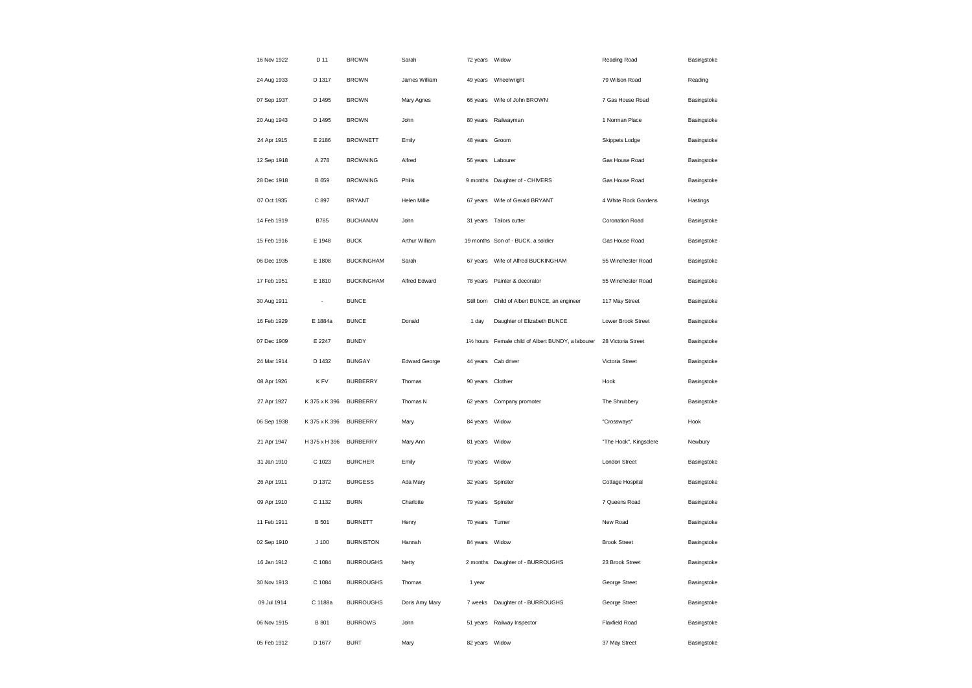| 16 Nov 1922 | D 11                     | <b>BROWN</b>      | Sarah          | 72 years Widow    |                                                     | Reading Road           | Basingstoke |
|-------------|--------------------------|-------------------|----------------|-------------------|-----------------------------------------------------|------------------------|-------------|
| 24 Aug 1933 | D 1317                   | <b>BROWN</b>      | James William  |                   | 49 years Wheelwright                                | 79 Wilson Road         | Reading     |
| 07 Sep 1937 | D 1495                   | <b>BROWN</b>      | Mary Agnes     |                   | 66 years Wife of John BROWN                         | 7 Gas House Road       | Basingstoke |
| 20 Aug 1943 | D 1495                   | <b>BROWN</b>      | John           | 80 years          | Railwayman                                          | 1 Norman Place         | Basingstoke |
| 24 Apr 1915 | E 2186                   | <b>BROWNETT</b>   | Emily          | 48 years Groom    |                                                     | Skippets Lodge         | Basingstoke |
| 12 Sep 1918 | A 278                    | <b>BROWNING</b>   | Alfred         | 56 years Labourer |                                                     | Gas House Road         | Basingstoke |
| 28 Dec 1918 | B 659                    | <b>BROWNING</b>   | Philis         |                   | 9 months Daughter of - CHIVERS                      | Gas House Road         | Basingstoke |
| 07 Oct 1935 | C 897                    | <b>BRYANT</b>     | Helen Millie   |                   | 67 years    Wife of Gerald BRYANT                   | 4 White Rock Gardens   | Hastings    |
| 14 Feb 1919 | B785                     | <b>BUCHANAN</b>   | John           | 31 years          | Tailors cutter                                      | Coronation Road        | Basingstoke |
| 15 Feb 1916 | E 1948                   | <b>BUCK</b>       | Arthur William |                   | 19 months Son of - BUCK, a soldier                  | Gas House Road         | Basingstoke |
| 06 Dec 1935 | E 1808                   | <b>BUCKINGHAM</b> | Sarah          | 67 years          | Wife of Alfred BUCKINGHAM                           | 55 Winchester Road     | Basingstoke |
| 17 Feb 1951 | E 1810                   | <b>BUCKINGHAM</b> | Alfred Edward  |                   | 78 years Painter & decorator                        | 55 Winchester Road     | Basingstoke |
| 30 Aug 1911 | $\overline{\phantom{a}}$ | <b>BUNCE</b>      |                | Still born        | Child of Albert BUNCE, an engineer                  | 117 May Street         | Basingstoke |
| 16 Feb 1929 | E 1884a                  | <b>BUNCE</b>      | Donald         | 1 day             | Daughter of Elizabeth BUNCE                         | Lower Brook Street     | Basingstoke |
| 07 Dec 1909 | F 2247                   | <b>BUNDY</b>      |                |                   | 11/2 hours Female child of Albert BUNDY, a labourer | 28 Victoria Street     | Basingstoke |
| 24 Mar 1914 | D 1432                   | <b>BUNGAY</b>     | Edward George  |                   | 44 years Cab driver                                 | Victoria Street        | Basingstoke |
| 08 Apr 1926 | K FV                     | <b>BURBERRY</b>   | Thomas         | 90 years          | Clothier                                            | Hook                   | Basingstoke |
| 27 Apr 1927 | K 375 x K 396            | <b>BURBERRY</b>   | Thomas N       | 62 years          | Company promoter                                    | The Shrubbery          | Basingstoke |
| 06 Sep 1938 | K 375 x K 396            | <b>BURBERRY</b>   | Mary           | 84 years          | Widow                                               | "Crossways"            | Hook        |
| 21 Apr 1947 | H 375 x H 396            | <b>BURBERRY</b>   | Mary Ann       | 81 years Widow    |                                                     | "The Hook", Kingsclere | Newbury     |
| 31 Jan 1910 | C 1023                   | <b>BURCHER</b>    | Emily          | 79 years Widow    |                                                     | <b>London Street</b>   | Basingstoke |
| 26 Apr 1911 | D 1372                   | <b>BURGESS</b>    | Ada Mary       | 32 years Spinster |                                                     | Cottage Hospital       | Basingstoke |
| 09 Apr 1910 | C 1132                   | <b>BURN</b>       | Charlotte      | 79 years Spinster |                                                     | 7 Queens Road          | Basingstoke |
| 11 Feb 1911 | B 501                    | <b>BURNETT</b>    | Henry          | 70 years          | Turner                                              | New Road               | Basingstoke |
| 02 Sep 1910 | J <sub>100</sub>         | <b>BURNISTON</b>  | Hannah         | 84 years Widow    |                                                     | <b>Brook Street</b>    | Basingstoke |
| 16 Jan 1912 | C 1084                   | <b>BURROUGHS</b>  | Netty          |                   | 2 months Daughter of - BURROUGHS                    | 23 Brook Street        | Basingstoke |
| 30 Nov 1913 | C 1084                   | <b>BURROUGHS</b>  | Thomas         | 1 year            |                                                     | George Street          | Basingstoke |
| 09 Jul 1914 | C 1188a                  | <b>BURROUGHS</b>  | Doris Amy Mary | 7 weeks           | Daughter of - BURROUGHS                             | George Street          | Basingstoke |
| 06 Nov 1915 | <b>B</b> 801             | <b>BURROWS</b>    | John           |                   | 51 years Railway Inspector                          | Flaxfield Road         | Basingstoke |
| 05 Feb 1912 | D 1677                   | <b>BURT</b>       | Mary           | 82 years          | Widow                                               | 37 May Street          | Basingstoke |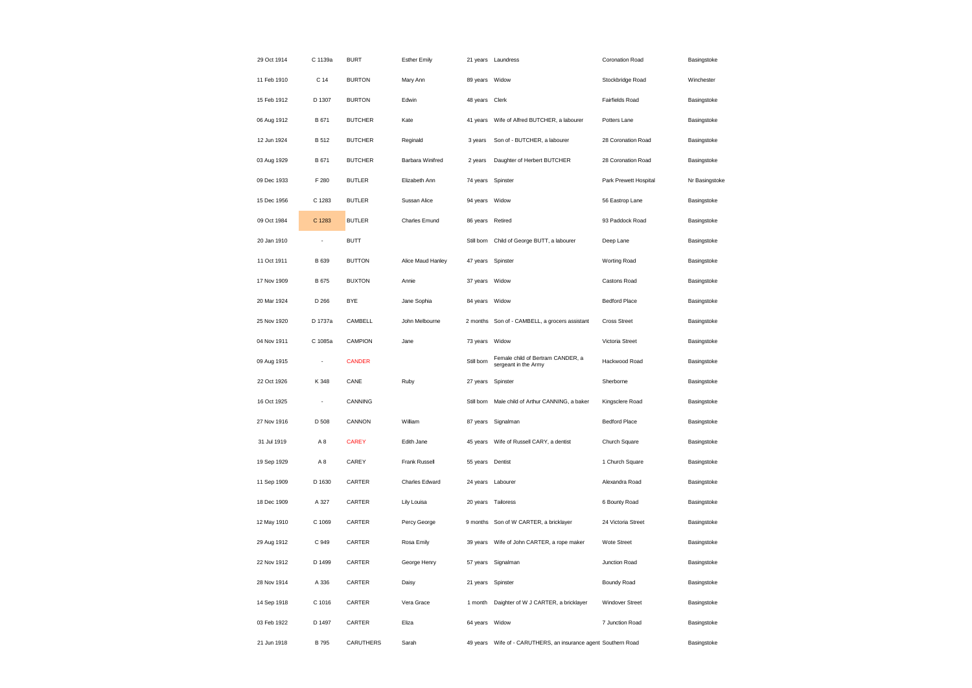| 29 Oct 1914 | C 1139a        | <b>BURT</b>    | <b>Esther Emily</b> |            | 21 years Laundress                                        | Coronation Road       | Basingstoke    |
|-------------|----------------|----------------|---------------------|------------|-----------------------------------------------------------|-----------------------|----------------|
| 11 Feb 1910 | C 14           | <b>BURTON</b>  | Mary Ann            | 89 years   | Widow                                                     | Stockbridge Road      | Winchester     |
| 15 Feb 1912 | D 1307         | <b>BURTON</b>  | Edwin               | 48 years   | Clerk                                                     | Fairfields Road       | Basingstoke    |
| 06 Aug 1912 | B 671          | <b>BUTCHER</b> | Kate                | 41 years   | Wife of Alfred BUTCHER, a labourer                        | Potters Lane          | Basingstoke    |
| 12 Jun 1924 | B 512          | <b>BUTCHER</b> | Reginald            | 3 years    | Son of - BUTCHER, a labourer                              | 28 Coronation Road    | Basingstoke    |
| 03 Aug 1929 | B 671          | <b>BUTCHER</b> | Barbara Winifred    | 2 years    | Daughter of Herbert BUTCHER                               | 28 Coronation Road    | Basingstoke    |
| 09 Dec 1933 | F 280          | <b>BUTLER</b>  | Elizabeth Ann       | 74 years   | Spinster                                                  | Park Prewett Hospital | Nr Basingstoke |
| 15 Dec 1956 | C 1283         | <b>BUTLER</b>  | Sussan Alice        | 94 years   | Widow                                                     | 56 Eastrop Lane       | Basingstoke    |
| 09 Oct 1984 | C 1283         | <b>BUTLER</b>  | Charles Emund       | 86 years   | Retired                                                   | 93 Paddock Road       | Basingstoke    |
| 20 Jan 1910 | $\overline{a}$ | <b>BUTT</b>    |                     | Still born | Child of George BUTT, a labourer                          | Deep Lane             | Basingstoke    |
| 11 Oct 1911 | B 639          | <b>BUTTON</b>  | Alice Maud Hanley   | 47 years   | Spinster                                                  | Worting Road          | Basingstoke    |
| 17 Nov 1909 | B 675          | <b>BUXTON</b>  | Annie               | 37 years   | Widow                                                     | Castons Road          | Basingstoke    |
| 20 Mar 1924 | D 266          | <b>BYE</b>     | Jane Sophia         | 84 years   | Widow                                                     | <b>Bedford Place</b>  | Basingstoke    |
| 25 Nov 1920 | D 1737a        | CAMBELL        | John Melbourne      |            | 2 months Son of - CAMBELL, a grocers assistant            | <b>Cross Street</b>   | Basingstoke    |
| 04 Nov 1911 | C 1085a        | CAMPION        | Jane                | 73 years   | Widow                                                     | Victoria Street       | Basingstoke    |
| 09 Aug 1915 | $\overline{a}$ | <b>CANDER</b>  |                     | Still born | Female child of Bertram CANDER, a<br>sergeant in the Army | Hackwood Road         | Basingstoke    |
| 22 Oct 1926 | K 348          | CANE           | Ruby                | 27 years   | Spinster                                                  | Sherborne             | Basingstoke    |
| 16 Oct 1925 | ÷,             | CANNING        |                     | Still born | Male child of Arthur CANNING, a baker                     | Kingsclere Road       | Basingstoke    |
| 27 Nov 1916 | D 508          | CANNON         | William             | 87 years   | Signalman                                                 | <b>Bedford Place</b>  | Basingstoke    |
| 31 Jul 1919 | A8             | <b>CAREY</b>   | Edith Jane          | 45 years   | Wife of Russell CARY, a dentist                           | Church Square         | Basingstoke    |
| 19 Sep 1929 | A8             | CAREY          | Frank Russell       | 55 years   | Dentist                                                   | 1 Church Square       | Basingstoke    |
| 11 Sep 1909 | D 1630         | CARTER         | Charles Edward      | 24 years   | Labourer                                                  | Alexandra Road        | Basingstoke    |
| 18 Dec 1909 | A 327          | CARTER         | Lily Louisa         |            | 20 years Tailoress                                        | 6 Bounty Road         | Basingstoke    |
| 12 May 1910 | C 1069         | CARTER         | Percy George        | 9 months   | Son of W CARTER, a bricklayer                             | 24 Victoria Street    | Basingstoke    |
| 29 Aug 1912 | C 949          | CARTER         | Rosa Emily          | 39 years   | Wife of John CARTER, a rope maker                         | Wote Street           | Basingstoke    |
| 22 Nov 1912 | D 1499         | CARTER         | George Henry        | 57 years   | Signalman                                                 | Junction Road         | Basingstoke    |
| 28 Nov 1914 | A 336          | CARTER         | Daisy               | 21 years   | Spinster                                                  | Boundy Road           | Basingstoke    |
| 14 Sep 1918 | C 1016         | CARTER         | Vera Grace          | 1 month    | Daighter of W J CARTER, a bricklayer                      | Windover Street       | Basingstoke    |
| 03 Feb 1922 | D 1497         | CARTER         | Eliza               | 64 years   | Widow                                                     | 7 Junction Road       | Basingstoke    |
| 21 Jun 1918 | <b>B</b> 795   | CARUTHERS      | Sarah               | 49 years   | Wife of - CARUTHERS, an insurance agent Southern Road     |                       | Basingstoke    |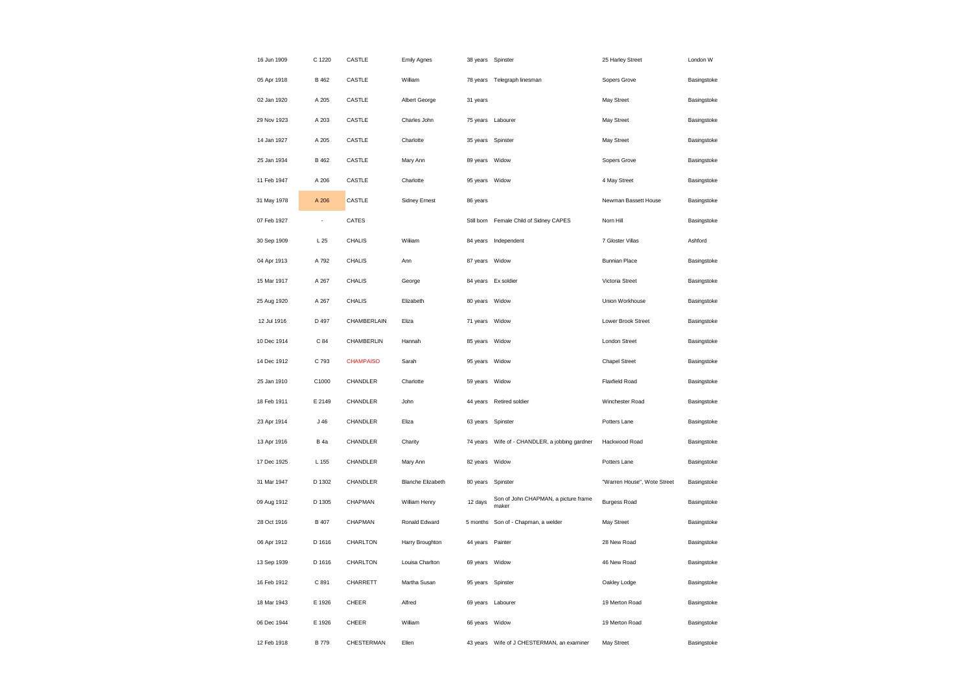| 16 Jun 1909 | C 1220       | CASTLE           | <b>Emily Agnes</b>       | 38 years Spinster |                                               | 25 Harley Street            | London W    |
|-------------|--------------|------------------|--------------------------|-------------------|-----------------------------------------------|-----------------------------|-------------|
| 05 Apr 1918 | <b>B</b> 462 | CASTLE           | William                  |                   | 78 years Telegraph linesman                   | Sopers Grove                | Basingstoke |
| 02 Jan 1920 | A 205        | CASTLE           | Albert George            | 31 years          |                                               | May Street                  | Basingstoke |
| 29 Nov 1923 | A 203        | CASTLE           | Charles John             |                   | 75 years Labourer                             | May Street                  | Basingstoke |
| 14 Jan 1927 | A 205        | CASTLE           | Charlotte                | 35 years          | Spinster                                      | May Street                  | Basingstoke |
| 25 Jan 1934 | B 462        | CASTLE           | Mary Ann                 | 89 years          | Widow                                         | Sopers Grove                | Basingstoke |
| 11 Feb 1947 | A 206        | CASTLE           | Charlotte                | 95 years          | Widow                                         | 4 May Street                | Basingstoke |
| 31 May 1978 | A 206        | CASTLE           | Sidney Ernest            | 86 years          |                                               | Newman Bassett House        | Basingstoke |
| 07 Feb 1927 | ÷,           | CATES            |                          | Still born        | Female Child of Sidney CAPES                  | Nom Hill                    | Basingstoke |
| 30 Sep 1909 | L25          | <b>CHALIS</b>    | Wiliiam                  |                   | 84 years Independent                          | 7 Gloster Villas            | Ashford     |
| 04 Apr 1913 | A 792        | <b>CHALIS</b>    | Ann                      | 87 years          | Widow                                         | <b>Bunnian Place</b>        | Basingstoke |
| 15 Mar 1917 | A 267        | <b>CHALIS</b>    | George                   |                   | 84 years Ex soldier                           | Victoria Street             | Basingstoke |
| 25 Aug 1920 | A 267        | <b>CHALIS</b>    | Elizabeth                | 80 years          | Widow                                         | Union Workhouse             | Basingstoke |
| 12 Jul 1916 | D 497        | CHAMBERLAIN      | Eliza                    | 71 years Widow    |                                               | Lower Brook Street          | Basingstoke |
| 10 Dec 1914 | C 84         | CHAMBERLIN       | Hannah                   | 85 years          | Widow                                         | London Street               | Basingstoke |
| 14 Dec 1912 | C 793        | <b>CHAMPAISO</b> | Sarah                    | 95 years          | Widow                                         | <b>Chapel Street</b>        | Basingstoke |
| 25 Jan 1910 | C1000        | CHANDLER         | Charlotte                | 59 years          | Widow                                         | Flaxfield Road              | Basingstoke |
| 18 Feb 1911 | E 2149       | CHANDLER         | John                     | 44 years          | Retired soldier                               | Winchester Road             | Basingstoke |
| 23 Apr 1914 | J46          | CHANDLER         | Eliza                    | 63 years          | Spinster                                      | Potters Lane                | Basingstoke |
| 13 Apr 1916 | <b>B</b> 4a  | CHANDLER         | Charity                  | 74 years          | Wife of - CHANDLER, a jobbing gardner         | Hackwood Road               | Basingstoke |
| 17 Dec 1925 | L 155        | CHANDLER         | Mary Ann                 | 82 years Widow    |                                               | Potters Lane                | Basingstoke |
| 31 Mar 1947 | D 1302       | CHANDLER         | <b>Blanche Elizabeth</b> | 80 years          | Spinster                                      | "Warren House", Wote Street | Basingstoke |
| 09 Aug 1912 | D 1305       | CHAPMAN          | William Henry            | 12 days           | Son of John CHAPMAN, a picture frame<br>maker | <b>Burgess Road</b>         | Basingstoke |
| 28 Oct 1916 | B 407        | CHAPMAN          | Ronald Edward            | 5 months          | Son of - Chapman, a welder                    | May Street                  | Basingstoke |
| 06 Apr 1912 | D 1616       | CHARLTON         | Harry Broughton          | 44 years Painter  |                                               | 28 New Road                 | Basingstoke |
| 13 Sep 1939 | D 1616       | CHARLTON         | Louisa Charlton          | 69 years          | Widow                                         | 46 New Road                 | Basingstoke |
| 16 Feb 1912 | C 891        | CHARRETT         | Martha Susan             | 95 years Spinster |                                               | Oakley Lodge                | Basingstoke |
| 18 Mar 1943 | E 1926       | CHEER            | Alfred                   |                   | 69 years Labourer                             | 19 Merton Road              | Basingstoke |
| 06 Dec 1944 | E 1926       | CHEER            | William                  | 66 years Widow    |                                               | 19 Merton Road              | Basingstoke |
| 12 Feb 1918 | <b>B</b> 779 | CHESTERMAN       | Ellen                    | 43 years          | Wife of J CHESTERMAN, an examiner             | May Street                  | Basingstoke |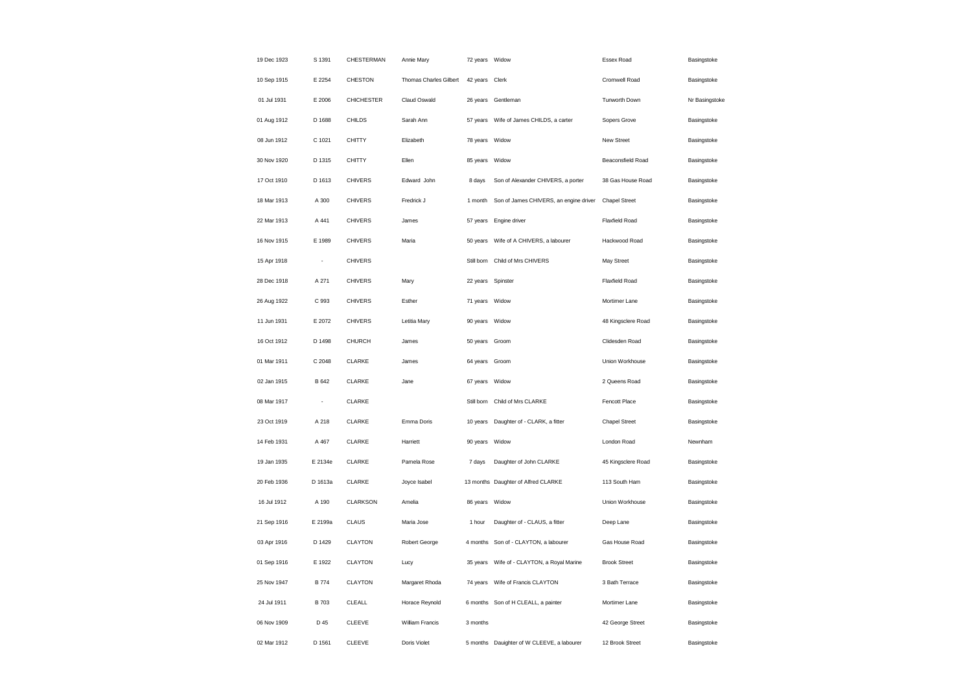| 19 Dec 1923 | S 1391       | CHESTERMAN        | Annie Mary             | 72 years Widow    |                                            | Essex Road            | Basingstoke    |
|-------------|--------------|-------------------|------------------------|-------------------|--------------------------------------------|-----------------------|----------------|
| 10 Sep 1915 | E 2254       | <b>CHESTON</b>    | Thomas Charles Gilbert | 42 years Clerk    |                                            | Cromwell Road         | Basingstoke    |
| 01 Jul 1931 | E 2006       | <b>CHICHESTER</b> | Claud Oswald           |                   | 26 years Gentleman                         | Tunworth Down         | Nr Basingstoke |
| 01 Aug 1912 | D 1688       | CHILDS            | Sarah Ann              |                   | 57 years Wife of James CHILDS, a carter    | Sopers Grove          | Basingstoke    |
| 08 Jun 1912 | C 1021       | <b>CHITTY</b>     | Elizabeth              | 78 years Widow    |                                            | New Street            | Basingstoke    |
| 30 Nov 1920 | D 1315       | <b>CHITTY</b>     | Ellen                  | 85 years Widow    |                                            | Beaconsfield Road     | Basingstoke    |
| 17 Oct 1910 | D 1613       | <b>CHIVERS</b>    | Edward John            | 8 days            | Son of Alexander CHIVERS, a porter         | 38 Gas House Road     | Basingstoke    |
| 18 Mar 1913 | A 300        | <b>CHIVERS</b>    | Fredrick J             | 1 month           | Son of James CHIVERS, an engine driver     | <b>Chapel Street</b>  | Basingstoke    |
| 22 Mar 1913 | A 441        | <b>CHIVERS</b>    | James                  |                   | 57 years Engine driver                     | Flaxfield Road        | Basingstoke    |
| 16 Nov 1915 | E 1989       | <b>CHIVERS</b>    | Maria                  |                   | 50 years     Wife of A CHIVERS, a labourer | Hackwood Road         | Basingstoke    |
| 15 Apr 1918 | ÷,           | <b>CHIVERS</b>    |                        | Still born        | Child of Mrs CHIVERS                       | May Street            | Basingstoke    |
| 28 Dec 1918 | A 271        | <b>CHIVERS</b>    | Mary                   | 22 years Spinster |                                            | <b>Flaxfield Road</b> | Basingstoke    |
| 26 Aug 1922 | C 993        | <b>CHIVERS</b>    | Esther                 | 71 years Widow    |                                            | Mortimer Lane         | Basingstoke    |
| 11 Jun 1931 | E 2072       | <b>CHIVERS</b>    | Letitia Mary           | 90 years Widow    |                                            | 48 Kingsclere Road    | Basingstoke    |
| 16 Oct 1912 | D 1498       | CHURCH            | James                  | 50 years Groom    |                                            | Clidesden Road        | Basingstoke    |
| 01 Mar 1911 | C 2048       | CLARKE            | James                  | 64 years Groom    |                                            | Union Workhouse       | Basingstoke    |
| 02 Jan 1915 | B 642        | CLARKE            | Jane                   | 67 years          | Widow                                      | 2 Queens Road         | Basingstoke    |
| 08 Mar 1917 |              | CLARKE            |                        | Still born        | Child of Mrs CLARKE                        | Fencott Place         | Basingstoke    |
| 23 Oct 1919 | A 218        | CLARKE            | Emma Doris             |                   | 10 years Daughter of - CLARK, a fitter     | <b>Chapel Street</b>  | Basingstoke    |
| 14 Feb 1931 | A 467        | CLARKE            | Harriett               | 90 years          | Widow                                      | London Road           | Newnham        |
| 19 Jan 1935 | E 2134e      | CLARKE            | Pamela Rose            | 7 days            | Daughter of John CLARKE                    | 45 Kingsclere Road    | Basingstoke    |
| 20 Feb 1936 | D 1613a      | CLARKE            | Joyce Isabel           |                   | 13 months Daughter of Alfred CLARKE        | 113 South Ham         | Basingstoke    |
| 16 Jul 1912 | A 190        | CLARKSON          | Amelia                 | 86 years          | Widow                                      | Union Workhouse       | Basingstoke    |
| 21 Sep 1916 | E 2199a      | CLAUS             | Maria Jose             | 1 hour            | Daughter of - CLAUS, a fitter              | Deep Lane             | Basingstoke    |
| 03 Apr 1916 | D 1429       | CLAYTON           | Robert George          |                   | 4 months Son of - CLAYTON, a labourer      | Gas House Road        | Basingstoke    |
| 01 Sep 1916 | E 1922       | CLAYTON           | Lucy                   | 35 years          | Wife of - CLAYTON, a Royal Marine          | <b>Brook Street</b>   | Basingstoke    |
| 25 Nov 1947 | <b>B</b> 774 | CLAYTON           | Margaret Rhoda         |                   | 74 years Wife of Francis CLAYTON           | 3 Bath Terrace        | Basingstoke    |
| 24 Jul 1911 | <b>B</b> 703 | CLEALL            | Horace Reynold         |                   | 6 months Son of H CLEALL, a painter        | Mortimer Lane         | Basingstoke    |
| 06 Nov 1909 | D 45         | CLEEVE            | William Francis        | 3 months          |                                            | 42 George Street      | Basingstoke    |
| 02 Mar 1912 | D 1561       | <b>CLEEVE</b>     | Doris Violet           |                   | 5 months Dauighter of W CLEEVE, a labourer | 12 Brook Street       | Basingstoke    |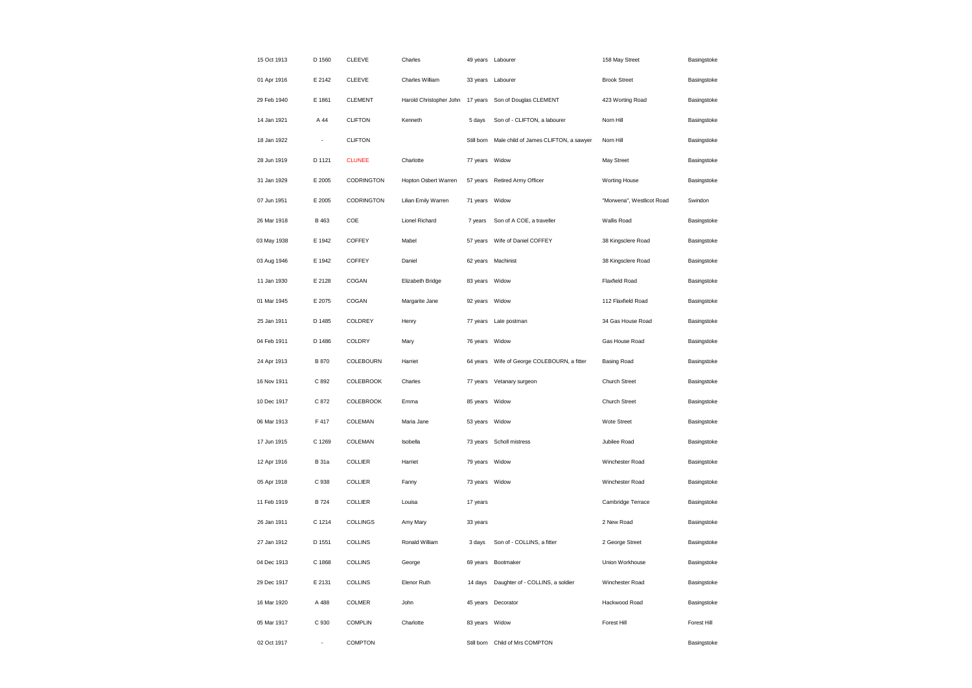| 15 Oct 1913 | D 1560       | <b>CLEEVE</b>    | Charles                          |                | 49 years Labourer                     | 158 May Street            | Basingstoke |
|-------------|--------------|------------------|----------------------------------|----------------|---------------------------------------|---------------------------|-------------|
| 01 Apr 1916 | E 2142       | CLEEVE           | Charles William                  |                | 33 years Labourer                     | <b>Brook Street</b>       | Basingstoke |
| 29 Feb 1940 | E 1861       | <b>CLEMENT</b>   | Harold Christopher John 17 years |                | Son of Douglas CLEMENT                | 423 Worting Road          | Basingstoke |
| 14 Jan 1921 | A 44         | <b>CLIFTON</b>   | Kenneth                          | 5 days         | Son of - CLIFTON, a labourer          | Norn Hill                 | Basingstoke |
| 18 Jan 1922 | ÷,           | <b>CLIFTON</b>   |                                  | Still born     | Male child of James CLIFTON, a sawyer | Norn Hill                 | Basingstoke |
| 28 Jun 1919 | D 1121       | <b>CLUNEE</b>    | Charlotte                        | 77 years       | Widow                                 | May Street                | Basingstoke |
| 31 Jan 1929 | E 2005       | CODRINGTON       | Hopton Osbert Warren             | 57 years       | Retired Army Officer                  | Worting House             | Basingstoke |
| 07 Jun 1951 | E 2005       | CODRINGTON       | Lilian Emily Warren              | 71 years       | Widow                                 | "Morwena", Westlicot Road | Swindon     |
| 26 Mar 1918 | <b>B</b> 463 | COE              | Lionel Richard                   | 7 years        | Son of A COE, a traveller             | Wallis Road               | Basingstoke |
| 03 May 1938 | E 1942       | COFFEY           | Mabel                            | 57 years       | Wife of Daniel COFFEY                 | 38 Kingsclere Road        | Basingstoke |
| 03 Aug 1946 | E 1942       | COFFEY           | Daniel                           | 62 years       | Machinist                             | 38 Kingsclere Road        | Basingstoke |
| 11 Jan 1930 | E 2128       | COGAN            | Elizabeth Bridge                 | 83 years Widow |                                       | <b>Flaxfield Road</b>     | Basingstoke |
| 01 Mar 1945 | E 2075       | COGAN            | Margarite Jane                   | 92 years Widow |                                       | 112 Flaxfield Road        | Basingstoke |
| 25 Jan 1911 | D 1485       | COLDREY          | Henry                            | 77 years       | Late postman                          | 34 Gas House Road         | Basingstoke |
| 04 Feb 1911 | D 1486       | COLDRY           | Mary                             | 76 years       | Widow                                 | Gas House Road            | Basingstoke |
| 24 Apr 1913 | <b>B</b> 870 | COLEBOURN        | Harriet                          | 64 years       | Wife of George COLEBOURN, a fitter    | <b>Basing Road</b>        | Basingstoke |
| 16 Nov 1911 | C 892        | <b>COLEBROOK</b> | Charles                          | 77 years       | Vetanary surgeon                      | Church Street             | Basingstoke |
| 10 Dec 1917 | C 872        | COLEBROOK        | Emma                             | 85 years       | Widow                                 | Church Street             | Basingstoke |
| 06 Mar 1913 | F 417        | COLEMAN          | Maria Jane                       | 53 years       | Widow                                 | Wote Street               | Basingstoke |
| 17 Jun 1915 | C 1269       | COLEMAN          | Isobella                         | 73 years       | Scholl mistress                       | Jubilee Road              | Basingstoke |
| 12 Apr 1916 | <b>B</b> 31a | COLLIER          | Harriet                          | 79 years Widow |                                       | Winchester Road           | Basingstoke |
| 05 Apr 1918 | C 938        | COLLIER          | Fanny                            | 73 years Widow |                                       | Winchester Road           | Basingstoke |
| 11 Feb 1919 | <b>B</b> 724 | COLLIER          | Louisa                           | 17 years       |                                       | Cambridge Terrace         | Basingstoke |
| 26 Jan 1911 | C 1214       | COLLINGS         | Amy Mary                         | 33 years       |                                       | 2 New Road                | Basingstoke |
| 27 Jan 1912 | D 1551       | COLLINS          | Ronald William                   | 3 days         | Son of - COLLINS, a fitter            | 2 George Street           | Basingstoke |
| 04 Dec 1913 | C 1868       | <b>COLLINS</b>   | George                           | 69 years       | Bootmaker                             | Union Workhouse           | Basingstoke |
| 29 Dec 1917 | E 2131       | COLLINS          | Elenor Ruth                      | 14 days        | Daughter of - COLLINS, a soldier      | Winchester Road           | Basingstoke |
| 16 Mar 1920 | A 488        | COLMER           | John                             |                | 45 years Decorator                    | Hackwood Road             | Basingstoke |
| 05 Mar 1917 | C 930        | COMPLIN          | Charlotte                        | 83 years       | Widow                                 | Forest Hill               | Forest Hill |
| 02 Oct 1917 |              | <b>COMPTON</b>   |                                  | Still born     | Child of Mrs COMPTON                  |                           | Basingstoke |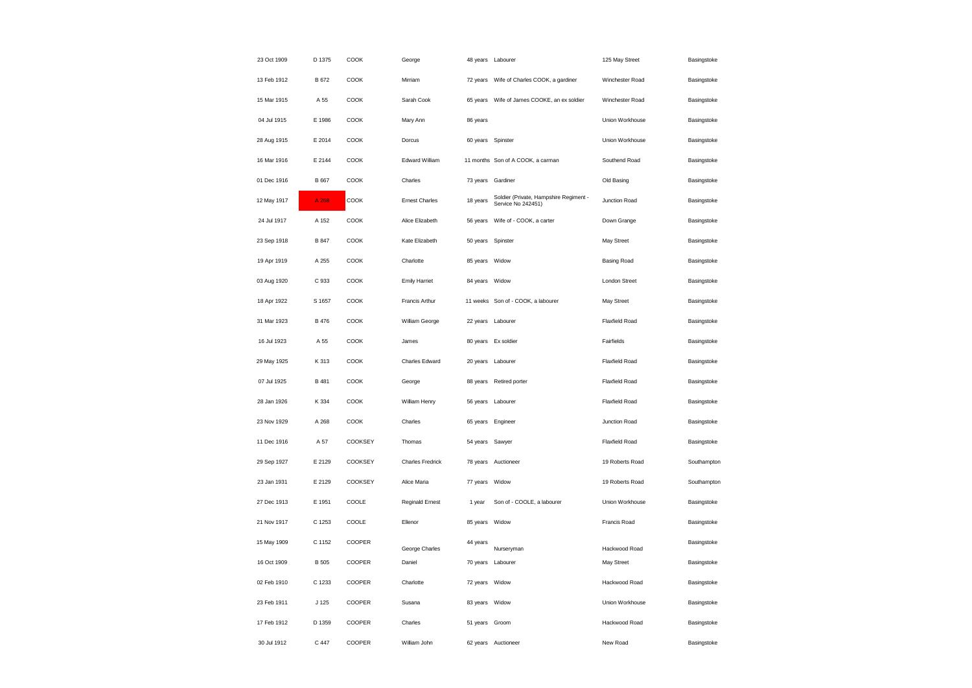| 23 Oct 1909 | D 1375       | COOK    | George                | 48 years Labourer |                                                              | 125 May Street        | Basingstoke |
|-------------|--------------|---------|-----------------------|-------------------|--------------------------------------------------------------|-----------------------|-------------|
| 13 Feb 1912 | B 672        | COOK    | Mirriam               |                   | 72 years Wife of Charles COOK, a gardiner                    | Winchester Road       | Basingstoke |
| 15 Mar 1915 | A 55         | COOK    | Sarah Cook            | 65 years          | Wife of James COOKE, an ex soldier                           | Winchester Road       | Basingstoke |
| 04 Jul 1915 | E 1986       | COOK    | Mary Ann              | 86 years          |                                                              | Union Workhouse       | Basingstoke |
| 28 Aug 1915 | E 2014       | COOK    | Dorcus                | 60 years          | Spinster                                                     | Union Workhouse       | Basingstoke |
| 16 Mar 1916 | E 2144       | COOK    | <b>Edward William</b> |                   | 11 months Son of A COOK, a carman                            | Southend Road         | Basingstoke |
| 01 Dec 1916 | B 667        | COOK    | Charles               | 73 years          | Gardiner                                                     | Old Basing            | Basingstoke |
| 12 May 1917 | A 268        | COOK    | <b>Ernest Charles</b> | 18 years          | Soldier (Private, Hampshire Regiment -<br>Service No 242451) | Junction Road         | Basingstoke |
| 24 Jul 1917 | A 152        | COOK    | Alice Elizabeth       | 56 years          | Wife of - COOK, a carter                                     | Down Grange           | Basingstoke |
| 23 Sep 1918 | B 847        | COOK    | Kate Elizabeth        | 50 years Spinster |                                                              | May Street            | Basingstoke |
| 19 Apr 1919 | A 255        | COOK    | Charlotte             | 85 years          | Widow                                                        | <b>Basing Road</b>    | Basingstoke |
| 03 Aug 1920 | C 933        | COOK    | <b>Emily Harriet</b>  | 84 years Widow    |                                                              | <b>London Street</b>  | Basingstoke |
| 18 Apr 1922 | S 1657       | COOK    | Francis Arthur        |                   | 11 weeks Son of - COOK, a labourer                           | May Street            | Basingstoke |
| 31 Mar 1923 | <b>B</b> 476 | COOK    | William George        | 22 years Labourer |                                                              | <b>Flaxfield Road</b> | Basingstoke |
| 16 Jul 1923 | A 55         | COOK    | James                 |                   | 80 years Ex soldier                                          | Fairfields            | Basingstoke |
| 29 May 1925 | K 313        | COOK    | Charles Edward        | 20 years Labourer |                                                              | Flaxfield Road        | Basingstoke |
| 07 Jul 1925 | B 481        | COOK    | George                | 88 years          | Retired porter                                               | <b>Flaxfield Road</b> | Basingstoke |
| 28 Jan 1926 | K 334        | COOK    | William Henry         | 56 years          | Labourer                                                     | <b>Flaxfield Road</b> | Basingstoke |
| 23 Nov 1929 | A 268        | COOK    | Charles               | 65 years Engineer |                                                              | Junction Road         | Basingstoke |
| 11 Dec 1916 | A 57         | COOKSEY | Thomas                | 54 years Sawyer   |                                                              | <b>Flaxfield Road</b> | Basingstoke |
| 29 Sep 1927 | E 2129       | COOKSEY | Charles Fredrick      |                   | 78 years Auctioneer                                          | 19 Roberts Road       | Southampton |
| 23 Jan 1931 | E 2129       | COOKSEY | Alice Maria           | 77 years          | Widow                                                        | 19 Roberts Road       | Southampton |
| 27 Dec 1913 | E 1951       | COOLE   | Reginald Ernest       | 1 year            | Son of - COOLE, a labourer                                   | Union Workhouse       | Basingstoke |
| 21 Nov 1917 | C 1253       | COOLE   | Ellenor               | 85 years          | Widow                                                        | Francis Road          | Basingstoke |
| 15 May 1909 | C 1152       | COOPER  | George Charles        | 44 years          | Nurseryman                                                   | Hackwood Road         | Basingstoke |
| 16 Oct 1909 | <b>B</b> 505 | COOPER  | Daniel                | 70 years          | Labourer                                                     | May Street            | Basingstoke |
| 02 Feb 1910 | C 1233       | COOPER  | Charlotte             | 72 years Widow    |                                                              | Hackwood Road         | Basingstoke |
| 23 Feb 1911 | J 125        | COOPER  | Susana                | 83 years Widow    |                                                              | Union Workhouse       | Basingstoke |
| 17 Feb 1912 | D 1359       | COOPER  | Charles               | 51 years Groom    |                                                              | Hackwood Road         | Basingstoke |
| 30 Jul 1912 | C 447        | COOPER  | William John          |                   | 62 years Auctioneer                                          | New Road              | Basingstoke |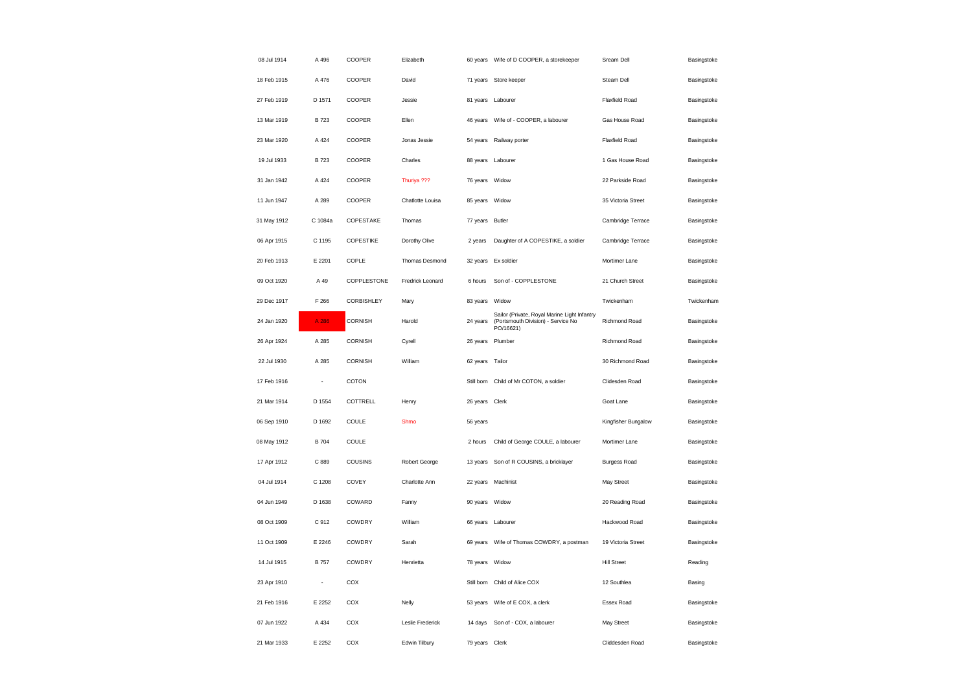| 08 Jul 1914 | A 496        | COOPER         | Elizabeth        |                | 60 years Wife of D COOPER, a storekeeper                                                        | Sream Dell            | Basingstoke |
|-------------|--------------|----------------|------------------|----------------|-------------------------------------------------------------------------------------------------|-----------------------|-------------|
| 18 Feb 1915 | A 476        | COOPER         | David            |                | 71 years Store keeper                                                                           | Steam Dell            | Basingstoke |
| 27 Feb 1919 | D 1571       | COOPER         | Jessie           | 81 years       | Labourer                                                                                        | <b>Flaxfield Road</b> | Basingstoke |
| 13 Mar 1919 | <b>B723</b>  | COOPER         | Ellen            | 46 years       | Wife of - COOPER, a labourer                                                                    | Gas House Road        | Basingstoke |
| 23 Mar 1920 | A 424        | COOPER         | Jonas Jessie     | 54 years       | Railway porter                                                                                  | <b>Flaxfield Road</b> | Basingstoke |
| 19 Jul 1933 | <b>B723</b>  | COOPER         | Charles          |                | 88 years Labourer                                                                               | 1 Gas House Road      | Basingstoke |
| 31 Jan 1942 | A 424        | COOPER         | Thuriya ???      | 76 years       | Widow                                                                                           | 22 Parkside Road      | Basingstoke |
| 11 Jun 1947 | A 289        | COOPER         | Chatlotte Louisa | 85 years       | Widow                                                                                           | 35 Victoria Street    | Basingstoke |
| 31 May 1912 | C 1084a      | COPESTAKE      | Thomas           | 77 years       | <b>Butler</b>                                                                                   | Cambridge Terrace     | Basingstoke |
| 06 Apr 1915 | C 1195       | COPESTIKE      | Dorothy Olive    | 2 years        | Daughter of A COPESTIKE, a soldier                                                              | Cambridge Terrace     | Basingstoke |
| 20 Feb 1913 | E 2201       | COPLE          | Thomas Desmond   | 32 years       | Ex soldier                                                                                      | Mortimer Lane         | Basingstoke |
| 09 Oct 1920 | A 49         | COPPLESTONE    | Fredrick Leonard | 6 hours        | Son of - COPPLESTONE                                                                            | 21 Church Street      | Basingstoke |
| 29 Dec 1917 | F 266        | CORBISHLEY     | Mary             | 83 years       | Widow                                                                                           | Twickenham            | Twickenham  |
| 24 Jan 1920 | A 286        | CORNISH        | Harold           | 24 years       | Sailor (Private, Royal Marine Light Infantry<br>(Portsmouth Division) - Service No<br>PO/16621) | Richmond Road         | Basingstoke |
| 26 Apr 1924 | A 285        | <b>CORNISH</b> | Cyrell           | 26 years       | Plumber                                                                                         | Richmond Road         | Basingstoke |
| 22 Jul 1930 | A 285        | CORNISH        | William          | 62 years       | Tailor                                                                                          | 30 Richmond Road      | Basingstoke |
| 17 Feb 1916 |              | COTON          |                  | Still born     | Child of Mr COTON, a soldier                                                                    | Clidesden Road        | Basingstoke |
| 21 Mar 1914 | D 1554       | COTTRELL       | Henry            | 26 years       | Clerk                                                                                           | Goat Lane             | Basingstoke |
| 06 Sep 1910 | D 1692       | COULE          | Shmo             | 56 years       |                                                                                                 | Kingfisher Bungalow   | Basingstoke |
| 08 May 1912 | <b>B</b> 704 | COULE          |                  | 2 hours        | Child of George COULE, a labourer                                                               | Mortimer Lane         | Basingstoke |
| 17 Apr 1912 | C 889        | COUSINS        | Robert George    | 13 years       | Son of R COUSINS, a bricklayer                                                                  | <b>Burgess Road</b>   | Basingstoke |
| 04 Jul 1914 | C 1208       | COVEY          | Charlotte Ann    | 22 years       | Machinist                                                                                       | May Street            | Basingstoke |
| 04 Jun 1949 | D 1638       | COWARD         | Fanny            | 90 years Widow |                                                                                                 | 20 Reading Road       | Basingstoke |
| 08 Oct 1909 | C 912        | COWDRY         | William          |                | 66 years Labourer                                                                               | Hackwood Road         | Basingstoke |
| 11 Oct 1909 | E 2246       | COWDRY         | Sarah            |                | 69 years Wife of Thomas COWDRY, a postman                                                       | 19 Victoria Street    | Basingstoke |
| 14 Jul 1915 | <b>B</b> 757 | COWDRY         | Henrietta        | 78 years       | Widow                                                                                           | <b>Hill Street</b>    | Reading     |
| 23 Apr 1910 | ٠            | COX            |                  |                | Still born Child of Alice COX                                                                   | 12 Southlea           | Basing      |
| 21 Feb 1916 | E 2252       | COX            | Nelly            | 53 years       | Wife of E COX, a clerk                                                                          | Essex Road            | Basingstoke |
| 07 Jun 1922 | A 434        | COX            | Leslie Frederick | 14 days        | Son of - COX, a labourer                                                                        | May Street            | Basingstoke |
| 21 Mar 1933 | E 2252       | COX            | Edwin Tilbury    | 79 years Clerk |                                                                                                 | Cliddesden Road       | Basingstoke |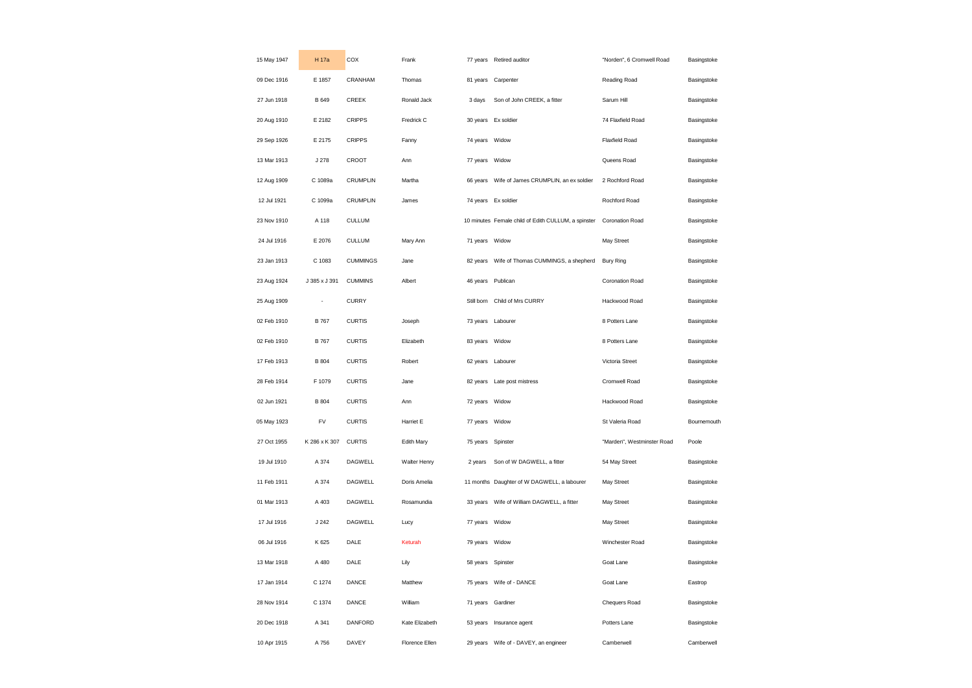| 15 May 1947 | H 17a         | COX             | Frank          | 77 years          | Retired auditor                                     | "Norden", 6 Cromwell Road  | Basingstoke |
|-------------|---------------|-----------------|----------------|-------------------|-----------------------------------------------------|----------------------------|-------------|
| 09 Dec 1916 | E 1857        | CRANHAM         | Thomas         | 81 years          | Carpenter                                           | Reading Road               | Basingstoke |
| 27 Jun 1918 | <b>B</b> 649  | CREEK           | Ronald Jack    | 3 days            | Son of John CREEK, a fitter                         | Sarum Hill                 | Basingstoke |
| 20 Aug 1910 | E 2182        | <b>CRIPPS</b>   | Fredrick C     |                   | 30 years Ex soldier                                 | 74 Flaxfield Road          | Basingstoke |
| 29 Sep 1926 | E 2175        | <b>CRIPPS</b>   | Fanny          | 74 years          | Widow                                               | Flaxfield Road             | Basingstoke |
| 13 Mar 1913 | J 278         | CROOT           | Ann            | 77 years          | Widow                                               | Queens Road                | Basingstoke |
| 12 Aug 1909 | C 1089a       | <b>CRUMPLIN</b> | Martha         | 66 years          | Wife of James CRUMPLIN, an ex soldier               | 2 Rochford Road            | Basingstoke |
| 12 Jul 1921 | C 1099a       | <b>CRUMPLIN</b> | James          |                   | 74 years Ex soldier                                 | Rochford Road              | Basingstoke |
| 23 Nov 1910 | A 118         | <b>CULLUM</b>   |                |                   | 10 minutes Female child of Edith CULLUM, a spinster | Coronation Road            | Basingstoke |
| 24 Jul 1916 | E 2076        | <b>CULLUM</b>   | Mary Ann       | 71 years          | Widow                                               | May Street                 | Basingstoke |
| 23 Jan 1913 | C 1083        | <b>CUMMINGS</b> | Jane           | 82 years          | Wife of Thomas CUMMINGS, a shepherd                 | <b>Bury Ring</b>           | Basingstoke |
| 23 Aug 1924 | J 385 x J 391 | <b>CUMMINS</b>  | Albert         | 46 years Publican |                                                     | <b>Coronation Road</b>     | Basingstoke |
| 25 Aug 1909 | ÷             | <b>CURRY</b>    |                |                   | Still born Child of Mrs CURRY                       | Hackwood Road              | Basingstoke |
| 02 Feb 1910 | <b>B</b> 767  | <b>CURTIS</b>   | Joseph         | 73 years          | Labourer                                            | 8 Potters Lane             | Basingstoke |
| 02 Feb 1910 | <b>B</b> 767  | <b>CURTIS</b>   | Elizabeth      | 83 years Widow    |                                                     | 8 Potters Lane             | Basingstoke |
| 17 Feb 1913 | <b>B</b> 804  | <b>CURTIS</b>   | Robert         | 62 years          | Labourer                                            | Victoria Street            | Basingstoke |
| 28 Feb 1914 | F 1079        | <b>CURTIS</b>   | Jane           | 82 years          | Late post mistress                                  | Cromwell Road              | Basingstoke |
| 02 Jun 1921 | <b>B</b> 804  | <b>CURTIS</b>   | Ann            | 72 years          | Widow                                               | Hackwood Road              | Basingstoke |
| 05 May 1923 | FV            | <b>CURTIS</b>   | Harriet E      | 77 years Widow    |                                                     | St Valeria Road            | Bournemouth |
| 27 Oct 1955 | K 286 x K 307 | <b>CURTIS</b>   | Edith Mary     | 75 years          | Spinster                                            | "Marden", Westminster Road | Poole       |
| 19 Jul 1910 | A 374         | <b>DAGWELL</b>  | Walter Henry   | 2 years           | Son of W DAGWELL, a fitter                          | 54 May Street              | Basingstoke |
| 11 Feb 1911 | A 374         | <b>DAGWELL</b>  | Doris Amelia   |                   | 11 months Daughter of W DAGWELL, a labourer         | May Street                 | Basingstoke |
| 01 Mar 1913 | A 403         | <b>DAGWELL</b>  | Rosamundia     |                   |                                                     | May Street                 | Basingstoke |
| 17 Jul 1916 | J 242         | DAGWELL         | Lucy           | 77 years          | Widow                                               | May Street                 | Basingstoke |
| 06 Jul 1916 | K 625         | DALE            | Keturah        | 79 years Widow    |                                                     | Winchester Road            | Basingstoke |
| 13 Mar 1918 | A 480         | DALE            | Lily           | 58 years          | Spinster                                            | Goat Lane                  | Basingstoke |
| 17 Jan 1914 | C 1274        | DANCE           | Matthew        |                   | 75 years Wife of - DANCE                            | Goat Lane                  | Eastrop     |
| 28 Nov 1914 | C 1374        | DANCE           | William        | 71 years          | Gardiner                                            | Chequers Road              | Basingstoke |
| 20 Dec 1918 | A 341         | DANFORD         | Kate Elizabeth | 53 years          | Insurance agent                                     | Potters Lane               | Basingstoke |
| 10 Apr 1915 | A 756         | DAVEY           | Florence Ellen | 29 years          | Wife of - DAVEY, an engineer                        | Camberwell                 | Camberwell  |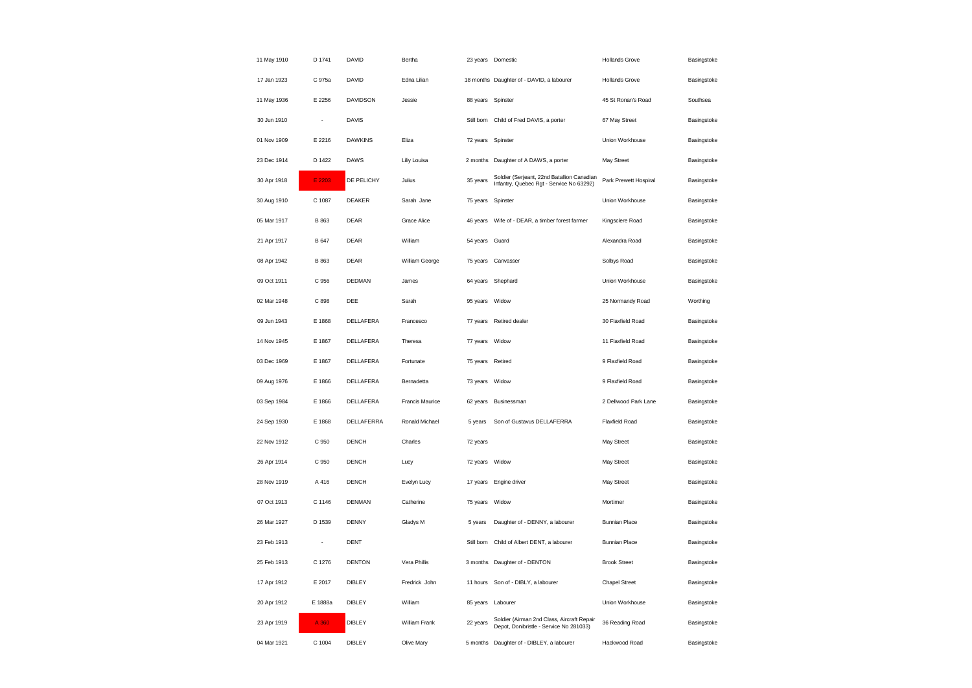| 11 May 1910 | D 1741                   | DAVID           | Bertha          |                | 23 years Domestic                                                                      | <b>Hollands Grove</b> | Basingstoke |
|-------------|--------------------------|-----------------|-----------------|----------------|----------------------------------------------------------------------------------------|-----------------------|-------------|
| 17 Jan 1923 | C 975a                   | DAVID           | Edna Lilian     |                | 18 months Daughter of - DAVID, a labourer                                              | <b>Hollands Grove</b> | Basingstoke |
| 11 May 1936 | E 2256                   | <b>DAVIDSON</b> | Jessie          | 88 years       | Spinster                                                                               | 45 St Ronan's Road    | Southsea    |
| 30 Jun 1910 |                          | <b>DAVIS</b>    |                 | Still born     | Child of Fred DAVIS, a porter                                                          | 67 May Street         | Basingstoke |
| 01 Nov 1909 | E 2216                   | <b>DAWKINS</b>  | Eliza           | 72 years       | Spinster                                                                               | Union Workhouse       | Basingstoke |
| 23 Dec 1914 | D 1422                   | DAWS            | Liliy Louisa    | 2 months       | Daughter of A DAWS, a porter                                                           | May Street            | Basingstoke |
| 30 Apr 1918 | E 2203                   | DE PELICHY      | Julius          | 35 years       | Soldier (Serjeant, 22nd Batallion Canadian<br>Infantry, Quebec Rgt - Service No 63292) | Park Prewett Hospiral | Basingstoke |
| 30 Aug 1910 | C 1087                   | DEAKER          | Sarah Jane      | 75 years       | Spinster                                                                               | Union Workhouse       | Basingstoke |
| 05 Mar 1917 | B 863                    | DEAR            | Grace Alice     | 46 years       | Wife of - DEAR, a timber forest farmer                                                 | Kingsclere Road       | Basingstoke |
| 21 Apr 1917 | <b>B</b> 647             | DEAR            | William         | 54 years       | Guard                                                                                  | Alexandra Road        | Basingstoke |
| 08 Apr 1942 | B 863                    | DEAR            | William George  | 75 years       | Canvasser                                                                              | Solbys Road           | Basingstoke |
| 09 Oct 1911 | C 956                    | DEDMAN          | James           |                | 64 years Shephard                                                                      | Union Workhouse       | Basingstoke |
| 02 Mar 1948 | C 898                    | DEE             | Sarah           | 95 years       | Widow                                                                                  | 25 Normandy Road      | Worthing    |
| 09 Jun 1943 | E 1868                   | DELLAFERA       | Francesco       | 77 years       | Retired dealer                                                                         | 30 Flaxfield Road     | Basingstoke |
| 14 Nov 1945 | E 1867                   | DELLAFERA       | Theresa         | 77 years       | Widow                                                                                  | 11 Flaxfield Road     | Basingstoke |
| 03 Dec 1969 | E 1867                   | DELLAFERA       | Fortunate       | 75 years       | Retired                                                                                | 9 Flaxfield Road      | Basingstoke |
| 09 Aug 1976 | E 1866                   | DELLAFERA       | Bernadetta      | 73 years       | Widow                                                                                  | 9 Flaxfield Road      | Basingstoke |
| 03 Sep 1984 | E 1866                   | DELLAFERA       | Francis Maurice | 62 years       | Businessman                                                                            | 2 Dellwood Park Lane  | Basingstoke |
| 24 Sep 1930 | E 1868                   | DELLAFERRA      | Ronald Michael  | 5 years        | Son of Gustavus DELLAFERRA                                                             | <b>Flaxfield Road</b> | Basingstoke |
| 22 Nov 1912 | C 950                    | <b>DENCH</b>    | Charles         | 72 years       |                                                                                        | May Street            | Basingstoke |
| 26 Apr 1914 | C 950                    | DENCH           | Lucy            | 72 years Widow |                                                                                        | May Street            | Basingstoke |
| 28 Nov 1919 | A 416                    | DENCH           | Evelyn Lucy     | 17 years       | Engine driver                                                                          | May Street            | Basingstoke |
| 07 Oct 1913 | C 1146                   | <b>DENMAN</b>   | Catherine       | 75 years       | Widow                                                                                  | Mortimer              | Basingstoke |
| 26 Mar 1927 | D 1539                   | <b>DENNY</b>    | Gladys M        | 5 years        | Daughter of - DENNY, a labourer                                                        | <b>Bunnian Place</b>  | Basingstoke |
| 23 Feb 1913 | $\overline{\phantom{a}}$ | <b>DENT</b>     |                 | Still born     | Child of Albert DENT, a labourer                                                       | <b>Bunnian Place</b>  | Basingstoke |
| 25 Feb 1913 | C 1276                   | <b>DENTON</b>   | Vera Phillis    | 3 months       | Daughter of - DENTON                                                                   | <b>Brook Street</b>   | Basingstoke |
| 17 Apr 1912 | E 2017                   | DIBLEY          | Fredrick John   | 11 hours       | Son of - DIBLY, a labourer                                                             | <b>Chapel Street</b>  | Basingstoke |
| 20 Apr 1912 | E 1888a                  | <b>DIBLEY</b>   | William         | 85 years       | Labourer                                                                               | Union Workhouse       | Basingstoke |
| 23 Apr 1919 | A 360                    | <b>DIBLEY</b>   | William Frank   | 22 years       | Soldier (Airman 2nd Class, Aircraft Repair<br>Depot, Donibristle - Service No 281033)  | 36 Reading Road       | Basingstoke |
| 04 Mar 1921 | C 1004                   | <b>DIBLEY</b>   | Olive Mary      |                | 5 months Daughter of - DIBLEY, a labourer                                              | Hackwood Road         | Basingstoke |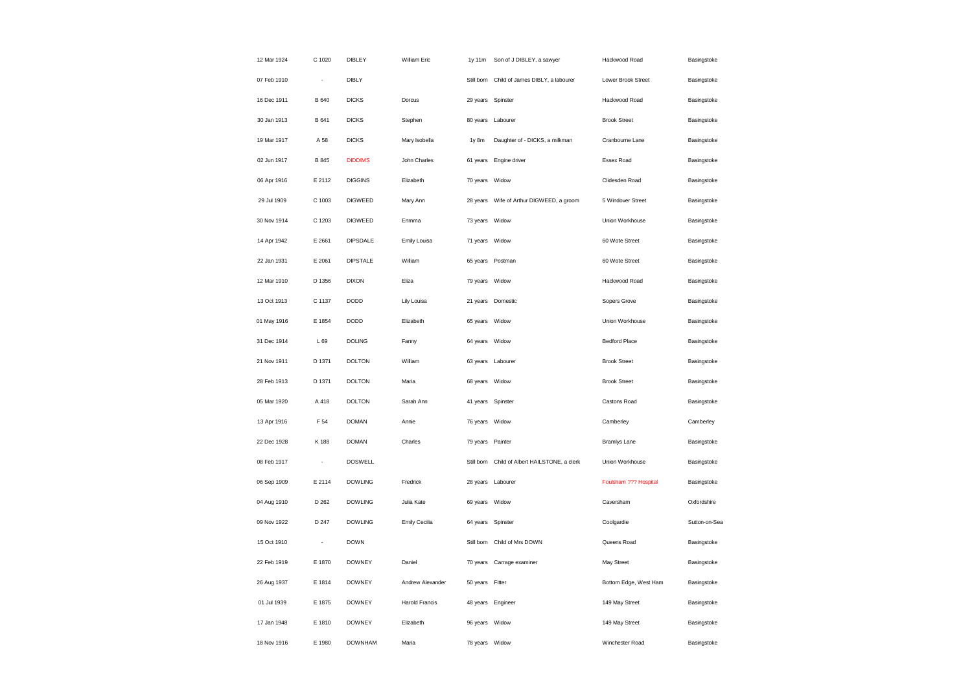| 12 Mar 1924 | C 1020 | DIBLEY          | William Eric          | 1y 11m            | Son of J DIBLEY, a sawyer                   | Hackwood Road         | Basingstoke   |
|-------------|--------|-----------------|-----------------------|-------------------|---------------------------------------------|-----------------------|---------------|
| 07 Feb 1910 | $\sim$ | <b>DIBLY</b>    |                       |                   | Still born Child of James DIBLY, a labourer | Lower Brook Street    | Basingstoke   |
| 16 Dec 1911 | B 640  | <b>DICKS</b>    | Dorcus                | 29 years Spinster |                                             | Hackwood Road         | Basingstoke   |
| 30 Jan 1913 | B 641  | <b>DICKS</b>    | Stephen               |                   | 80 years Labourer                           | <b>Brook Street</b>   | Basingstoke   |
| 19 Mar 1917 | A 58   | <b>DICKS</b>    | Mary Isobella         | 1y 8m             | Daughter of - DICKS, a milkman              | Cranbourne Lane       | Basingstoke   |
| 02 Jun 1917 | B 845  | <b>DIDDIMS</b>  | John Charles          |                   | 61 years Engine driver                      | Essex Road            | Basingstoke   |
| 06 Apr 1916 | E 2112 | <b>DIGGINS</b>  | Elizabeth             | 70 years          | Widow                                       | Clidesden Road        | Basingstoke   |
| 29 Jul 1909 | C 1003 | <b>DIGWEED</b>  | Mary Ann              |                   | 28 years Wife of Arthur DIGWEED, a groom    | 5 Windover Street     | Basingstoke   |
| 30 Nov 1914 | C 1203 | <b>DIGWEED</b>  | Enmma                 | 73 years          | Widow                                       | Union Workhouse       | Basingstoke   |
| 14 Apr 1942 | E 2661 | <b>DIPSDALE</b> | Emily Louisa          | 71 years Widow    |                                             | 60 Wote Street        | Basingstoke   |
| 22 Jan 1931 | E 2061 | <b>DIPSTALE</b> | William               | 65 years          | Postman                                     | 60 Wote Street        | Basingstoke   |
| 12 Mar 1910 | D 1356 | <b>DIXON</b>    | Eliza                 | 79 years Widow    |                                             | Hackwood Road         | Basingstoke   |
| 13 Oct 1913 | C 1137 | <b>DODD</b>     | Lily Louisa           |                   | 21 years Domestic                           | Sopers Grove          | Basingstoke   |
| 01 May 1916 | E 1854 | <b>DODD</b>     | Elizabeth             | 65 years Widow    |                                             | Union Workhouse       | Basingstoke   |
| 31 Dec 1914 | L 69   | <b>DOLING</b>   | Fanny                 | 64 years Widow    |                                             | Bedford Place         | Basingstoke   |
| 21 Nov 1911 | D 1371 | <b>DOLTON</b>   | William               |                   | 63 years Labourer                           | <b>Brook Street</b>   | Basingstoke   |
| 28 Feb 1913 | D 1371 | <b>DOLTON</b>   | Maria                 | 68 years Widow    |                                             | <b>Brook Street</b>   | Basingstoke   |
| 05 Mar 1920 | A 418  | <b>DOLTON</b>   | Sarah Ann             | 41 years          | Spinster                                    | Castons Road          | Basingstoke   |
| 13 Apr 1916 | F 54   | <b>DOMAN</b>    | Annie                 | 76 years Widow    |                                             | Camberley             | Camberley     |
| 22 Dec 1928 | K 188  | <b>DOMAN</b>    | Charles               | 79 years          | Painter                                     | <b>Bramlys Lane</b>   | Basingstoke   |
| 08 Feb 1917 | ÷      | <b>DOSWELL</b>  |                       | Still born        | Child of Albert HAILSTONE, a clerk          | Union Workhouse       | Basingstoke   |
| 06 Sep 1909 | E 2114 | <b>DOWLING</b>  | Fredrick              |                   | 28 years Labourer                           | Foulsham ??? Hospital | Basingstoke   |
| 04 Aug 1910 | D 262  | <b>DOWLING</b>  | Julia Kate            | 69 years Widow    |                                             | Caversham             | Oxfordshire   |
| 09 Nov 1922 | D 247  | <b>DOWLING</b>  | Emily Cecilia         | 64 years          | Spinster                                    | Coolgardie            | Sutton-on-Sea |
| 15 Oct 1910 | ÷,     | <b>DOWN</b>     |                       |                   | Still born Child of Mrs DOWN                | Queens Road           | Basingstoke   |
| 22 Feb 1919 | E 1870 | <b>DOWNEY</b>   | Daniel                | 70 years          | Carrage examiner                            | May Street            | Basingstoke   |
| 26 Aug 1937 | E 1814 | <b>DOWNEY</b>   | Andrew Alexander      | 50 years Fitter   |                                             | Bottom Edge, West Ham | Basingstoke   |
| 01 Jul 1939 | E 1875 | <b>DOWNEY</b>   | <b>Harold Francis</b> | 48 years Engineer |                                             | 149 May Street        | Basingstoke   |
| 17 Jan 1948 | E 1810 | <b>DOWNEY</b>   | Elizabeth             | 96 years Widow    |                                             | 149 May Street        | Basingstoke   |
| 18 Nov 1916 | E 1980 | <b>DOWNHAM</b>  | Maria                 | 78 years Widow    |                                             | Winchester Road       | Basingstoke   |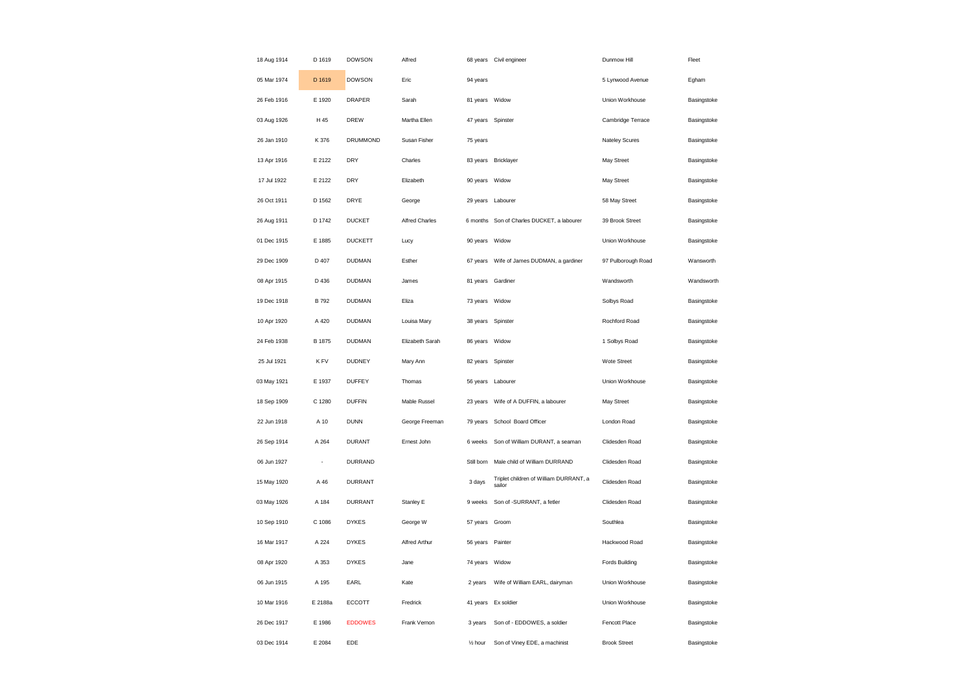| 18 Aug 1914 | D 1619  | <b>DOWSON</b>   | Alfred                |                    | 68 years Civil engineer                          | Dunmow Hill         | Fleet       |
|-------------|---------|-----------------|-----------------------|--------------------|--------------------------------------------------|---------------------|-------------|
| 05 Mar 1974 | D 1619  | <b>DOWSON</b>   | Eric                  | 94 years           |                                                  | 5 Lynwood Avenue    | Egham       |
| 26 Feb 1916 | E 1920  | <b>DRAPER</b>   | Sarah                 | 81 years Widow     |                                                  | Union Workhouse     | Basingstoke |
| 03 Aug 1926 | H 45    | <b>DREW</b>     | Martha Ellen          |                    | 47 years Spinster                                | Cambridge Terrace   | Basingstoke |
| 26 Jan 1910 | K 376   | <b>DRUMMOND</b> | Susan Fisher          | 75 years           |                                                  | Nateley Scures      | Basingstoke |
| 13 Apr 1916 | E 2122  | <b>DRY</b>      | Charles               |                    | 83 years Bricklayer                              | May Street          | Basingstoke |
| 17 Jul 1922 | E 2122  | DRY             | Elizabeth             | 90 years           | Widow                                            | May Street          | Basingstoke |
| 26 Oct 1911 | D 1562  | DRYE            | George                | 29 years           | Labourer                                         | 58 May Street       | Basingstoke |
| 26 Aug 1911 | D 1742  | <b>DUCKET</b>   | <b>Alfred Charles</b> | 6 months           | Son of Charles DUCKET, a labourer                | 39 Brook Street     | Basingstoke |
| 01 Dec 1915 | E 1885  | <b>DUCKETT</b>  | Lucy                  | 90 years Widow     |                                                  | Union Workhouse     | Basingstoke |
| 29 Dec 1909 | D 407   | <b>DUDMAN</b>   | Esther                | 67 years           | Wife of James DUDMAN, a gardiner                 | 97 Pulborough Road  | Wansworth   |
| 08 Apr 1915 | D 436   | <b>DUDMAN</b>   | James                 |                    | 81 years Gardiner                                | Wandsworth          | Wandsworth  |
| 19 Dec 1918 | B 792   | <b>DUDMAN</b>   | Eliza                 | 73 years           | Widow                                            | Solbys Road         | Basingstoke |
| 10 Apr 1920 | A 420   | <b>DUDMAN</b>   | Louisa Mary           |                    | 38 years Spinster                                | Rochford Road       | Basingstoke |
| 24 Feb 1938 | B 1875  | <b>DUDMAN</b>   | Elizabeth Sarah       | 86 years           | Widow                                            | 1 Solbys Road       | Basingstoke |
| 25 Jul 1921 | K FV    | <b>DUDNEY</b>   | Mary Ann              | 82 years           | Spinster                                         | Wote Street         | Basingstoke |
| 03 May 1921 | E 1937  | <b>DUFFEY</b>   | Thomas                | 56 years           | Labourer                                         | Union Workhouse     | Basingstoke |
| 18 Sep 1909 | C 1280  | <b>DUFFIN</b>   | Mable Russel          | 23 years           | Wife of A DUFFIN, a labourer                     | May Street          | Basingstoke |
| 22 Jun 1918 | A 10    | <b>DUNN</b>     | George Freeman        | 79 years           | School Board Officer                             | London Road         | Basingstoke |
| 26 Sep 1914 | A 264   | <b>DURANT</b>   | Ernest John           | 6 weeks            | Son of William DURANT, a seaman                  | Clidesden Road      | Basingstoke |
| 06 Jun 1927 | ÷       | <b>DURRAND</b>  |                       | Still born         | Male child of William DURRAND                    | Clidesden Road      | Basingstoke |
| 15 May 1920 | A 46    | <b>DURRANT</b>  |                       | 3 days             | Triplet children of William DURRANT, a<br>sailor | Clidesden Road      | Basingstoke |
| 03 May 1926 | A 184   | <b>DURRANT</b>  | Stanley E             | 9 weeks            | Son of -SURRANT, a fetler                        | Clidesden Road      | Basingstoke |
| 10 Sep 1910 | C 1086  | <b>DYKES</b>    | George W              | 57 years           | Groom                                            | Southlea            | Basingstoke |
| 16 Mar 1917 | A 224   | <b>DYKES</b>    | Alfred Arthur         | 56 years Painter   |                                                  | Hackwood Road       | Basingstoke |
| 08 Apr 1920 | A 353   | <b>DYKES</b>    | Jane                  | 74 years           | Widow                                            | Fords Building      | Basingstoke |
| 06 Jun 1915 | A 195   | EARL            | Kate                  | 2 years            | Wife of William EARL, dairyman                   | Union Workhouse     | Basingstoke |
| 10 Mar 1916 | E 2188a | <b>ECCOTT</b>   | Fredrick              | 41 years           | Ex soldier                                       | Union Workhouse     | Basingstoke |
| 26 Dec 1917 | E 1986  | <b>EDDOWES</b>  | Frank Vernon          | 3 years            | Son of - EDDOWES, a soldier                      | Fencott Place       | Basingstoke |
| 03 Dec 1914 | E 2084  | EDE             |                       | $\frac{1}{2}$ hour | Son of Viney EDE, a machinist                    | <b>Brook Street</b> | Basingstoke |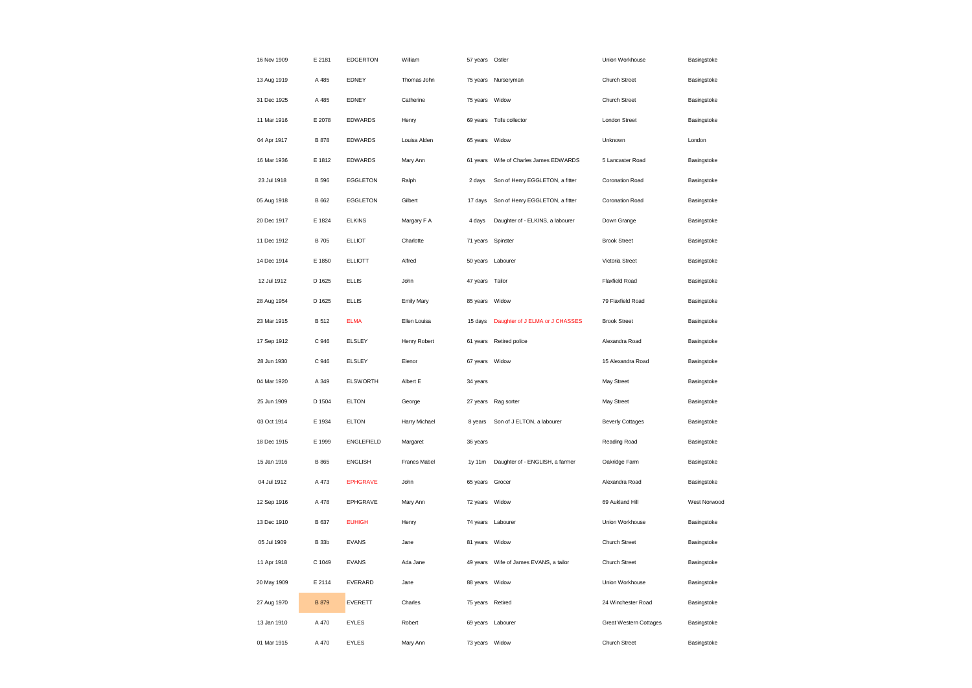| 16 Nov 1909 | E 2181       | <b>EDGERTON</b>   | William       | 57 years Ostler   |                                  | Union Workhouse               | Basingstoke  |
|-------------|--------------|-------------------|---------------|-------------------|----------------------------------|-------------------------------|--------------|
| 13 Aug 1919 | A 485        | EDNEY             | Thomas John   |                   | 75 years Nurseryman              | Church Street                 | Basingstoke  |
| 31 Dec 1925 | A 485        | EDNEY             | Catherine     | 75 years          | Widow                            | Church Street                 | Basingstoke  |
| 11 Mar 1916 | E 2078       | EDWARDS           | Henry         |                   | 69 years Tolls collector         | <b>London Street</b>          | Basingstoke  |
| 04 Apr 1917 | <b>B</b> 878 | <b>EDWARDS</b>    | Louisa Alden  | 65 years          | Widow                            | Unknown                       | London       |
| 16 Mar 1936 | E 1812       | EDWARDS           | Mary Ann      | 61 years          | Wife of Charles James EDWARDS    | 5 Lancaster Road              | Basingstoke  |
| 23 Jul 1918 | <b>B</b> 596 | EGGLETON          | Ralph         | 2 days            | Son of Henry EGGLETON, a fitter  | Coronation Road               | Basingstoke  |
| 05 Aug 1918 | B 662        | EGGLETON          | Gilbert       | 17 days           | Son of Henry EGGLETON, a fitter  | Coronation Road               | Basingstoke  |
| 20 Dec 1917 | E 1824       | <b>ELKINS</b>     | Margary F A   | 4 days            | Daughter of - ELKINS, a labourer | Down Grange                   | Basingstoke  |
| 11 Dec 1912 | <b>B</b> 705 | <b>ELLIOT</b>     | Charlotte     | 71 years          | Spinster                         | <b>Brook Street</b>           | Basingstoke  |
| 14 Dec 1914 | E 1850       | <b>ELLIOTT</b>    | Alfred        | 50 years          | Labourer                         | Victoria Street               | Basingstoke  |
| 12 Jul 1912 | D 1625       | <b>ELLIS</b>      | John          | 47 years Tailor   |                                  | <b>Flaxfield Road</b>         | Basingstoke  |
| 28 Aug 1954 | D 1625       | <b>ELLIS</b>      | Emily Mary    | 85 years Widow    |                                  | 79 Flaxfield Road             | Basingstoke  |
| 23 Mar 1915 | <b>B</b> 512 | <b>ELMA</b>       | Ellen Louisa  | 15 days           | Daughter of J ELMA or J CHASSES  | <b>Brook Street</b>           | Basingstoke  |
| 17 Sep 1912 | C 946        | <b>ELSLEY</b>     | Henry Robert  | 61 years          | Retired police                   | Alexandra Road                | Basingstoke  |
| 28 Jun 1930 | C 946        | <b>ELSLEY</b>     | Elenor        | 67 years          | Widow                            | 15 Alexandra Road             | Basingstoke  |
| 04 Mar 1920 | A 349        | <b>ELSWORTH</b>   | Albert E      | 34 years          |                                  | May Street                    | Basingstoke  |
| 25 Jun 1909 | D 1504       | <b>ELTON</b>      | George        | 27 years          | Rag sorter                       | May Street                    | Basingstoke  |
| 03 Oct 1914 | E 1934       | <b>ELTON</b>      | Harry Michael | 8 years           | Son of J ELTON, a labourer       | <b>Beverly Cottages</b>       | Basingstoke  |
| 18 Dec 1915 | E 1999       | <b>ENGLEFIELD</b> | Margaret      | 36 years          |                                  | Reading Road                  | Basingstoke  |
| 15 Jan 1916 | B 865        | <b>ENGLISH</b>    | Franes Mabel  | 1y 11m            | Daughter of - ENGLISH, a farmer  | Oakridge Farm                 | Basingstoke  |
| 04 Jul 1912 | A 473        | <b>EPHGRAVE</b>   | John          | 65 years          | Grocer                           | Alexandra Road                | Basingstoke  |
| 12 Sep 1916 | A 478        | EPHGRAVE          | Mary Ann      | 72 years Widow    |                                  | 69 Aukland Hill               | West Norwood |
| 13 Dec 1910 | B 637        | <b>EUHIGH</b>     | Henry         | 74 years Labourer |                                  | Union Workhouse               | Basingstoke  |
| 05 Jul 1909 | <b>B</b> 33b | <b>EVANS</b>      | Jane          | 81 years Widow    |                                  | Church Street                 | Basingstoke  |
| 11 Apr 1918 | C 1049       | <b>EVANS</b>      | Ada Jane      | 49 years          | Wife of James EVANS, a tailor    | Church Street                 | Basingstoke  |
| 20 May 1909 | E 2114       | EVERARD           | Jane          | 88 years Widow    |                                  | Union Workhouse               | Basingstoke  |
| 27 Aug 1970 | <b>B</b> 879 | <b>EVERETT</b>    | Charles       | 75 years Retired  |                                  | 24 Winchester Road            | Basingstoke  |
| 13 Jan 1910 | A 470        | <b>EYLES</b>      | Robert        | 69 years Labourer |                                  | <b>Great Western Cottages</b> | Basingstoke  |
| 01 Mar 1915 | A 470        | <b>EYLES</b>      | Mary Ann      | 73 years Widow    |                                  | Church Street                 | Basingstoke  |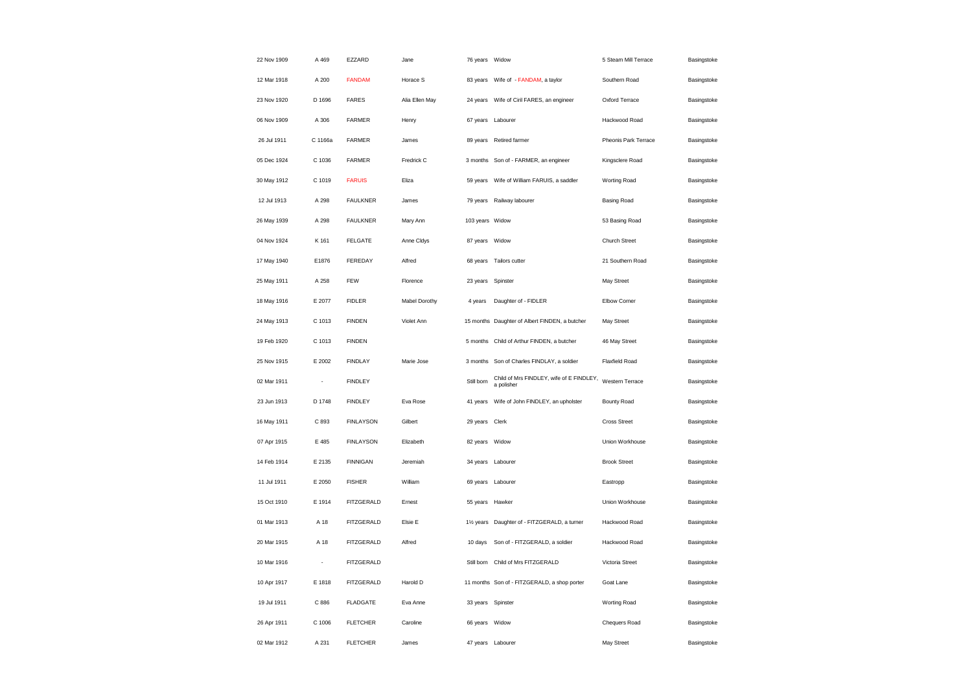| 22 Nov 1909 | A 469                    | EZZARD            | Jane           | 76 years Widow         |                                                        | 5 Steam Mill Terrace | Basingstoke |
|-------------|--------------------------|-------------------|----------------|------------------------|--------------------------------------------------------|----------------------|-------------|
| 12 Mar 1918 | A 200                    | <b>FANDAM</b>     | Horace S       | 83 years               | Wife of - FANDAM, a taylor                             | Southern Road        | Basingstoke |
| 23 Nov 1920 | D 1696                   | <b>FARES</b>      | Alia Ellen May | 24 years               | Wife of Ciril FARES, an engineer                       | Oxford Terrace       | Basingstoke |
| 06 Nov 1909 | A 306                    | FARMER            | Henry          | 67 years               | Labourer                                               | Hackwood Road        | Basingstoke |
| 26 Jul 1911 | C 1166a                  | <b>FARMER</b>     | James          | 89 years               | Retired farmer                                         | Pheonis Park Terrace | Basingstoke |
| 05 Dec 1924 | C 1036                   | <b>FARMER</b>     | Fredrick C     | 3 months               | Son of - FARMER, an engineer                           | Kingsclere Road      | Basingstoke |
| 30 May 1912 | C 1019                   | <b>FARUIS</b>     | Eliza          | 59 years               | Wife of William FARUIS, a saddler                      | Worting Road         | Basingstoke |
| 12 Jul 1913 | A 298                    | <b>FAULKNER</b>   | James          |                        | 79 years Railway labourer                              | Basing Road          | Basingstoke |
| 26 May 1939 | A 298                    | <b>FAULKNER</b>   | Mary Ann       | 103 years Widow        |                                                        | 53 Basing Road       | Basingstoke |
| 04 Nov 1924 | K 161                    | <b>FELGATE</b>    | Anne Cldys     | 87 years Widow         |                                                        | Church Street        | Basingstoke |
| 17 May 1940 | E1876                    | FEREDAY           | Alfred         | 68 years               | Tailors cutter                                         | 21 Southern Road     | Basingstoke |
| 25 May 1911 | A 258                    | FEW               | Florence       | 23 years               | Spinster                                               | May Street           | Basingstoke |
| 18 May 1916 | E 2077                   | <b>FIDLER</b>     | Mabel Dorothy  | 4 years                | Daughter of - FIDLER                                   | Elbow Corner         | Basingstoke |
| 24 May 1913 | C 1013                   | <b>FINDEN</b>     | Violet Ann     |                        | 15 months Daughter of Albert FINDEN, a butcher         | May Street           | Basingstoke |
| 19 Feb 1920 | C 1013                   | <b>FINDEN</b>     |                | 5 months               | Child of Arthur FINDEN, a butcher                      | 46 May Street        | Basingstoke |
| 25 Nov 1915 | E 2002                   | <b>FINDLAY</b>    | Marie Jose     |                        | 3 months Son of Charles FINDLAY, a soldier             | Flaxfield Road       | Basingstoke |
| 02 Mar 1911 | ÷,                       | <b>FINDLEY</b>    |                | Still born             | Child of Mrs FINDLEY, wife of E FINDLEY,<br>a polisher | Western Terrace      | Basingstoke |
| 23 Jun 1913 | D 1748                   | <b>FINDLEY</b>    | Eva Rose       | 41 years               | Wife of John FINDLEY, an upholster                     | Bounty Road          | Basingstoke |
| 16 May 1911 | C 893                    | <b>FINLAYSON</b>  | Gilbert        | 29 years               | Clerk                                                  | Cross Street         | Basingstoke |
| 07 Apr 1915 | E 485                    | <b>FINLAYSON</b>  | Elizabeth      | 82 years               | Widow                                                  | Union Workhouse      | Basingstoke |
| 14 Feb 1914 | E 2135                   | <b>FINNIGAN</b>   | Jeremiah       | 34 years Labourer      |                                                        | <b>Brook Street</b>  | Basingstoke |
| 11 Jul 1911 | E 2050                   | <b>FISHER</b>     | William        | 69 years Labourer      |                                                        | Eastropp             | Basingstoke |
| 15 Oct 1910 | E 1914                   | FITZGERALD        | Ernest         | 55 years Hawker        |                                                        | Union Workhouse      | Basingstoke |
| 01 Mar 1913 | A 18                     | FITZGERALD        | Elsie E        | 11/ <sub>2</sub> years | Daughter of - FITZGERALD, a turner                     | Hackwood Road        | Basingstoke |
| 20 Mar 1915 | A 18                     | <b>FITZGERALD</b> | Alfred         | 10 days                | Son of - FITZGERALD, a soldier                         | Hackwood Road        | Basingstoke |
| 10 Mar 1916 | $\overline{\phantom{a}}$ | <b>FITZGERALD</b> |                | Still born             | Child of Mrs FITZGERALD                                | Victoria Street      | Basingstoke |
| 10 Apr 1917 | E 1818                   | <b>FITZGERALD</b> | Harold D       |                        | 11 months Son of - FITZGERALD, a shop porter           | Goat Lane            | Basingstoke |
| 19 Jul 1911 | C 886                    | <b>FLADGATE</b>   | Eva Anne       | 33 years Spinster      |                                                        | Worting Road         | Basingstoke |
| 26 Apr 1911 | C 1006                   | <b>FLETCHER</b>   | Caroline       | 66 years Widow         |                                                        | Chequers Road        | Basingstoke |
| 02 Mar 1912 | A 231                    | <b>FLETCHER</b>   | James          | 47 years Labourer      |                                                        | May Street           | Basingstoke |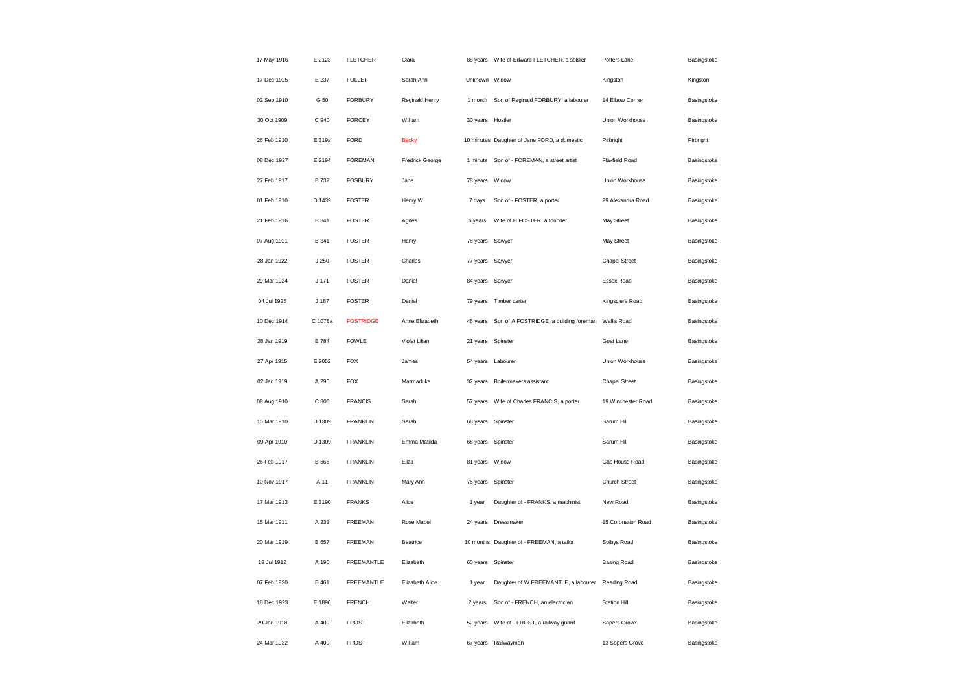| 17 May 1916 | E 2123           | <b>FLETCHER</b>   | Clara           | 88 years          | Wife of Edward FLETCHER, a soldier                          | Potters Lane         | Basingstoke |
|-------------|------------------|-------------------|-----------------|-------------------|-------------------------------------------------------------|----------------------|-------------|
| 17 Dec 1925 | E 237            | <b>FOLLET</b>     | Sarah Ann       | Unknown Widow     |                                                             | Kingston             | Kingston    |
| 02 Sep 1910 | G 50             | <b>FORBURY</b>    | Reginald Henry  | 1 month           | Son of Reginald FORBURY, a labourer                         | 14 Elbow Corner      | Basingstoke |
| 30 Oct 1909 | C 940            | <b>FORCEY</b>     | William         | 30 years          | Hostler                                                     | Union Workhouse      | Basingstoke |
| 26 Feb 1910 | E 319a           | FORD              | <b>Becky</b>    |                   | 10 minutes Daughter of Jane FORD, a domestic                | Pirbright            | Pirbright   |
| 08 Dec 1927 | E 2194           | <b>FOREMAN</b>    | Fredrick George | 1 minute          | Son of - FOREMAN, a street artist                           | Flaxfield Road       | Basingstoke |
| 27 Feb 1917 | <b>B</b> 732     | <b>FOSBURY</b>    | Jane            | 78 years          | Widow                                                       | Union Workhouse      | Basingstoke |
| 01 Feb 1910 | D 1439           | <b>FOSTER</b>     | Henry W         | 7 days            | Son of - FOSTER, a porter                                   | 29 Alexandra Road    | Basingstoke |
| 21 Feb 1916 | <b>B</b> 841     | <b>FOSTER</b>     | Agnes           | 6 years           | Wife of H FOSTER, a founder                                 | May Street           | Basingstoke |
| 07 Aug 1921 | B 841            | <b>FOSTER</b>     | Henry           | 78 years          | Sawyer                                                      | May Street           | Basingstoke |
| 28 Jan 1922 | J 250            | <b>FOSTER</b>     | Charles         | 77 years          | Sawyer                                                      | <b>Chapel Street</b> | Basingstoke |
| 29 Mar 1924 | J <sub>171</sub> | <b>FOSTER</b>     | Daniel          | 84 years          | Sawyer                                                      | Essex Road           | Basingstoke |
| 04 Jul 1925 | J 187            | <b>FOSTER</b>     | Daniel          | 79 years          | Timber carter                                               | Kingsclere Road      | Basingstoke |
| 10 Dec 1914 | C 1078a          | <b>FOSTRIDGE</b>  | Anne Elizabeth  |                   | 46 years Son of A FOSTRIDGE, a building foreman Wallis Road |                      | Basingstoke |
| 28 Jan 1919 | B 784            | <b>FOWLE</b>      | Violet Lilian   | 21 years Spinster |                                                             | Goat Lane            | Basingstoke |
| 27 Apr 1915 | E 2052           | <b>FOX</b>        | James           | 54 years          | Labourer                                                    | Union Workhouse      | Basingstoke |
| 02 Jan 1919 | A 290            | <b>FOX</b>        | Marmaduke       | 32 years          | Boilermakers assistant                                      | <b>Chapel Street</b> | Basingstoke |
| 08 Aug 1910 | C 806            | <b>FRANCIS</b>    | Sarah           | 57 years          | Wife of Charles FRANCIS, a porter                           | 19 Winchester Road   | Basingstoke |
| 15 Mar 1910 | D 1309           | <b>FRANKLIN</b>   | Sarah           | 68 years Spinster |                                                             | Sarum Hill           | Basingstoke |
| 09 Apr 1910 | D 1309           | <b>FRANKLIN</b>   | Emma Matilda    | 68 years          | Spinster                                                    | Sarum Hill           | Basingstoke |
| 26 Feb 1917 | B 665            | <b>FRANKLIN</b>   | Eliza           | 81 years          | Widow                                                       | Gas House Road       | Basingstoke |
| 10 Nov 1917 | A 11             | <b>FRANKLIN</b>   | Mary Ann        | 75 years          | Spinster                                                    | Church Street        | Basingstoke |
| 17 Mar 1913 | E 3190           | <b>FRANKS</b>     | Alice           | 1 year            | Daughter of - FRANKS, a machinist                           | New Road             | Basingstoke |
| 15 Mar 1911 | A 233            | <b>FREEMAN</b>    | Rose Mabel      | 24 years          | Dressmaker                                                  | 15 Coronation Road   | Basingstoke |
| 20 Mar 1919 | B 657            | <b>FREEMAN</b>    | Beatrice        |                   | 10 months Daughter of - FREEMAN, a tailor                   | Solbys Road          | Basingstoke |
| 19 Jul 1912 | A 190            | <b>FREEMANTLE</b> | Elizabeth       | 60 years          | Spinster                                                    | <b>Basing Road</b>   | Basingstoke |
| 07 Feb 1920 | B 461            | <b>FREEMANTLE</b> | Elizabeth Alice | 1 year            | Daughter of W FREEMANTLE, a labourer                        | Reading Road         | Basingstoke |
| 18 Dec 1923 | E 1896           | <b>FRENCH</b>     | Walter          | 2 years           | Son of - FRENCH, an electrician                             | <b>Station Hill</b>  | Basingstoke |
| 29 Jan 1918 | A 409            | <b>FROST</b>      | Elizabeth       |                   | 52 years Wife of - FROST, a railway guard                   | Sopers Grove         | Basingstoke |
| 24 Mar 1932 | A 409            | <b>FROST</b>      | William         | 67 years          | Railwayman                                                  | 13 Sopers Grove      | Basingstoke |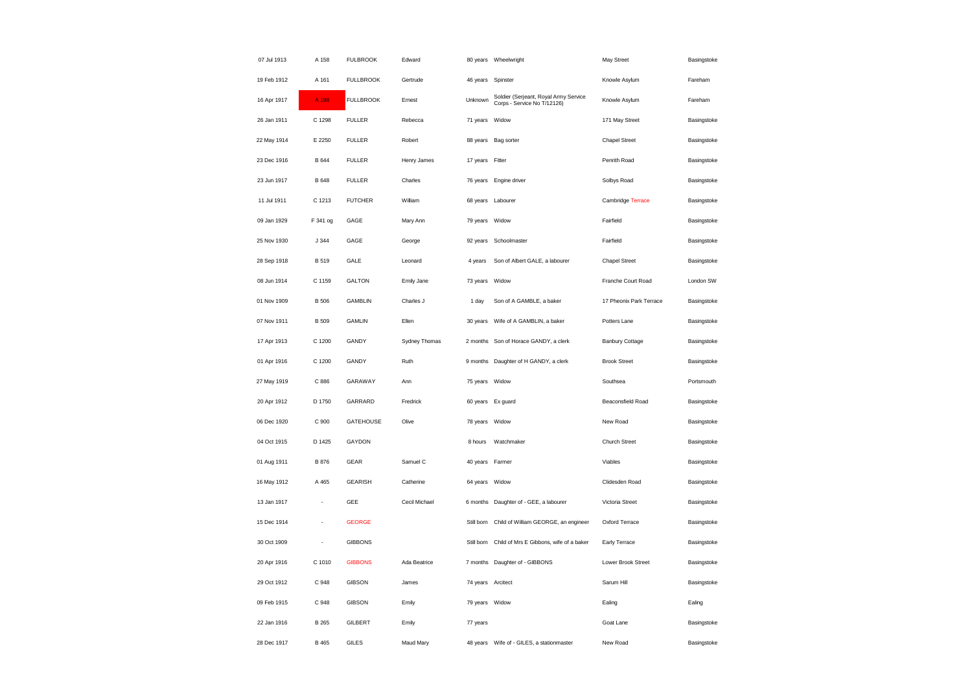| 07 Jul 1913 | A 158        | <b>FULBROOK</b>  | Edward        |                 | 80 years Wheelwright                                                 | May Street              | Basingstoke |
|-------------|--------------|------------------|---------------|-----------------|----------------------------------------------------------------------|-------------------------|-------------|
| 19 Feb 1912 | A 161        | <b>FULLBROOK</b> | Gertrude      | 46 years        | Spinster                                                             | Knowle Asylum           | Fareham     |
| 16 Apr 1917 | A 198        | <b>FULLBROOK</b> | Ernest        | Unknown         | Soldier (Serjeant, Royal Army Service<br>Corps - Service No T/12126) | Knowle Asylum           | Fareham     |
| 26 Jan 1911 | C 1298       | <b>FULLER</b>    | Rebecca       | 71 years        | Widow                                                                | 171 May Street          | Basingstoke |
| 22 May 1914 | E 2250       | <b>FULLER</b>    | Robert        |                 | 88 years Bag sorter                                                  | <b>Chapel Street</b>    | Basingstoke |
| 23 Dec 1916 | B 644        | <b>FULLER</b>    | Henry James   | 17 years Fitter |                                                                      | Penrith Road            | Basingstoke |
| 23 Jun 1917 | <b>B</b> 648 | <b>FULLER</b>    | Charles       | 76 years        | Engine driver                                                        | Solbys Road             | Basingstoke |
| 11 Jul 1911 | C 1213       | <b>FUTCHER</b>   | William       |                 | 68 years Labourer                                                    | Cambridge Terrace       | Basingstoke |
| 09 Jan 1929 | F 341 og     | GAGE             | Mary Ann      | 79 years        | Widow                                                                | Fairfield               | Basingstoke |
| 25 Nov 1930 | J 344        | GAGE             | George        |                 | 92 years Schoolmaster                                                | Fairfield               | Basingstoke |
| 28 Sep 1918 | <b>B</b> 519 | GALE             | Leonard       | 4 years         | Son of Albert GALE, a labourer                                       | <b>Chapel Street</b>    | Basingstoke |
| 08 Jun 1914 | C 1159       | <b>GALTON</b>    | Emily Jane    | 73 years Widow  |                                                                      | Franche Court Road      | London SW   |
| 01 Nov 1909 | <b>B</b> 506 | <b>GAMBLIN</b>   | Charles J     | 1 day           | Son of A GAMBLE, a baker                                             | 17 Pheonix Park Terrace | Basingstoke |
| 07 Nov 1911 | <b>B</b> 509 | <b>GAMLIN</b>    | Ellen         |                 |                                                                      | Potters Lane            | Basingstoke |
| 17 Apr 1913 | C 1200       | GANDY            | Sydney Thomas |                 | 2 months Son of Horace GANDY, a clerk                                | <b>Banbury Cottage</b>  | Basingstoke |
| 01 Apr 1916 | C 1200       | GANDY            | Ruth          |                 | 9 months Daughter of H GANDY, a clerk                                | <b>Brook Street</b>     | Basingstoke |
| 27 May 1919 | C 886        | GARAWAY          | Ann           | 75 years        | Widow                                                                | Southsea                | Portsmouth  |
| 20 Apr 1912 | D 1750       | GARRARD          | Fredrick      |                 | 60 years Ex guard                                                    | Beaconsfield Road       | Basingstoke |
| 06 Dec 1920 | C 900        | <b>GATEHOUSE</b> | Olive         | 78 years Widow  |                                                                      | New Road                | Basingstoke |
| 04 Oct 1915 | D 1425       | GAYDON           |               | 8 hours         | Watchmaker                                                           | Church Street           | Basingstoke |
| 01 Aug 1911 | <b>B</b> 876 | <b>GEAR</b>      | Samuel C      | 40 years Farmer |                                                                      | Viables                 | Basingstoke |
| 16 May 1912 | A 465        | <b>GEARISH</b>   | Catherine     | 64 years        | Widow                                                                | Clidesden Road          | Basingstoke |
| 13 Jan 1917 | ÷,           | GEE              | Cecil Michael |                 | 6 months Daughter of - GEE, a labourer                               | Victoria Street         | Basingstoke |
| 15 Dec 1914 |              | <b>GEORGE</b>    |               | Still born      | Child of William GEORGE, an engineer                                 | Oxford Terrace          | Basingstoke |
| 30 Oct 1909 | ÷,           | <b>GIBBONS</b>   |               |                 | Still born Child of Mrs E Gibbons, wife of a baker                   | Early Terrace           | Basingstoke |
| 20 Apr 1916 | C 1010       | <b>GIBBONS</b>   | Ada Beatrice  |                 | 7 months Daughter of - GIBBONS                                       | Lower Brook Street      | Basingstoke |
| 29 Oct 1912 | C 948        | <b>GIBSON</b>    | James         |                 | 74 years Arcitect                                                    | Sarum Hill              | Basingstoke |
| 09 Feb 1915 | C 948        | <b>GIBSON</b>    | Emily         | 79 years Widow  |                                                                      | Ealing                  | Ealing      |
| 22 Jan 1916 | <b>B</b> 265 | GILBERT          | Emily         | 77 years        |                                                                      | Goat Lane               | Basingstoke |
| 28 Dec 1917 | B 465        | <b>GILES</b>     | Maud Mary     |                 | 48 years    Wife of - GILES, a stationmaster                         | New Road                | Basingstoke |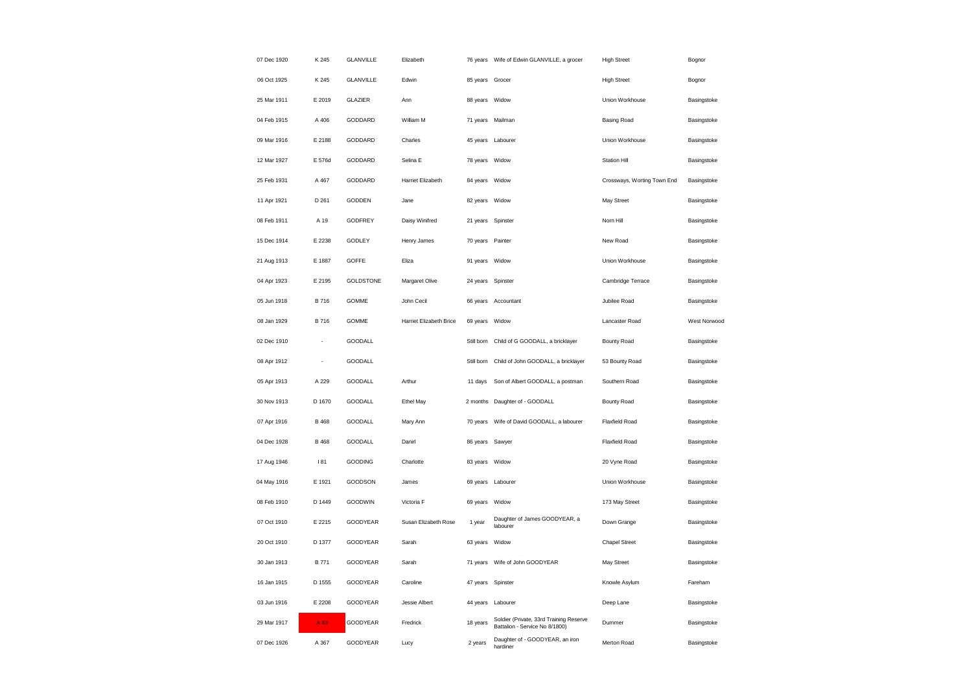| 07 Dec 1920 | K 245       | <b>GLANVILLE</b> | Elizabeth               |                  | 76 years Wife of Edwin GLANVILLE, a grocer                                | <b>High Street</b>          | Bognor       |
|-------------|-------------|------------------|-------------------------|------------------|---------------------------------------------------------------------------|-----------------------------|--------------|
| 06 Oct 1925 | K 245       | <b>GLANVILLE</b> | Edwin                   | 85 years Grocer  |                                                                           | <b>High Street</b>          | Bognor       |
| 25 Mar 1911 | E 2019      | <b>GLAZIER</b>   | Ann                     | 88 years         | Widow                                                                     | Union Workhouse             | Basingstoke  |
| 04 Feb 1915 | A 406       | GODDARD          | William M               | 71 years         | Mailman                                                                   | <b>Basing Road</b>          | Basingstoke  |
| 09 Mar 1916 | E 2188      | GODDARD          | Charles                 | 45 years         | Labourer                                                                  | Union Workhouse             | Basingstoke  |
| 12 Mar 1927 | E 576d      | GODDARD          | Selina E                | 78 years Widow   |                                                                           | <b>Station Hill</b>         | Basingstoke  |
| 25 Feb 1931 | A 467       | GODDARD          | Harriet Elizabeth       | 84 years         | Widow                                                                     | Crossways, Worting Town End | Basingstoke  |
| 11 Apr 1921 | D 261       | GODDEN           | Jane                    | 82 years Widow   |                                                                           | May Street                  | Basingstoke  |
| 08 Feb 1911 | A 19        | <b>GODFREY</b>   | Daisy Winifred          | 21 years         | Spinster                                                                  | Norn Hill                   | Basingstoke  |
| 15 Dec 1914 | E 2238      | <b>GODLEY</b>    | Henry James             | 70 years Painter |                                                                           | New Road                    | Basingstoke  |
| 21 Aug 1913 | E 1887      | <b>GOFFE</b>     | Eliza                   | 91 years         | Widow                                                                     | Union Workhouse             | Basingstoke  |
| 04 Apr 1923 | E 2195      | <b>GOLDSTONE</b> | Margaret Olive          |                  | 24 years Spinster                                                         | Cambridge Terrace           | Basingstoke  |
| 05 Jun 1918 | B 716       | <b>GOMME</b>     | John Cecil              | 66 years         | Accountant                                                                | Jubilee Road                | Basingstoke  |
| 08 Jan 1929 | B 716       | <b>GOMME</b>     | Harriet Elizabeth Brice | 69 years         | Widow                                                                     | Lancaster Road              | West Norwood |
| 02 Dec 1910 | ÷,          | GOODALL          |                         | Still born       | Child of G GOODALL, a bricklayer                                          | Bounty Road                 | Basingstoke  |
| 08 Apr 1912 | ÷,          | GOODALL          |                         | Still born       | Child of John GOODALL, a bricklayer                                       | 53 Bounty Road              | Basingstoke  |
| 05 Apr 1913 | A 229       | <b>GOODALL</b>   | Arthur                  | 11 days          | Son of Albert GOODALL, a postman                                          | Southern Road               | Basingstoke  |
| 30 Nov 1913 | D 1670      | GOODALL          | Ethel May               | 2 months         | Daughter of - GOODALL                                                     | Bounty Road                 | Basingstoke  |
| 07 Apr 1916 | B 468       | <b>GOODALL</b>   | Mary Ann                | 70 years         | Wife of David GOODALL, a labourer                                         | <b>Flaxfield Road</b>       | Basingstoke  |
| 04 Dec 1928 | B 468       | <b>GOODALL</b>   | Danirl                  | 86 years         | Sawyer                                                                    | <b>Flaxfield Road</b>       | Basingstoke  |
| 17 Aug 1946 | 181         | GOODING          | Charlotte               | 83 years Widow   |                                                                           | 20 Vyne Road                | Basingstoke  |
| 04 May 1916 | E 1921      | GOODSON          | James                   | 69 years         | Labourer                                                                  | Union Workhouse             | Basingstoke  |
| 08 Feb 1910 | D 1449      | <b>GOODWIN</b>   | Victoria F              | 69 years         | Widow                                                                     | 173 May Street              | Basingstoke  |
| 07 Oct 1910 | E 2215      | GOODYEAR         | Susan Elizabeth Rose    | 1 year           | Daughter of James GOODYEAR, a<br>labourer                                 | Down Grange                 | Basingstoke  |
| 20 Oct 1910 | D 1377      | GOODYEAR         | Sarah                   | 63 years         | Widow                                                                     | <b>Chapel Street</b>        | Basingstoke  |
| 30 Jan 1913 | <b>B771</b> | GOODYEAR         | Sarah                   | 71 years         | Wife of John GOODYEAR                                                     | May Street                  | Basingstoke  |
| 16 Jan 1915 | D 1555      | GOODYEAR         | Caroline                |                  | 47 years Spinster                                                         | Knowle Asylum               | Fareham      |
| 03 Jun 1916 | E 2208      | GOODYEAR         | Jessie Albert           |                  | 44 years Labourer                                                         | Deep Lane                   | Basingstoke  |
| 29 Mar 1917 | A 83        | GOODYEAR         | Fredrick                | 18 years         | Soldier (Private, 33rd Training Reserve<br>Battalion - Service No 8/1800) | Dummer                      | Basingstoke  |
| 07 Dec 1926 | A 367       | GOODYEAR         | Lucy                    | 2 years          | Daughter of - GOODYEAR, an iron<br>hardiner                               | Merton Road                 | Basingstoke  |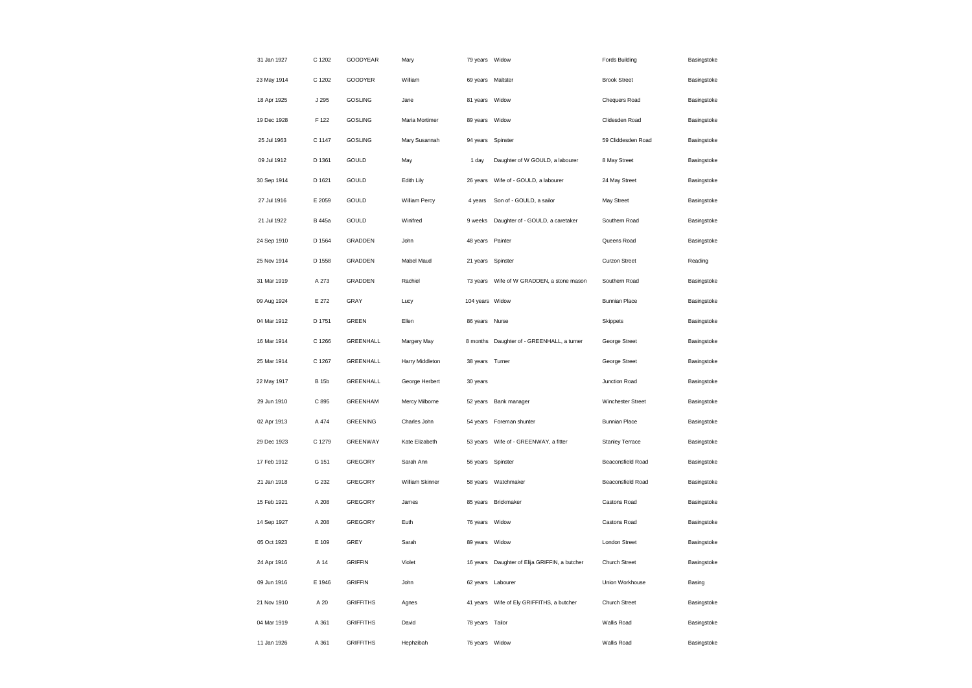| 31 Jan 1927 | C 1202       | GOODYEAR         | Mary            | 79 years Widow    |                                              | <b>Fords Building</b> | Basingstoke |
|-------------|--------------|------------------|-----------------|-------------------|----------------------------------------------|-----------------------|-------------|
| 23 May 1914 | C 1202       | GOODYER          | William         | 69 years Maltster |                                              | <b>Brook Street</b>   | Basingstoke |
| 18 Apr 1925 | J 295        | <b>GOSLING</b>   | Jane            | 81 years          | Widow                                        | Chequers Road         | Basingstoke |
| 19 Dec 1928 | F 122        | <b>GOSLING</b>   | Maria Mortimer  | 89 years          | Widow                                        | Clidesden Road        | Basingstoke |
| 25 Jul 1963 | C 1147       | <b>GOSLING</b>   | Mary Susannah   | 94 years          | Spinster                                     | 59 Cliddesden Road    | Basingstoke |
| 09 Jul 1912 | D 1361       | GOULD            | May             | 1 day             | Daughter of W GOULD, a labourer              | 8 May Street          | Basingstoke |
| 30 Sep 1914 | D 1621       | GOULD            | Edith Lily      | 26 years          | Wife of - GOULD, a labourer                  | 24 May Street         | Basingstoke |
| 27 Jul 1916 | E 2059       | GOULD            | William Percy   | 4 years           | Son of - GOULD, a sailor                     | May Street            | Basingstoke |
| 21 Jul 1922 | B 445a       | GOULD            | Winifred        | 9 weeks           | Daughter of - GOULD, a caretaker             | Southern Road         | Basingstoke |
| 24 Sep 1910 | D 1564       | GRADDEN          | John            | 48 years          | Painter                                      | Queens Road           | Basingstoke |
| 25 Nov 1914 | D 1558       | GRADDEN          | Mabel Maud      | 21 years          | Spinster                                     | <b>Curzon Street</b>  | Reading     |
| 31 Mar 1919 | A 273        | GRADDEN          | Rachiel         |                   | 73 years    Wife of W GRADDEN, a stone mason | Southern Road         | Basingstoke |
| 09 Aug 1924 | E 272        | GRAY             | Lucy            | 104 years Widow   |                                              | <b>Bunnian Place</b>  | Basingstoke |
| 04 Mar 1912 | D 1751       | <b>GREEN</b>     | Ellen           | 86 years          | Nurse                                        | Skippets              | Basingstoke |
| 16 Mar 1914 | C 1266       | GREENHALL        | Margery May     | 8 months          | Daughter of - GREENHALL, a turner            | George Street         | Basingstoke |
| 25 Mar 1914 | C 1267       | GREENHALL        | Harry Middleton | 38 years          | Turner                                       | George Street         | Basingstoke |
| 22 May 1917 | <b>B</b> 15b | GREENHALL        | George Herbert  | 30 years          |                                              | Junction Road         | Basingstoke |
| 29 Jun 1910 | C 895        | <b>GREENHAM</b>  | Mercy Milborne  | 52 years          | Bank manager                                 | Winchester Street     | Basingstoke |
| 02 Apr 1913 | A 474        | <b>GREENING</b>  | Charles John    | 54 years          | Foreman shunter                              | <b>Bunnian Place</b>  | Basingstoke |
| 29 Dec 1923 | C 1279       | GREENWAY         | Kate Elizabeth  | 53 years          | Wife of - GREENWAY, a fitter                 | Stanley Terrace       | Basingstoke |
| 17 Feb 1912 | G 151        | GREGORY          | Sarah Ann       | 56 years          | Spinster                                     | Beaconsfield Road     | Basingstoke |
| 21 Jan 1918 | G 232        | GREGORY          | William Skinner | 58 years          | Watchmaker                                   | Beaconsfield Road     | Basingstoke |
| 15 Feb 1921 | A 208        | GREGORY          | James           | 85 years          | Brickmaker                                   | Castons Road          | Basingstoke |
| 14 Sep 1927 | A 208        | GREGORY          | Euth            | 76 years          | Widow                                        | Castons Road          | Basingstoke |
| 05 Oct 1923 | E 109        | GREY             | Sarah           | 89 years          | Widow                                        | London Street         | Basingstoke |
| 24 Apr 1916 | A 14         | <b>GRIFFIN</b>   | Violet          | 16 years          | Daughter of Elija GRIFFIN, a butcher         | Church Street         | Basingstoke |
| 09 Jun 1916 | E 1946       | <b>GRIFFIN</b>   | John            | 62 years          | Labourer                                     | Union Workhouse       | Basing      |
| 21 Nov 1910 | A 20         | <b>GRIFFITHS</b> | Agnes           | 41 years          | Wife of Ely GRIFFITHS, a butcher             | Church Street         | Basingstoke |
| 04 Mar 1919 | A 361        | <b>GRIFFITHS</b> | David           | 78 years          | Tailor                                       | Wallis Road           | Basingstoke |
| 11 Jan 1926 | A 361        | <b>GRIFFITHS</b> | Hephzibah       | 76 years          | Widow                                        | Wallis Road           | Basingstoke |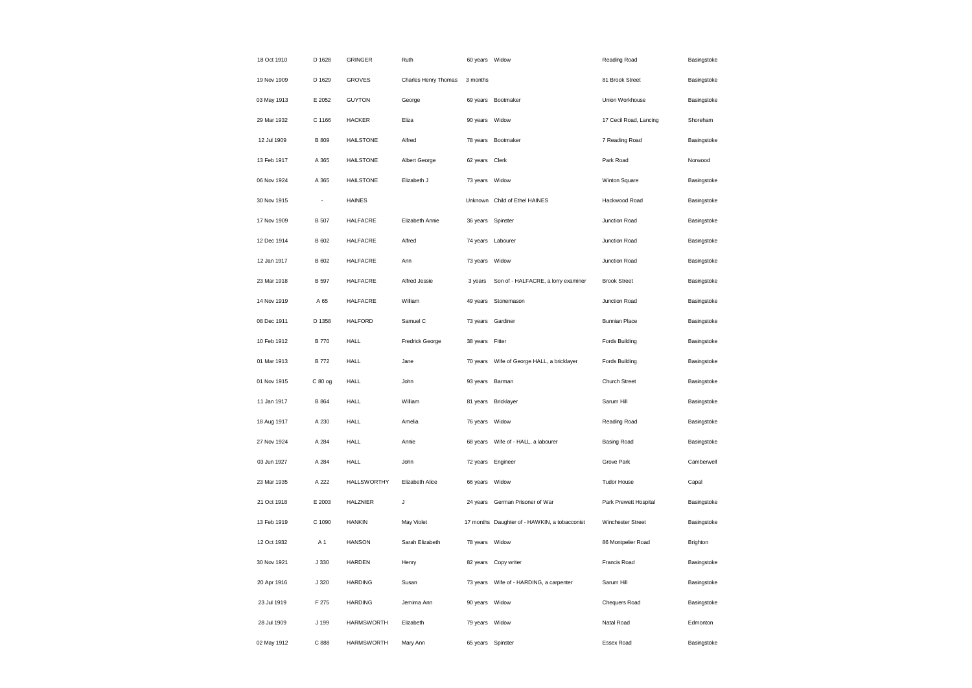| 18 Oct 1910 | D 1628                   | <b>GRINGER</b>     | Ruth                 | 60 years Widow    |                                               | Reading Road           | Basingstoke |
|-------------|--------------------------|--------------------|----------------------|-------------------|-----------------------------------------------|------------------------|-------------|
| 19 Nov 1909 | D 1629                   | <b>GROVES</b>      | Charles Henry Thomas | 3 months          |                                               | 81 Brook Street        | Basingstoke |
| 03 May 1913 | E 2052                   | <b>GUYTON</b>      | George               |                   | 69 years Bootmaker                            | Union Workhouse        | Basingstoke |
| 29 Mar 1932 | C 1166                   | <b>HACKER</b>      | Eliza                | 90 years          | Widow                                         | 17 Cecil Road, Lancing | Shoreham    |
| 12 Jul 1909 | <b>B</b> 809             | <b>HAILSTONE</b>   | Alfred               |                   | 78 years Bootmaker                            | 7 Reading Road         | Basingstoke |
| 13 Feb 1917 | A 365                    | <b>HAILSTONE</b>   | Albert George        | 62 years Clerk    |                                               | Park Road              | Norwood     |
| 06 Nov 1924 | A 365                    | <b>HAILSTONE</b>   | Elizabeth J          | 73 years          | Widow                                         | Winton Square          | Basingstoke |
| 30 Nov 1915 | $\overline{\phantom{a}}$ | <b>HAINES</b>      |                      |                   | Unknown Child of Ethel HAINES                 | Hackwood Road          | Basingstoke |
| 17 Nov 1909 | <b>B</b> 507             | <b>HALFACRE</b>    | Elizabeth Annie      | 36 years Spinster |                                               | Junction Road          | Basingstoke |
| 12 Dec 1914 | B 602                    | <b>HALFACRE</b>    | Alfred               | 74 years Labourer |                                               | Junction Road          | Basingstoke |
| 12 Jan 1917 | B 602                    | <b>HALFACRE</b>    | Ann                  | 73 years          | Widow                                         | Junction Road          | Basingstoke |
| 23 Mar 1918 | <b>B</b> 597             | <b>HALFACRE</b>    | Alfred Jessie        | 3 years           | Son of - HALFACRE, a lorry examiner           | <b>Brook Street</b>    | Basingstoke |
| 14 Nov 1919 | A 65                     | <b>HALFACRE</b>    | William              | 49 years          | Stonemason                                    | Junction Road          | Basingstoke |
| 08 Dec 1911 | D 1358                   | <b>HALFORD</b>     | Samuel C             | 73 years          | Gardiner                                      | <b>Bunnian Place</b>   | Basingstoke |
| 10 Feb 1912 | <b>B770</b>              | <b>HALL</b>        | Fredrick George      | 38 years          | Fitter                                        | <b>Fords Building</b>  | Basingstoke |
| 01 Mar 1913 | <b>B</b> 772             | <b>HALL</b>        | Jane                 |                   | 70 years Wife of George HALL, a bricklayer    | <b>Fords Building</b>  | Basingstoke |
| 01 Nov 1915 | C 80 og                  | <b>HALL</b>        | John                 | 93 years Barman   |                                               | Church Street          | Basingstoke |
| 11 Jan 1917 | B 864                    | <b>HALL</b>        | William              | 81 years          | Bricklayer                                    | Sarum Hill             | Basingstoke |
| 18 Aug 1917 | A 230                    | HALL               | Amelia               | 76 years          | Widow                                         | Reading Road           | Basingstoke |
| 27 Nov 1924 | A 284                    | HALL               | Annie                | 68 years          | Wife of - HALL, a labourer                    | <b>Basing Road</b>     | Basingstoke |
| 03 Jun 1927 | A 284                    | <b>HALL</b>        | John                 | 72 years Engineer |                                               | Grove Park             | Camberwell  |
| 23 Mar 1935 | A 222                    | <b>HALLSWORTHY</b> | Elizabeth Alice      | 66 years          | Widow                                         | <b>Tudor House</b>     | Capal       |
| 21 Oct 1918 | E 2003                   | <b>HALZNIER</b>    | J                    |                   | 24 years German Prisoner of War               | Park Prewett Hospital  | Basingstoke |
| 13 Feb 1919 | C 1090                   | <b>HANKIN</b>      | May Violet           |                   | 17 months Daughter of - HAWKIN, a tobacconist | Winchester Street      | Basingstoke |
| 12 Oct 1932 | A 1                      | <b>HANSON</b>      | Sarah Elizabeth      | 78 years Widow    |                                               | 86 Montpelier Road     | Brighton    |
| 30 Nov 1921 | J 330                    | <b>HARDEN</b>      | Henry                | 82 years          | Copy writer                                   | Francis Road           | Basingstoke |
| 20 Apr 1916 | J 320                    | <b>HARDING</b>     | Susan                |                   | 73 years Wife of - HARDING, a carpenter       | Sarum Hill             | Basingstoke |
| 23 Jul 1919 | F 275                    | <b>HARDING</b>     | Jemima Ann           | 90 years Widow    |                                               | Chequers Road          | Basingstoke |
| 28 Jul 1909 | J 199                    | <b>HARMSWORTH</b>  | Elizabeth            | 79 years Widow    |                                               | Natal Road             | Edmonton    |
| 02 May 1912 | C 888                    | <b>HARMSWORTH</b>  | Mary Ann             | 65 years Spinster |                                               | Essex Road             | Basingstoke |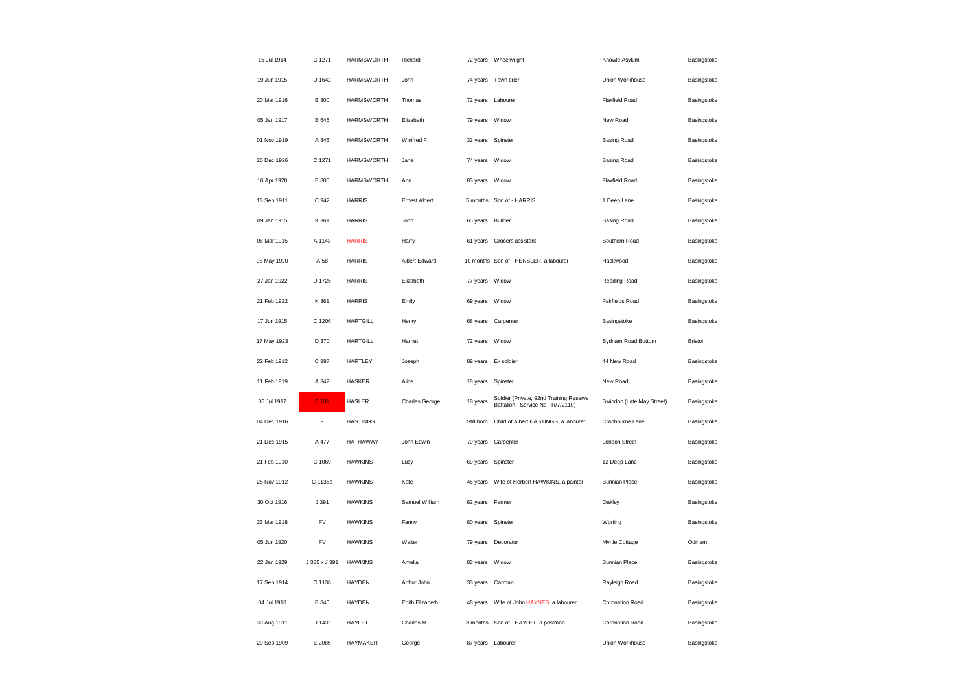| 15 Jul 1914 | C 1271        | <b>HARMSWORTH</b> | Richard              |                   | 72 years Wheelwright                                                         | Knowle Asylum             | Basingstoke    |
|-------------|---------------|-------------------|----------------------|-------------------|------------------------------------------------------------------------------|---------------------------|----------------|
| 19 Jun 1915 | D 1642        | <b>HARMSWORTH</b> | John                 |                   | 74 years Town crier                                                          | Union Workhouse           | Basingstoke    |
| 20 Mar 1916 | <b>B</b> 800  | <b>HARMSWORTH</b> | Thomas               |                   | 72 years Labourer                                                            | Flaxfield Road            | Basingstoke    |
| 05 Jan 1917 | B 645         | <b>HARMSWORTH</b> | Elizabeth            | 79 years          | Widow                                                                        | New Road                  | Basingstoke    |
| 01 Nov 1919 | A 345         | <b>HARMSWORTH</b> | Winifred F           | 32 years          | Spinster                                                                     | <b>Basing Road</b>        | Basingstoke    |
| 20 Dec 1926 | C 1271        | <b>HARMSWORTH</b> | Jane                 | 74 years Widow    |                                                                              | <b>Basing Road</b>        | Basingstoke    |
| 16 Apr 1928 | <b>B</b> 800  | <b>HARMSWORTH</b> | Ann                  | 83 years          | Widow                                                                        | Flaxfield Road            | Basingstoke    |
| 13 Sep 1911 | C 942         | <b>HARRIS</b>     | <b>Ernest Albert</b> |                   | 5 months Son of - HARRIS                                                     | 1 Deep Lane               | Basingstoke    |
| 09 Jan 1915 | K 361         | <b>HARRIS</b>     | John                 | 65 years          | Builder                                                                      | <b>Basing Road</b>        | Basingstoke    |
| 08 Mar 1915 | A 1143        | <b>HARRIS</b>     | Harry                |                   | 61 years Grocers assistant                                                   | Southern Road             | Basingstoke    |
| 08 May 1920 | A 58          | <b>HARRIS</b>     | Albert Edward        |                   | 10 months Son of - HENSLER, a labourer                                       | Hackwood                  | Basingstoke    |
| 27 Jan 1922 | D 1725        | <b>HARRIS</b>     | Elizabeth            | 77 years Widow    |                                                                              | Reading Road              | Basingstoke    |
| 21 Feb 1922 | K 361         | <b>HARRIS</b>     | Emily                | 69 years Widow    |                                                                              | <b>Fairfields Road</b>    | Basingstoke    |
| 17 Jun 1915 | C 1206        | <b>HARTGILL</b>   | Henry                |                   | 68 years Carpenter                                                           | Basingstoke               | Basingstoke    |
| 17 May 1923 | D 370         | <b>HARTGILL</b>   | Harriet              | 72 years          | Widow                                                                        | Sydnam Road Bottom        | <b>Bristol</b> |
| 22 Feb 1912 | C 997         | <b>HARTLEY</b>    | Joseph               |                   | 89 years Ex soldier                                                          | 44 New Road               | Basingstoke    |
| 11 Feb 1919 | A 342         | <b>HASKER</b>     | Alice                | 18 years Spinster |                                                                              | New Road                  | Basingstoke    |
| 05 Jul 1917 | <b>B</b> 731  | <b>HASLER</b>     | Charles George       | 18 years          | Soldier (Private, 92nd Training Reserve<br>Battalion - Service No TR/7/2110) | Swindon (Late May Street) | Basingstoke    |
| 04 Dec 1916 | J.            | <b>HASTINGS</b>   |                      | Still born        | Child of Albert HASTINGS, a labourer                                         | Cranbourne Lane           | Basingstoke    |
| 21 Dec 1915 | A 477         | HATHAWAY          | John Edwin           | 79 years          | Carpenter                                                                    | <b>London Street</b>      | Basingstoke    |
| 21 Feb 1910 | C 1069        | <b>HAWKINS</b>    | Lucy                 | 69 years Spinster |                                                                              | 12 Deep Lane              | Basingstoke    |
| 25 Nov 1912 | C 1135a       | <b>HAWKINS</b>    | Kate                 | 45 years          | Wife of Herbert HAWKINS, a painter                                           | <b>Bunnian Place</b>      | Basingstoke    |
| 30 Oct 1916 | J 391         | <b>HAWKINS</b>    | Samuel William       | 82 years Farmer   |                                                                              | Oakley                    | Basingstoke    |
| 23 Mar 1918 | FV            | <b>HAWKINS</b>    | Fanny                | 80 years          | Spinster                                                                     | Worting                   | Basingstoke    |
| 05 Jun 1920 | FV            | <b>HAWKINS</b>    | Walter               |                   | 79 years Decorator                                                           | Myrtle Cottage            | Odiham         |
| 22 Jan 1929 | J 385 x J 391 | <b>HAWKINS</b>    | Amelia               | 83 years          | Widow                                                                        | <b>Bunnian Place</b>      | Basingstoke    |
| 17 Sep 1914 | C 1138        | <b>HAYDEN</b>     | Arthur John          | 33 years Carman   |                                                                              | Rayleigh Road             | Basingstoke    |
| 04 Jul 1918 | <b>B</b> 846  | HAYDEN            | Edith Elizabeth      | 48 years          | Wife of John HAYNES, a labourer                                              | Coronation Road           | Basingstoke    |
| 30 Aug 1911 | D 1432        | HAYLET            | Charles M            |                   | 3 months Son of - HAYLET, a postman                                          | Coronation Road           | Basingstoke    |
| 29 Sep 1909 | E 2085        | HAYMAKER          | George               |                   | 87 years Labourer                                                            | Union Workhouse           | Basingstoke    |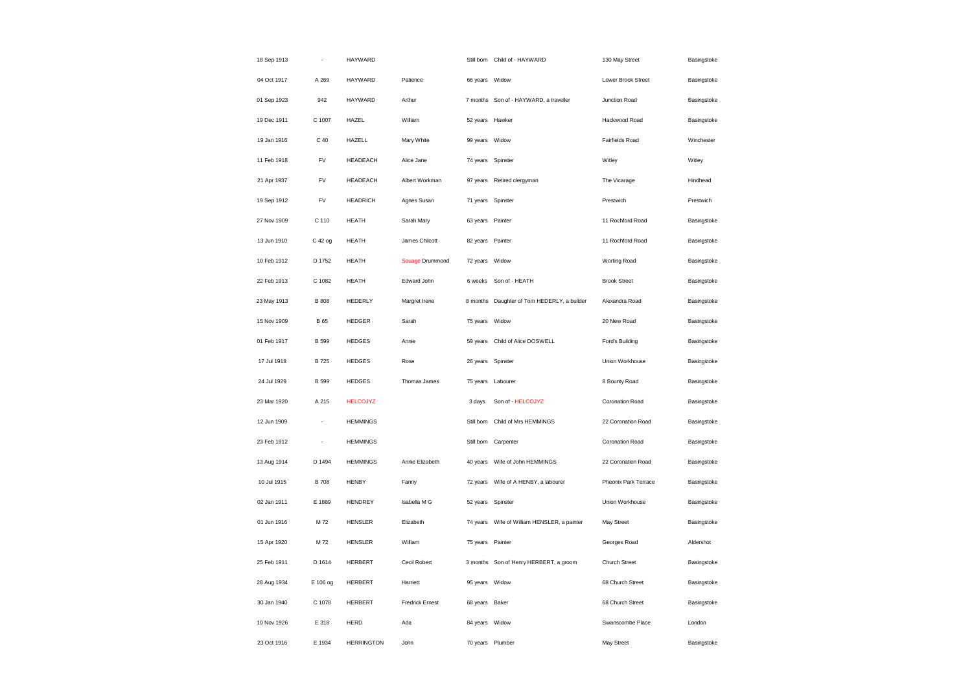| 18 Sep 1913 |              | HAYWARD           |                        |                   | Still born Child of - HAYWARD          | 130 May Street       | Basingstoke |
|-------------|--------------|-------------------|------------------------|-------------------|----------------------------------------|----------------------|-------------|
| 04 Oct 1917 | A 269        | HAYWARD           | Patience               | 66 years Widow    |                                        | Lower Brook Street   | Basingstoke |
| 01 Sep 1923 | 942          | HAYWARD           | Arthur                 |                   | 7 months Son of - HAYWARD, a traveller | Junction Road        | Basingstoke |
| 19 Dec 1911 | C 1007       | HAZEL             | William                | 52 years Hawker   |                                        | Hackwood Road        | Basingstoke |
| 19 Jan 1916 | C 40         | <b>HAZELL</b>     | Mary White             | 99 years Widow    |                                        | Fairfields Road      | Winchester  |
| 11 Feb 1918 | <b>FV</b>    | <b>HEADEACH</b>   | Alice Jane             | 74 years Spinster |                                        | Witley               | Witley      |
| 21 Apr 1937 | <b>FV</b>    | <b>HEADEACH</b>   | Albert Workman         | 97 years          | Retired clergyman                      | The Vicarage         | Hindhead    |
| 19 Sep 1912 | ${\sf FV}$   | <b>HEADRICH</b>   | Agnes Susan            | 71 years Spinster |                                        | Prestwich            | Prestwich   |
| 27 Nov 1909 | C 110        | <b>HEATH</b>      | Sarah Mary             | 63 years          | Painter                                | 11 Rochford Road     | Basingstoke |
| 13 Jun 1910 | C 42 og      | <b>HEATH</b>      | James Chilcott         | 82 years Painter  |                                        | 11 Rochford Road     | Basingstoke |
| 10 Feb 1912 | D 1752       | <b>HEATH</b>      | Souage Drummond        | 72 years          | Widow                                  | <b>Worting Road</b>  | Basingstoke |
| 22 Feb 1913 | C 1082       | <b>HEATH</b>      | Edward John            | 6 weeks           | Son of - HEATH                         | <b>Brook Street</b>  | Basingstoke |
| 23 May 1913 | <b>B</b> 808 | <b>HEDERLY</b>    | Margret Irene          | 8 months          | Daughter of Tom HEDERLY, a builder     | Alexandra Road       | Basingstoke |
| 15 Nov 1909 | <b>B</b> 65  | <b>HEDGER</b>     | Sarah                  | 75 years          | Widow                                  | 20 New Road          | Basingstoke |
| 01 Feb 1917 | B 599        | <b>HEDGES</b>     | Annie                  |                   | 59 years Child of Alice DOSWELL        | Ford's Building      | Basingstoke |
| 17 Jul 1918 | <b>B725</b>  | <b>HEDGES</b>     | Rose                   | 26 years Spinster |                                        | Union Workhouse      | Basingstoke |
| 24 Jul 1929 | <b>B</b> 599 | <b>HEDGES</b>     | Thomas James           |                   | 75 years Labourer                      | 8 Bounty Road        | Basingstoke |
| 23 Mar 1920 | A 215        | <b>HELCOJYZ</b>   |                        | 3 days            | Son of - HELCOJYZ                      | Coronation Road      | Basingstoke |
| 12 Jun 1909 | ÷,           | <b>HEMMINGS</b>   |                        |                   | Still born Child of Mrs HEMMINGS       | 22 Coronation Road   | Basingstoke |
| 23 Feb 1912 | ÷,           | <b>HEMMINGS</b>   |                        | Still born        | Carpenter                              | Coronation Road      | Basingstoke |
| 13 Aug 1914 | D 1494       | <b>HEMMINGS</b>   | Annie Elizabeth        | 40 years          | Wife of John HEMMINGS                  | 22 Coronation Road   | Basingstoke |
| 10 Jul 1915 | <b>B</b> 708 | <b>HENBY</b>      | Fanny                  | 72 years          | Wife of A HENBY, a labourer            | Pheonix Park Terrace | Basingstoke |
| 02 Jan 1911 | E 1889       | <b>HENDREY</b>    | Isabella M G           | 52 years Spinster |                                        | Union Workhouse      | Basingstoke |
| 01 Jun 1916 | M 72         | <b>HENSLER</b>    | Elizabeth              | 74 years          | Wife of William HENSLER, a painter     | May Street           | Basingstoke |
| 15 Apr 1920 | M 72         | <b>HENSLER</b>    | William                | 75 years Painter  |                                        | Georges Road         | Aldershot   |
| 25 Feb 1911 | D 1614       | HERBERT           | Cecil Robert           |                   | 3 months Son of Henry HERBERT, a groom | Church Street        | Basingstoke |
| 28 Aug 1934 | E 106 og     | HERBERT           | Harriett               | 95 years Widow    |                                        | 68 Church Street     | Basingstoke |
| 30 Jan 1940 | C 1078       | <b>HERBERT</b>    | <b>Fredrick Ernest</b> | 68 years Baker    |                                        | 68 Church Street     | Basingstoke |
| 10 Nov 1926 | E 318        | <b>HERD</b>       | Ada                    | 84 years Widow    |                                        | Swanscombe Place     | London      |
| 23 Oct 1916 | E 1934       | <b>HERRINGTON</b> | John                   | 70 years Plumber  |                                        | May Street           | Basingstoke |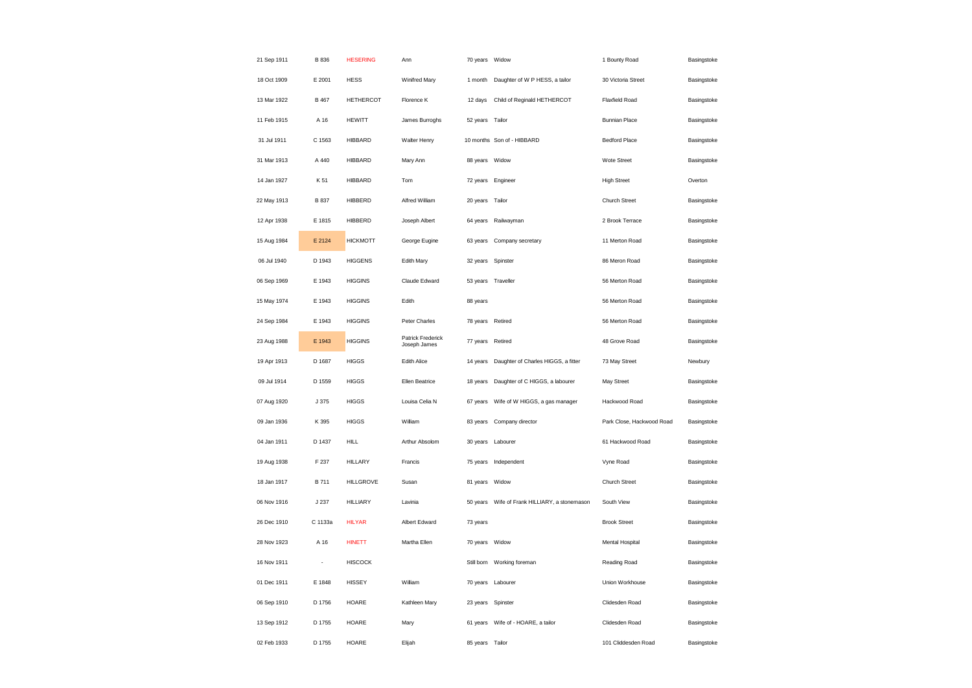| 21 Sep 1911 | <b>B</b> 836             | <b>HESERING</b>  | Ann                               | 70 years Widow    |                                                  | 1 Bounty Road             | Basingstoke |
|-------------|--------------------------|------------------|-----------------------------------|-------------------|--------------------------------------------------|---------------------------|-------------|
| 18 Oct 1909 | E 2001                   | <b>HESS</b>      | Winifred Mary                     | 1 month           | Daughter of W P HESS, a tailor                   | 30 Victoria Street        | Basingstoke |
| 13 Mar 1922 | B 467                    | <b>HETHERCOT</b> | Florence K                        | 12 days           | Child of Reginald HETHERCOT                      | Flaxfield Road            | Basingstoke |
| 11 Feb 1915 | A 16                     | <b>HEWITT</b>    | James Burroghs                    | 52 years Tailor   |                                                  | <b>Bunnian Place</b>      | Basingstoke |
| 31 Jul 1911 | C 1563                   | <b>HIBBARD</b>   | Walter Henry                      |                   | 10 months Son of - HIBBARD                       | <b>Bedford Place</b>      | Basingstoke |
| 31 Mar 1913 | A 440                    | <b>HIBBARD</b>   | Mary Ann                          | 88 years Widow    |                                                  | Wote Street               | Basingstoke |
| 14 Jan 1927 | K 51                     | <b>HIBBARD</b>   | Tom                               | 72 years          | Engineer                                         | <b>High Street</b>        | Overton     |
| 22 May 1913 | B 837                    | HIBBERD          | Alfred William                    | 20 years Tailor   |                                                  | Church Street             | Basingstoke |
| 12 Apr 1938 | E 1815                   | HIBBERD          | Joseph Albert                     | 64 years          | Railwayman                                       | 2 Brook Terrace           | Basingstoke |
| 15 Aug 1984 | E 2124                   | <b>HICKMOTT</b>  | George Eugine                     | 63 years          | Company secretary                                | 11 Merton Road            | Basingstoke |
| 06 Jul 1940 | D 1943                   | <b>HIGGENS</b>   | Edith Mary                        | 32 years          | Spinster                                         | 86 Meron Road             | Basingstoke |
| 06 Sep 1969 | E 1943                   | <b>HIGGINS</b>   | Claude Edward                     |                   | 53 years Traveller                               | 56 Merton Road            | Basingstoke |
| 15 May 1974 | E 1943                   | <b>HIGGINS</b>   | Edith                             | 88 years          |                                                  | 56 Merton Road            | Basingstoke |
| 24 Sep 1984 | E 1943                   | <b>HIGGINS</b>   | Peter Charles                     | 78 years Retired  |                                                  | 56 Merton Road            | Basingstoke |
| 23 Aug 1988 | E 1943                   | <b>HIGGINS</b>   | Patrick Frederick<br>Joseph James | 77 years          | Retired                                          | 48 Grove Road             | Basingstoke |
| 19 Apr 1913 | D 1687                   | <b>HIGGS</b>     | Edith Alice                       | 14 years          | Daughter of Charles HIGGS, a fitter              | 73 May Street             | Newbury     |
| 09 Jul 1914 | D 1559                   | <b>HIGGS</b>     | Ellen Beatrice                    | 18 years          | Daughter of C HIGGS, a labourer                  | May Street                | Basingstoke |
| 07 Aug 1920 | J 375                    | <b>HIGGS</b>     | Louisa Celia N                    | 67 years          | Wife of W HIGGS, a gas manager                   | Hackwood Road             | Basingstoke |
| 09 Jan 1936 | K 395                    | <b>HIGGS</b>     | William                           |                   | 83 years Company director                        | Park Close, Hackwood Road | Basingstoke |
| 04 Jan 1911 | D 1437                   | <b>HILL</b>      | Arthur Absolom                    |                   | 30 years Labourer                                | 61 Hackwood Road          | Basingstoke |
| 19 Aug 1938 | F 237                    | <b>HILLARY</b>   | Francis                           |                   | 75 years Independent                             | Vyne Road                 | Basingstoke |
| 18 Jan 1917 | B 711                    | <b>HILLGROVE</b> | Susan                             | 81 years          | Widow                                            | Church Street             | Basingstoke |
| 06 Nov 1916 | J 237                    | <b>HILLIARY</b>  | Lavinia                           |                   | 50 years    Wife of Frank HILLIARY, a stonemason | South View                | Basingstoke |
| 26 Dec 1910 | C 1133a                  | <b>HILYAR</b>    | Albert Edward                     | 73 years          |                                                  | <b>Brook Street</b>       | Basingstoke |
| 28 Nov 1923 | A 16                     | <b>HINETT</b>    | Martha Ellen                      | 70 years Widow    |                                                  | Mental Hospital           | Basingstoke |
| 16 Nov 1911 | $\overline{\phantom{a}}$ | <b>HISCOCK</b>   |                                   | Still born        | Working foreman                                  | Reading Road              | Basingstoke |
| 01 Dec 1911 | E 1848                   | <b>HISSEY</b>    | William                           |                   | 70 years Labourer                                | Union Workhouse           | Basingstoke |
| 06 Sep 1910 | D 1756                   | HOARE            | Kathleen Mary                     | 23 years Spinster |                                                  | Clidesden Road            | Basingstoke |
| 13 Sep 1912 | D 1755                   | HOARE            | Mary                              |                   | 61 years Wife of - HOARE, a tailor               | Clidesden Road            | Basingstoke |
| 02 Feb 1933 | D 1755                   | HOARE            | Elijah                            | 85 years Tailor   |                                                  | 101 Cliddesden Road       | Basingstoke |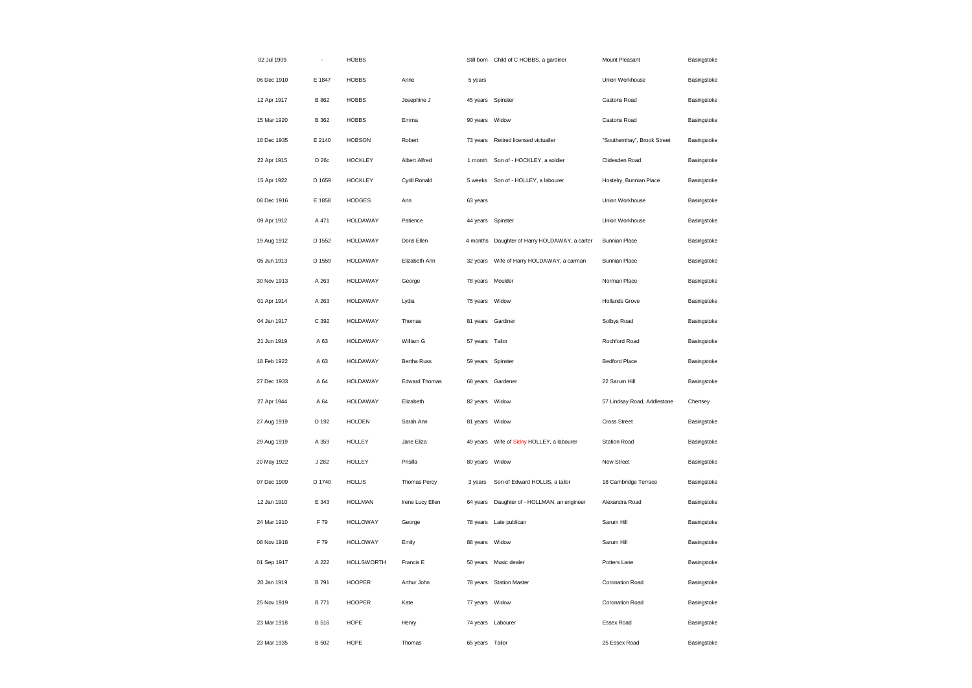| 02 Jul 1909 |              | <b>HOBBS</b>      |                  |                 | Still born Child of C HOBBS, a gardiner       | Mount Pleasant              | Basingstoke |
|-------------|--------------|-------------------|------------------|-----------------|-----------------------------------------------|-----------------------------|-------------|
| 06 Dec 1910 | E 1847       | <b>HOBBS</b>      | Anne             | 5 years         |                                               | Union Workhouse             | Basingstoke |
| 12 Apr 1917 | B 862        | <b>HOBBS</b>      | Josephine J      |                 | 45 years Spinster                             | Castons Road                | Basingstoke |
| 15 Mar 1920 | <b>B</b> 362 | <b>HOBBS</b>      | Emma             | 90 years        | Widow                                         | Castons Road                | Basingstoke |
| 18 Dec 1935 | E 2140       | <b>HOBSON</b>     | Robert           | 73 years        | Retired licensed victualler                   | "Southernhay", Brook Street | Basingstoke |
| 22 Apr 1915 | D 26c        | <b>HOCKLEY</b>    | Albert Alfred    | 1 month         | Son of - HOCKLEY, a soldier                   | Clidesden Road              | Basingstoke |
| 15 Apr 1922 | D 1659       | <b>HOCKLEY</b>    | Cyrill Ronald    | 5 weeks         | Son of - HOLLEY, a labourer                   | Hostelry, Bunnian Place     | Basingstoke |
| 08 Dec 1916 | E 1858       | <b>HODGES</b>     | Ann              | 63 years        |                                               | Union Workhouse             | Basingstoke |
| 09 Apr 1912 | A 471        | HOLDAWAY          | Patience         | 44 years        | Spinster                                      | Union Workhouse             | Basingstoke |
| 19 Aug 1912 | D 1552       | <b>HOLDAWAY</b>   | Doris Ellen      |                 | 4 months Daughter of Harry HOLDAWAY, a carter | <b>Bunnian Place</b>        | Basingstoke |
| 05 Jun 1913 | D 1559       | HOLDAWAY          | Elizabeth Ann    | 32 years        | Wife of Harry HOLDAWAY, a carman              | <b>Bunnian Place</b>        | Basingstoke |
| 30 Nov 1913 | A 263        | <b>HOLDAWAY</b>   | George           |                 | 78 years Moulder                              | Norman Place                | Basingstoke |
| 01 Apr 1914 | A 263        | HOLDAWAY          | Lydia            | 75 years Widow  |                                               | <b>Hollands Grove</b>       | Basingstoke |
| 04 Jan 1917 | C 392        | <b>HOLDAWAY</b>   | Thomas           |                 | 81 years Gardiner                             | Solbys Road                 | Basingstoke |
| 21 Jun 1919 | A 63         | <b>HOLDAWAY</b>   | William G        | 57 years Tailor |                                               | Rochford Road               | Basingstoke |
| 18 Feb 1922 | A 63         | <b>HOLDAWAY</b>   | Bertha Russ      |                 | 59 years Spinster                             | <b>Bedford Place</b>        | Basingstoke |
| 27 Dec 1933 | A 64         | HOLDAWAY          | Edward Thomas    | 68 years        | Gardener                                      | 22 Sarum Hill               | Basingstoke |
| 27 Apr 1944 | A 64         | <b>HOLDAWAY</b>   | Elizabeth        | 82 years        | Widow                                         | 57 Lindsay Road, Addlestone | Chertsey    |
| 27 Aug 1919 | D 192        | <b>HOLDEN</b>     | Sarah Ann        | 81 years        | Widow                                         | <b>Cross Street</b>         | Basingstoke |
| 29 Aug 1919 | A 359        | <b>HOLLEY</b>     | Jane Eliza       | 49 years        | Wife of Sidny HOLLEY, a labourer              | <b>Station Road</b>         | Basingstoke |
| 20 May 1922 | J 282        | <b>HOLLEY</b>     | Prisilla         | 80 years        | Widow                                         | New Street                  | Basingstoke |
| 07 Dec 1909 | D 1740       | <b>HOLLIS</b>     | Thomas Percy     | 3 years         | Son of Edward HOLLIS, a tailor                | 18 Cambridge Terrace        | Basingstoke |
| 12 Jan 1910 | E 343        | <b>HOLLMAN</b>    | Irene Lucy Ellen |                 | 64 years Daughter of - HOLLMAN, an engineer   | Alexandra Road              | Basingstoke |
| 24 Mar 1910 | F 79         | <b>HOLLOWAY</b>   | George           | 78 years        | Late publican                                 | Sarum Hill                  | Basingstoke |
| 08 Nov 1918 | F 79         | <b>HOLLOWAY</b>   | Emily            | 88 years Widow  |                                               | Sarum Hill                  | Basingstoke |
| 01 Sep 1917 | A 222        | <b>HOLLSWORTH</b> | Francis E        | 50 years        | Music dealer                                  | Potters Lane                | Basingstoke |
| 20 Jan 1919 | B 791        | <b>HOOPER</b>     | Arthur John      |                 | 78 years Station Master                       | Coronation Road             | Basingstoke |
| 25 Nov 1919 | B 771        | <b>HOOPER</b>     | Kate             | 77 years        | Widow                                         | Coronation Road             | Basingstoke |
| 23 Mar 1918 | B 516        | HOPE              | Henry            |                 | 74 years Labourer                             | Essex Road                  | Basingstoke |
| 23 Mar 1935 | B 502        | HOPE              | Thomas           | 65 years        | Tailor                                        | 25 Essex Road               | Basingstoke |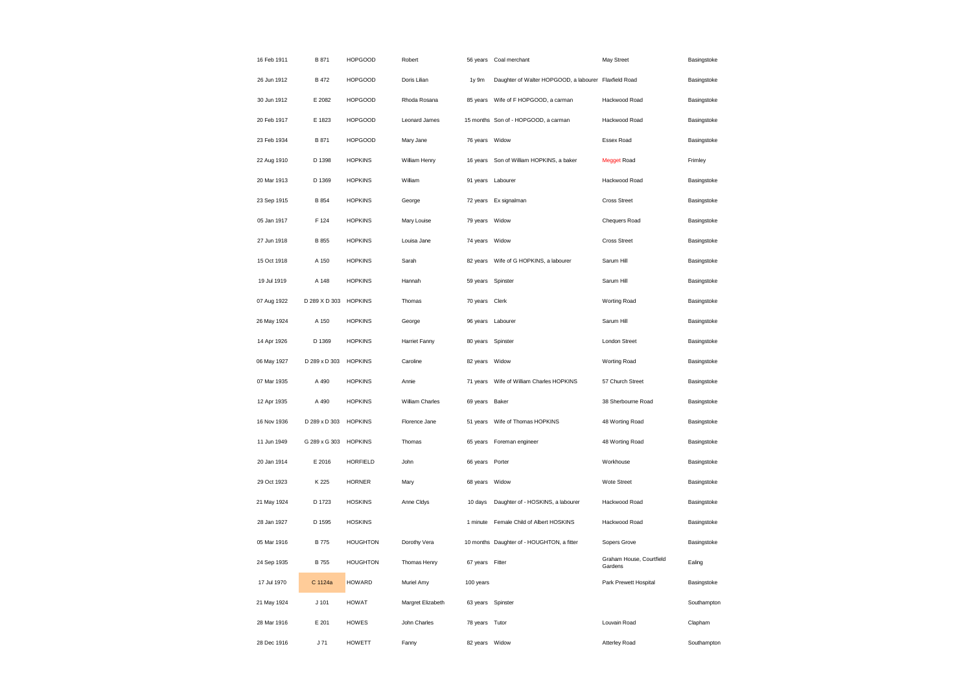| 16 Feb 1911 | B 871         | <b>HOPGOOD</b>  | Robert            | 56 years          | Coal merchant                                         | May Street                          | Basingstoke |
|-------------|---------------|-----------------|-------------------|-------------------|-------------------------------------------------------|-------------------------------------|-------------|
| 26 Jun 1912 | <b>B</b> 472  | <b>HOPGOOD</b>  | Doris Lilian      | 1y 9m             | Daughter of Walter HOPGOOD, a labourer Flaxfield Road |                                     | Basingstoke |
| 30 Jun 1912 | E 2082        | <b>HOPGOOD</b>  | Rhoda Rosana      | 85 years          | Wife of F HOPGOOD, a carman                           | Hackwood Road                       | Basingstoke |
| 20 Feb 1917 | E 1823        | <b>HOPGOOD</b>  | Leonard James     |                   | 15 months Son of - HOPGOOD, a carman                  | Hackwood Road                       | Basingstoke |
| 23 Feb 1934 | B 871         | <b>HOPGOOD</b>  | Mary Jane         | 76 years Widow    |                                                       | Essex Road                          | Basingstoke |
| 22 Aug 1910 | D 1398        | <b>HOPKINS</b>  | William Henry     | 16 years          | Son of William HOPKINS, a baker                       | <b>Megget Road</b>                  | Frimley     |
| 20 Mar 1913 | D 1369        | <b>HOPKINS</b>  | William           | 91 years          | Labourer                                              | Hackwood Road                       | Basingstoke |
| 23 Sep 1915 | <b>B</b> 854  | <b>HOPKINS</b>  | George            |                   | 72 years Ex signalman                                 | <b>Cross Street</b>                 | Basingstoke |
| 05 Jan 1917 | F 124         | <b>HOPKINS</b>  | Mary Louise       | 79 years          | Widow                                                 | Chequers Road                       | Basingstoke |
| 27 Jun 1918 | B 855         | <b>HOPKINS</b>  | Louisa Jane       | 74 years          | Widow                                                 | <b>Cross Street</b>                 | Basingstoke |
| 15 Oct 1918 | A 150         | <b>HOPKINS</b>  | Sarah             | 82 years          | Wife of G HOPKINS, a labourer                         | Sarum Hill                          | Basingstoke |
| 19 Jul 1919 | A 148         | <b>HOPKINS</b>  | Hannah            | 59 years          | Spinster                                              | Sarum Hill                          | Basingstoke |
| 07 Aug 1922 | D 289 X D 303 | <b>HOPKINS</b>  | Thomas            | 70 years          | Clerk                                                 | Worting Road                        | Basingstoke |
| 26 May 1924 | A 150         | <b>HOPKINS</b>  | George            | 96 years Labourer |                                                       | Sarum Hill                          | Basingstoke |
| 14 Apr 1926 | D 1369        | <b>HOPKINS</b>  | Harriet Fanny     | 80 years          | Spinster                                              | London Street                       | Basingstoke |
| 06 May 1927 | D 289 x D 303 | <b>HOPKINS</b>  | Caroline          | 82 years Widow    |                                                       | <b>Worting Road</b>                 | Basingstoke |
| 07 Mar 1935 | A 490         | <b>HOPKINS</b>  | Annie             | 71 years          | Wife of William Charles HOPKINS                       | 57 Church Street                    | Basingstoke |
| 12 Apr 1935 | A 490         | <b>HOPKINS</b>  | William Charles   | 69 years          | Baker                                                 | 38 Sherbourne Road                  | Basingstoke |
| 16 Nov 1936 | D 289 x D 303 | <b>HOPKINS</b>  | Florence Jane     | 51 years          | Wife of Thomas HOPKINS                                | 48 Worting Road                     | Basingstoke |
| 11 Jun 1949 | G 289 x G 303 | <b>HOPKINS</b>  | Thomas            | 65 years          | Foreman engineer                                      | 48 Worting Road                     | Basingstoke |
| 20 Jan 1914 | E 2016        | <b>HORFIELD</b> | John              | 66 years          | Porter                                                | Workhouse                           | Basingstoke |
| 29 Oct 1923 | K 225         | <b>HORNER</b>   | Mary              | 68 years          | Widow                                                 | Wote Street                         | Basingstoke |
| 21 May 1924 | D 1723        | <b>HOSKINS</b>  | Anne Cldys        | 10 days           | Daughter of - HOSKINS, a labourer                     | Hackwood Road                       | Basingstoke |
| 28 Jan 1927 | D 1595        | <b>HOSKINS</b>  |                   | 1 minute          | Female Child of Albert HOSKINS                        | Hackwood Road                       | Basingstoke |
| 05 Mar 1916 | <b>B</b> 775  | <b>HOUGHTON</b> | Dorothy Vera      |                   | 10 months Daughter of - HOUGHTON, a fitter            | Sopers Grove                        | Basingstoke |
| 24 Sep 1935 | <b>B</b> 755  | <b>HOUGHTON</b> | Thomas Henry      | 67 years          | Fitter                                                | Graham House, Courtfield<br>Gardens | Ealing      |
| 17 Jul 1970 | C 1124a       | <b>HOWARD</b>   | Muriel Amy        | 100 years         |                                                       | Park Prewett Hospital               | Basingstoke |
| 21 May 1924 | $J$ 101       | <b>HOWAT</b>    | Margret Elizabeth | 63 years          | Spinster                                              |                                     | Southampton |
| 28 Mar 1916 | E 201         | <b>HOWES</b>    | John Charles      | 78 years Tutor    |                                                       | Louvain Road                        | Clapham     |
| 28 Dec 1916 | J71           | <b>HOWETT</b>   | Fanny             | 82 years Widow    |                                                       | <b>Atterley Road</b>                | Southampton |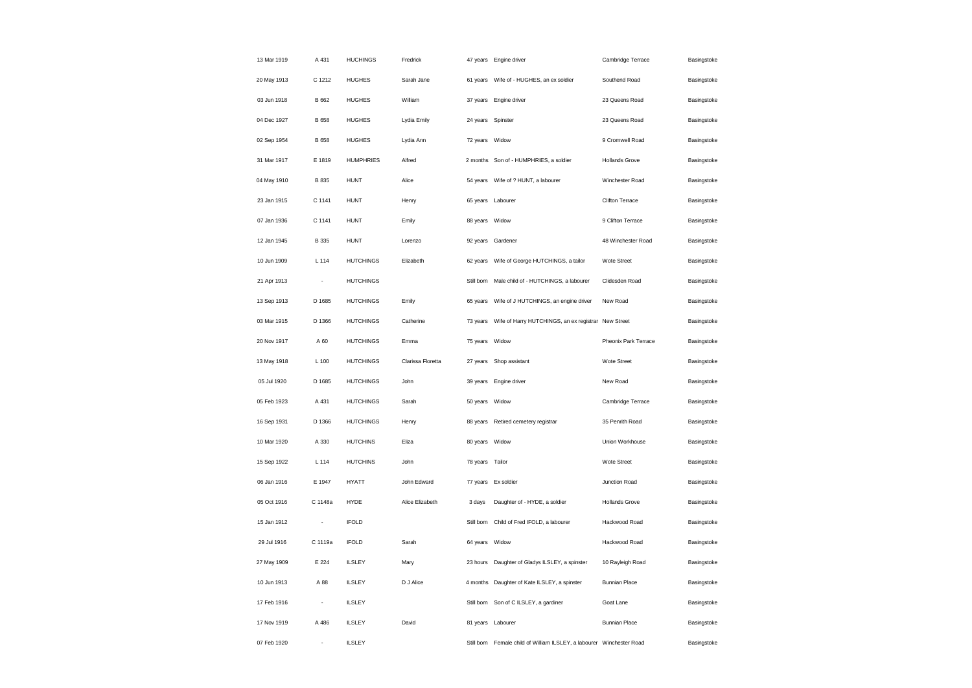| 13 Mar 1919 | A 431          | <b>HUCHINGS</b>  | Fredrick          |                 | 47 years Engine driver                                     | Cambridge Terrace     | Basingstoke |
|-------------|----------------|------------------|-------------------|-----------------|------------------------------------------------------------|-----------------------|-------------|
| 20 May 1913 | C 1212         | <b>HUGHES</b>    | Sarah Jane        | 61 years        | Wife of - HUGHES, an ex soldier                            | Southend Road         | Basingstoke |
| 03 Jun 1918 | B 662          | <b>HUGHES</b>    | William           | 37 years        | Engine driver                                              | 23 Queens Road        | Basingstoke |
| 04 Dec 1927 | B 658          | <b>HUGHES</b>    | Lydia Emily       | 24 years        | Spinster                                                   | 23 Queens Road        | Basingstoke |
| 02 Sep 1954 | B 658          | <b>HUGHES</b>    | Lydia Ann         | 72 years        | Widow                                                      | 9 Cromwell Road       | Basingstoke |
| 31 Mar 1917 | E 1819         | <b>HUMPHRIES</b> | Alfred            |                 | 2 months Son of - HUMPHRIES, a soldier                     | <b>Hollands Grove</b> | Basingstoke |
| 04 May 1910 | B 835          | <b>HUNT</b>      | Alice             | 54 years        | Wife of ? HUNT, a labourer                                 | Winchester Road       | Basingstoke |
| 23 Jan 1915 | C 1141         | <b>HUNT</b>      | Henry             | 65 years        | Labourer                                                   | Clifton Terrace       | Basingstoke |
| 07 Jan 1936 | C 1141         | <b>HUNT</b>      | Emily             | 88 years        | Widow                                                      | 9 Clifton Terrace     | Basingstoke |
| 12 Jan 1945 | B 335          | <b>HUNT</b>      | Lorenzo           |                 | 92 years Gardener                                          | 48 Winchester Road    | Basingstoke |
| 10 Jun 1909 | L 114          | <b>HUTCHINGS</b> | Elizabeth         | 62 years        | Wife of George HUTCHINGS, a tailor                         | Wote Street           | Basingstoke |
| 21 Apr 1913 | ÷              | <b>HUTCHINGS</b> |                   |                 | Still born Male child of - HUTCHINGS, a labourer           | Clidesden Road        | Basingstoke |
| 13 Sep 1913 | D 1685         | <b>HUTCHINGS</b> | Emily             | 65 years        | Wife of J HUTCHINGS, an engine driver                      | New Road              | Basingstoke |
| 03 Mar 1915 | D 1366         | <b>HUTCHINGS</b> | Catherine         | 73 years        | Wife of Harry HUTCHINGS, an ex registrar New Street        |                       | Basingstoke |
| 20 Nov 1917 | A 60           | <b>HUTCHINGS</b> | Emma              | 75 years        | Widow                                                      | Pheonix Park Terrace  | Basingstoke |
| 13 May 1918 | L 100          | <b>HUTCHINGS</b> | Clarissa Floretta | 27 years        | Shop assistant                                             | Wote Street           | Basingstoke |
| 05 Jul 1920 | D 1685         | <b>HUTCHINGS</b> | John              | 39 years        | Engine driver                                              | New Road              | Basingstoke |
| 05 Feb 1923 | A 431          | <b>HUTCHINGS</b> | Sarah             | 50 years        | Widow                                                      | Cambridge Terrace     | Basingstoke |
| 16 Sep 1931 | D 1366         | <b>HUTCHINGS</b> | Henry             | 88 years        | Retired cemetery registrar                                 | 35 Penrith Road       | Basingstoke |
| 10 Mar 1920 | A 330          | <b>HUTCHINS</b>  | Eliza             | 80 years        | Widow                                                      | Union Workhouse       | Basingstoke |
| 15 Sep 1922 | L 114          | <b>HUTCHINS</b>  | John              | 78 years Tailor |                                                            | Wote Street           | Basingstoke |
| 06 Jan 1916 | E 1947         | <b>HYATT</b>     | John Edward       | 77 years        | Ex soldier                                                 | Junction Road         | Basingstoke |
| 05 Oct 1916 | C 1148a        | HYDE             | Alice Elizabeth   | 3 days          | Daughter of - HYDE, a soldier                              | <b>Hollands Grove</b> | Basingstoke |
| 15 Jan 1912 | ٠              | <b>IFOLD</b>     |                   | Still born      | Child of Fred IFOLD, a labourer                            | Hackwood Road         | Basingstoke |
| 29 Jul 1916 | C 1119a        | <b>IFOLD</b>     | Sarah             | 64 years        | Widow                                                      | Hackwood Road         | Basingstoke |
| 27 May 1909 | E 224          | <b>ILSLEY</b>    | Mary              | 23 hours        | Daughter of Gladys ILSLEY, a spinster                      | 10 Rayleigh Road      | Basingstoke |
| 10 Jun 1913 | A 88           | <b>ILSLEY</b>    | D J Alice         | 4 months        | Daughter of Kate ILSLEY, a spinster                        | <b>Bunnian Place</b>  | Basingstoke |
| 17 Feb 1916 | ÷              | <b>ILSLEY</b>    |                   | Still born      | Son of C ILSLEY, a gardiner                                | Goat Lane             | Basingstoke |
| 17 Nov 1919 | A 486          | <b>ILSLEY</b>    | David             | 81 years        | Labourer                                                   | <b>Bunnian Place</b>  | Basingstoke |
| 07 Feb 1920 | $\overline{a}$ | <b>ILSLEY</b>    |                   | Still born      | Female child of William ILSLEY, a labourer Winchester Road |                       | Basingstoke |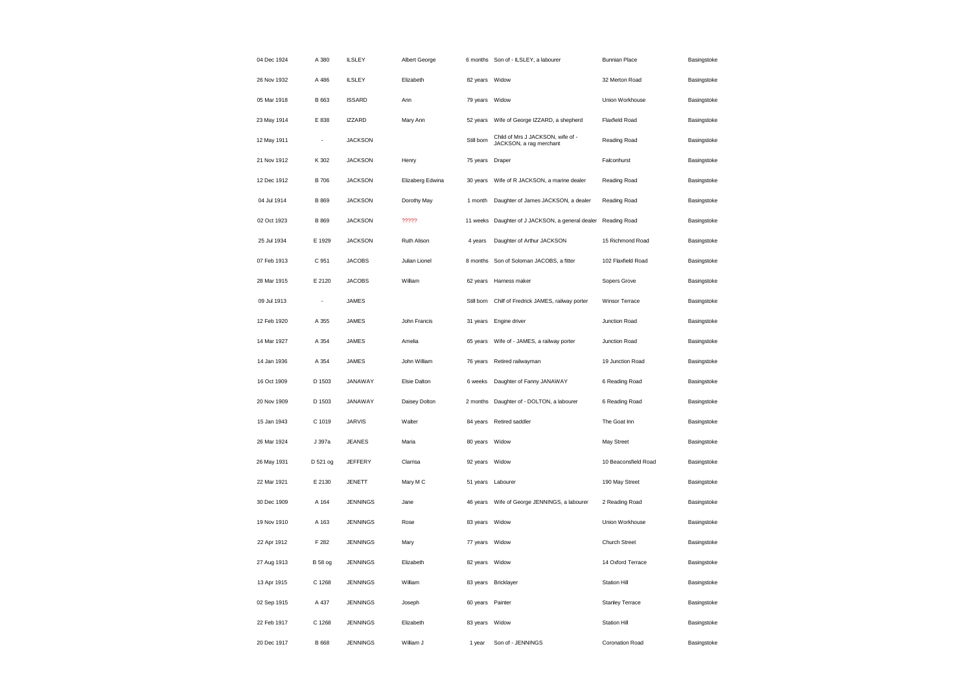| 04 Dec 1924 | A 380                    | <b>ILSLEY</b>   | Albert George    |                | 6 months Son of - ILSLEY, a labourer                         | <b>Bunnian Place</b>   | Basingstoke |
|-------------|--------------------------|-----------------|------------------|----------------|--------------------------------------------------------------|------------------------|-------------|
| 26 Nov 1932 | A 486                    | <b>ILSLEY</b>   | Elizabeth        | 82 years       | Widow                                                        | 32 Merton Road         | Basingstoke |
| 05 Mar 1918 | B 663                    | <b>ISSARD</b>   | Ann              | 79 years       | Widow                                                        | Union Workhouse        | Basingstoke |
| 23 May 1914 | E 838                    | <b>IZZARD</b>   | Mary Ann         | 52 years       | Wife of George IZZARD, a shepherd                            | Flaxfield Road         | Basingstoke |
| 12 May 1911 |                          | <b>JACKSON</b>  |                  | Still born     | Child of Mrs J JACKSON, wife of -<br>JACKSON, a rag merchant | Reading Road           | Basingstoke |
| 21 Nov 1912 | K 302                    | <b>JACKSON</b>  | Henry            | 75 years       | Draper                                                       | Falconhurst            | Basingstoke |
| 12 Dec 1912 | <b>B</b> 706             | <b>JACKSON</b>  | Elizaberg Edwina | 30 years       | Wife of R JACKSON, a marine dealer                           | Reading Road           | Basingstoke |
| 04 Jul 1914 | B 869                    | <b>JACKSON</b>  | Dorothy May      | 1 month        | Daughter of James JACKSON, a dealer                          | Reading Road           | Basingstoke |
| 02 Oct 1923 | <b>B</b> 869             | <b>JACKSON</b>  | ?????            | 11 weeks       | Daughter of J JACKSON, a general dealer                      | Reading Road           | Basingstoke |
| 25 Jul 1934 | E 1929                   | <b>JACKSON</b>  | Ruth Alison      | 4 years        | Daughter of Arthur JACKSON                                   | 15 Richmond Road       | Basingstoke |
| 07 Feb 1913 | C 951                    | <b>JACOBS</b>   | Julian Lionel    | 8 months       | Son of Soloman JACOBS, a fitter                              | 102 Flaxfield Road     | Basingstoke |
| 28 Mar 1915 | E 2120                   | <b>JACOBS</b>   | William          | 62 years       | Harness maker                                                | Sopers Grove           | Basingstoke |
| 09 Jul 1913 | $\overline{\phantom{a}}$ | <b>JAMES</b>    |                  | Still born     | Chilf of Fredrick JAMES, railway porter                      | Winsor Terrace         | Basingstoke |
| 12 Feb 1920 | A 355                    | <b>JAMES</b>    | John Francis     | 31 years       | Engine driver                                                | Junction Road          | Basingstoke |
| 14 Mar 1927 | A 354                    | <b>JAMES</b>    | Amelia           | 65 years       | Wife of - JAMES, a railway porter                            | Junction Road          | Basingstoke |
| 14 Jan 1936 | A 354                    | JAMES           | John William     | 76 years       | Retired railwayman                                           | 19 Junction Road       | Basingstoke |
| 16 Oct 1909 | D 1503                   | JANAWAY         | Elsie Dalton     | 6 weeks        | Daughter of Fanny JANAWAY                                    | 6 Reading Road         | Basingstoke |
| 20 Nov 1909 | D 1503                   | JANAWAY         | Daisey Dolton    | 2 months       | Daughter of - DOLTON, a labourer                             | 6 Reading Road         | Basingstoke |
| 15 Jan 1943 | C 1019                   | <b>JARVIS</b>   | Walter           | 84 years       | Retired saddler                                              | The Goat Inn           | Basingstoke |
| 26 Mar 1924 | J 397a                   | <b>JEANES</b>   | Maria            | 80 years       | Widow                                                        | May Street             | Basingstoke |
| 26 May 1931 | D 521 og                 | JEFFERY         | Clarrisa         | 92 years       | Widow                                                        | 10 Beaconsfield Road   | Basingstoke |
| 22 Mar 1921 | E 2130                   | JENETT          | Mary M C         | 51 years       | Labourer                                                     | 190 May Street         | Basingstoke |
| 30 Dec 1909 | A 164                    | <b>JENNINGS</b> | Jane             |                | 46 years    Wife of George JENNINGS, a labourer              | 2 Reading Road         | Basingstoke |
| 19 Nov 1910 | A 163                    | <b>JENNINGS</b> | Rose             | 83 years       | Widow                                                        | Union Workhouse        | Basingstoke |
| 22 Apr 1912 | F 282                    | <b>JENNINGS</b> | Mary             | 77 years Widow |                                                              | Church Street          | Basingstoke |
| 27 Aug 1913 | <b>B</b> 58 og           | <b>JENNINGS</b> | Elizabeth        | 82 years       | Widow                                                        | 14 Oxford Terrace      | Basingstoke |
| 13 Apr 1915 | C 1268                   | <b>JENNINGS</b> | William          |                | 83 years Bricklayer                                          | <b>Station Hill</b>    | Basingstoke |
| 02 Sep 1915 | A 437                    | <b>JENNINGS</b> | Joseph           | 60 years       | Painter                                                      | <b>Stanley Terrace</b> | Basingstoke |
| 22 Feb 1917 | C 1268                   | <b>JENNINGS</b> | Elizabeth        | 83 years       | Widow                                                        | Station Hill           | Basingstoke |
| 20 Dec 1917 | <b>B</b> 668             | <b>JENNINGS</b> | William J        | 1 year         | Son of - JENNINGS                                            | Coronation Road        | Basingstoke |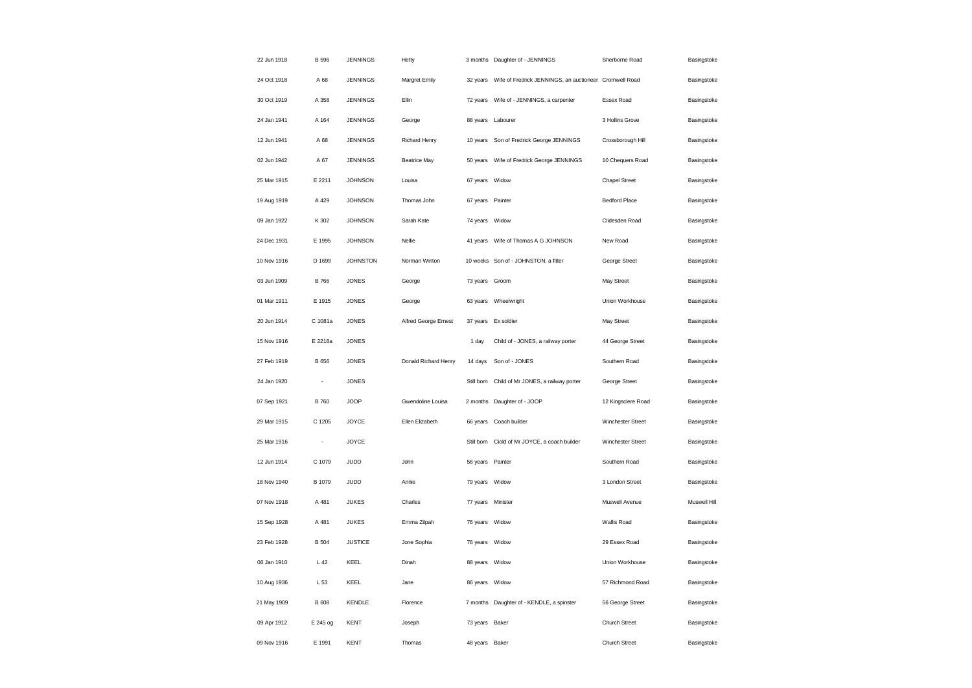| 22 Jun 1918 | B 596           | <b>JENNINGS</b> | Hetty                |                   | 3 months Daughter of - JENNINGS                        | Sherborne Road       | Basingstoke  |
|-------------|-----------------|-----------------|----------------------|-------------------|--------------------------------------------------------|----------------------|--------------|
| 24 Oct 1918 | A 68            | <b>JENNINGS</b> | Margret Emily        | 32 years          | Wife of Fredrick JENNINGS, an auctioneer Cromwell Road |                      | Basingstoke  |
| 30 Oct 1919 | A 358           | <b>JENNINGS</b> | Ellin                | 72 years          | Wife of - JENNINGS, a carpenter                        | Essex Road           | Basingstoke  |
| 24 Jan 1941 | A 164           | <b>JENNINGS</b> | George               | 88 years          | Labourer                                               | 3 Hollins Grove      | Basingstoke  |
| 12 Jun 1941 | A 68            | <b>JENNINGS</b> | Richard Henry        | 10 years          | Son of Fredrick George JENNINGS                        | Crossborough Hill    | Basingstoke  |
| 02 Jun 1942 | A 67            | <b>JENNINGS</b> | <b>Beatrice May</b>  | 50 years          | Wife of Fredrick George JENNINGS                       | 10 Chequers Road     | Basingstoke  |
| 25 Mar 1915 | E 2211          | <b>JOHNSON</b>  | Louisa               | 67 years          | Widow                                                  | <b>Chapel Street</b> | Basingstoke  |
| 19 Aug 1919 | A 429           | <b>JOHNSON</b>  | Thomas John          | 67 years Painter  |                                                        | <b>Bedford Place</b> | Basingstoke  |
| 09 Jan 1922 | K 302           | <b>JOHNSON</b>  | Sarah Kate           | 74 years          | Widow                                                  | Clidesden Road       | Basingstoke  |
| 24 Dec 1931 | E 1995          | <b>JOHNSON</b>  | Nellie               | 41 years          | Wife of Thomas A G JOHNSON                             | New Road             | Basingstoke  |
| 10 Nov 1916 | D 1699          | <b>JOHNSTON</b> | Norman Winton        |                   | 10 weeks Son of - JOHNSTON, a fitter                   | George Street        | Basingstoke  |
| 03 Jun 1909 | <b>B</b> 766    | <b>JONES</b>    | George               | 73 years Groom    |                                                        | May Street           | Basingstoke  |
| 01 Mar 1911 | E 1915          | <b>JONES</b>    | George               | 63 years          | Wheelwright                                            | Union Workhouse      | Basingstoke  |
| 20 Jun 1914 | C 1081a         | <b>JONES</b>    | Alfred George Ernest |                   | 37 years Ex soldier                                    | May Street           | Basingstoke  |
| 15 Nov 1916 | E 2218a         | <b>JONES</b>    |                      | 1 day             | Child of - JONES, a railway porter                     | 44 George Street     | Basingstoke  |
| 27 Feb 1919 | B 656           | <b>JONES</b>    | Donald Richard Henry | 14 days           | Son of - JONES                                         | Southern Road        | Basingstoke  |
| 24 Jan 1920 |                 | <b>JONES</b>    |                      | Still born        | Child of Mr JONES, a railway porter                    | George Street        | Basingstoke  |
| 07 Sep 1921 | <b>B760</b>     | <b>JOOP</b>     | Gwendoline Louisa    | 2 months          | Daughter of - JOOP                                     | 12 Kingsclere Road   | Basingstoke  |
| 29 Mar 1915 | C 1205          | <b>JOYCE</b>    | Ellen Elizabeth      | 66 years          | Coach builder                                          | Winchester Street    | Basingstoke  |
| 25 Mar 1916 | ÷,              | <b>JOYCE</b>    |                      | Still born        | Ciold of Mr JOYCE, a coach builder                     | Winchester Street    | Basingstoke  |
| 12 Jun 1914 | C 1079          | JUDD            | John                 | 56 years          | Painter                                                | Southern Road        | Basingstoke  |
| 18 Nov 1940 | B 1079          | JUDD            | Annie                | 79 years          | Widow                                                  | 3 London Street      | Basingstoke  |
| 07 Nov 1918 | A 481           | <b>JUKES</b>    | Charles              | 77 years Minister |                                                        | Muswell Avenue       | Muswell Hill |
| 15 Sep 1928 | A 481           | <b>JUKES</b>    | Emma Zilpah          | 76 years          | Widow                                                  | Wallis Road          | Basingstoke  |
| 23 Feb 1928 | <b>B</b> 504    | <b>JUSTICE</b>  | Jone Sophia          | 76 years Widow    |                                                        | 29 Essex Road        | Basingstoke  |
| 06 Jan 1910 | L <sub>42</sub> | KEEL            | Dinah                | 88 years          | Widow                                                  | Union Workhouse      | Basingstoke  |
| 10 Aug 1936 | L 53            | KEEL            | Jane                 | 86 years          | Widow                                                  | 57 Richmond Road     | Basingstoke  |
| 21 May 1909 | <b>B</b> 608    | <b>KENDLE</b>   | Florence             |                   | 7 months Daughter of - KENDLE, a spinster              | 56 George Street     | Basingstoke  |
| 09 Apr 1912 | E 245 og        | <b>KENT</b>     | Joseph               | 73 years          | Baker                                                  | Church Street        | Basingstoke  |
| 09 Nov 1916 | E 1991          | <b>KENT</b>     | Thomas               | 48 years          | Baker                                                  | Church Street        | Basingstoke  |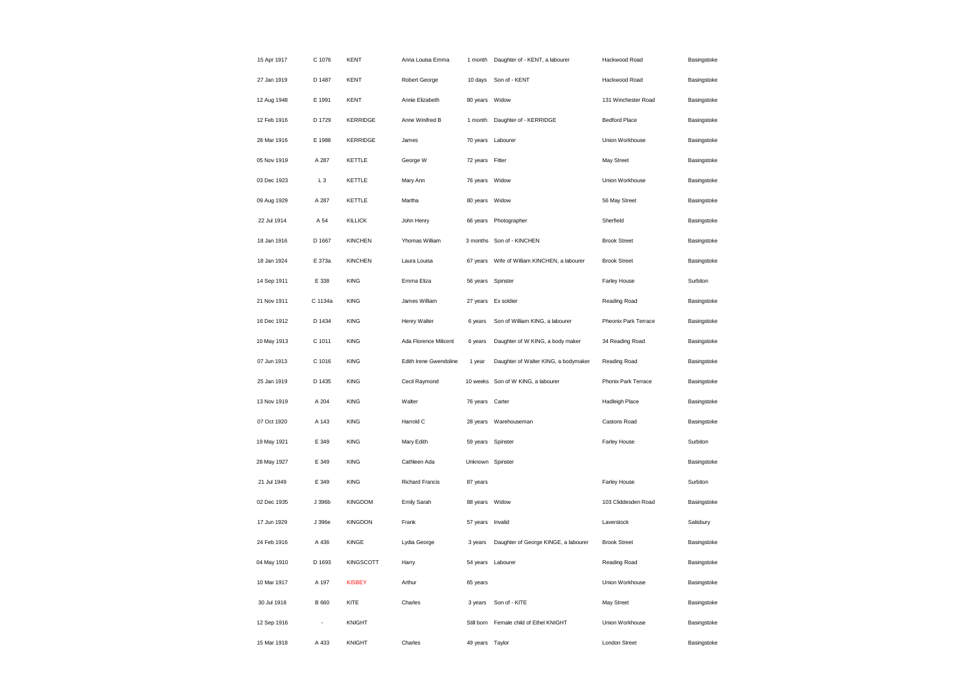| 15 Apr 1917 | C 1076       | <b>KENT</b>      | Anna Louisa Emma       | 1 month           | Daughter of - KENT, a labourer       | Hackwood Road         | Basingstoke |
|-------------|--------------|------------------|------------------------|-------------------|--------------------------------------|-----------------------|-------------|
| 27 Jan 1919 | D 1487       | KENT             | Robert George          | 10 days           | Son of - KENT                        | Hackwood Road         | Basingstoke |
| 12 Aug 1948 | E 1991       | <b>KENT</b>      | Annie Elizabeth        | 80 years          | Widow                                | 131 Winchester Road   | Basingstoke |
| 12 Feb 1916 | D 1729       | <b>KERRIDGE</b>  | Anne Winifred B        | 1 month           | Daughter of - KERRIDGE               | <b>Bedford Place</b>  | Basingstoke |
| 28 Mar 1916 | E 1988       | <b>KERRIDGE</b>  | James                  | 70 years Labourer |                                      | Union Workhouse       | Basingstoke |
| 05 Nov 1919 | A 287        | KETTLE           | George W               | 72 years Fitter   |                                      | May Street            | Basingstoke |
| 03 Dec 1923 | $L_3$        | KETTLE           | Mary Ann               | 76 years          | Widow                                | Union Workhouse       | Basingstoke |
| 09 Aug 1929 | A 287        | KETTLE           | Martha                 | 80 years          | Widow                                | 56 May Street         | Basingstoke |
| 22 Jul 1914 | A 54         | <b>KILLICK</b>   | John Henry             | 66 years          | Photographer                         | Sherfield             | Basingstoke |
| 18 Jan 1916 | D 1667       | <b>KINCHEN</b>   | Yhomas William         | 3 months          | Son of - KINCHEN                     | <b>Brook Street</b>   | Basingstoke |
| 18 Jan 1924 | E 373a       | <b>KINCHEN</b>   | Laura Louisa           | 67 years          | Wife of William KINCHEN, a labourer  | <b>Brook Street</b>   | Basingstoke |
| 14 Sep 1911 | E 338        | <b>KING</b>      | Emma Eliza             | 56 years          | Spinster                             | Farley House          | Surbiton    |
| 21 Nov 1911 | C 1134a      | <b>KING</b>      | James William          | 27 years          | Ex soldier                           | Reading Road          | Basingstoke |
| 16 Dec 1912 | D 1434       | <b>KING</b>      | Henry Walter           | 6 years           | Son of William KING, a labourer      | Pheonix Park Terrace  | Basingstoke |
| 10 May 1913 | C 1011       | <b>KING</b>      | Ada Florence Milicent  | 6 years           | Daughter of W KING, a body maker     | 34 Reading Road       | Basingstoke |
| 07 Jun 1913 | C 1016       | <b>KING</b>      | Edith Irene Gwendoline | 1 year            | Daughter of Walter KING, a bodymaker | Reading Road          | Basingstoke |
| 25 Jan 1919 | D 1435       | <b>KING</b>      | Cecil Raymond          |                   | 10 weeks Son of W KING, a labourer   | Phonix Park Terrace   | Basingstoke |
| 13 Nov 1919 | A 204        | <b>KING</b>      | Walter                 | 76 years          | Carter                               | <b>Hadleigh Place</b> | Basingstoke |
| 07 Oct 1920 | A 143        | <b>KING</b>      | Harrold C              | 28 years          | Warehouseman                         | Castons Road          | Basingstoke |
| 19 May 1921 | E 349        | <b>KING</b>      | Mary Edith             | 59 years          | Spinster                             | Farley House          | Surbiton    |
| 28 May 1927 | E 349        | <b>KING</b>      | Cathleen Ada           | Unknown Spinster  |                                      |                       | Basingstoke |
| 21 Jul 1949 | E 349        | <b>KING</b>      | Richard Francis        | 87 years          |                                      | Farley House          | Surbiton    |
| 02 Dec 1935 | J 396b       | KINGDOM          | Emily Sarah            | 88 years          | Widow                                | 103 Cliddesden Road   | Basingstoke |
| 17 Jun 1929 | J 396e       | <b>KINGDON</b>   | Frank                  | 57 years          | Invalid                              | Laverstock            | Salisbury   |
| 24 Feb 1916 | A 436        | KINGE            | Lydia George           | 3 years           | Daughter of George KINGE, a labourer | <b>Brook Street</b>   | Basingstoke |
| 04 May 1910 | D 1693       | <b>KINGSCOTT</b> | Harry                  | 54 years          | Labourer                             | Reading Road          | Basingstoke |
| 10 Mar 1917 | A 197        | <b>KISBEY</b>    | Arthur                 | 65 years          |                                      | Union Workhouse       | Basingstoke |
| 30 Jul 1918 | <b>B</b> 660 | KITE             | Charles                | 3 years           | Son of - KITE                        | May Street            | Basingstoke |
| 12 Sep 1916 |              | <b>KNIGHT</b>    |                        | Still born        | Female child of Ethel KNIGHT         | Union Workhouse       | Basingstoke |
| 15 Mar 1918 | A 433        | KNIGHT           | Charles                | 49 years Taylor   |                                      | London Street         | Basingstoke |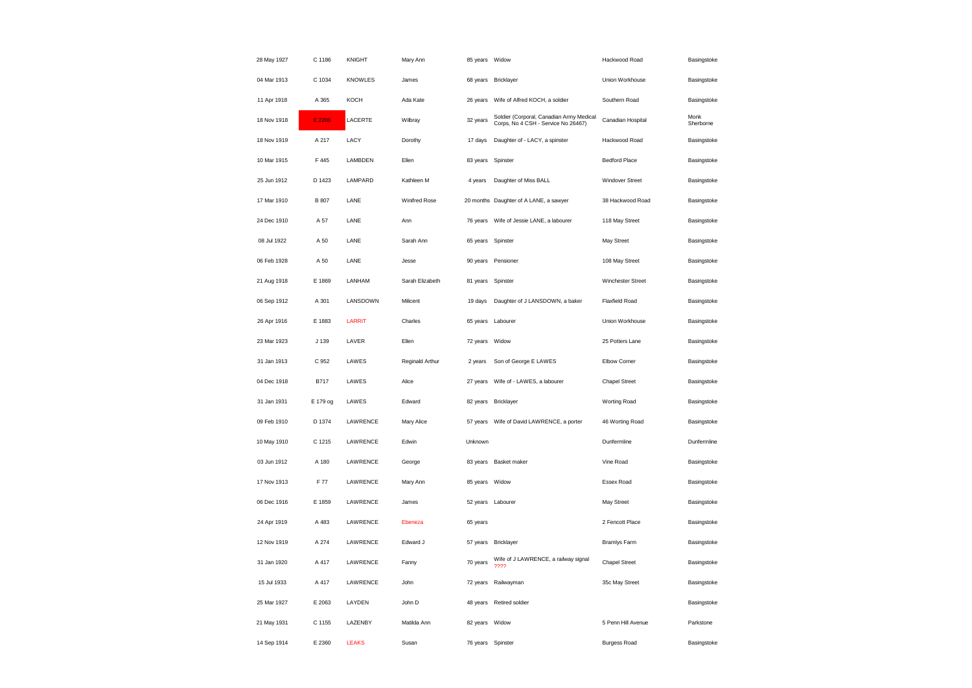| 28 May 1927 | C 1186       | <b>KNIGHT</b>  | Mary Ann        | 85 years Widow    |                                                                                 | Hackwood Road          | Basingstoke       |
|-------------|--------------|----------------|-----------------|-------------------|---------------------------------------------------------------------------------|------------------------|-------------------|
| 04 Mar 1913 | C 1034       | <b>KNOWLES</b> | James           |                   | 68 years Bricklayer                                                             | Union Workhouse        | Basingstoke       |
| 11 Apr 1918 | A 365        | KOCH           | Ada Kate        | 26 years          | Wife of Alfred KOCH, a soldier                                                  | Southern Road          | Basingstoke       |
| 18 Nov 1918 | E 2206       | LACERTE        | Wilbray         | 32 years          | Soldier (Corporal, Canadian Army Medical<br>Corps, No 4 CSH - Service No 26467) | Canadian Hospital      | Monk<br>Sherborne |
| 18 Nov 1919 | A 217        | LACY           | Dorothy         | 17 days           | Daughter of - LACY, a spinster                                                  | Hackwood Road          | Basingstoke       |
| 10 Mar 1915 | F 445        | LAMBDEN        | Ellen           | 83 years          | Spinster                                                                        | <b>Bedford Place</b>   | Basingstoke       |
| 25 Jun 1912 | D 1423       | LAMPARD        | Kathleen M      | 4 years           | Daughter of Miss BALL                                                           | <b>Windover Street</b> | Basingstoke       |
| 17 Mar 1910 | <b>B</b> 807 | LANE           | Winifred Rose   |                   | 20 months Daughter of A LANE, a sawyer                                          | 38 Hackwood Road       | Basingstoke       |
| 24 Dec 1910 | A 57         | LANE           | Ann             | 76 years          | Wife of Jessie LANE, a labourer                                                 | 118 May Street         | Basingstoke       |
| 08 Jul 1922 | A 50         | LANE           | Sarah Ann       | 65 years Spinster |                                                                                 | May Street             | Basingstoke       |
| 06 Feb 1928 | A 50         | LANE           | Jesse           | 90 years          | Pensioner                                                                       | 108 May Street         | Basingstoke       |
| 21 Aug 1918 | E 1869       | LANHAM         | Sarah Elizabeth | 81 years          | Spinster                                                                        | Winchester Street      | Basingstoke       |
| 06 Sep 1912 | A 301        | LANSDOWN       | Milicent        | 19 days           | Daughter of J LANSDOWN, a baker                                                 | <b>Flaxfield Road</b>  | Basingstoke       |
| 26 Apr 1916 | E 1883       | LARRIT         | Charles         | 65 years          | Labourer                                                                        | Union Workhouse        | Basingstoke       |
| 23 Mar 1923 | J 139        | LAVER          | Ellen           | 72 years          | Widow                                                                           | 25 Potters Lane        | Basingstoke       |
| 31 Jan 1913 | C 952        | LAWES          | Reginald Arthur | 2 years           | Son of George E LAWES                                                           | Elbow Corner           | Basingstoke       |
| 04 Dec 1918 | <b>B717</b>  | LAWES          | Alice           | 27 years          | Wife of - LAWES, a labourer                                                     | <b>Chapel Street</b>   | Basingstoke       |
| 31 Jan 1931 | E 179 og     | LAWES          | Edward          | 82 years          | Bricklayer                                                                      | Worting Road           | Basingstoke       |
| 09 Feb 1910 | D 1374       | LAWRENCE       | Mary Alice      |                   | 57 years Wife of David LAWRENCE, a porter                                       | 46 Worting Road        | Basingstoke       |
| 10 May 1910 | C 1215       | LAWRENCE       | Edwin           | Unknown           |                                                                                 | Dunfermline            | Dunfermline       |
| 03 Jun 1912 | A 180        | LAWRENCE       | George          |                   | 83 years Basket maker                                                           | Vine Road              | Basingstoke       |
| 17 Nov 1913 | F 77         | LAWRENCE       | Mary Ann        | 85 years          | Widow                                                                           | Essex Road             | Basingstoke       |
| 06 Dec 1916 | E 1859       | LAWRENCE       | James           |                   | 52 years Labourer                                                               | May Street             | Basingstoke       |
| 24 Apr 1919 | A 483        | LAWRENCE       | Ebeneza         | 65 years          |                                                                                 | 2 Fencott Place        | Basingstoke       |
| 12 Nov 1919 | A 274        | LAWRENCE       | Edward J        | 57 years          | <b>Bricklayer</b>                                                               | <b>Bramlys Farm</b>    | Basingstoke       |
| 31 Jan 1920 | A 417        | LAWRENCE       | Fanny           | 70 years          | Wife of J LAWRENCE, a railway signal<br>????                                    | Chapel Street          | Basingstoke       |
| 15 Jul 1933 | A 417        | LAWRENCE       | John            | 72 years          | Railwayman                                                                      | 35c May Street         | Basingstoke       |
| 25 Mar 1927 | E 2063       | LAYDEN         | John D          | 48 years          | Retired soldier                                                                 |                        | Basingstoke       |
| 21 May 1931 | C 1155       | LAZENBY        | Matilda Ann     | 82 years          | Widow                                                                           | 5 Penn Hill Avenue     | Parkstone         |
| 14 Sep 1914 | E 2360       | <b>LEAKS</b>   | Susan           | 76 years Spinster |                                                                                 | <b>Burgess Road</b>    | Basingstoke       |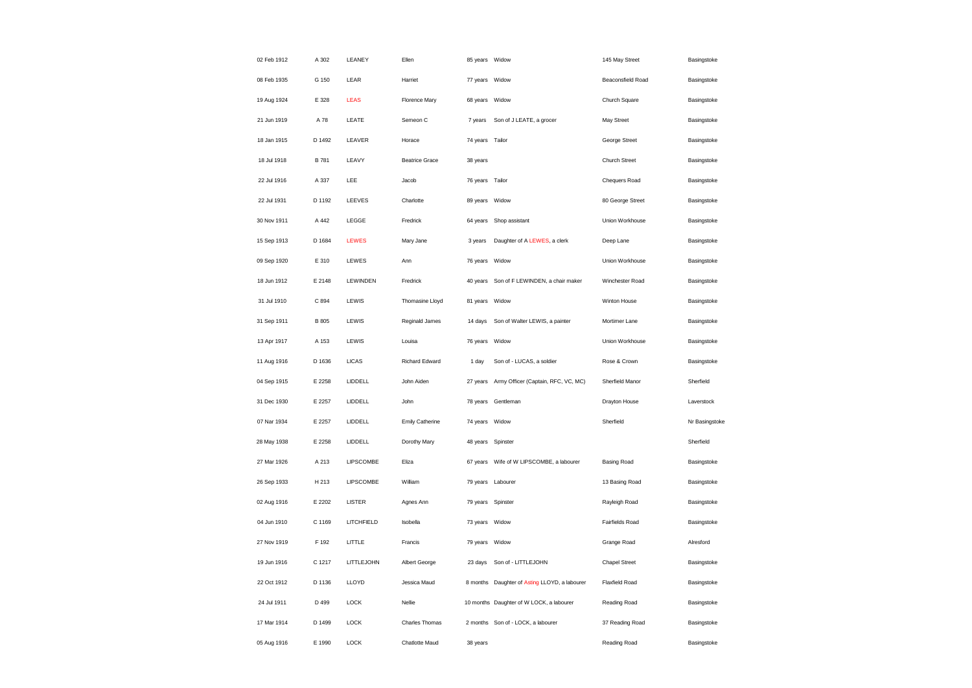| 02 Feb 1912 | A 302  | LEANEY        | Ellen                 | 85 years Widow    |                                               | 145 May Street        | Basingstoke    |
|-------------|--------|---------------|-----------------------|-------------------|-----------------------------------------------|-----------------------|----------------|
| 08 Feb 1935 | G 150  | LEAR          | Harriet               | 77 years Widow    |                                               | Beaconsfield Road     | Basingstoke    |
| 19 Aug 1924 | E 328  | LEAS          | Florence Mary         | 68 years          | Widow                                         | Church Square         | Basingstoke    |
| 21 Jun 1919 | A 78   | LEATE         | Semeon C              | 7 years           | Son of J LEATE, a grocer                      | May Street            | Basingstoke    |
| 18 Jan 1915 | D 1492 | LEAVER        | Horace                | 74 years Tailor   |                                               | George Street         | Basingstoke    |
| 18 Jul 1918 | B 781  | LEAVY         | <b>Beatrice Grace</b> | 38 years          |                                               | Church Street         | Basingstoke    |
| 22 Jul 1916 | A 337  | LEE           | Jacob                 | 76 years          | Tailor                                        | Chequers Road         | Basingstoke    |
| 22 Jul 1931 | D 1192 | LEEVES        | Charlotte             | 89 years Widow    |                                               | 80 George Street      | Basingstoke    |
| 30 Nov 1911 | A 442  | LEGGE         | Fredrick              | 64 years          | Shop assistant                                | Union Workhouse       | Basingstoke    |
| 15 Sep 1913 | D 1684 | LEWES         | Mary Jane             | 3 years           | Daughter of A LEWES, a clerk                  | Deep Lane             | Basingstoke    |
| 09 Sep 1920 | E 310  | LEWES         | Ann                   | 76 years          | Widow                                         | Union Workhouse       | Basingstoke    |
| 18 Jun 1912 | E 2148 | LEWINDEN      | Fredrick              |                   | 40 years Son of F LEWINDEN, a chair maker     | Winchester Road       | Basingstoke    |
| 31 Jul 1910 | C 894  | LEWIS         | Thomasine Lloyd       | 81 years Widow    |                                               | Winton House          | Basingstoke    |
| 31 Sep 1911 | B 805  | LEWIS         | Reginald James        | 14 days           | Son of Walter LEWIS, a painter                | Mortimer Lane         | Basingstoke    |
| 13 Apr 1917 | A 153  | LEWIS         | Louisa                | 76 years          | Widow                                         | Union Workhouse       | Basingstoke    |
| 11 Aug 1916 | D 1636 | <b>LICAS</b>  | Richard Edward        | 1 day             | Son of - LUCAS, a soldier                     | Rose & Crown          | Basingstoke    |
| 04 Sep 1915 | E 2258 | LIDDELL       | John Aiden            | 27 years          | Army Officer (Captain, RFC, VC, MC)           | Sherfield Manor       | Sherfield      |
| 31 Dec 1930 | E 2257 | LIDDELL       | John                  | 78 years          | Gentleman                                     | Drayton House         | Laverstock     |
| 07 Nar 1934 | E 2257 | LIDDELL       | Emily Catherine       | 74 years Widow    |                                               | Sherfield             | Nr Basingstoke |
| 28 May 1938 | E 2258 | LIDDELL       | Dorothy Mary          | 48 years Spinster |                                               |                       | Sherfield      |
| 27 Mar 1926 | A 213  | LIPSCOMBE     | Eliza                 |                   |                                               | Basing Road           | Basingstoke    |
| 26 Sep 1933 | H 213  | LIPSCOMBE     | William               | 79 years          | Labourer                                      | 13 Basing Road        | Basingstoke    |
| 02 Aug 1916 | E 2202 | <b>LISTER</b> | Agnes Ann             | 79 years Spinster |                                               | Rayleigh Road         | Basingstoke    |
| 04 Jun 1910 | C 1169 | LITCHFIELD    | Isobella              | 73 years          | Widow                                         | Fairfields Road       | Basingstoke    |
| 27 Nov 1919 | F 192  | LITTLE        | Francis               | 79 years Widow    |                                               | Grange Road           | Alresford      |
| 19 Jun 1916 | C 1217 | LITTLEJOHN    | Albert George         | 23 days           | Son of - LITTLEJOHN                           | <b>Chapel Street</b>  | Basingstoke    |
| 22 Oct 1912 | D 1136 | LLOYD         | Jessica Maud          |                   | 8 months Daughter of Asting LLOYD, a labourer | <b>Flaxfield Road</b> | Basingstoke    |
| 24 Jul 1911 | D 499  | <b>LOCK</b>   | Nellie                |                   | 10 months Daughter of W LOCK, a labourer      | Reading Road          | Basingstoke    |
| 17 Mar 1914 | D 1499 | <b>LOCK</b>   | Charles Thomas        |                   | 2 months Son of - LOCK, a labourer            | 37 Reading Road       | Basingstoke    |
| 05 Aug 1916 | E 1990 | LOCK          | Chatlotte Maud        | 38 years          |                                               | Reading Road          | Basingstoke    |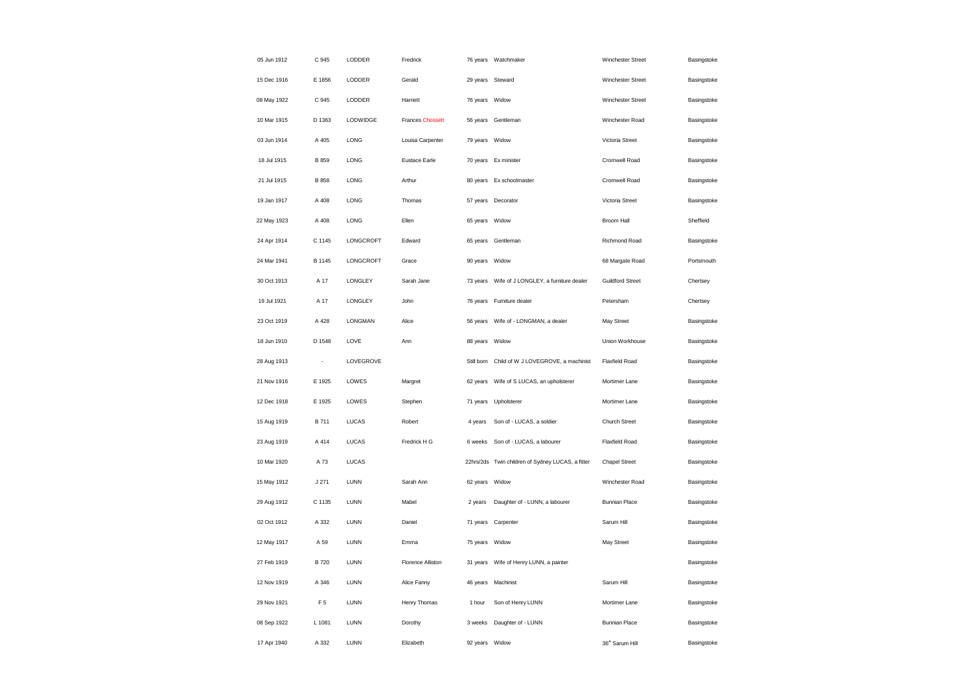| 05 Jun 1912 | C 945          | LODDER         | Fredrick                |                  | 76 years Watchmaker                               | Winchester Street          | Basingstoke |
|-------------|----------------|----------------|-------------------------|------------------|---------------------------------------------------|----------------------------|-------------|
| 15 Dec 1916 | E 1856         | LODDER         | Gerald                  | 29 years Steward |                                                   | Winchester Street          | Basingstoke |
| 08 May 1922 | C 945          | LODDER         | Harriett                | 76 years         | Widow                                             | Winchester Street          | Basingstoke |
| 10 Mar 1915 | D 1363         | LODWIDGE       | <b>Frances Chossett</b> | 56 years         | Gentleman                                         | Winchester Road            | Basingstoke |
| 03 Jun 1914 | A 405          | LONG           | Louisa Carpenter        | 79 years         | Widow                                             | Victoria Street            | Basingstoke |
| 18 Jul 1915 | B 859          | LONG           | <b>Eustace Earle</b>    | 70 years         | Ex minister                                       | Cromwell Road              | Basingstoke |
| 21 Jul 1915 | B 858          | LONG           | Arthur                  | 80 years         | Ex schoolmaster                                   | Cromwell Road              | Basingstoke |
| 19 Jan 1917 | A 408          | LONG           | Thomas                  |                  | 57 years Decorator                                | Victoria Street            | Basingstoke |
| 22 May 1923 | A 408          | LONG           | Ellen                   | 65 years         | Widow                                             | Broom Hall                 | Sheffield   |
| 24 Apr 1914 | C 1145         | LONGCROFT      | Edward                  |                  | 65 years Gentleman                                | Richmond Road              | Basingstoke |
| 24 Mar 1941 | B 1145         | LONGCROFT      | Grace                   | 90 years         | Widow                                             | 68 Margate Road            | Portsmouth  |
| 30 Oct 1913 | A 17           | LONGLEY        | Sarah Jane              | 73 years         | Wife of J LONGLEY, a furniture dealer             | <b>Guildford Street</b>    | Chertsey    |
| 19 Jul 1921 | A 17           | LONGLEY        | John                    | 76 years         | Furniture dealer                                  | Petersham                  | Chertsey    |
| 23 Oct 1919 | A 428          | <b>LONGMAN</b> | Alice                   | 56 years         | Wife of - LONGMAN, a dealer                       | May Street                 | Basingstoke |
| 18 Jun 1910 | D 1548         | LOVE           | Ann                     | 88 years         | Widow                                             | Union Workhouse            | Basingstoke |
| 28 Aug 1913 | $\overline{a}$ | LOVEGROVE      |                         | Still born       | Child of W J LOVEGROVE, a machinist               | <b>Flaxfield Road</b>      | Basingstoke |
| 21 Nov 1916 | E 1925         | LOWES          | Margret                 | 62 years         | Wife of S LUCAS, an upholsterer                   | Mortimer Lane              | Basingstoke |
| 12 Dec 1918 | E 1925         | LOWES          | Stephen                 | 71 years         | Upholsterer                                       | Mortimer Lane              | Basingstoke |
| 15 Aug 1919 | <b>B711</b>    | <b>LUCAS</b>   | Robert                  | 4 years          | Son of - LUCAS, a soldier                         | Church Street              | Basingstoke |
| 23 Aug 1919 | A 414          | LUCAS          | Fredrick H G            | 6 weeks          | Son of - LUCAS, a labourer                        | Flaxfield Road             | Basingstoke |
| 10 Mar 1920 | A 73           | <b>LUCAS</b>   |                         |                  | 22hrs/2ds Twin children of Sydney LUCAS, a fitter | <b>Chapel Street</b>       | Basingstoke |
| 15 May 1912 | J271           | <b>LUNN</b>    | Sarah Ann               | 62 years         | Widow                                             | Winchester Road            | Basingstoke |
| 29 Aug 1912 | C 1135         | <b>LUNN</b>    | Mabel                   | 2 years          | Daughter of - LUNN, a labourer                    | <b>Bunnian Place</b>       | Basingstoke |
| 02 Oct 1912 | A 332          | LUNN           | Daniel                  | 71 years         | Carpenter                                         | Sarum Hill                 | Basingstoke |
| 12 May 1917 | A 59           | <b>LUNN</b>    | Emma                    | 75 years         | Widow                                             | May Street                 | Basingstoke |
| 27 Feb 1919 | <b>B720</b>    | LUNN           | Florence Alliston       | 31 years         | Wife of Henry LUNN, a painter                     |                            | Basingstoke |
| 12 Nov 1919 | A 346          | LUNN           | Alice Fanny             |                  | 46 years Machinist                                | Sarum Hill                 | Basingstoke |
| 29 Nov 1921 | F 5            | LUNN           | Henry Thomas            | 1 hour           | Son of Henry LUNN                                 | Mortimer Lane              | Basingstoke |
| 08 Sep 1922 | L 1081         | LUNN           | Dorothy                 | 3 weeks          | Daughter of - LUNN                                | <b>Bunnian Place</b>       | Basingstoke |
| 17 Apr 1940 | A 332          | <b>LUNN</b>    | Elizabeth               | 92 years         | Widow                                             | 36 <sup>A</sup> Sarum Hill | Basingstoke |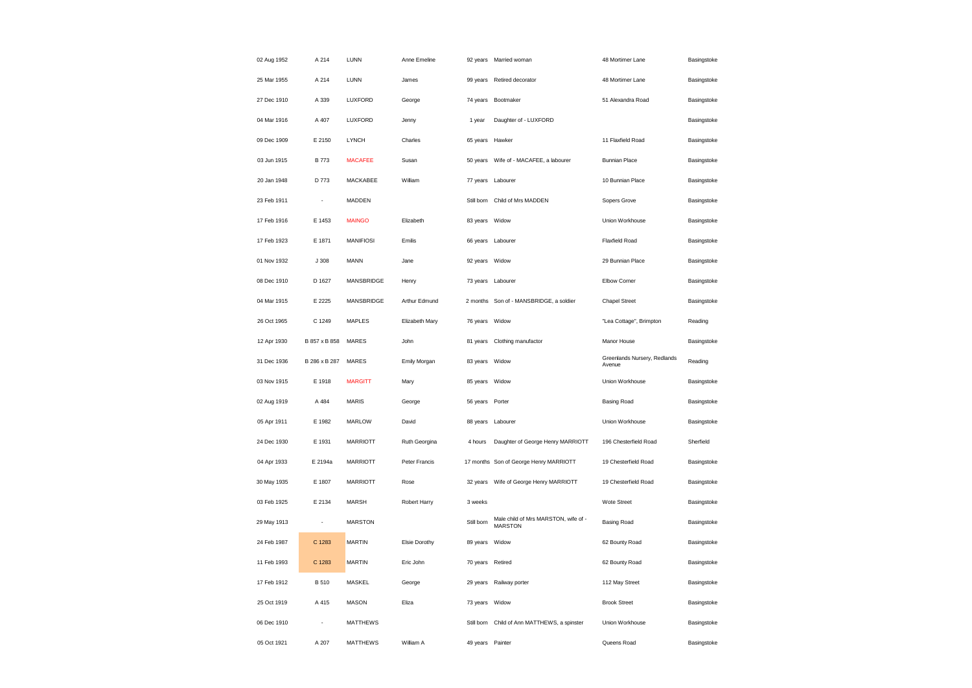| 02 Aug 1952 | A 214                    | LUNN              | Anne Emeline   |                  | 92 years Married woman                                 | 48 Mortimer Lane                       | Basingstoke |
|-------------|--------------------------|-------------------|----------------|------------------|--------------------------------------------------------|----------------------------------------|-------------|
| 25 Mar 1955 | A 214                    | LUNN              | James          |                  | 99 years Retired decorator                             | 48 Mortimer Lane                       | Basingstoke |
| 27 Dec 1910 | A 339                    | LUXFORD           | George         | 74 years         | Bootmaker                                              | 51 Alexandra Road                      | Basingstoke |
| 04 Mar 1916 | A 407                    | LUXFORD           | Jenny          | 1 year           | Daughter of - LUXFORD                                  |                                        | Basingstoke |
| 09 Dec 1909 | E 2150                   | <b>LYNCH</b>      | Charles        | 65 years Hawker  |                                                        | 11 Flaxfield Road                      | Basingstoke |
| 03 Jun 1915 | <b>B</b> 773             | <b>MACAFEE</b>    | Susan          |                  | 50 years     Wife of - MACAFEE, a labourer             | <b>Bunnian Place</b>                   | Basingstoke |
| 20 Jan 1948 | D 773                    | MACKABEE          | William        | 77 years         | Labourer                                               | 10 Bunnian Place                       | Basingstoke |
| 23 Feb 1911 | ÷,                       | MADDEN            |                |                  | Still born Child of Mrs MADDEN                         | Sopers Grove                           | Basingstoke |
| 17 Feb 1916 | E 1453                   | <b>MAINGO</b>     | Elizabeth      | 83 years Widow   |                                                        | Union Workhouse                        | Basingstoke |
| 17 Feb 1923 | E 1871                   | <b>MANIFIOSI</b>  | Emilis         |                  | 66 years Labourer                                      | Flaxfield Road                         | Basingstoke |
| 01 Nov 1932 | J308                     | MANN              | Jane           | 92 years         | Widow                                                  | 29 Bunnian Place                       | Basingstoke |
| 08 Dec 1910 | D 1627                   | <b>MANSBRIDGE</b> | Henry          |                  | 73 years Labourer                                      | Elbow Corner                           | Basingstoke |
| 04 Mar 1915 | E 2225                   | <b>MANSBRIDGE</b> | Arthur Edmund  | 2 months         | Son of - MANSBRIDGE, a soldier                         | <b>Chapel Street</b>                   | Basingstoke |
| 26 Oct 1965 | C 1249                   | <b>MAPLES</b>     | Elizabeth Mary | 76 years Widow   |                                                        | "Lea Cottage", Brimpton                | Reading     |
| 12 Apr 1930 | B 857 x B 858            | <b>MARES</b>      | John           | 81 years         | Clothing manufactor                                    | Manor House                            | Basingstoke |
| 31 Dec 1936 | B 286 x B 287            | <b>MARES</b>      | Emily Morgan   | 83 years Widow   |                                                        | Greenlands Nursery, Redlands<br>Avenue | Reading     |
| 03 Nov 1915 | E 1918                   | <b>MARGITT</b>    | Mary           | 85 years Widow   |                                                        | Union Workhouse                        | Basingstoke |
| 02 Aug 1919 | A 484                    | <b>MARIS</b>      | George         | 56 years Porter  |                                                        | <b>Basing Road</b>                     | Basingstoke |
| 05 Apr 1911 | E 1982                   | <b>MARLOW</b>     | David          |                  | 88 years Labourer                                      | Union Workhouse                        | Basingstoke |
| 24 Dec 1930 | E 1931                   | <b>MARRIOTT</b>   | Ruth Georgina  | 4 hours          | Daughter of George Henry MARRIOTT                      | 196 Chesterfield Road                  | Sherfield   |
| 04 Apr 1933 | E 2194a                  | <b>MARRIOTT</b>   | Peter Francis  |                  | 17 months Son of George Henry MARRIOTT                 | 19 Chesterfield Road                   | Basingstoke |
| 30 May 1935 | E 1807                   | <b>MARRIOTT</b>   | Rose           | 32 years         | Wife of George Henry MARRIOTT                          | 19 Chesterfield Road                   | Basingstoke |
| 03 Feb 1925 | E 2134                   | <b>MARSH</b>      | Robert Harry   | 3 weeks          |                                                        | Wote Street                            | Basingstoke |
| 29 May 1913 | $\overline{\phantom{a}}$ | <b>MARSTON</b>    |                | Still born       | Male child of Mrs MARSTON, wife of -<br><b>MARSTON</b> | <b>Basing Road</b>                     | Basingstoke |
| 24 Feb 1987 | C 1283                   | <b>MARTIN</b>     | Elsie Dorothy  | 89 years Widow   |                                                        | 62 Bounty Road                         | Basingstoke |
| 11 Feb 1993 | C 1283                   | <b>MARTIN</b>     | Eric John      | 70 years         | Retired                                                | 62 Bounty Road                         | Basingstoke |
| 17 Feb 1912 | B 510                    | MASKEL            | George         |                  | 29 years Railway porter                                | 112 May Street                         | Basingstoke |
| 25 Oct 1919 | A 415                    | <b>MASON</b>      | Eliza          | 73 years         | Widow                                                  | <b>Brook Street</b>                    | Basingstoke |
| 06 Dec 1910 |                          | <b>MATTHEWS</b>   |                | Still born       | Child of Ann MATTHEWS, a spinster                      | Union Workhouse                        | Basingstoke |
| 05 Oct 1921 | A 207                    | <b>MATTHEWS</b>   | William A      | 49 years Painter |                                                        | Queens Road                            | Basingstoke |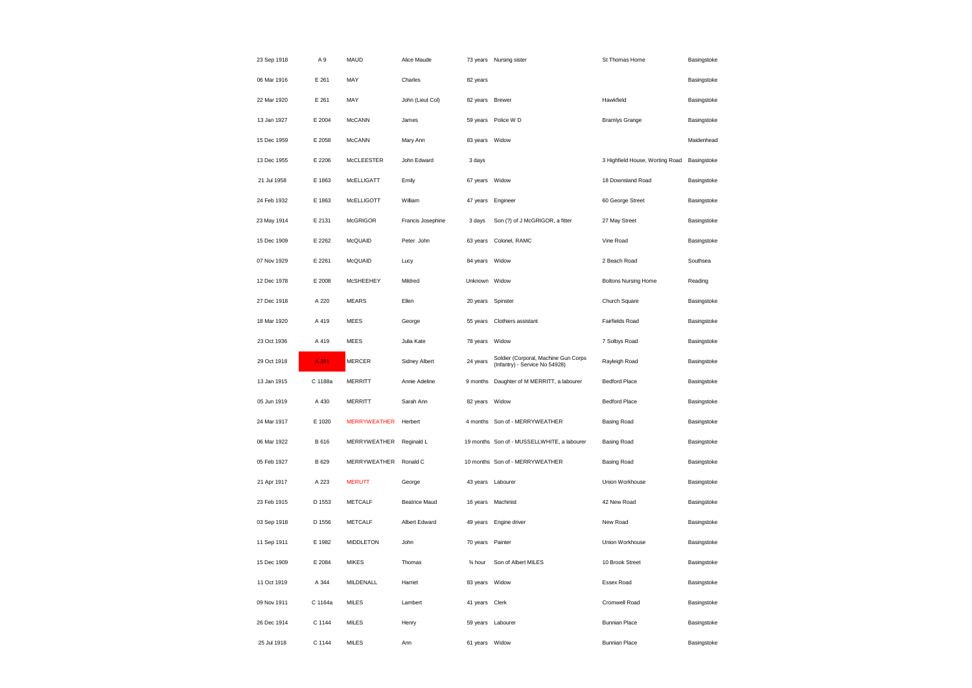| 23 Sep 1918 | A <sub>9</sub> | MAUD                | Alice Maude          |                   | 73 years Nursing sister                                                | St Thomas Home                  | Basingstoke |
|-------------|----------------|---------------------|----------------------|-------------------|------------------------------------------------------------------------|---------------------------------|-------------|
| 06 Mar 1916 | E 261          | MAY                 | Charles              | 82 years          |                                                                        |                                 | Basingstoke |
| 22 Mar 1920 | E 261          | MAY                 | John (Lieut Col)     | 82 years          | <b>Brewer</b>                                                          | Hawkfield                       | Basingstoke |
| 13 Jan 1927 | E 2004         | <b>McCANN</b>       | James                | 59 years          | Police W D                                                             | <b>Bramlys Grange</b>           | Basingstoke |
| 15 Dec 1959 | E 2058         | <b>McCANN</b>       | Mary Ann             | 83 years Widow    |                                                                        |                                 | Maidenhead  |
| 13 Dec 1955 | E 2206         | <b>McCLEESTER</b>   | John Edward          | 3 days            |                                                                        | 3 Highfield House, Worting Road | Basingstoke |
| 21 Jul 1958 | E 1863         | McELLIGATT          | Emily                | 67 years          | Widow                                                                  | 18 Downsland Road               | Basingstoke |
| 24 Feb 1932 | E 1863         | McELLIGOTT          | William              | 47 years          | Engineer                                                               | 60 George Street                | Basingstoke |
| 23 May 1914 | E 2131         | <b>McGRIGOR</b>     | Francis Josephine    | 3 days            | Son (?) of J McGRIGOR, a fitter                                        | 27 May Street                   | Basingstoke |
| 15 Dec 1909 | E 2262         | McQUAID             | Peter John           | 63 years          | Colonel, RAMC                                                          | Vine Road                       | Basingstoke |
| 07 Nov 1929 | E 2261         | McQUAID             | Lucy                 | 84 years          | Widow                                                                  | 2 Beach Road                    | Southsea    |
| 12 Dec 1978 | E 2008         | McSHEEHEY           | Mildred              | Unknown Widow     |                                                                        | <b>Boltons Nursing Home</b>     | Reading     |
| 27 Dec 1918 | A 220          | <b>MEARS</b>        | Ellen                | 20 years          | Spinster                                                               | Church Square                   | Basingstoke |
| 18 Mar 1920 | A 419          | <b>MEES</b>         | George               | 55 years          | Clothiers assistant                                                    | Fairfields Road                 | Basingstoke |
| 23 Oct 1936 | A 419          | <b>MEES</b>         | Julia Kate           | 78 years          | Widow                                                                  | 7 Solbys Road                   | Basingstoke |
| 29 Oct 1918 | A 291          | <b>MERCER</b>       | Sidney Albert        | 24 years          | Soldier (Corporal, Machine Gun Corps<br>(Infantry) - Service No 54928) | Rayleigh Road                   | Basingstoke |
| 13 Jan 1915 | C 1188a        | <b>MERRITT</b>      | Annie Adeline        | 9 months          | Daughter of M MERRITT, a labourer                                      | <b>Bedford Place</b>            | Basingstoke |
| 05 Jun 1919 | A 430          | <b>MERRITT</b>      | Sarah Ann            | 82 years          | Widow                                                                  | <b>Bedford Place</b>            | Basingstoke |
| 24 Mar 1917 | E 1020         | <b>MERRYWEATHER</b> | Herbert              |                   | 4 months Son of - MERRYWEATHER                                         | <b>Basing Road</b>              | Basingstoke |
| 06 Mar 1922 | B 616          | MERRYWEATHER        | Reginald L           |                   | 19 months Son of - MUSSELLWHITE, a labourer                            | <b>Basing Road</b>              | Basingstoke |
| 05 Feb 1927 | B 629          | MERRYWEATHER        | Ronald C             |                   | 10 months Son of - MERRYWEATHER                                        | <b>Basing Road</b>              | Basingstoke |
| 21 Apr 1917 | A 223          | <b>MERUTT</b>       | George               | 43 years          | Labourer                                                               | Union Workhouse                 | Basingstoke |
| 23 Feb 1915 | D 1553         | <b>METCALF</b>      | <b>Beatrice Maud</b> | 16 years          | Machinist                                                              | 42 New Road                     | Basingstoke |
| 03 Sep 1918 | D 1556         | <b>METCALF</b>      | Albert Edward        | 49 years          | Engine driver                                                          | New Road                        | Basingstoke |
| 11 Sep 1911 | E 1982         | <b>MIDDLETON</b>    | John                 | 70 years Painter  |                                                                        | Union Workhouse                 | Basingstoke |
| 15 Dec 1909 | E 2084         | <b>MIKES</b>        | Thomas               | 3⁄4 hour          | Son of Albert MILES                                                    | 10 Brook Street                 | Basingstoke |
| 11 Oct 1919 | A 344          | MILDENALL           | Harriet              | 83 years Widow    |                                                                        | Essex Road                      | Basingstoke |
| 09 Nov 1911 | C 1164a        | <b>MILES</b>        | Lambert              | 41 years          | Clerk                                                                  | Cromwell Road                   | Basingstoke |
| 26 Dec 1914 | C 1144         | <b>MILES</b>        | Henry                | 59 years Labourer |                                                                        | <b>Bunnian Place</b>            | Basingstoke |
| 25 Jul 1918 | C 1144         | <b>MILES</b>        | Ann                  | 61 years          | Widow                                                                  | <b>Bunnian Place</b>            | Basingstoke |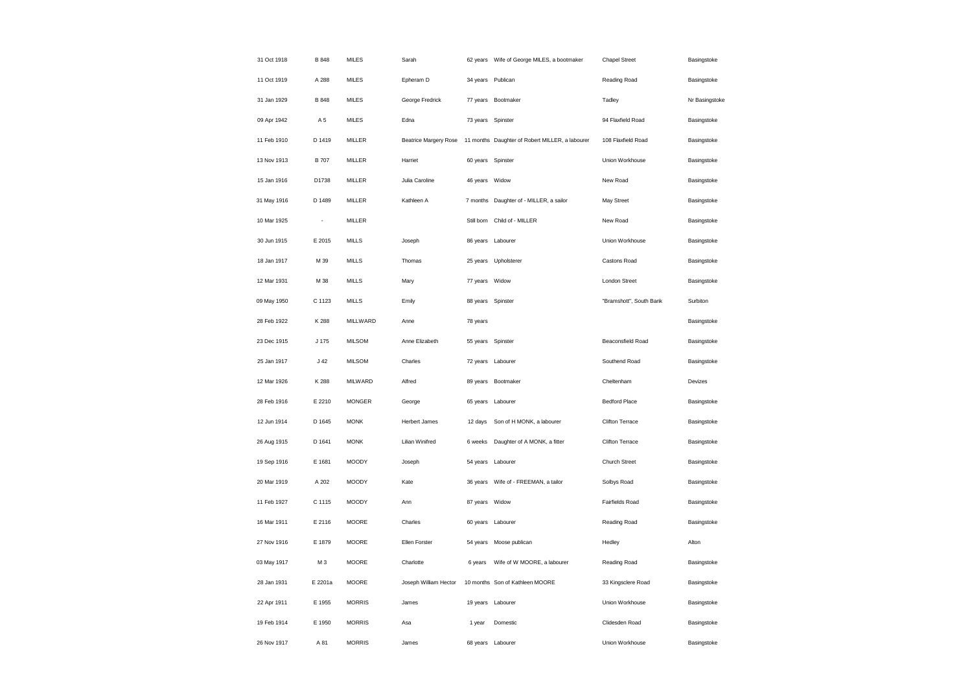| 31 Oct 1918 | B 848        | <b>MILES</b>  | Sarah                        |                   | 62 years     Wife of George MILES, a bootmaker  | <b>Chapel Street</b>    | Basingstoke    |
|-------------|--------------|---------------|------------------------------|-------------------|-------------------------------------------------|-------------------------|----------------|
| 11 Oct 1919 | A 288        | <b>MILES</b>  | Epheram D                    | 34 years Publican |                                                 | Reading Road            | Basingstoke    |
| 31 Jan 1929 | B 848        | <b>MILES</b>  | George Fredrick              |                   | 77 years Bootmaker                              | Tadley                  | Nr Basingstoke |
| 09 Apr 1942 | A 5          | <b>MILES</b>  | Edna                         | 73 years          | Spinster                                        | 94 Flaxfield Road       | Basingstoke    |
| 11 Feb 1910 | D 1419       | MILLER        | <b>Beatrice Margery Rose</b> |                   | 11 months Daughter of Robert MILLER, a labourer | 108 Flaxfield Road      | Basingstoke    |
| 13 Nov 1913 | <b>B</b> 707 | MILLER        | Harriet                      | 60 years          | Spinster                                        | Union Workhouse         | Basingstoke    |
| 15 Jan 1916 | D1738        | <b>MILLER</b> | Julia Caroline               | 46 years          | Widow                                           | New Road                | Basingstoke    |
| 31 May 1916 | D 1489       | MILLER        | Kathleen A                   |                   | 7 months Daughter of - MILLER, a sailor         | May Street              | Basingstoke    |
| 10 Mar 1925 | ÷            | MILLER        |                              | Still born        | Child of - MILLER                               | New Road                | Basingstoke    |
| 30 Jun 1915 | E 2015       | <b>MILLS</b>  | Joseph                       | 86 years Labourer |                                                 | Union Workhouse         | Basingstoke    |
| 18 Jan 1917 | M 39         | <b>MILLS</b>  | Thomas                       | 25 years          | Upholsterer                                     | Castons Road            | Basingstoke    |
| 12 Mar 1931 | M 38         | <b>MILLS</b>  | Mary                         | 77 years Widow    |                                                 | London Street           | Basingstoke    |
| 09 May 1950 | C 1123       | <b>MILLS</b>  | Emily                        | 88 years Spinster |                                                 | "Bramshott", South Bank | Surbiton       |
| 28 Feb 1922 | K 288        | MILLWARD      | Anne                         | 78 years          |                                                 |                         | Basingstoke    |
| 23 Dec 1915 | J 175        | <b>MILSOM</b> | Anne Elizabeth               | 55 years          | Spinster                                        | Beaconsfield Road       | Basingstoke    |
| 25 Jan 1917 | $J$ 42       | <b>MILSOM</b> | Charles                      | 72 years Labourer |                                                 | Southend Road           | Basingstoke    |
| 12 Mar 1926 | K 288        | MILWARD       | Alfred                       |                   | 89 years Bootmaker                              | Cheltenham              | Devizes        |
| 28 Feb 1916 | E 2210       | <b>MONGER</b> | George                       | 65 years          | Labourer                                        | <b>Bedford Place</b>    | Basingstoke    |
| 12 Jun 1914 | D 1645       | <b>MONK</b>   | <b>Herbert James</b>         | 12 days           | Son of H MONK, a labourer                       | Clifton Terrace         | Basingstoke    |
| 26 Aug 1915 | D 1641       | <b>MONK</b>   | Lilian Winifred              | 6 weeks           | Daughter of A MONK, a fitter                    | Clifton Terrace         | Basingstoke    |
| 19 Sep 1916 | E 1681       | <b>MOODY</b>  | Joseph                       | 54 years          | Labourer                                        | <b>Church Street</b>    | Basingstoke    |
| 20 Mar 1919 | A 202        | <b>MOODY</b>  | Kate                         | 36 years          | Wife of - FREEMAN, a tailor                     | Solbys Road             | Basingstoke    |
| 11 Feb 1927 | C 1115       | <b>MOODY</b>  | Ann                          | 87 years Widow    |                                                 | Fairfields Road         | Basingstoke    |
| 16 Mar 1911 | E 2116       | <b>MOORE</b>  | Charles                      | 60 years          | Labourer                                        | Reading Road            | Basingstoke    |
| 27 Nov 1916 | E 1879       | <b>MOORE</b>  | Ellen Forster                | 54 years          | Moose publican                                  | Hedley                  | Alton          |
| 03 May 1917 | M 3          | MOORE         | Charlotte                    | 6 years           | Wife of W MOORE, a labourer                     | Reading Road            | Basingstoke    |
| 28 Jan 1931 | E 2201a      | MOORE         | Joseph William Hector        |                   | 10 months Son of Kathleen MOORE                 | 33 Kingsclere Road      | Basingstoke    |
| 22 Apr 1911 | E 1955       | <b>MORRIS</b> | James                        | 19 years          | Labourer                                        | Union Workhouse         | Basingstoke    |
| 19 Feb 1914 | E 1950       | <b>MORRIS</b> | Asa                          | 1 year            | Domestic                                        | Clidesden Road          | Basingstoke    |
| 26 Nov 1917 | A 81         | <b>MORRIS</b> | James                        | 68 years Labourer |                                                 | Union Workhouse         | Basingstoke    |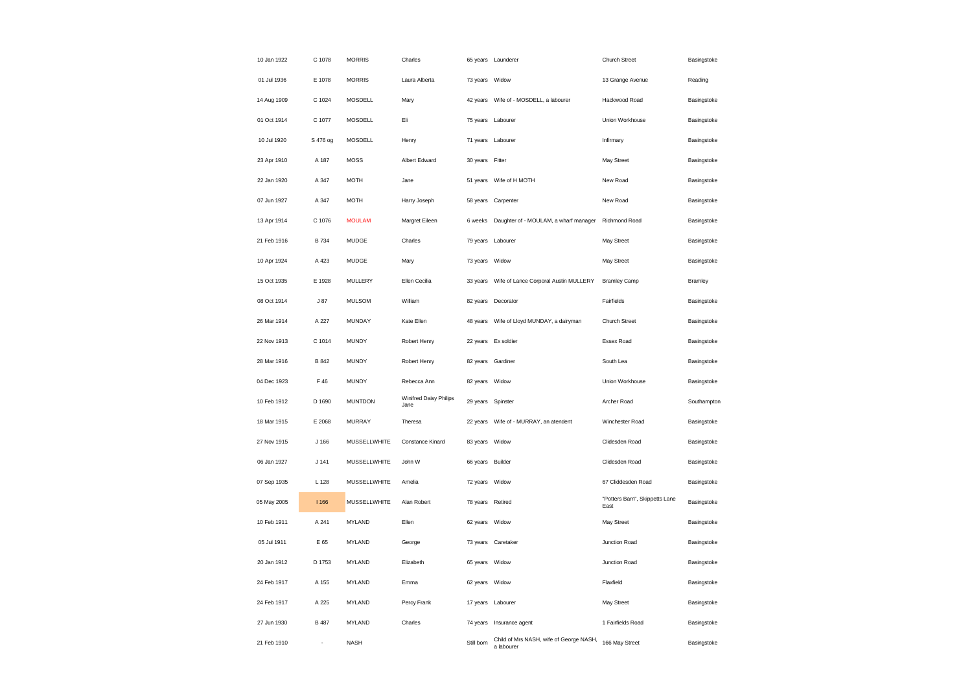| 10 Jan 1922 | C 1078           | <b>MORRIS</b>  | Charles                               |                   | 65 years Launderer                                    | Church Street                          | Basingstoke    |
|-------------|------------------|----------------|---------------------------------------|-------------------|-------------------------------------------------------|----------------------------------------|----------------|
| 01 Jul 1936 | E 1078           | <b>MORRIS</b>  | Laura Alberta                         | 73 years Widow    |                                                       | 13 Grange Avenue                       | Reading        |
| 14 Aug 1909 | C 1024           | MOSDELL        | Mary                                  |                   | 42 years Wife of - MOSDELL, a labourer                | Hackwood Road                          | Basingstoke    |
| 01 Oct 1914 | C 1077           | MOSDELL        | Eli                                   |                   | 75 years Labourer                                     | Union Workhouse                        | Basingstoke    |
| 10 Jul 1920 | S 476 og         | MOSDELL        | Henry                                 |                   | 71 years Labourer                                     | Infirmary                              | Basingstoke    |
| 23 Apr 1910 | A 187            | <b>MOSS</b>    | Albert Edward                         | 30 years Fitter   |                                                       | May Street                             | Basingstoke    |
| 22 Jan 1920 | A 347            | <b>MOTH</b>    | Jane                                  | 51 years          | Wife of H MOTH                                        | New Road                               | Basingstoke    |
| 07 Jun 1927 | A 347            | <b>MOTH</b>    | Harry Joseph                          | 58 years          | Carpenter                                             | New Road                               | Basingstoke    |
| 13 Apr 1914 | C 1076           | <b>MOULAM</b>  | Margret Eileen                        | 6 weeks           | Daughter of - MOULAM, a wharf manager                 | Richmond Road                          | Basingstoke    |
| 21 Feb 1916 | <b>B</b> 734     | MUDGE          | Charles                               |                   | 79 years Labourer                                     | May Street                             | Basingstoke    |
| 10 Apr 1924 | A 423            | <b>MUDGE</b>   | Mary                                  | 73 years          | Widow                                                 | May Street                             | Basingstoke    |
| 15 Oct 1935 | E 1928           | MULLERY        | Ellen Cecilia                         |                   | 33 years Wife of Lance Corporal Austin MULLERY        | <b>Bramley Camp</b>                    | <b>Bramley</b> |
| 08 Oct 1914 | J87              | <b>MULSOM</b>  | William                               | 82 years          | Decorator                                             | Fairfields                             | Basingstoke    |
| 26 Mar 1914 | A 227            | MUNDAY         | Kate Ellen                            |                   | 48 years    Wife of Lloyd MUNDAY, a dairyman          | Church Street                          | Basingstoke    |
| 22 Nov 1913 | C 1014           | <b>MUNDY</b>   | Robert Henry                          |                   | 22 years Ex soldier                                   | Essex Road                             | Basingstoke    |
| 28 Mar 1916 | B 842            | <b>MUNDY</b>   | Robert Henry                          |                   | 82 years Gardiner                                     | South Lea                              | Basingstoke    |
| 04 Dec 1923 | F 46             | <b>MUNDY</b>   | Rebecca Ann                           | 82 years Widow    |                                                       | Union Workhouse                        | Basingstoke    |
| 10 Feb 1912 | D 1690           | <b>MUNTDON</b> | Winifred Daisy Philips<br><b>Jane</b> | 29 years Spinster |                                                       | Archer Road                            | Southampton    |
| 18 Mar 1915 | E 2068           | MURRAY         | Theresa                               | 22 years          | Wife of - MURRAY, an atendent                         | Winchester Road                        | Basingstoke    |
| 27 Nov 1915 | J <sub>166</sub> | MUSSELLWHITE   | Constance Kinard                      | 83 years Widow    |                                                       | Clidesden Road                         | Basingstoke    |
| 06 Jan 1927 | $J$ 141          | MUSSELLWHITE   | John W                                | 66 years Builder  |                                                       | Clidesden Road                         | Basingstoke    |
| 07 Sep 1935 | L 128            | MUSSELLWHITE   | Amelia                                | 72 years Widow    |                                                       | 67 Cliddesden Road                     | Basingstoke    |
| 05 May 2005 | 1166             | MUSSELLWHITE   | Alan Robert                           | 78 years Retired  |                                                       | "Potters Barn", Skippetts Lane<br>East | Basingstoke    |
| 10 Feb 1911 | A 241            | <b>MYLAND</b>  | Ellen                                 | 62 years Widow    |                                                       | May Street                             | Basingstoke    |
| 05 Jul 1911 | E 65             | MYLAND         | George                                |                   | 73 years Caretaker                                    | Junction Road                          | Basingstoke    |
| 20 Jan 1912 | D 1753           | MYLAND         | Elizabeth                             | 65 years          | Widow                                                 | Junction Road                          | Basingstoke    |
| 24 Feb 1917 | A 155            | MYLAND         | Emma                                  | 62 years Widow    |                                                       | Flaxfield                              | Basingstoke    |
| 24 Feb 1917 | A 225            | <b>MYLAND</b>  | Percy Frank                           |                   | 17 years Labourer                                     | May Street                             | Basingstoke    |
| 27 Jun 1930 | B 487            | <b>MYLAND</b>  | Charles                               |                   | 74 years Insurance agent                              | 1 Fairfields Road                      | Basingstoke    |
| 21 Feb 1910 |                  | <b>NASH</b>    |                                       | Still born        | Child of Mrs NASH, wife of George NASH,<br>a labourer | 166 May Street                         | Basingstoke    |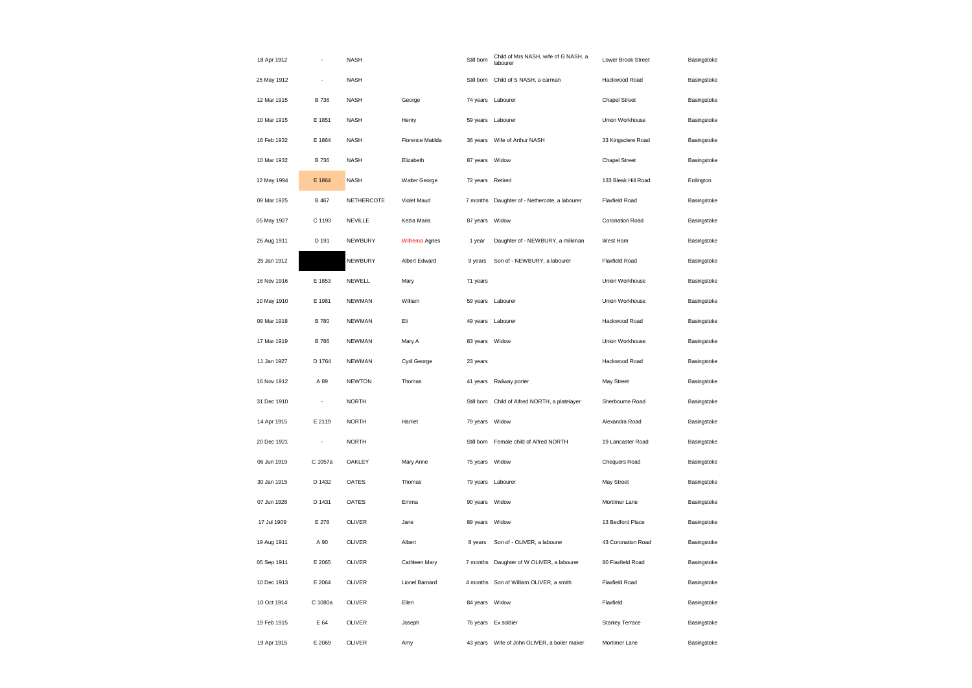| 18 Apr 1912 |                          | <b>NASH</b>       |                  | Still born     | Child of Mrs NASH, wife of G NASH, a<br>labourer | Lower Brook Street     | Basingstoke |
|-------------|--------------------------|-------------------|------------------|----------------|--------------------------------------------------|------------------------|-------------|
| 25 May 1912 | ÷,                       | <b>NASH</b>       |                  |                | Still born Child of S NASH, a carman             | Hackwood Road          | Basingstoke |
| 12 Mar 1915 | B 736                    | <b>NASH</b>       | George           | 74 years       | Labourer                                         | Chapel Street          | Basingstoke |
| 10 Mar 1915 | E 1851                   | <b>NASH</b>       | Henry            |                | 59 years Labourer                                | Union Workhouse        | Basingstoke |
| 16 Feb 1932 | E 1864                   | <b>NASH</b>       | Florence Matilda | 36 years       | Wife of Arthur NASH                              | 33 Kingsclere Road     | Basingstoke |
| 10 Mar 1932 | B 736                    | <b>NASH</b>       | Elizabeth        | 87 years       | Widow                                            | <b>Chapel Street</b>   | Basingstoke |
| 12 May 1994 | E 1864                   | <b>NASH</b>       | Walter George    | 72 years       | Retired                                          | 133 Bleak Hill Road    | Erdington   |
| 09 Mar 1925 | <b>B</b> 467             | <b>NETHERCOTE</b> | Violet Maud      |                | 7 months Daughter of - Nethercote, a labourer    | <b>Flaxfield Road</b>  | Basingstoke |
| 05 May 1927 | C 1193                   | <b>NEVILLE</b>    | Kezia Maria      | 87 years       | Widow                                            | Coronation Road        | Basingstoke |
| 26 Aug 1911 | D 191                    | NEWBURY           | Wilhema Agnes    | 1 year         | Daughter of - NEWBURY, a milkman                 | West Ham               | Basingstoke |
| 25 Jan 1912 |                          | <b>NEWBURY</b>    | Albert Edward    | 9 years        | Son of - NEWBURY, a labourer                     | <b>Flaxfield Road</b>  | Basingstoke |
| 16 Nov 1916 | E 1853                   | NEWELL            | Mary             | 71 years       |                                                  | Union Workhouse        | Basingstoke |
| 10 May 1910 | E 1981                   | <b>NEWMAN</b>     | William          |                | 59 years Labourer                                | Union Workhouse        | Basingstoke |
| 09 Mar 1918 | <b>B780</b>              | <b>NEWMAN</b>     | Eli              |                | 49 years Labourer                                | Hackwood Road          | Basingstoke |
| 17 Mar 1919 | <b>B786</b>              | <b>NEWMAN</b>     | Mary A           | 83 years Widow |                                                  | Union Workhouse        | Basingstoke |
| 11 Jan 1927 | D 1764                   | <b>NEWMAN</b>     | Cyril George     | 23 years       |                                                  | Hackwood Road          | Basingstoke |
| 16 Nov 1912 | A 89                     | <b>NEWTON</b>     | Thomas           |                | 41 years Railway porter                          | May Street             | Basingstoke |
| 31 Dec 1910 | $\overline{\phantom{a}}$ | <b>NORTH</b>      |                  | Still born     | Child of Alfred NORTH, a platelayer              | Sherbourne Road        | Basingstoke |
| 14 Apr 1915 | E 2119                   | <b>NORTH</b>      | Harriet          | 79 years       | Widow                                            | Alexandra Road         | Basingstoke |
| 20 Dec 1921 | ÷                        | <b>NORTH</b>      |                  | Still born     | Female child of Alfred NORTH                     | 19 Lancaster Road      | Basingstoke |
| 06 Jun 1919 | C 1057a                  | <b>OAKLEY</b>     | Mary Anne        | 75 years Widow |                                                  | Chequers Road          | Basingstoke |
| 30 Jan 1915 | D 1432                   | OATES             | Thomas           |                | 79 years Labourer                                | May Street             | Basingstoke |
| 07 Jun 1928 | D 1431                   | OATES             | Emma             | 90 years Widow |                                                  | Mortimer Lane          | Basingstoke |
| 17 Jul 1909 | E 278                    | OLIVER            | Jane             | 89 years       | Widow                                            | 13 Bedford Place       | Basingstoke |
| 19 Aug 1911 | A 90                     | OLIVER            | Albert           | 8 years        | Son of - OLIVER, a labourer                      | 43 Coronation Road     | Basingstoke |
| 05 Sep 1911 | E 2065                   | OLIVER            | Cathleen Mary    | 7 months       | Daughter of W OLIVER, a labourer                 | 80 Flaxfield Road      | Basingstoke |
| 10 Dec 1913 | E 2064                   | OLIVER            | Lionel Barnard   |                | 4 months Son of William OLIVER, a smith          | Flaxfield Road         | Basingstoke |
| 10 Oct 1914 | C 1080a                  | OLIVER            | Ellen            | 84 years       | Widow                                            | Flaxfield              | Basingstoke |
| 19 Feb 1915 | E 64                     | OLIVER            | Joseph           |                | 76 years Ex soldier                              | <b>Stanley Terrace</b> | Basingstoke |
| 19 Apr 1915 | E 2069                   | OLIVER            | Amy              | 43 years       | Wife of John OLIVER, a boiler maker              | Mortimer Lane          | Basingstoke |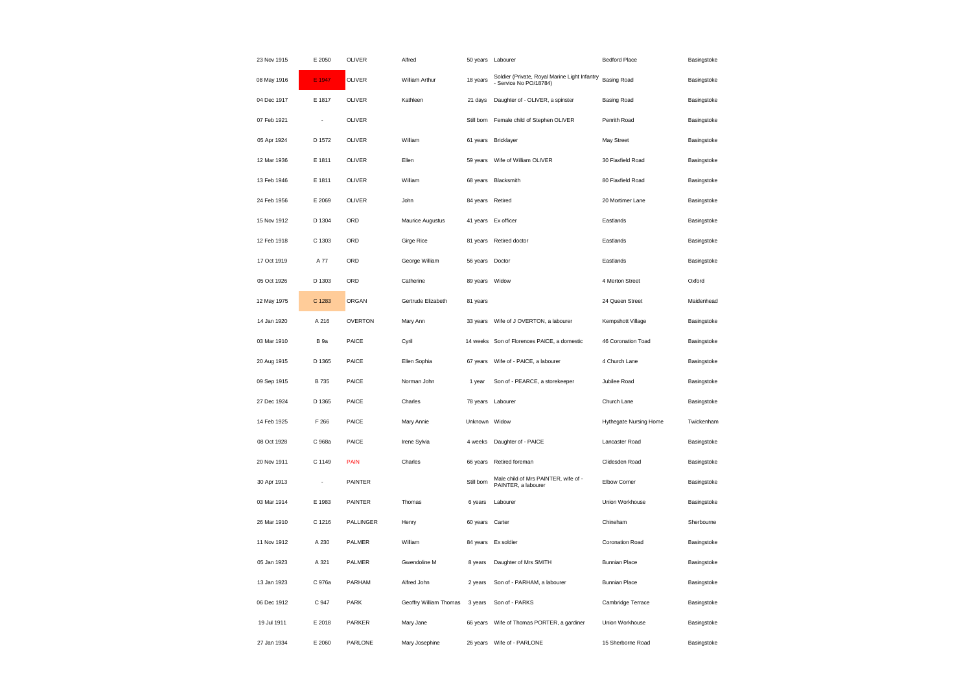| 23 Nov 1915 | E 2050         | OLIVER         | Alfred                 | 50 years Labourer |                                                                         | <b>Bedford Place</b>   | Basingstoke |
|-------------|----------------|----------------|------------------------|-------------------|-------------------------------------------------------------------------|------------------------|-------------|
| 08 May 1916 | E 1947         | OLIVER         | William Arthur         | 18 years          | Soldier (Private, Royal Marine Light Infantry<br>- Service No PO/18784) | <b>Basing Road</b>     | Basingstoke |
| 04 Dec 1917 | E 1817         | OLIVER         | Kathleen               | 21 days           | Daughter of - OLIVER, a spinster                                        | <b>Basing Road</b>     | Basingstoke |
| 07 Feb 1921 | ÷,             | <b>OLIVER</b>  |                        | Still born        | Female child of Stephen OLIVER                                          | Penrith Road           | Basingstoke |
| 05 Apr 1924 | D 1572         | OLIVER         | William                | 61 years          | Bricklayer                                                              | May Street             | Basingstoke |
| 12 Mar 1936 | E 1811         | OLIVER         | Ellen                  | 59 years          | Wife of William OLIVER                                                  | 30 Flaxfield Road      | Basingstoke |
| 13 Feb 1946 | E 1811         | OLIVER         | William                | 68 years          | Blacksmith                                                              | 80 Flaxfield Road      | Basingstoke |
| 24 Feb 1956 | E 2069         | OLIVER         | John                   | 84 years          | Retired                                                                 | 20 Mortimer Lane       | Basingstoke |
| 15 Nov 1912 | D 1304         | ORD            | Maurice Augustus       | 41 years          | Ex officer                                                              | Eastlands              | Basingstoke |
| 12 Feb 1918 | C 1303         | ORD            | Girge Rice             | 81 years          | Retired doctor                                                          | Eastlands              | Basingstoke |
| 17 Oct 1919 | A 77           | ORD            | George William         | 56 years          | Doctor                                                                  | Eastlands              | Basingstoke |
| 05 Oct 1926 | D 1303         | ORD            | Catherine              | 89 years Widow    |                                                                         | 4 Merton Street        | Oxford      |
| 12 May 1975 | C 1283         | ORGAN          | Gertrude Elizabeth     | 81 years          |                                                                         | 24 Queen Street        | Maidenhead  |
| 14 Jan 1920 | A 216          | <b>OVERTON</b> | Mary Ann               | 33 years          | Wife of J OVERTON, a labourer                                           | Kempshott Village      | Basingstoke |
| 03 Mar 1910 | <b>B</b> 9a    | PAICE          | Cyril                  |                   | 14 weeks Son of Florences PAICE, a domestic                             | 46 Coronation Toad     | Basingstoke |
| 20 Aug 1915 | D 1365         | PAICE          | Ellen Sophia           | 67 years          | Wife of - PAICE, a labourer                                             | 4 Church Lane          | Basingstoke |
| 09 Sep 1915 | B 735          | PAICE          | Norman John            | 1 year            | Son of - PEARCE, a storekeeper                                          | Jubilee Road           | Basingstoke |
| 27 Dec 1924 | D 1365         | PAICE          | Charles                | 78 years          | Labourer                                                                | Church Lane            | Basingstoke |
| 14 Feb 1925 | F 266          | PAICE          | Mary Annie             | Unknown           | Widow                                                                   | Hythegate Nursing Home | Twickenham  |
| 08 Oct 1928 | C 968a         | PAICE          | Irene Sylvia           | 4 weeks           | Daughter of - PAICE                                                     | Lancaster Road         | Basingstoke |
| 20 Nov 1911 | C 1149         | <b>PAIN</b>    | Charles                | 66 years          | Retired foreman                                                         | Clidesden Road         | Basingstoke |
| 30 Apr 1913 | $\blacksquare$ | <b>PAINTER</b> |                        | Still born        | Male child of Mrs PAINTER, wife of -<br>PAINTER, a labourer             | Elbow Corner           | Basingstoke |
| 03 Mar 1914 | E 1983         | PAINTER        | Thomas                 | 6 years           | Labourer                                                                | Union Workhouse        | Basingstoke |
| 26 Mar 1910 | C 1216         | PALLINGER      | Henry                  | 60 years          | Carter                                                                  | Chineham               | Sherbourne  |
| 11 Nov 1912 | A 230          | PALMER         | William                | 84 years          | Ex soldier                                                              | Coronation Road        | Basingstoke |
| 05 Jan 1923 | A 321          | PALMER         | Gwendoline M           | 8 years           | Daughter of Mrs SMITH                                                   | <b>Bunnian Place</b>   | Basingstoke |
| 13 Jan 1923 | C 976a         | PARHAM         | Alfred John            | 2 years           | Son of - PARHAM, a labourer                                             | <b>Bunnian Place</b>   | Basingstoke |
| 06 Dec 1912 | C 947          | <b>PARK</b>    | Geoffry William Thomas | 3 years           | Son of - PARKS                                                          | Cambridge Terrace      | Basingstoke |
| 19 Jul 1911 | E 2018         | PARKER         | Mary Jane              | 66 years          | Wife of Thomas PORTER, a gardiner                                       | Union Workhouse        | Basingstoke |
| 27 Jan 1934 | E 2060         | PARLONE        | Mary Josephine         | 26 years          | Wife of - PARLONE                                                       | 15 Sherborne Road      | Basingstoke |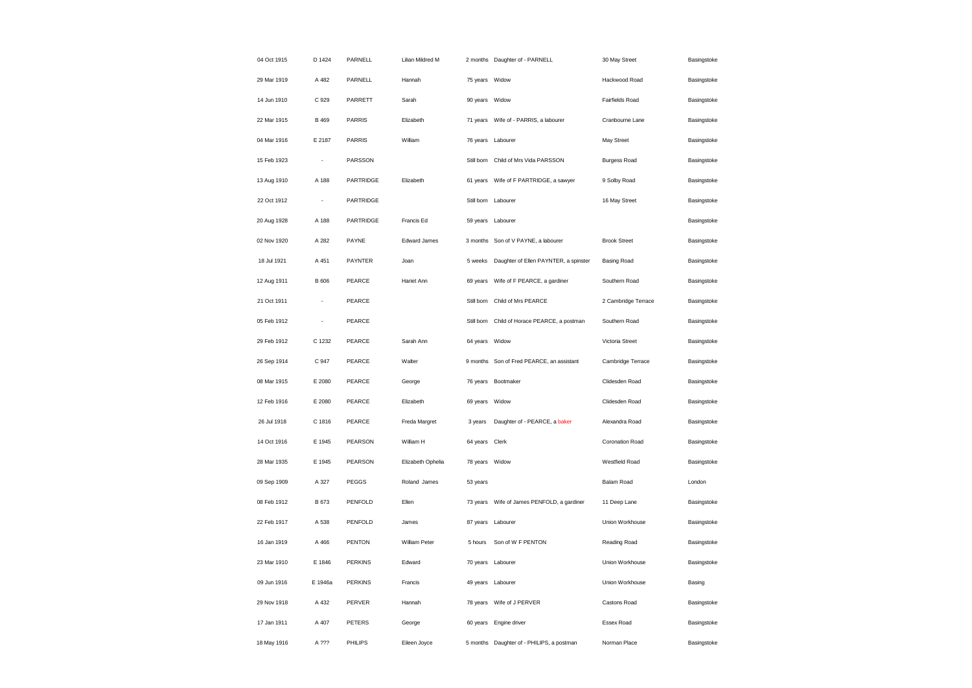| 04 Oct 1915 | D 1424  | PARNELL        | Lilian Mildred M  |                | 2 months Daughter of - PARNELL             | 30 May Street          | Basingstoke |
|-------------|---------|----------------|-------------------|----------------|--------------------------------------------|------------------------|-------------|
| 29 Mar 1919 | A 482   | PARNELL        | Hannah            | 75 years Widow |                                            | Hackwood Road          | Basingstoke |
| 14 Jun 1910 | C 929   | PARRETT        | Sarah             | 90 years       | Widow                                      | Fairfields Road        | Basingstoke |
| 22 Mar 1915 | B 469   | <b>PARRIS</b>  | Elizabeth         | 71 years       | Wife of - PARRIS, a labourer               | Cranbourne Lane        | Basingstoke |
| 04 Mar 1916 | E 2187  | <b>PARRIS</b>  | William           |                | 76 years Labourer                          | May Street             | Basingstoke |
| 15 Feb 1923 | ÷,      | PARSSON        |                   | Still born     | Child of Mrs Vida PARSSON                  | <b>Burgess Road</b>    | Basingstoke |
| 13 Aug 1910 | A 188   | PARTRIDGE      | Elizabeth         | 61 years       | Wife of F PARTRIDGE, a sawyer              | 9 Solby Road           | Basingstoke |
| 22 Oct 1912 | $\sim$  | PARTRIDGE      |                   |                | Still born Labourer                        | 16 May Street          | Basingstoke |
| 20 Aug 1928 | A 188   | PARTRIDGE      | Francis Ed        | 59 years       | Labourer                                   |                        | Basingstoke |
| 02 Nov 1920 | A 282   | PAYNE          | Edward James      |                | 3 months Son of V PAYNE, a labourer        | <b>Brook Street</b>    | Basingstoke |
| 18 Jul 1921 | A 451   | PAYNTER        | Joan              | 5 weeks        | Daughter of Ellen PAYNTER, a spinster      | <b>Basing Road</b>     | Basingstoke |
| 12 Aug 1911 | B 606   | PEARCE         | Hariet Ann        | 69 years       | Wife of F PEARCE, a gardiner               | Southern Road          | Basingstoke |
| 21 Oct 1911 | ÷.      | PEARCE         |                   | Still born     | Child of Mrs PEARCE                        | 2 Cambridge Terrace    | Basingstoke |
| 05 Feb 1912 |         | PEARCE         |                   | Still born     | Child of Horace PEARCE, a postman          | Southern Road          | Basingstoke |
| 29 Feb 1912 | C 1232  | PEARCE         | Sarah Ann         | 64 years       | Widow                                      | Victoria Street        | Basingstoke |
| 26 Sep 1914 | C 947   | PEARCE         | Walter            | 9 months       | Son of Fred PEARCE, an assistant           | Cambridge Terrace      | Basingstoke |
| 08 Mar 1915 | E 2080  | PEARCE         | George            | 76 years       | Bootmaker                                  | Clidesden Road         | Basingstoke |
| 12 Feb 1916 | E 2080  | PEARCE         | Elizabeth         | 69 years       | Widow                                      | Clidesden Road         | Basingstoke |
| 26 Jul 1918 | C 1816  | PEARCE         | Freda Margret     | 3 years        | Daughter of - PEARCE, a baker              | Alexandra Road         | Basingstoke |
| 14 Oct 1916 | E 1945  | PEARSON        | William H         | 64 years Clerk |                                            | <b>Coronation Road</b> | Basingstoke |
| 28 Mar 1935 | E 1945  | PEARSON        | Elizabeth Ophelia | 78 years Widow |                                            | Westfield Road         | Basingstoke |
| 09 Sep 1909 | A 327   | PEGGS          | Roland James      | 53 years       |                                            | Balam Road             | London      |
| 08 Feb 1912 | B 673   | PENFOLD        | Ellen             |                | 73 years Wife of James PENFOLD, a gardiner | 11 Deep Lane           | Basingstoke |
| 22 Feb 1917 | A 538   | PENFOLD        | James             | 87 years       | Labourer                                   | Union Workhouse        | Basingstoke |
| 16 Jan 1919 | A 466   | PENTON         | William Peter     | 5 hours        | Son of W F PENTON                          | Reading Road           | Basingstoke |
| 23 Mar 1910 | E 1846  | PERKINS        | Edward            |                | 70 years Labourer                          | <b>Union Workhouse</b> | Basingstoke |
| 09 Jun 1916 | E 1946a | <b>PERKINS</b> | Francis           |                | 49 years Labourer                          | Union Workhouse        | Basing      |
| 29 Nov 1918 | A 432   | PERVER         | Hannah            | 78 years       | Wife of J PERVER                           | Castons Road           | Basingstoke |
| 17 Jan 1911 | A 407   | <b>PETERS</b>  | George            |                | 60 years Engine driver                     | Essex Road             | Basingstoke |
| 18 May 1916 | A ???   | PHILIPS        | Eileen Joyce      | 5 months       | Daughter of - PHILIPS, a postman           | Norman Place           | Basingstoke |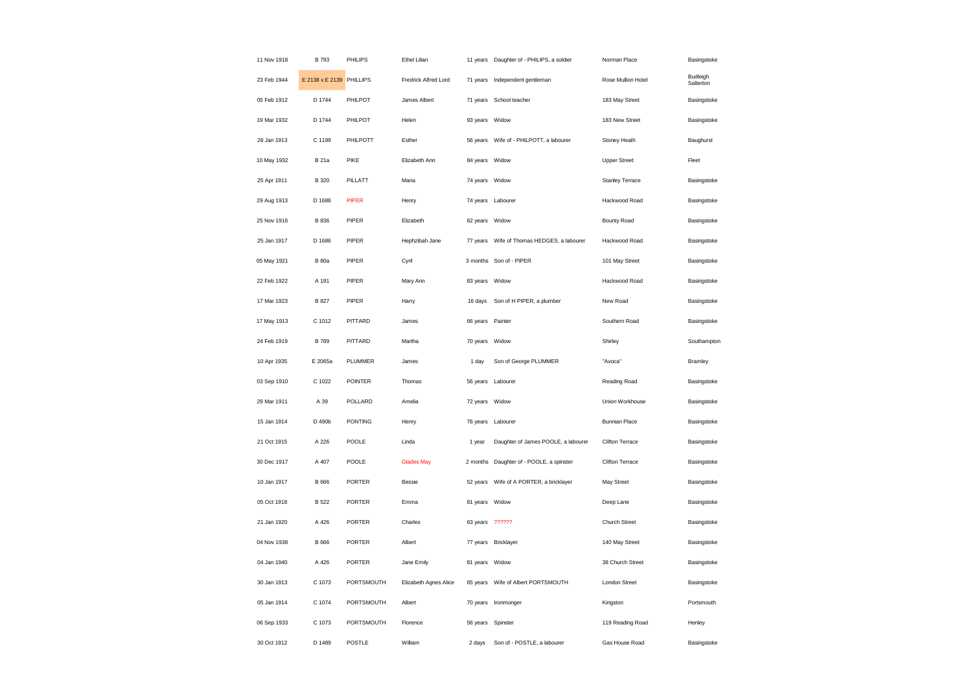| 11 Nov 1918 | B 793                    | PHILIPS        | Ethel Lilian          | 11 years          | Daughter of - PHILIPS, a soldier           | Norman Place         | Basingstoke           |
|-------------|--------------------------|----------------|-----------------------|-------------------|--------------------------------------------|----------------------|-----------------------|
| 23 Feb 1944 | E 2138 x E 2139 PHILLIPS |                | Fredrick Alfred Lord  | 71 years          | Independent gentleman                      | Rose Mullion Hotel   | Budleigh<br>Salterton |
| 05 Feb 1912 | D 1744                   | PHILPOT        | James Albert          | 71 years          | School teacher                             | 183 May Street       | Basingstoke           |
| 19 Mar 1932 | D 1744                   | PHILPOT        | Helen                 | 93 years          | Widow                                      | 183 New Street       | Basingstoke           |
| 28 Jan 1913 | C 1199                   | PHILPOTT       | Esther                | 56 years          | Wife of - PHILPOTT, a labourer             | Stoney Heath         | Baughurst             |
| 10 May 1932 | <b>B</b> 21a             | PIKE           | Elizabeth Ann         | 84 years Widow    |                                            | <b>Upper Street</b>  | Fleet                 |
| 25 Apr 1911 | B 320                    | PILLATT        | Maria                 | 74 years Widow    |                                            | Stanley Terrace      | Basingstoke           |
| 29 Aug 1913 | D 1686                   | <b>PIPER</b>   | Henry                 | 74 years Labourer |                                            | Hackwood Road        | Basingstoke           |
| 25 Nov 1916 | B 836                    | PIPER          | Elizabeth             | 62 years          | Widow                                      | <b>Bounty Road</b>   | Basingstoke           |
| 25 Jan 1917 | D 1686                   | PIPER          | Hephzibah Jane        |                   | 77 years Wife of Thomas HEDGES, a labourer | Hackwood Road        | Basingstoke           |
| 05 May 1921 | <b>B</b> 80a             | PIPER          | Cyril                 | 3 months          | Son of - PIPER                             | 101 May Street       | Basingstoke           |
| 22 Feb 1922 | A 191                    | PIPER          | Mary Ann              | 83 years Widow    |                                            | Hackwood Road        | Basingstoke           |
| 17 Mar 1923 | B 827                    | PIPER          | Harry                 | 16 days           | Son of H PIPER, a plumber                  | New Road             | Basingstoke           |
| 17 May 1913 | C 1012                   | PITTARD        | James                 | 66 years          | Painter                                    | Southern Road        | Basingstoke           |
| 24 Feb 1919 | <b>B</b> 789             | PITTARD        | Martha                | 70 years          | Widow                                      | Shirley              | Southampton           |
| 10 Apr 1935 | E 2065a                  | PLUMMER        | James                 | 1 day             | Son of George PLUMMER                      | "Avoca"              | Bramley               |
| 03 Sep 1910 | C 1022                   | <b>POINTER</b> | Thomas                | 56 years Labourer |                                            | Reading Road         | Basingstoke           |
| 29 Mar 1911 | A 39                     | POLLARD        | Amelia                | 72 years          | Widow                                      | Union Workhouse      | Basingstoke           |
| 15 Jan 1914 | D 490b                   | <b>PONTING</b> | Henry                 |                   | 76 years Labourer                          | <b>Bunnian Place</b> | Basingstoke           |
| 21 Oct 1915 | A 226                    | POOLE          |                       |                   |                                            |                      |                       |
| 30 Dec 1917 |                          |                | Linda                 | 1 year            | Daughter of James POOLE, a labourer        | Clifton Terrace      | Basingstoke           |
|             | A 407                    | POOLE          | <b>Glades May</b>     | 2 months          | Daughter of - POOLE, a spinster            | Clifton Terrace      | Basingstoke           |
| 10 Jan 1917 | B 666                    | <b>PORTER</b>  | <b>Bessie</b>         | 52 years          | Wife of A PORTER, a bricklayer             | May Street           | Basingstoke           |
| 05 Oct 1918 | <b>B</b> 522             | <b>PORTER</b>  | Emma                  | 81 years Widow    |                                            | Deep Lane            | Basingstoke           |
| 21 Jan 1920 | A 426                    | <b>PORTER</b>  | Charles               | 63 years ??????   |                                            | Church Street        | Basingstoke           |
| 04 Nov 1938 | B 666                    | PORTER         | Albert                |                   | 77 years Bricklayer                        | 140 May Street       | Basingstoke           |
| 04 Jan 1940 | A 426                    | <b>PORTER</b>  | Jane Emily            | 81 years          | Widow                                      | 38 Church Street     | Basingstoke           |
| 30 Jan 1913 | C 1073                   | PORTSMOUTH     | Elizabeth Agnes Alice |                   | 65 years Wife of Albert PORTSMOUTH         | London Street        | Basingstoke           |
| 05 Jan 1914 | C 1074                   | PORTSMOUTH     | Albert                | 70 years          | Ironmonger                                 | Kingston             | Portsmouth            |
| 06 Sep 1933 | C 1073                   | PORTSMOUTH     | Florence              | 56 years Spinster |                                            | 119 Reading Road     | Henley                |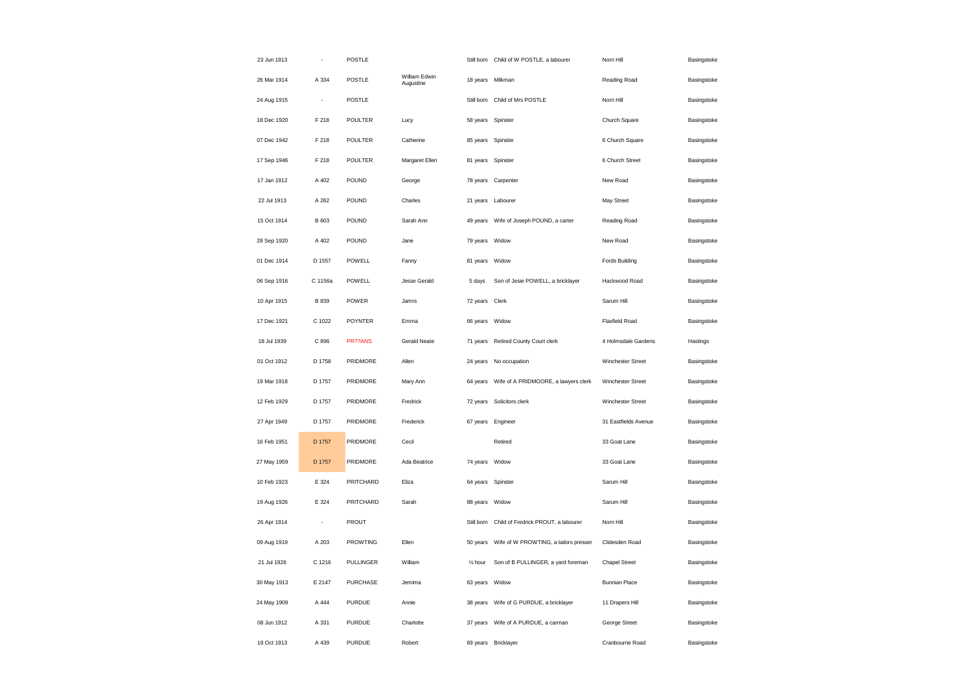| 23 Jun 1913 |                          | <b>POSTLE</b>   |                            |                      | Still born Child of W POSTLE, a labourer | Norn Hill             | Basingstoke |
|-------------|--------------------------|-----------------|----------------------------|----------------------|------------------------------------------|-----------------------|-------------|
| 26 Mar 1914 | A 334                    | <b>POSTLE</b>   | William Edwin<br>Augustine |                      | 18 years Milkman                         | Reading Road          | Basingstoke |
| 24 Aug 1915 | $\overline{\phantom{a}}$ | POSTLE          |                            |                      | Still born Child of Mrs POSTLE           | Norn Hill             | Basingstoke |
| 18 Dec 1920 | F 218                    | POULTER         | Lucy                       | 58 years             | Spinster                                 | Church Square         | Basingstoke |
| 07 Dec 1942 | F 218                    | POULTER         | Catherine                  | 85 years             | Spinster                                 | 6 Church Square       | Basingstoke |
| 17 Sep 1946 | F 218                    | POULTER         | Margaret Ellen             | 81 years             | Spinster                                 | 6 Church Street       | Basingstoke |
| 17 Jan 1912 | A 402                    | POUND           | George                     | 78 years             | Carpenter                                | New Road              | Basingstoke |
| 22 Jul 1913 | A 262                    | POUND           | Charles                    | 21 years             | Labourer                                 | May Street            | Basingstoke |
| 15 Oct 1914 | B 603                    | POUND           | Sarah Ann                  | 49 years             | Wife of Joseph POUND, a carter           | Reading Road          | Basingstoke |
| 28 Sep 1920 | A 402                    | POUND           | Jane                       | 79 years Widow       |                                          | New Road              | Basingstoke |
| 01 Dec 1914 | D 1557                   | POWELL          | Fanny                      | 81 years             | Widow                                    | <b>Fords Building</b> | Basingstoke |
| 06 Sep 1916 | C 1156a                  | POWELL          | <b>Jesse Gerald</b>        | 5 days               | Son of Jesie POWELL, a bricklayer        | Hackwood Road         | Basingstoke |
| 10 Apr 1915 | B 839                    | POWER           | Jamrs                      | 72 years Clerk       |                                          | Sarum Hill            | Basingstoke |
| 17 Dec 1921 | C 1022                   | <b>POYNTER</b>  | Emma                       | 66 years Widow       |                                          | <b>Flaxfield Road</b> | Basingstoke |
| 18 Jul 1939 | C 896                    | PR??ANS         | <b>Gerald Neate</b>        | 71 years             | Retired County Court clerk               | 4 Holmsdale Gardens   | Hastings    |
| 01 Oct 1912 | D 1758                   | PRIDMORE        | Allen                      | 24 years             | No occupation                            | Winchester Street     | Basingstoke |
| 19 Mar 1918 | D 1757                   | PRIDMORE        | Mary Ann                   | 64 years             | Wife of A PRIDMOORE, a lawyers clerk     | Winchester Street     | Basingstoke |
| 12 Feb 1929 | D 1757                   | PRIDMORE        | Fredrick                   |                      | 72 years Solicitors clerk                | Winchester Street     | Basingstoke |
| 27 Apr 1949 | D 1757                   | PRIDMORE        | Frederick                  |                      | 67 years Engineer                        | 31 Eastfields Avenue  | Basingstoke |
| 16 Feb 1951 | D 1757                   | PRIDMORE        | Cecil                      |                      | Retired                                  | 33 Goat Lane          | Basingstoke |
| 27 May 1959 | D 1757                   | PRIDMORE        | Ada Beatrice               | 74 years             | Widow                                    | 33 Goat Lane          | Basingstoke |
| 10 Feb 1923 | E 324                    | PRITCHARD       | Eliza                      | 64 years             | Spinster                                 | Sarum Hill            | Basingstoke |
| 19 Aug 1926 | E 324                    | PRITCHARD       | Sarah                      | 88 years             | Widow                                    | Sarum Hill            | Basingstoke |
| 26 Apr 1914 | ÷                        | PROUT           |                            | Still born           | Child of Fredrick PROUT, a labourer      | Norn Hill             | Basingstoke |
| 09 Aug 1919 | A 203                    | <b>PROWTING</b> | Ellen                      | 50 years             | Wife of W PROWTING, a tailors presser    | Clidesden Road        | Basingstoke |
| 21 Jul 1926 | C 1216                   | PULLINGER       | William                    | 1/ <sub>2</sub> hour | Son of B PULLINGER, a yard foreman       | <b>Chapel Street</b>  | Basingstoke |
| 30 May 1913 | E 2147                   | <b>PURCHASE</b> | Jemima                     | 63 years Widow       |                                          | <b>Bunnian Place</b>  | Basingstoke |
| 24 May 1909 | A 444                    | PURDUE          | Annie                      | 38 years             | Wife of G PURDUE, a bricklayer           | 11 Drapers Hill       | Basingstoke |
| 08 Jun 1912 | A 331                    | PURDUE          | Charlotte                  | 37 years             | Wife of A PURDUE, a carman               | George Street         | Basingstoke |
| 18 Oct 1913 | A 439                    | PURDUE          | Robert                     |                      | 69 years Bricklayer                      | Cranbourne Road       | Basingstoke |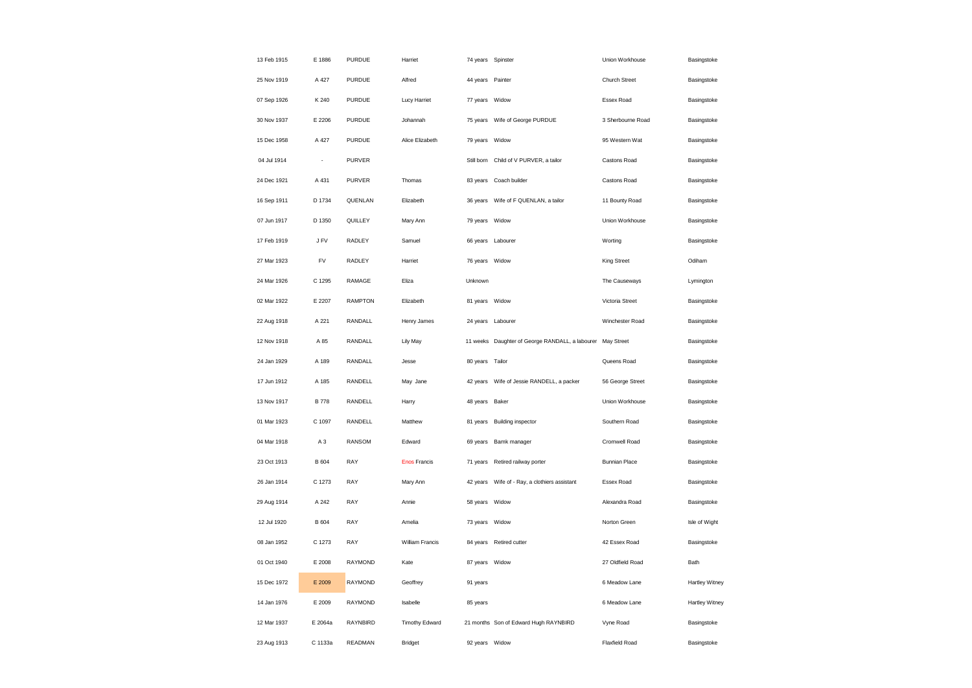| 13 Feb 1915 | E 1886         | <b>PURDUE</b>  | Harriet             | 74 years Spinster |                                                            | Union Workhouse       | Basingstoke    |
|-------------|----------------|----------------|---------------------|-------------------|------------------------------------------------------------|-----------------------|----------------|
| 25 Nov 1919 | A 427          | PURDUE         | Alfred              | 44 years Painter  |                                                            | Church Street         | Basingstoke    |
| 07 Sep 1926 | K 240          | PURDUE         | <b>Lucy Harriet</b> | 77 years Widow    |                                                            | Essex Road            | Basingstoke    |
| 30 Nov 1937 | E 2206         | PURDUE         | Johannah            | 75 years          | Wife of George PURDUE                                      | 3 Sherbourne Road     | Basingstoke    |
| 15 Dec 1958 | A 427          | PURDUE         | Alice Elizabeth     | 79 years          | Widow                                                      | 95 Western Wat        | Basingstoke    |
| 04 Jul 1914 | ÷,             | <b>PURVER</b>  |                     |                   | Still born Child of V PURVER, a tailor                     | Castons Road          | Basingstoke    |
| 24 Dec 1921 | A 431          | <b>PURVER</b>  | Thomas              | 83 years          | Coach builder                                              | Castons Road          | Basingstoke    |
| 16 Sep 1911 | D 1734         | QUENLAN        | Elizabeth           |                   | 36 years     Wife of F QUENLAN, a tailor                   | 11 Bounty Road        | Basingstoke    |
| 07 Jun 1917 | D 1350         | QUILLEY        | Mary Ann            | 79 years Widow    |                                                            | Union Workhouse       | Basingstoke    |
| 17 Feb 1919 | J FV           | RADLEY         | Samuel              |                   | 66 years Labourer                                          | Worting               | Basingstoke    |
| 27 Mar 1923 | FV             | RADLEY         | Harriet             | 76 years Widow    |                                                            | King Street           | Odiham         |
| 24 Mar 1926 | C 1295         | RAMAGE         | Eliza               | Unknown           |                                                            | The Causeways         | Lymington      |
| 02 Mar 1922 | E 2207         | <b>RAMPTON</b> | Elizabeth           | 81 years Widow    |                                                            | Victoria Street       | Basingstoke    |
| 22 Aug 1918 | A 221          | RANDALL        | Henry James         |                   | 24 years Labourer                                          | Winchester Road       | Basingstoke    |
| 12 Nov 1918 | A 85           | RANDALL        | Lily May            |                   | 11 weeks Daughter of George RANDALL, a labourer May Street |                       | Basingstoke    |
| 24 Jan 1929 | A 189          | RANDALL        | Jesse               | 80 years Tailor   |                                                            | Queens Road           | Basingstoke    |
| 17 Jun 1912 | A 185          | RANDELL        | May Jane            | 42 years          | Wife of Jessie RANDELL, a packer                           | 56 George Street      | Basingstoke    |
| 13 Nov 1917 | <b>B778</b>    | RANDELL        | Harry               | 48 years Baker    |                                                            | Union Workhouse       | Basingstoke    |
| 01 Mar 1923 | C 1097         | <b>RANDELL</b> | Matthew             |                   | 81 years Building inspector                                | Southern Road         | Basingstoke    |
| 04 Mar 1918 | A <sub>3</sub> | <b>RANSOM</b>  | Edward              | 69 years          | Bamk manager                                               | Cromwell Road         | Basingstoke    |
| 23 Oct 1913 | <b>B</b> 604   | RAY            | <b>Enos Francis</b> | 71 years          | Retired railway porter                                     | <b>Bunnian Place</b>  | Basingstoke    |
| 26 Jan 1914 | C 1273         | RAY            | Mary Ann            | 42 years          | Wife of - Ray, a clothiers assistant                       | Essex Road            | Basingstoke    |
| 29 Aug 1914 | A 242          | RAY            | Annie               | 58 years Widow    |                                                            | Alexandra Road        | Basingstoke    |
| 12 Jul 1920 | B 604          | RAY            | Amelia              | 73 years          | Widow                                                      | Norton Green          | Isle of Wight  |
| 08 Jan 1952 | C 1273         | RAY            | William Francis     |                   | 84 years Retired cutter                                    | 42 Essex Road         | Basingstoke    |
| 01 Oct 1940 | E 2008         | RAYMOND        | Kate                | 87 years Widow    |                                                            | 27 Oldfield Road      | Bath           |
| 15 Dec 1972 | E 2009         | RAYMOND        | Geoffrey            | 91 years          |                                                            | 6 Meadow Lane         | Hartley Witney |
| 14 Jan 1976 | E 2009         | RAYMOND        | Isabelle            | 85 years          |                                                            | 6 Meadow Lane         | Hartley Witney |
| 12 Mar 1937 | E 2064a        | RAYNBIRD       | Timothy Edward      |                   | 21 months Son of Edward Hugh RAYNBIRD                      | Vyne Road             | Basingstoke    |
| 23 Aug 1913 | C 1133a        | READMAN        | <b>Bridget</b>      | 92 years Widow    |                                                            | <b>Flaxfield Road</b> | Basingstoke    |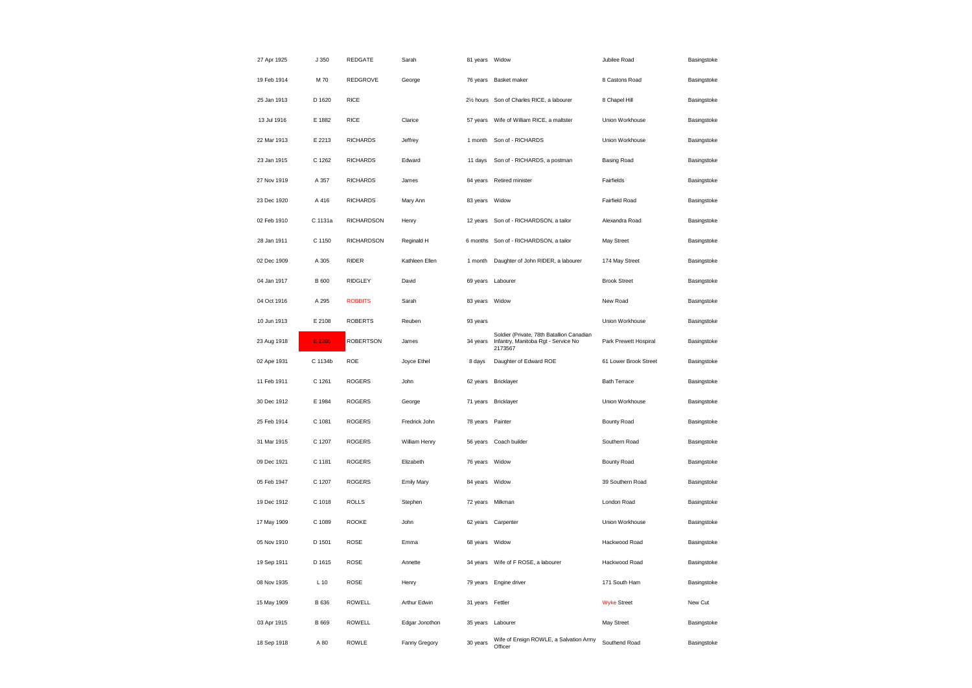| 27 Apr 1925 | J 350        | REDGATE           | Sarah             | 81 years Widow         |                                                                                             | Jubilee Road          | Basingstoke |
|-------------|--------------|-------------------|-------------------|------------------------|---------------------------------------------------------------------------------------------|-----------------------|-------------|
| 19 Feb 1914 | M 70         | REDGROVE          | George            |                        | 76 years Basket maker                                                                       | 8 Castons Road        | Basingstoke |
| 25 Jan 1913 | D 1620       | <b>RICE</b>       |                   | 21/ <sub>2</sub> hours | Son of Charles RICE, a labourer                                                             | 8 Chapel Hill         | Basingstoke |
| 13 Jul 1916 | E 1882       | <b>RICE</b>       | Clarice           | 57 years               | Wife of William RICE, a maltster                                                            | Union Workhouse       | Basingstoke |
| 22 Mar 1913 | E 2213       | <b>RICHARDS</b>   | Jeffrey           | 1 month                | Son of - RICHARDS                                                                           | Union Workhouse       | Basingstoke |
| 23 Jan 1915 | C 1262       | <b>RICHARDS</b>   | Edward            | 11 days                | Son of - RICHARDS, a postman                                                                | <b>Basing Road</b>    | Basingstoke |
| 27 Nov 1919 | A 357        | <b>RICHARDS</b>   | James             | 84 years               | Retired minister                                                                            | Fairfields            | Basingstoke |
| 23 Dec 1920 | A 416        | <b>RICHARDS</b>   | Mary Ann          | 83 years               | Widow                                                                                       | Fairfield Road        | Basingstoke |
| 02 Feb 1910 | C 1131a      | <b>RICHARDSON</b> | Henry             | 12 years               | Son of - RICHARDSON, a tailor                                                               | Alexandra Road        | Basingstoke |
| 28 Jan 1911 | C 1150       | <b>RICHARDSON</b> | Reginald H        | 6 months               | Son of - RICHARDSON, a tailor                                                               | May Street            | Basingstoke |
| 02 Dec 1909 | A 305        | RIDER             | Kathleen Ellen    | 1 month                | Daughter of John RIDER, a labourer                                                          | 174 May Street        | Basingstoke |
| 04 Jan 1917 | <b>B</b> 600 | <b>RIDGLEY</b>    | David             | 69 years               | Labourer                                                                                    | <b>Brook Street</b>   | Basingstoke |
| 04 Oct 1916 | A 295        | <b>ROBBITS</b>    | Sarah             | 83 years               | Widow                                                                                       | New Road              | Basingstoke |
| 10 Jun 1913 | E 2108       | <b>ROBERTS</b>    | Reuben            | 93 years               |                                                                                             | Union Workhouse       | Basingstoke |
| 23 Aug 1918 | E 2205       | <b>ROBERTSON</b>  | James             | 34 years               | Soldier (Private, 78th Batallion Canadian<br>Infantry, Manitoba Rgt - Service No<br>2173567 | Park Prewett Hospiral | Basingstoke |
| 02 Ape 1931 | C 1134b      | ROE               | Joyce Ethel       | 8 days                 | Daughter of Edward ROE                                                                      | 61 Lower Brook Street | Basingstoke |
| 11 Feb 1911 | C 1261       | <b>ROGERS</b>     | John              |                        | 62 years Bricklayer                                                                         | <b>Bath Terrace</b>   | Basingstoke |
| 30 Dec 1912 | E 1984       | <b>ROGERS</b>     | George            |                        | 71 years Bricklayer                                                                         | Union Workhouse       | Basingstoke |
| 25 Feb 1914 | C 1081       | <b>ROGERS</b>     | Fredrick John     | 78 years               | Painter                                                                                     | <b>Bounty Road</b>    | Basingstoke |
| 31 Mar 1915 | C 1207       | <b>ROGERS</b>     | William Henry     | 56 years               | Coach builder                                                                               | Southern Road         | Basingstoke |
| 09 Dec 1921 | C 1181       | <b>ROGERS</b>     | Elizabeth         | 76 years               | Widow                                                                                       | Bounty Road           | Basingstoke |
| 05 Feb 1947 | C 1207       | <b>ROGERS</b>     | <b>Emily Mary</b> | 84 years               | Widow                                                                                       | 39 Southern Road      | Basingstoke |
| 19 Dec 1912 | C 1018       | <b>ROLLS</b>      | Stephen           | 72 years               | Milkman                                                                                     | London Road           | Basingstoke |
| 17 May 1909 | C 1089       | ROOKE             | John              | 62 years               | Carpenter                                                                                   | Union Workhouse       | Basingstoke |
| 05 Nov 1910 | D 1501       | ROSE              | Emma              | 68 years Widow         |                                                                                             | Hackwood Road         | Basingstoke |
| 19 Sep 1911 | D 1615       | ROSE              | Annette           | 34 years               | Wife of F ROSE, a labourer                                                                  | Hackwood Road         | Basingstoke |
| 08 Nov 1935 | $L$ 10       | ROSE              | Henry             |                        | 79 years Engine driver                                                                      | 171 South Ham         | Basingstoke |
| 15 May 1909 | B 636        | ROWELL            | Arthur Edwin      | 31 years               | Fettler                                                                                     | <b>Wyke Street</b>    | New Cut     |
| 03 Apr 1915 | B 669        | ROWELL            | Edgar Jonothon    |                        | 35 years Labourer                                                                           | May Street            | Basingstoke |
| 18 Sep 1918 | A 80         | ROWLE             | Fanny Gregory     | 30 years               | Wife of Ensign ROWLE, a Salvation Army<br>Officer                                           | Southend Road         | Basingstoke |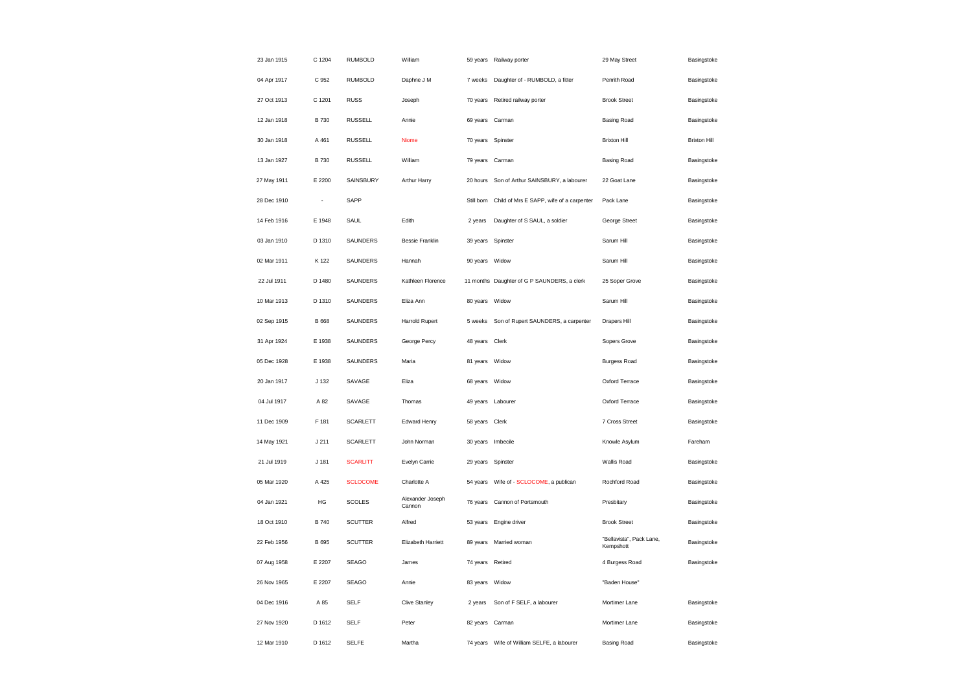| 23 Jan 1915 | C 1204       | <b>RUMBOLD</b>  | William                    | 59 years          | Railway porter                              | 29 May Street                         | Basingstoke         |
|-------------|--------------|-----------------|----------------------------|-------------------|---------------------------------------------|---------------------------------------|---------------------|
| 04 Apr 1917 | C 952        | <b>RUMBOLD</b>  | Daphne J M                 | 7 weeks           | Daughter of - RUMBOLD, a fitter             | Penrith Road                          | Basingstoke         |
| 27 Oct 1913 | C 1201       | <b>RUSS</b>     | Joseph                     | 70 years          | Retired railway porter                      | <b>Brook Street</b>                   | Basingstoke         |
| 12 Jan 1918 | B 730        | <b>RUSSELL</b>  | Annie                      | 69 years          | Carman                                      | <b>Basing Road</b>                    | Basingstoke         |
| 30 Jan 1918 | A 461        | <b>RUSSELL</b>  | Niome                      | 70 years          | Spinster                                    | <b>Brixton Hill</b>                   | <b>Brixton Hill</b> |
| 13 Jan 1927 | B 730        | <b>RUSSELL</b>  | William                    | 79 years Carman   |                                             | <b>Basing Road</b>                    | Basingstoke         |
| 27 May 1911 | E 2200       | SAINSBURY       | Arthur Harry               | 20 hours          | Son of Arthur SAINSBURY, a labourer         | 22 Goat Lane                          | Basingstoke         |
| 28 Dec 1910 | ÷,           | SAPP            |                            | Still born        | Child of Mrs E SAPP, wife of a carpenter    | Pack Lane                             | Basingstoke         |
| 14 Feb 1916 | E 1948       | SAUL            | Edith                      | 2 years           | Daughter of S SAUL, a soldier               | George Street                         | Basingstoke         |
| 03 Jan 1910 | D 1310       | SAUNDERS        | <b>Bessie Franklin</b>     | 39 years          | Spinster                                    | Sarum Hill                            | Basingstoke         |
| 02 Mar 1911 | K 122        | SAUNDERS        | Hannah                     | 90 years          | Widow                                       | Sarum Hill                            | Basingstoke         |
| 22 Jul 1911 | D 1480       | SAUNDERS        | Kathleen Florence          |                   | 11 months Daughter of G P SAUNDERS, a clerk | 25 Soper Grove                        | Basingstoke         |
| 10 Mar 1913 | D 1310       | SAUNDERS        | Eliza Ann                  | 80 years          | Widow                                       | Sarum Hill                            | Basingstoke         |
| 02 Sep 1915 | <b>B</b> 668 | SAUNDERS        | Harrold Rupert             | 5 weeks           | Son of Rupert SAUNDERS, a carpenter         | Drapers Hill                          | Basingstoke         |
| 31 Apr 1924 | E 1938       | SAUNDERS        | George Percy               | 48 years          | Clerk                                       | Sopers Grove                          | Basingstoke         |
| 05 Dec 1928 | E 1938       | SAUNDERS        | Maria                      | 81 years          | Widow                                       | <b>Burgess Road</b>                   | Basingstoke         |
| 20 Jan 1917 | J 132        | SAVAGE          | Eliza                      | 68 years          | Widow                                       | Oxford Terrace                        | Basingstoke         |
| 04 Jul 1917 | A 82         | SAVAGE          | Thomas                     | 49 years Labourer |                                             | Oxford Terrace                        | Basingstoke         |
| 11 Dec 1909 | F 181        | <b>SCARLETT</b> | Edward Henry               | 58 years Clerk    |                                             | 7 Cross Street                        | Basingstoke         |
| 14 May 1921 | J 211        | <b>SCARLETT</b> | John Norman                | 30 years          | Imbecile                                    | Knowle Asylum                         | Fareham             |
| 21 Jul 1919 | J 181        | <b>SCARLITT</b> | Evelyn Carrie              | 29 years          | Spinster                                    | Wallis Road                           | Basingstoke         |
| 05 Mar 1920 | A 425        | <b>SCLOCOME</b> | Charlotte A                | 54 years          | Wife of - SCLOCOME, a publican              | Rochford Road                         | Basingstoke         |
| 04 Jan 1921 | HG           | <b>SCOLES</b>   | Alexander Joseph<br>Cannon | 76 years          | Cannon of Portsmouth                        | Presbitary                            | Basingstoke         |
| 18 Oct 1910 | <b>B</b> 740 | <b>SCUTTER</b>  | Alfred                     | 53 years          | Engine driver                               | <b>Brook Street</b>                   | Basingstoke         |
| 22 Feb 1956 | B 695        | <b>SCUTTER</b>  | Elizabeth Harriett         | 89 years          | Married woman                               | "Bellavista", Pack Lane,<br>Kempshott | Basingstoke         |
| 07 Aug 1958 | E 2207       | <b>SEAGO</b>    | James                      | 74 years          | Retired                                     | 4 Burgess Road                        | Basingstoke         |
| 26 Nov 1965 | E 2207       | <b>SEAGO</b>    | Annie                      | 83 years          | Widow                                       | "Baden House"                         |                     |
| 04 Dec 1916 | A 85         | <b>SELF</b>     | <b>Clive Stanley</b>       | 2 years           | Son of F SELF, a labourer                   | Mortimer Lane                         | Basingstoke         |
| 27 Nov 1920 | D 1612       | <b>SELF</b>     | Peter                      | 82 years          | Carman                                      | Mortimer Lane                         | Basingstoke         |
| 12 Mar 1910 | D 1612       | <b>SELFE</b>    | Martha                     | 74 years          | Wife of William SELFE, a labourer           | <b>Basing Road</b>                    | Basingstoke         |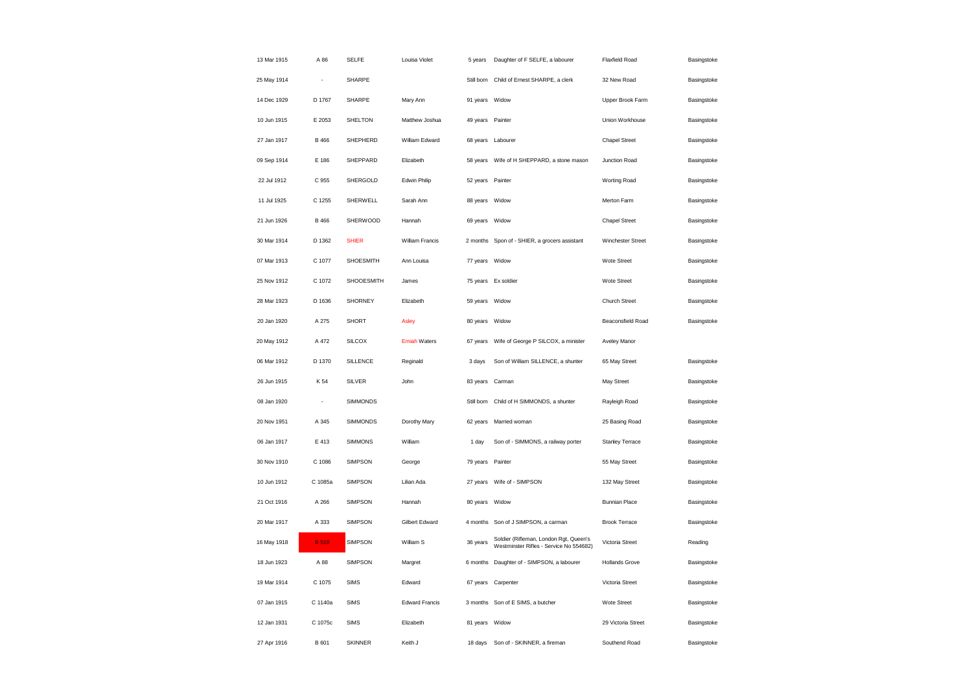| 13 Mar 1915 | A 86         | <b>SELFE</b>    | Louisa Violet         | 5 years          | Daughter of F SELFE, a labourer                                                   | Flaxfield Road        | Basingstoke |
|-------------|--------------|-----------------|-----------------------|------------------|-----------------------------------------------------------------------------------|-----------------------|-------------|
| 25 May 1914 | ÷,           | SHARPE          |                       | Still born       | Child of Ernest SHARPE, a clerk                                                   | 32 New Road           | Basingstoke |
| 14 Dec 1929 | D 1767       | SHARPE          | Mary Ann              | 91 years Widow   |                                                                                   | Upper Brook Farm      | Basingstoke |
| 10 Jun 1915 | E 2053       | SHELTON         | Matthew Joshua        | 49 years Painter |                                                                                   | Union Workhouse       | Basingstoke |
| 27 Jan 1917 | <b>B</b> 466 | SHEPHERD        | William Edward        | 68 years         | Labourer                                                                          | <b>Chapel Street</b>  | Basingstoke |
| 09 Sep 1914 | E 186        | SHEPPARD        | Elizabeth             | 58 years         | Wife of H SHEPPARD, a stone mason                                                 | Junction Road         | Basingstoke |
| 22 Jul 1912 | C 955        | SHERGOLD        | Edwin Philip          | 52 years         | Painter                                                                           | Worting Road          | Basingstoke |
| 11 Jul 1925 | C 1255       | SHERWELL        | Sarah Ann             | 88 years Widow   |                                                                                   | Merton Farm           | Basingstoke |
| 21 Jun 1926 | <b>B</b> 466 | SHERWOOD        | Hannah                | 69 years         | Widow                                                                             | <b>Chapel Street</b>  | Basingstoke |
| 30 Mar 1914 | D 1362       | <b>SHIER</b>    | William Francis       |                  | 2 months Spon of - SHIER, a grocers assistant                                     | Winchester Street     | Basingstoke |
| 07 Mar 1913 | C 1077       | SHOESMITH       | Ann Louisa            | 77 years         | Widow                                                                             | Wote Street           | Basingstoke |
| 25 Nov 1912 | C 1072       | SHOOESMITH      | James                 |                  | 75 years Ex soldier                                                               | Wote Street           | Basingstoke |
| 28 Mar 1923 | D 1636       | <b>SHORNEY</b>  | Elizabeth             | 59 years Widow   |                                                                                   | Church Street         | Basingstoke |
| 20 Jan 1920 | A 275        | <b>SHORT</b>    | Asley                 | 80 years Widow   |                                                                                   | Beaconsfield Road     | Basingstoke |
| 20 May 1912 | A 472        | <b>SILCOX</b>   | <b>Emiah Waters</b>   | 67 years         | Wife of George P SILCOX, a minister                                               | Aveley Manor          |             |
| 06 Mar 1912 | D 1370       | <b>SILLENCE</b> | Reginald              | 3 days           | Son of William SILLENCE, a shunter                                                | 65 May Street         | Basingstoke |
| 26 Jun 1915 | K 54         | <b>SILVER</b>   | John                  | 83 years         | Carman                                                                            | May Street            | Basingstoke |
| 08 Jan 1920 | ÷,           | <b>SIMMONDS</b> |                       | Still born       | Child of H SIMMONDS, a shunter                                                    | Rayleigh Road         | Basingstoke |
| 20 Nov 1951 | A 345        | SIMMONDS        | Dorothy Mary          | 62 years         | Married woman                                                                     | 25 Basing Road        | Basingstoke |
| 06 Jan 1917 | E 413        | <b>SIMMONS</b>  | William               | 1 day            | Son of - SIMMONS, a railway porter                                                | Stanley Terrace       | Basingstoke |
| 30 Nov 1910 | C 1086       | SIMPSON         | George                | 79 years Painter |                                                                                   | 55 May Street         | Basingstoke |
| 10 Jun 1912 | C 1085a      | <b>SIMPSON</b>  | Lilian Ada            | 27 years         | Wife of - SIMPSON                                                                 | 132 May Street        | Basingstoke |
| 21 Oct 1916 | A 266        | <b>SIMPSON</b>  | Hannah                | 80 years Widow   |                                                                                   | <b>Bunnian Place</b>  | Basingstoke |
| 20 Mar 1917 | A 333        | <b>SIMPSON</b>  | Gilbert Edward        | 4 months         | Son of J SIMPSON, a carman                                                        | <b>Brook Terrace</b>  | Basingstoke |
| 16 May 1918 | <b>B</b> 518 | SIMPSON         | William S             | 36 years         | Soldier (Rifleman, London Rgt, Queen's<br>Westminster Rifles - Service No 554682) | Victoria Street       | Reading     |
| 18 Jun 1923 | A 88         | <b>SIMPSON</b>  | Margret               | 6 months         | Daughter of - SIMPSON, a labourer                                                 | <b>Hollands Grove</b> | Basingstoke |
| 19 Mar 1914 | C 1075       | <b>SIMS</b>     | Edward                | 67 years         | Carpenter                                                                         | Victoria Street       | Basingstoke |
| 07 Jan 1915 | C 1140a      | <b>SIMS</b>     | <b>Edward Francis</b> | 3 months         | Son of E SIMS, a butcher                                                          | Wote Street           | Basingstoke |
| 12 Jan 1931 | C 1075c      | <b>SIMS</b>     | Elizabeth             | 81 years         | Widow                                                                             | 29 Victoria Street    | Basingstoke |
| 27 Apr 1916 | <b>B</b> 601 | <b>SKINNER</b>  | Keith J               | 18 days          | Son of - SKINNER, a fireman                                                       | Southend Road         | Basingstoke |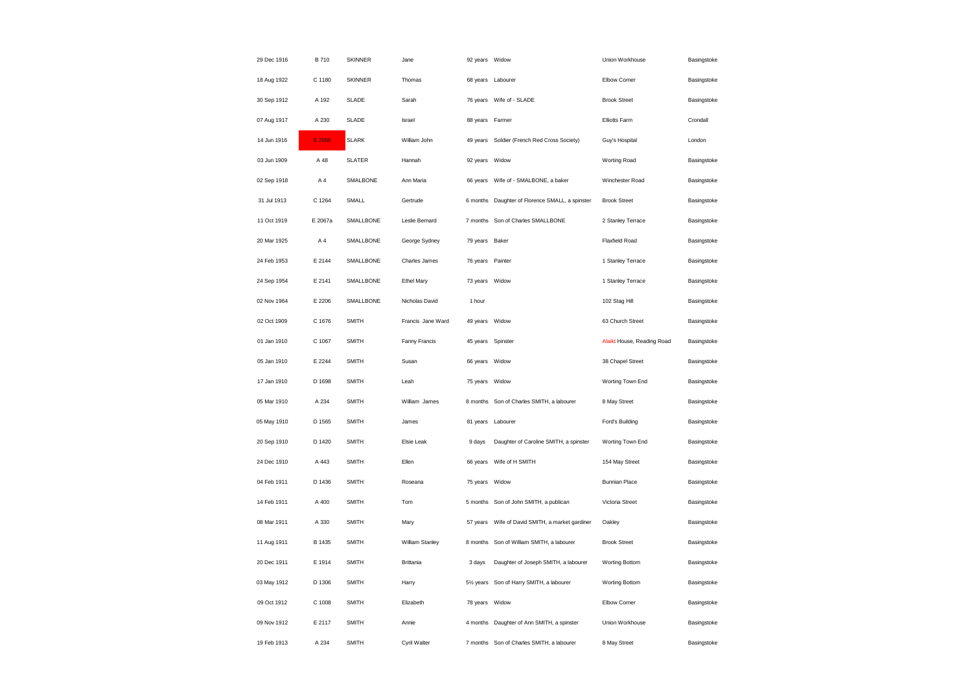| 29 Dec 1916 | B 710   | <b>SKINNER</b> | Jane              | 92 years Widow |                                                 | Union Workhouse            | Basingstoke |
|-------------|---------|----------------|-------------------|----------------|-------------------------------------------------|----------------------------|-------------|
| 18 Aug 1922 | C 1180  | <b>SKINNER</b> | Thomas            |                | 68 years Labourer                               | Elbow Corner               | Basingstoke |
| 30 Sep 1912 | A 192   | <b>SLADE</b>   | Sarah             | 76 years       | Wife of - SLADE                                 | <b>Brook Street</b>        | Basingstoke |
| 07 Aug 1917 | A 230   | <b>SLADE</b>   | Israel            | 88 years       | Farmer                                          | Elliotts Farm              | Crondall    |
| 14 Jun 1916 | E 2056  | <b>SLARK</b>   | William John      | 49 years       | Soldier (French Red Cross Society)              | Guy's Hospital             | London      |
| 03 Jun 1909 | A 48    | <b>SLATER</b>  | Hannah            | 92 years       | Widow                                           | <b>Worting Road</b>        | Basingstoke |
| 02 Sep 1918 | A 4     | SMALBONE       | Ann Maria         | 66 years       | Wife of - SMALBONE, a baker                     | Winchester Road            | Basingstoke |
| 31 Jul 1913 | C 1264  | SMALL          | Gertrude          |                | 6 months Daughter of Florence SMALL, a spinster | <b>Brook Street</b>        | Basingstoke |
| 11 Oct 1919 | E 2067a | SMALLBONE      | Leslie Bernard    | 7 months       | Son of Charles SMALLBONE                        | 2 Stanley Terrace          | Basingstoke |
| 20 Mar 1925 | A4      | SMALLBONE      | George Sydney     | 79 years       | Baker                                           | <b>Flaxfield Road</b>      | Basingstoke |
| 24 Feb 1953 | E 2144  | SMALLBONE      | Charles James     | 76 years       | Painter                                         | 1 Stanley Terrace          | Basingstoke |
| 24 Sep 1954 | E 2141  | SMALLBONE      | Ethel Mary        | 73 years Widow |                                                 | 1 Stanley Terrace          | Basingstoke |
| 02 Nov 1964 | E 2206  | SMALLBONE      | Nicholas David    | 1 hour         |                                                 | 102 Stag Hill              | Basingstoke |
| 02 Oct 1909 | C 1676  | <b>SMITH</b>   | Francis Jane Ward | 49 years Widow |                                                 | 63 Church Street           | Basingstoke |
| 01 Jan 1910 | C 1067  | <b>SMITH</b>   | Fanny Francis     | 45 years       | Spinster                                        | Alaikt House, Reading Road | Basingstoke |
| 05 Jan 1910 | E 2244  | <b>SMITH</b>   | Susan             | 66 years Widow |                                                 | 38 Chapel Street           | Basingstoke |
| 17 Jan 1910 | D 1698  | <b>SMITH</b>   | Leah              | 75 years       | Widow                                           | Worting Town End           | Basingstoke |
| 05 Mar 1910 | A 234   | <b>SMITH</b>   | William James     | 8 months       | Son of Charles SMITH, a labourer                | 8 May Street               | Basingstoke |
| 05 May 1910 | D 1565  | <b>SMITH</b>   | James             | 81 years       | Labourer                                        | Ford's Building            | Basingstoke |
| 20 Sep 1910 | D 1420  | <b>SMITH</b>   | Elsie Leak        | 9 days         | Daughter of Caroline SMITH, a spinster          | Worting Town End           | Basingstoke |
| 24 Dec 1910 | A 443   | <b>SMITH</b>   | Ellen             |                | 66 years Wife of H SMITH                        | 154 May Street             | Basingstoke |
| 04 Feb 1911 | D 1436  | <b>SMITH</b>   | Roseana           | 75 years       | Widow                                           | <b>Bunnian Place</b>       | Basingstoke |
| 14 Feb 1911 | A 400   | <b>SMITH</b>   | Tom               | 5 months       | Son of John SMITH, a publican                   | Victoria Street            | Basingstoke |
| 08 Mar 1911 | A 330   | <b>SMITH</b>   | Mary              | 57 years       | Wife of David SMITH, a market gardiner          | Oakley                     | Basingstoke |
| 11 Aug 1911 | B 1435  | <b>SMITH</b>   | William Stanley   | 8 months       | Son of William SMITH, a labourer                | <b>Brook Street</b>        | Basingstoke |
| 20 Dec 1911 | E 1914  | <b>SMITH</b>   | <b>Brittania</b>  | 3 days         | Daughter of Joseph SMITH, a labourer            | Worting Bottom             | Basingstoke |
| 03 May 1912 | D 1306  | <b>SMITH</b>   | Harry             |                | 51/2 years Son of Harry SMITH, a labourer       | Worting Bottom             | Basingstoke |
| 09 Oct 1912 | C 1008  | <b>SMITH</b>   | Elizabeth         | 78 years       | Widow                                           | Elbow Corner               | Basingstoke |
| 09 Nov 1912 | E 2117  | <b>SMITH</b>   | Annie             |                | 4 months Daughter of Ann SMITH, a spinster      | Union Workhouse            | Basingstoke |
| 19 Feb 1913 | A 234   | <b>SMITH</b>   | Cyril Walter      | 7 months       | Son of Charles SMITH, a labourer                | 8 May Street               | Basingstoke |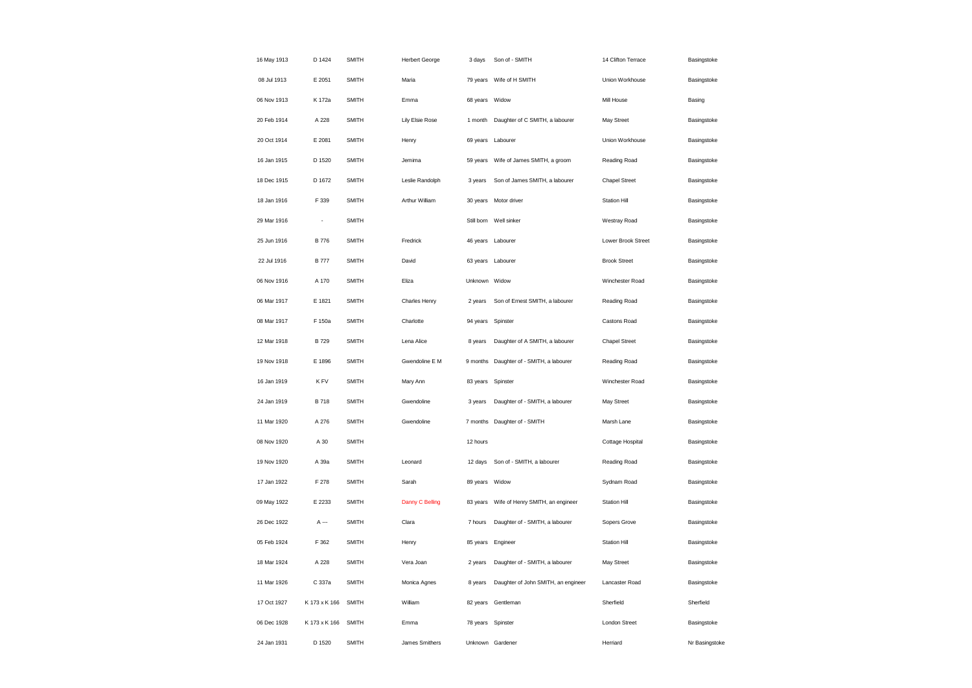| 16 May 1913 | D 1424        | <b>SMITH</b> | <b>Herbert George</b> | 3 days         | Son of - SMITH                           | 14 Clifton Terrace   | Basingstoke    |
|-------------|---------------|--------------|-----------------------|----------------|------------------------------------------|----------------------|----------------|
| 08 Jul 1913 | E 2051        | <b>SMITH</b> | Maria                 |                | 79 years Wife of H SMITH                 | Union Workhouse      | Basingstoke    |
| 06 Nov 1913 | K 172a        | <b>SMITH</b> | Emma                  | 68 years Widow |                                          | Mill House           | Basing         |
| 20 Feb 1914 | A 228         | <b>SMITH</b> | Lily Elsie Rose       | 1 month        | Daughter of C SMITH, a labourer          | May Street           | Basingstoke    |
| 20 Oct 1914 | E 2081        | <b>SMITH</b> | Henry                 |                | 69 years Labourer                        | Union Workhouse      | Basingstoke    |
| 16 Jan 1915 | D 1520        | <b>SMITH</b> | Jemima                | 59 years       | Wife of James SMITH, a groom             | Reading Road         | Basingstoke    |
| 18 Dec 1915 | D 1672        | <b>SMITH</b> | Leslie Randolph       | 3 years        | Son of James SMITH, a labourer           | <b>Chapel Street</b> | Basingstoke    |
| 18 Jan 1916 | F 339         | <b>SMITH</b> | Arthur William        |                | 30 years Motor driver                    | <b>Station Hill</b>  | Basingstoke    |
| 29 Mar 1916 | ÷,            | <b>SMITH</b> |                       | Still born     | Well sinker                              | Westray Road         | Basingstoke    |
| 25 Jun 1916 | <b>B</b> 776  | <b>SMITH</b> | Fredrick              |                | 46 years Labourer                        | Lower Brook Street   | Basingstoke    |
| 22 Jul 1916 | <b>B</b> 777  | <b>SMITH</b> | David                 | 63 years       | Labourer                                 | <b>Brook Street</b>  | Basingstoke    |
| 06 Nov 1916 | A 170         | <b>SMITH</b> | Eliza                 | Unknown Widow  |                                          | Winchester Road      | Basingstoke    |
| 06 Mar 1917 | E 1821        | <b>SMITH</b> | Charles Henry         | 2 years        | Son of Ernest SMITH, a labourer          | Reading Road         | Basingstoke    |
| 08 Mar 1917 | F 150a        | <b>SMITH</b> | Charlotte             | 94 years       | Spinster                                 | Castons Road         | Basingstoke    |
| 12 Mar 1918 | B 729         | <b>SMITH</b> | Lena Alice            | 8 years        | Daughter of A SMITH, a labourer          | <b>Chapel Street</b> | Basingstoke    |
| 19 Nov 1918 | E 1896        | <b>SMITH</b> | Gwendoline E M        |                | 9 months Daughter of - SMITH, a labourer | Reading Road         | Basingstoke    |
| 16 Jan 1919 | K FV          | <b>SMITH</b> | Mary Ann              | 83 years       | Spinster                                 | Winchester Road      | Basingstoke    |
| 24 Jan 1919 | B 718         | <b>SMITH</b> | Gwendoline            | 3 years        | Daughter of - SMITH, a labourer          | May Street           | Basingstoke    |
| 11 Mar 1920 | A 276         | <b>SMITH</b> | Gwendoline            |                | 7 months Daughter of - SMITH             | Marsh Lane           | Basingstoke    |
| 08 Nov 1920 | A 30          | <b>SMITH</b> |                       | 12 hours       |                                          | Cottage Hospital     | Basingstoke    |
| 19 Nov 1920 | A 39a         | <b>SMITH</b> | Leonard               | 12 days        | Son of - SMITH, a labourer               | Reading Road         | Basingstoke    |
| 17 Jan 1922 | F 278         | <b>SMITH</b> | Sarah                 | 89 years       | Widow                                    | Sydnam Road          | Basingstoke    |
| 09 May 1922 | E 2233        | <b>SMITH</b> | Danny C Belling       | 83 years       | Wife of Henry SMITH, an engineer         | <b>Station Hill</b>  | Basingstoke    |
| 26 Dec 1922 | A ---         | <b>SMITH</b> | Clara                 | 7 hours        | Daughter of - SMITH, a labourer          | Sopers Grove         | Basingstoke    |
| 05 Feb 1924 | F 362         | <b>SMITH</b> | Henry                 |                | 85 years Engineer                        | <b>Station Hill</b>  | Basingstoke    |
| 18 Mar 1924 | A 228         | <b>SMITH</b> | Vera Joan             | 2 years        | Daughter of - SMITH, a labourer          | May Street           | Basingstoke    |
| 11 Mar 1926 | C 337a        | <b>SMITH</b> | Monica Agnes          | 8 years        | Daughter of John SMITH, an engineer      | Lancaster Road       | Basingstoke    |
| 17 Oct 1927 | K 173 x K 166 | SMITH        | William               | 82 years       | Gentleman                                | Sherfield            | Sherfield      |
| 06 Dec 1928 | K 173 x K 166 | <b>SMITH</b> | Emma                  |                | 78 years Spinster                        | <b>London Street</b> | Basingstoke    |
| 24 Jan 1931 | D 1520        | <b>SMITH</b> | James Smithers        |                | Unknown Gardener                         | Herriard             | Nr Basingstoke |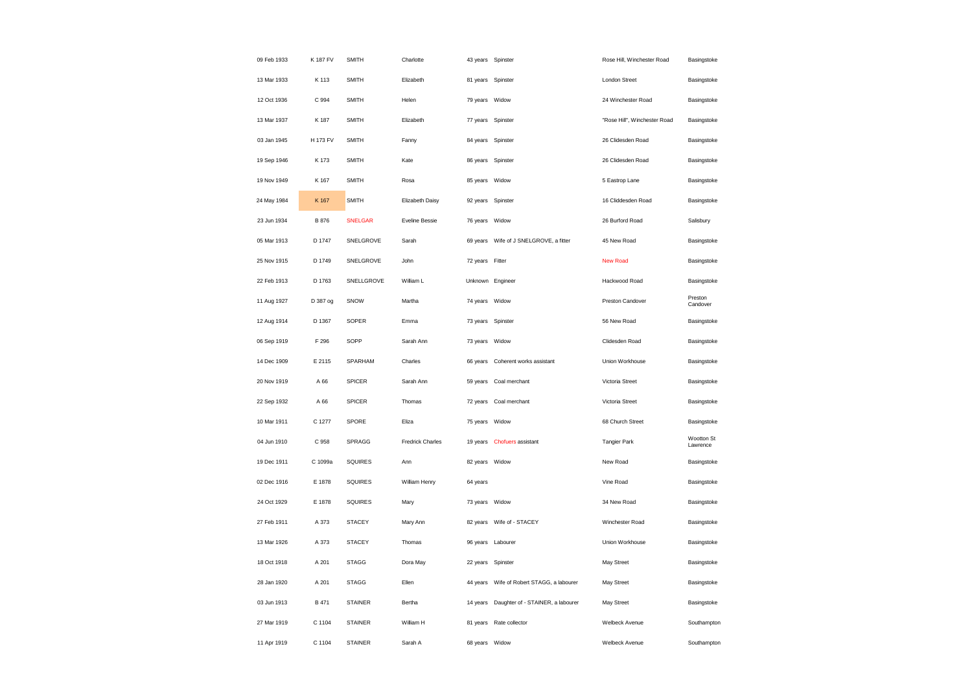| 09 Feb 1933 | K 187 FV | <b>SMITH</b>   | Charlotte               |                | 43 years Spinster                            | Rose Hill, Winchester Road   | Basingstoke            |
|-------------|----------|----------------|-------------------------|----------------|----------------------------------------------|------------------------------|------------------------|
| 13 Mar 1933 | K 113    | <b>SMITH</b>   | Elizabeth               |                | 81 years Spinster                            | <b>London Street</b>         | Basingstoke            |
| 12 Oct 1936 | C 994    | <b>SMITH</b>   | Helen                   | 79 years       | Widow                                        | 24 Winchester Road           | Basingstoke            |
| 13 Mar 1937 | K 187    | <b>SMITH</b>   | Elizabeth               |                | 77 years Spinster                            | "Rose Hill", Winchester Road | Basingstoke            |
| 03 Jan 1945 | H 173 FV | <b>SMITH</b>   | Fanny                   | 84 years       | Spinster                                     | 26 Clidesden Road            | Basingstoke            |
| 19 Sep 1946 | K 173    | <b>SMITH</b>   | Kate                    |                | 86 years Spinster                            | 26 Clidesden Road            | Basingstoke            |
| 19 Nov 1949 | K 167    | <b>SMITH</b>   | Rosa                    | 85 years       | Widow                                        | 5 Eastrop Lane               | Basingstoke            |
| 24 May 1984 | K 167    | <b>SMITH</b>   | Elizabeth Daisy         |                | 92 years Spinster                            | 16 Cliddesden Road           | Basingstoke            |
| 23 Jun 1934 | B 876    | <b>SNELGAR</b> | Eveline Bessie          | 76 years Widow |                                              | 26 Burford Road              | Salisbury              |
| 05 Mar 1913 | D 1747   | SNELGROVE      | Sarah                   |                | 69 years  Wife of J SNELGROVE, a fitter      | 45 New Road                  | Basingstoke            |
| 25 Nov 1915 | D 1749   | SNELGROVE      | John                    | 72 years       | Fitter                                       | <b>New Road</b>              | Basingstoke            |
| 22 Feb 1913 | D 1763   | SNELLGROVE     | William L               |                | Unknown Engineer                             | Hackwood Road                | Basingstoke            |
| 11 Aug 1927 | D 387 og | SNOW           | Martha                  | 74 years Widow |                                              | Preston Candover             | Preston<br>Candover    |
| 12 Aug 1914 | D 1367   | SOPER          | Emma                    | 73 years       | Spinster                                     | 56 New Road                  | Basingstoke            |
| 06 Sep 1919 | F 296    | SOPP           | Sarah Ann               | 73 years       | Widow                                        | Clidesden Road               | Basingstoke            |
| 14 Dec 1909 | E 2115   | SPARHAM        | Charles                 | 66 years       | Coherent works assistant                     | Union Workhouse              | Basingstoke            |
| 20 Nov 1919 | A 66     | <b>SPICER</b>  | Sarah Ann               | 59 years       | Coal merchant                                | Victoria Street              | Basingstoke            |
| 22 Sep 1932 | A 66     | <b>SPICER</b>  | Thomas                  | 72 years       | Coal merchant                                | Victoria Street              | Basingstoke            |
| 10 Mar 1911 | C 1277   | SPORE          | Eliza                   | 75 years Widow |                                              | 68 Church Street             | Basingstoke            |
| 04 Jun 1910 | C 958    | SPRAGG         | <b>Fredrick Charles</b> | 19 years       | <b>Chofuers</b> assistant                    | <b>Tangier Park</b>          | Wootton St<br>Lawrence |
| 19 Dec 1911 | C 1099a  | SQUIRES        | Ann                     | 82 years Widow |                                              | New Road                     | Basingstoke            |
| 02 Dec 1916 | E 1878   | SQUIRES        | William Henry           | 64 years       |                                              | Vine Road                    | Basingstoke            |
| 24 Oct 1929 | E 1878   | <b>SQUIRES</b> | Mary                    | 73 years       | Widow                                        | 34 New Road                  | Basingstoke            |
| 27 Feb 1911 | A 373    | <b>STACEY</b>  | Mary Ann                | 82 years       | Wife of - STACEY                             | Winchester Road              | Basingstoke            |
| 13 Mar 1926 | A 373    | <b>STACEY</b>  | Thomas                  |                | 96 years Labourer                            | Union Workhouse              | Basingstoke            |
| 18 Oct 1918 | A 201    | <b>STAGG</b>   | Dora May                | 22 years       | Spinster                                     | May Street                   | Basingstoke            |
| 28 Jan 1920 | A 201    | <b>STAGG</b>   | Ellen                   |                | 44 years    Wife of Robert STAGG, a labourer | May Street                   | Basingstoke            |
| 03 Jun 1913 | B 471    | <b>STAINER</b> | Bertha                  | 14 years       | Daughter of - STAINER, a labourer            | May Street                   | Basingstoke            |
| 27 Mar 1919 | C 1104   | <b>STAINER</b> | William H               | 81 years       | Rate collector                               | Welbeck Avenue               | Southampton            |
| 11 Apr 1919 | C 1104   | <b>STAINER</b> | Sarah A                 | 68 years       | Widow                                        | Welbeck Avenue               | Southampton            |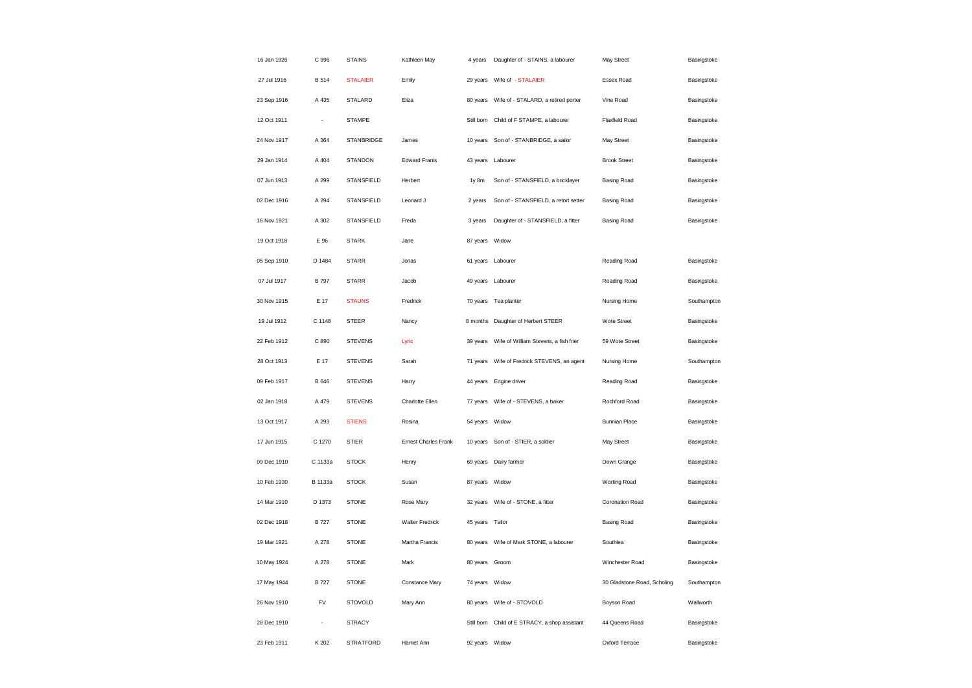| 16 Jan 1926 | C 996        | <b>STAINS</b>     | Kathleen May                | 4 years        | Daughter of - STAINS, a labourer            | May Street                  | Basingstoke |
|-------------|--------------|-------------------|-----------------------------|----------------|---------------------------------------------|-----------------------------|-------------|
| 27 Jul 1916 | <b>B</b> 514 | <b>STALAIER</b>   | Emily                       | 29 years       | Wife of - STALAIER                          | Essex Road                  | Basingstoke |
| 23 Sep 1916 | A 435        | STALARD           | Eliza                       | 80 years       | Wife of - STALARD, a retired porter         | Vine Road                   | Basingstoke |
| 12 Oct 1911 | ÷,           | <b>STAMPE</b>     |                             | Still born     | Child of F STAMPE, a labourer               | <b>Flaxfield Road</b>       | Basingstoke |
| 24 Nov 1917 | A 364        | <b>STANBRIDGE</b> | James                       | 10 years       | Son of - STANBRIDGE, a sailor               | May Street                  | Basingstoke |
| 29 Jan 1914 | A 404        | <b>STANDON</b>    | <b>Edward Franis</b>        |                | 43 years Labourer                           | <b>Brook Street</b>         | Basingstoke |
| 07 Jun 1913 | A 299        | <b>STANSFIELD</b> | Herbert                     | 1y 8m          | Son of - STANSFIELD, a bricklayer           | <b>Basing Road</b>          | Basingstoke |
| 02 Dec 1916 | A 294        | <b>STANSFIELD</b> | Leonard J                   | 2 years        | Son of - STANSFIELD, a retort setter        | <b>Basing Road</b>          | Basingstoke |
| 16 Nov 1921 | A 302        | <b>STANSFIELD</b> | Freda                       | 3 years        | Daughter of - STANSFIELD, a fitter          | <b>Basing Road</b>          | Basingstoke |
| 19 Oct 1918 | E 96         | <b>STARK</b>      | Jane                        | 87 years       | Widow                                       |                             |             |
| 05 Sep 1910 | D 1484       | <b>STARR</b>      | Jonas                       | 61 years       | Labourer                                    | Reading Road                | Basingstoke |
| 07 Jul 1917 | <b>B</b> 797 | <b>STARR</b>      | Jacob                       |                | 49 years Labourer                           | Reading Road                | Basingstoke |
| 30 Nov 1915 | E 17         | <b>STAUNS</b>     | Fredrick                    |                | 70 years Tea planter                        | Nursing Home                | Southampton |
| 19 Jul 1912 | C 1148       | <b>STEER</b>      | Nancy                       | 8 months       | Daughter of Herbert STEER                   | Wote Street                 | Basingstoke |
| 22 Feb 1912 | C 890        | <b>STEVENS</b>    | Lyric                       | 39 years       | Wife of William Stevens, a fish frier       | 59 Wote Street              | Basingstoke |
| 28 Oct 1913 | E 17         | <b>STEVENS</b>    | Sarah                       |                | 71 years Wife of Fredrick STEVENS, an agent | Nursing Home                | Southampton |
| 09 Feb 1917 | B 646        | <b>STEVENS</b>    | Harry                       | 44 years       | Engine driver                               | Reading Road                | Basingstoke |
| 02 Jan 1918 | A 479        | <b>STEVENS</b>    | Charlotte Ellen             | 77 years       | Wife of - STEVENS, a baker                  | Rochford Road               | Basingstoke |
| 13 Oct 1917 | A 293        | <b>STIENS</b>     | Rosina                      | 54 years       | Widow                                       | <b>Bunnian Place</b>        | Basingstoke |
| 17 Jun 1915 | C 1270       | <b>STIER</b>      | <b>Ernest Charles Frank</b> |                | 10 years Son of - STIER, a soldier          | May Street                  | Basingstoke |
| 09 Dec 1910 | C 1133a      | <b>STOCK</b>      | Henry                       | 69 years       | Dairy farmer                                | Down Grange                 | Basingstoke |
| 10 Feb 1930 | B 1133a      | <b>STOCK</b>      | Susan                       | 87 years       | Widow                                       | Worting Road                | Basingstoke |
| 14 Mar 1910 | D 1373       | <b>STONE</b>      | Rose Mary                   |                | 32 years Wife of - STONE, a fitter          | Coronation Road             | Basingstoke |
| 02 Dec 1918 | <b>B727</b>  | <b>STONE</b>      | <b>Walter Fredrick</b>      | 45 years       | Tailor                                      | <b>Basing Road</b>          | Basingstoke |
| 19 Mar 1921 | A 278        | <b>STONE</b>      | Martha Francis              |                | 80 years    Wife of Mark STONE, a labourer  | Southlea                    | Basingstoke |
| 10 May 1924 | A 278        | <b>STONE</b>      | Mark                        | 80 years       | Groom                                       | Winchester Road             | Basingstoke |
| 17 May 1944 | <b>B</b> 727 | <b>STONE</b>      | Constance Mary              | 74 years Widow |                                             | 30 Gladstone Road, Scholing | Southampton |
| 26 Nov 1910 | FV           | <b>STOVOLD</b>    | Mary Ann                    | 80 years       | Wife of - STOVOLD                           | Boyson Road                 | Wallworth   |
| 28 Dec 1910 |              | <b>STRACY</b>     |                             | Still born     | Child of E STRACY, a shop assistant         | 44 Queens Road              | Basingstoke |
| 23 Feb 1911 | K 202        | <b>STRATFORD</b>  | Harriet Ann                 | 92 years       | Widow                                       | Oxford Terrace              | Basingstoke |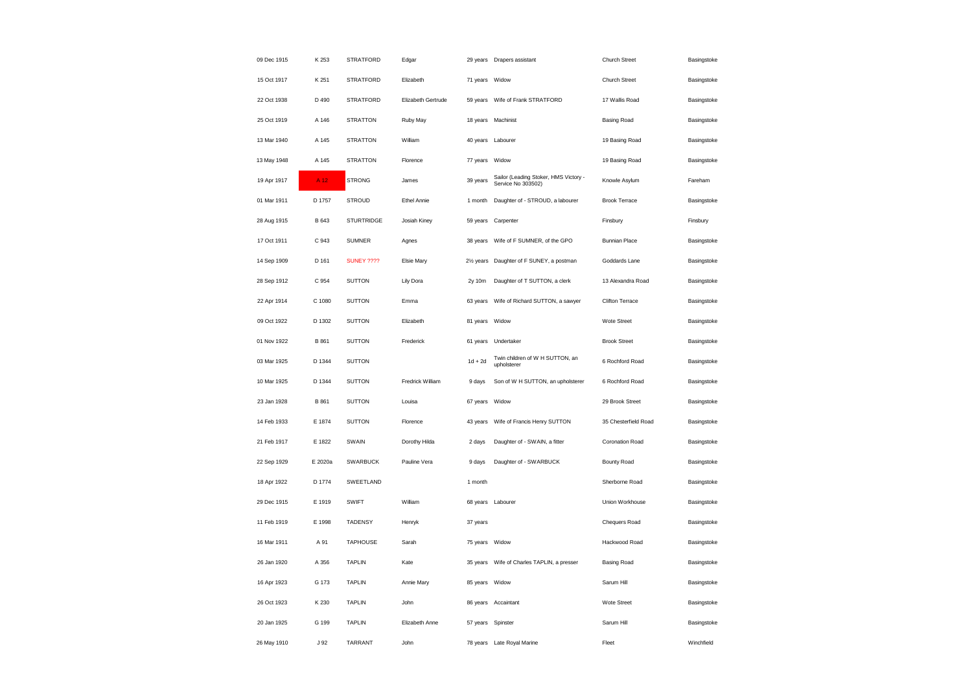| 09 Dec 1915 | K 253           | <b>STRATFORD</b>  | Edgar              |                        | 29 years Drapers assistant                                  | Church Street          | Basingstoke |
|-------------|-----------------|-------------------|--------------------|------------------------|-------------------------------------------------------------|------------------------|-------------|
| 15 Oct 1917 | K 251           | <b>STRATFORD</b>  | Elizabeth          | 71 years               | Widow                                                       | Church Street          | Basingstoke |
| 22 Oct 1938 | D 490           | <b>STRATFORD</b>  | Elizabeth Gertrude | 59 years               | Wife of Frank STRATFORD                                     | 17 Wallis Road         | Basingstoke |
| 25 Oct 1919 | A 146           | <b>STRATTON</b>   | Ruby May           |                        | 18 years Machinist                                          | <b>Basing Road</b>     | Basingstoke |
| 13 Mar 1940 | A 145           | <b>STRATTON</b>   | William            | 40 years               | Labourer                                                    | 19 Basing Road         | Basingstoke |
| 13 May 1948 | A 145           | <b>STRATTON</b>   | Florence           | 77 years               | Widow                                                       | 19 Basing Road         | Basingstoke |
| 19 Apr 1917 | A <sub>12</sub> | <b>STRONG</b>     | James              | 39 years               | Sailor (Leading Stoker, HMS Victory -<br>Service No 303502) | Knowle Asylum          | Fareham     |
| 01 Mar 1911 | D 1757          | <b>STROUD</b>     | <b>Ethel Annie</b> | 1 month                | Daughter of - STROUD, a labourer                            | <b>Brook Terrace</b>   | Basingstoke |
| 28 Aug 1915 | B 643           | <b>STURTRIDGE</b> | Josiah Kiney       | 59 years               | Carpenter                                                   | Finsbury               | Finsbury    |
| 17 Oct 1911 | C 943           | <b>SUMNER</b>     | Agnes              | 38 years               | Wife of F SUMNER, of the GPO                                | <b>Bunnian Place</b>   | Basingstoke |
| 14 Sep 1909 | D 161           | <b>SUNEY ????</b> | <b>Elsie Mary</b>  | 21/ <sub>2</sub> years | Daughter of F SUNEY, a postman                              | Goddards Lane          | Basingstoke |
| 28 Sep 1912 | C 954           | <b>SUTTON</b>     | Lily Dora          | 2y 10m                 | Daughter of T SUTTON, a clerk                               | 13 Alexandra Road      | Basingstoke |
| 22 Apr 1914 | C 1080          | <b>SUTTON</b>     | Emma               | 63 years               | Wife of Richard SUTTON, a sawyer                            | <b>Clifton Terrace</b> | Basingstoke |
| 09 Oct 1922 | D 1302          | <b>SUTTON</b>     | Elizabeth          | 81 years               | Widow                                                       | Wote Street            | Basingstoke |
| 01 Nov 1922 | B 861           | <b>SUTTON</b>     | Frederick          | 61 years               | Undertaker                                                  | <b>Brook Street</b>    | Basingstoke |
| 03 Mar 1925 | D 1344          | <b>SUTTON</b>     |                    | $1d + 2d$              | Twin children of W H SUTTON, an<br>upholsterer              | 6 Rochford Road        | Basingstoke |
| 10 Mar 1925 | D 1344          | <b>SUTTON</b>     | Fredrick William   | 9 days                 | Son of W H SUTTON, an upholsterer                           | 6 Rochford Road        | Basingstoke |
| 23 Jan 1928 | B 861           | <b>SUTTON</b>     | Louisa             | 67 years               | Widow                                                       | 29 Brook Street        | Basingstoke |
| 14 Feb 1933 | E 1874          | <b>SUTTON</b>     | Florence           | 43 years               | Wife of Francis Henry SUTTON                                | 35 Chesterfield Road   | Basingstoke |
| 21 Feb 1917 | E 1822          | SWAIN             | Dorothy Hilda      | 2 days                 | Daughter of - SWAIN, a fitter                               | Coronation Road        | Basingstoke |
| 22 Sep 1929 | E 2020a         | SWARBUCK          | Pauline Vera       | 9 days                 | Daughter of - SWARBUCK                                      | <b>Bounty Road</b>     | Basingstoke |
| 18 Apr 1922 | D 1774          | SWEETLAND         |                    | 1 month                |                                                             | Sherborne Road         | Basingstoke |
| 29 Dec 1915 | E 1919          | <b>SWIFT</b>      | William            |                        | 68 years Labourer                                           | Union Workhouse        | Basingstoke |
| 11 Feb 1919 | E 1998          | <b>TADENSY</b>    | Henryk             | 37 years               |                                                             | Chequers Road          | Basingstoke |
| 16 Mar 1911 | A 91            | <b>TAPHOUSE</b>   | Sarah              | 75 years Widow         |                                                             | Hackwood Road          | Basingstoke |
| 26 Jan 1920 | A 356           | <b>TAPLIN</b>     | Kate               | 35 years               | Wife of Charles TAPLIN, a presser                           | <b>Basing Road</b>     | Basingstoke |
| 16 Apr 1923 | G 173           | <b>TAPLIN</b>     | Annie Mary         | 85 years               | Widow                                                       | Sarum Hill             | Basingstoke |
| 26 Oct 1923 | K 230           | <b>TAPLIN</b>     | John               | 86 years               | Accaintant                                                  | <b>Wote Street</b>     | Basingstoke |
| 20 Jan 1925 | G 199           | <b>TAPLIN</b>     | Elizabeth Anne     | 57 years               | Spinster                                                    | Sarum Hill             | Basingstoke |
| 26 May 1910 | J 92            | <b>TARRANT</b>    | John               |                        | 78 years Late Royal Marine                                  | Fleet                  | Winchfield  |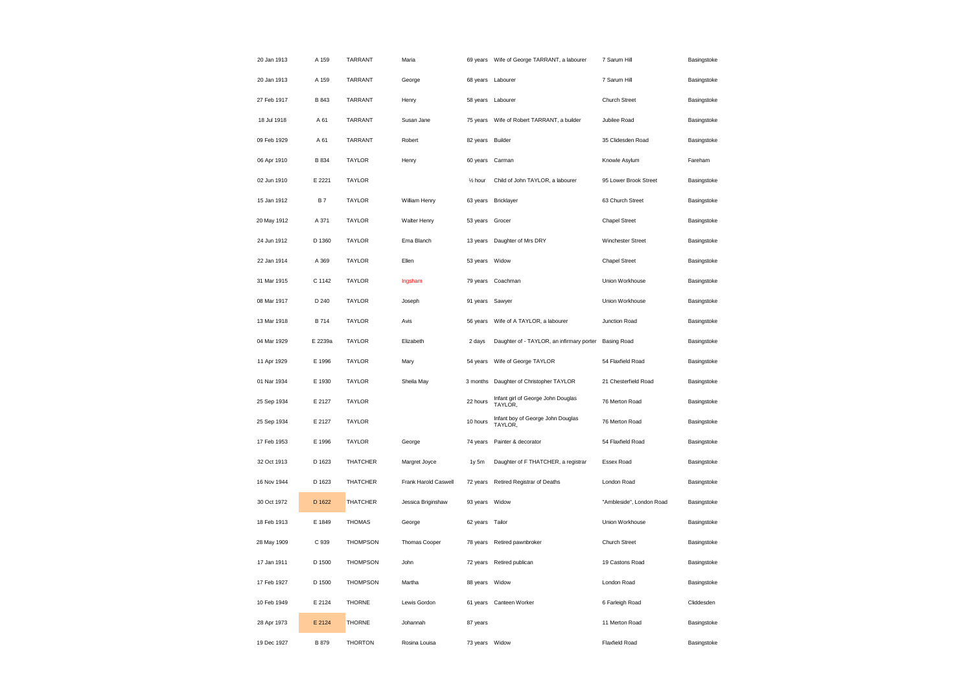| 20 Jan 1913 | A 159        | TARRANT         | Maria                |                      | 69 years Wife of George TARRANT, a labourer   | 7 Sarum Hill             | Basingstoke |
|-------------|--------------|-----------------|----------------------|----------------------|-----------------------------------------------|--------------------------|-------------|
| 20 Jan 1913 | A 159        | <b>TARRANT</b>  | George               |                      | 68 years Labourer                             | 7 Sarum Hill             | Basingstoke |
| 27 Feb 1917 | B 843        | TARRANT         | Henry                | 58 years             | Labourer                                      | Church Street            | Basingstoke |
| 18 Jul 1918 | A 61         | <b>TARRANT</b>  | Susan Jane           | 75 years             | Wife of Robert TARRANT, a builder             | Jubilee Road             | Basingstoke |
| 09 Feb 1929 | A 61         | <b>TARRANT</b>  | Robert               | 82 years             | Builder                                       | 35 Clidesden Road        | Basingstoke |
| 06 Apr 1910 | <b>B</b> 834 | <b>TAYLOR</b>   | Henry                | 60 years             | Carman                                        | Knowle Asylum            | Fareham     |
| 02 Jun 1910 | E 2221       | <b>TAYLOR</b>   |                      | 1/ <sub>2</sub> hour | Child of John TAYLOR, a labourer              | 95 Lower Brook Street    | Basingstoke |
| 15 Jan 1912 | <b>B7</b>    | <b>TAYLOR</b>   | William Henry        |                      | 63 years Bricklayer                           | 63 Church Street         | Basingstoke |
| 20 May 1912 | A 371        | <b>TAYLOR</b>   | Walter Henry         | 53 years             | Grocer                                        | <b>Chapel Street</b>     | Basingstoke |
| 24 Jun 1912 | D 1360       | <b>TAYLOR</b>   | Ema Blanch           | 13 years             | Daughter of Mrs DRY                           | Winchester Street        | Basingstoke |
| 22 Jan 1914 | A 369        | <b>TAYLOR</b>   | Ellen                | 53 years             | Widow                                         | <b>Chapel Street</b>     | Basingstoke |
| 31 Mar 1915 | C 1142       | <b>TAYLOR</b>   | Ingsham              |                      | 79 years Coachman                             | Union Workhouse          | Basingstoke |
| 08 Mar 1917 | D 240        | <b>TAYLOR</b>   | Joseph               | 91 years             | Sawyer                                        | Union Workhouse          | Basingstoke |
| 13 Mar 1918 | <b>B714</b>  | <b>TAYLOR</b>   | Avis                 | 56 years             | Wife of A TAYLOR, a labourer                  | Junction Road            | Basingstoke |
| 04 Mar 1929 | E 2239a      | <b>TAYLOR</b>   | Elizabeth            | 2 days               | Daughter of - TAYLOR, an infirmary porter     | <b>Basing Road</b>       | Basingstoke |
| 11 Apr 1929 | E 1996       | <b>TAYLOR</b>   | Mary                 | 54 years             | Wife of George TAYLOR                         | 54 Flaxfield Road        | Basingstoke |
| 01 Nar 1934 | E 1930       | <b>TAYLOR</b>   | Sheila May           | 3 months             | Daughter of Christopher TAYLOR                | 21 Chesterfield Road     | Basingstoke |
| 25 Sep 1934 | E 2127       | <b>TAYLOR</b>   |                      | 22 hours             | Infant girl of George John Douglas<br>TAYLOR, | 76 Merton Road           | Basingstoke |
| 25 Sep 1934 | E 2127       | <b>TAYLOR</b>   |                      | 10 hours             | Infant boy of George John Douglas<br>TAYLOR,  | 76 Merton Road           | Basingstoke |
| 17 Feb 1953 | E 1996       | <b>TAYLOR</b>   | George               | 74 years             | Painter & decorator                           | 54 Flaxfield Road        | Basingstoke |
| 32 Oct 1913 | D 1623       | <b>THATCHER</b> | Margret Joyce        | 1y 5m                | Daughter of F THATCHER, a registrar           | Essex Road               | Basingstoke |
| 16 Nov 1944 | D 1623       | <b>THATCHER</b> | Frank Harold Caswell | 72 years             | Retired Registrar of Deaths                   | London Road              | Basingstoke |
| 30 Oct 1972 | D 1622       | <b>THATCHER</b> | Jessica Briginshaw   | 93 years             | Widow                                         | "Ambleside", London Road | Basingstoke |
| 18 Feb 1913 | E 1849       | <b>THOMAS</b>   | George               | 62 years             | Tailor                                        | Union Workhouse          | Basingstoke |
| 28 May 1909 | C 939        | <b>THOMPSON</b> | Thomas Cooper        | 78 years             | Retired pawnbroker                            | Church Street            | Basingstoke |
| 17 Jan 1911 | D 1500       | <b>THOMPSON</b> | John                 | 72 years             | Retired publican                              | 19 Castons Road          | Basingstoke |
| 17 Feb 1927 | D 1500       | <b>THOMPSON</b> | Martha               | 88 years             | Widow                                         | London Road              | Basingstoke |
| 10 Feb 1949 | E 2124       | <b>THORNE</b>   | Lewis Gordon         | 61 years             | Canteen Worker                                | 6 Farleigh Road          | Cliddesden  |
| 28 Apr 1973 | E 2124       | <b>THORNE</b>   | Johannah             | 87 years             |                                               | 11 Merton Road           | Basingstoke |
| 19 Dec 1927 | B 879        | <b>THORTON</b>  | Rosina Louisa        | 73 years             | Widow                                         | <b>Flaxfield Road</b>    | Basingstoke |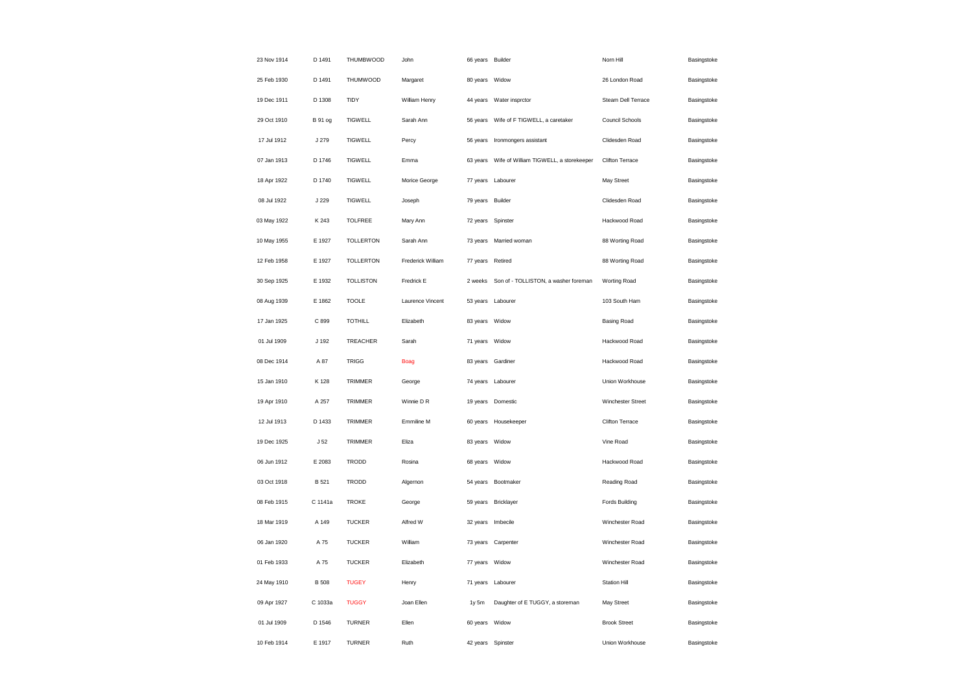| 23 Nov 1914 | D 1491          | <b>THUMBWOOD</b> | John              | 66 years Builder |                                        | Norn Hill           | Basingstoke |
|-------------|-----------------|------------------|-------------------|------------------|----------------------------------------|---------------------|-------------|
| 25 Feb 1930 | D 1491          | THUMWOOD         | Margaret          | 80 years         | Widow                                  | 26 London Road      | Basingstoke |
| 19 Dec 1911 | D 1308          | TIDY             | William Henry     | 44 years         | Water insprctor                        | Steam Dell Terrace  | Basingstoke |
| 29 Oct 1910 | <b>B</b> 91 og  | <b>TIGWELL</b>   | Sarah Ann         | 56 years         | Wife of F TIGWELL, a caretaker         | Council Schools     | Basingstoke |
| 17 Jul 1912 | J 279           | <b>TIGWELL</b>   | Percy             | 56 years         | Ironmongers assistant                  | Clidesden Road      | Basingstoke |
| 07 Jan 1913 | D 1746          | <b>TIGWELL</b>   | Emma              | 63 years         | Wife of William TIGWELL, a storekeeper | Clifton Terrace     | Basingstoke |
| 18 Apr 1922 | D 1740          | <b>TIGWELL</b>   | Morice George     | 77 years         | Labourer                               | May Street          | Basingstoke |
| 08 Jul 1922 | J 229           | <b>TIGWELL</b>   | Joseph            | 79 years         | Builder                                | Clidesden Road      | Basingstoke |
| 03 May 1922 | K 243           | <b>TOLFREE</b>   | Mary Ann          | 72 years         | Spinster                               | Hackwood Road       | Basingstoke |
| 10 May 1955 | E 1927          | <b>TOLLERTON</b> | Sarah Ann         |                  | 73 years Married woman                 | 88 Worting Road     | Basingstoke |
| 12 Feb 1958 | E 1927          | <b>TOLLERTON</b> | Frederick William | 77 years         | Retired                                | 88 Worting Road     | Basingstoke |
| 30 Sep 1925 | E 1932          | <b>TOLLISTON</b> | Fredrick E        | 2 weeks          | Son of - TOLLISTON, a washer foreman   | Worting Road        | Basingstoke |
| 08 Aug 1939 | E 1862          | <b>TOOLE</b>     | Laurence Vincent  | 53 years         | Labourer                               | 103 South Ham       | Basingstoke |
| 17 Jan 1925 | C 899           | <b>TOTHILL</b>   | Elizabeth         | 83 years Widow   |                                        | <b>Basing Road</b>  | Basingstoke |
| 01 Jul 1909 | J 192           | TREACHER         | Sarah             | 71 years         | Widow                                  | Hackwood Road       | Basingstoke |
| 08 Dec 1914 | A 87            | <b>TRIGG</b>     | <b>Boag</b>       |                  | 83 years Gardiner                      | Hackwood Road       | Basingstoke |
| 15 Jan 1910 | K 128           | TRIMMER          | George            | 74 years         | Labourer                               | Union Workhouse     | Basingstoke |
| 19 Apr 1910 | A 257           | TRIMMER          | Winnie D R        | 19 years         | Domestic                               | Winchester Street   | Basingstoke |
| 12 Jul 1913 | D 1433          | TRIMMER          | Emmiline M        |                  | 60 years Housekeeper                   | Clifton Terrace     | Basingstoke |
| 19 Dec 1925 | J <sub>52</sub> | <b>TRIMMER</b>   | Eliza             | 83 years         | Widow                                  | Vine Road           | Basingstoke |
| 06 Jun 1912 | E 2083          | TRODD            | Rosina            | 68 years         | Widow                                  | Hackwood Road       | Basingstoke |
| 03 Oct 1918 | B 521           | <b>TRODD</b>     | Algernon          | 54 years         | Bootmaker                              | Reading Road        | Basingstoke |
| 08 Feb 1915 | C 1141a         | <b>TROKE</b>     | George            |                  | 59 years Bricklayer                    | Fords Building      | Basingstoke |
| 18 Mar 1919 | A 149           | <b>TUCKER</b>    | Alfred W          | 32 years         | Imbecile                               | Winchester Road     | Basingstoke |
| 06 Jan 1920 | A 75            | <b>TUCKER</b>    | William           |                  | 73 years Carpenter                     | Winchester Road     | Basingstoke |
| 01 Feb 1933 | A 75            | <b>TUCKER</b>    | Elizabeth         | 77 years         | Widow                                  | Winchester Road     | Basingstoke |
| 24 May 1910 | <b>B</b> 508    | <b>TUGEY</b>     | Henry             | 71 years         | Labourer                               | Station Hill        | Basingstoke |
| 09 Apr 1927 | C 1033a         | <b>TUGGY</b>     | Joan Ellen        | 1y 5m            | Daughter of E TUGGY, a storeman        | May Street          | Basingstoke |
| 01 Jul 1909 | D 1546          | <b>TURNER</b>    | Ellen             | 60 years         | Widow                                  | <b>Brook Street</b> | Basingstoke |
| 10 Feb 1914 | E 1917          | <b>TURNER</b>    | Ruth              | 42 years         | Spinster                               | Union Workhouse     | Basingstoke |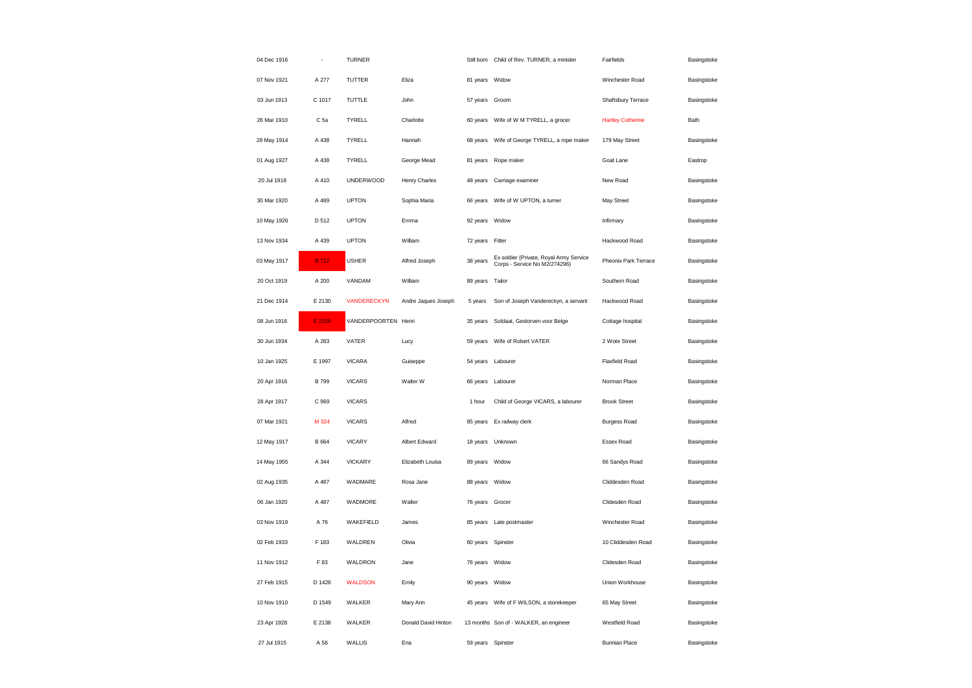| 04 Dec 1916 |                 | <b>TURNER</b>       |                     |                   | Still born Child of Rev. TURNER, a minister                              | Fairfields               | Basingstoke |
|-------------|-----------------|---------------------|---------------------|-------------------|--------------------------------------------------------------------------|--------------------------|-------------|
| 07 Nov 1921 | A 277           | TUTTER              | Eliza               | 81 years Widow    |                                                                          | Winchester Road          | Basingstoke |
| 03 Jun 1913 | C 1017          | TUTTLE              | John                | 57 years          | Groom                                                                    | Shaftsbury Terrace       | Basingstoke |
| 26 Mar 1910 | C <sub>5a</sub> | TYRELL              | Charlotte           | 60 years          | Wife of W M TYRELL, a grocer                                             | <b>Hartley Cotherine</b> | Bath        |
| 28 May 1914 | A 438           | TYRELL              | Hannah              | 68 years          | Wife of George TYRELL, a rope maker                                      | 179 May Street           | Basingstoke |
| 01 Aug 1927 | A 438           | TYRELL              | George Mead         |                   | 81 years Rope maker                                                      | Goat Lane                | Eastrop     |
| 20 Jul 1918 | A 410           | <b>UNDERWOOD</b>    | Henry Charles       | 48 years          | Carriage examiner                                                        | New Road                 | Basingstoke |
| 30 Mar 1920 | A 489           | <b>UPTON</b>        | Sophia Maria        |                   | 66 years     Wife of W UPTON, a turner                                   | May Street               | Basingstoke |
| 10 May 1926 | D 512           | <b>UPTON</b>        | Emma                | 92 years          | Widow                                                                    | Infirmary                | Basingstoke |
| 13 Nov 1934 | A 439           | <b>UPTON</b>        | William             | 72 years Fitter   |                                                                          | Hackwood Road            | Basingstoke |
| 03 May 1917 | <b>B</b> 712    | <b>USHER</b>        | Alfred Joseph       | 38 years          | Ex soldier (Private, Royal Army Service<br>Corps - Service No M2/274296) | Pheonix Park Terrace     | Basingstoke |
| 20 Oct 1919 | A 200           | VANDAM              | William             | 89 years          | Tailor                                                                   | Southern Road            | Basingstoke |
| 21 Dec 1914 | E 2130          | <b>VANDERECKYN</b>  | Andre Jaques Joseph | 5 years           | Son of Joseph Vandereckyn, a servant                                     | Hackwood Road            | Basingstoke |
| 08 Jun 1916 | E 2259          | VANDERPOORTEN Henri |                     | 35 years          | Soldaat, Gestorven voor Belge                                            | Cottage hospital         | Basingstoke |
| 30 Jun 1934 | A 283           | VATER               | Lucy                | 59 years          | Wife of Robert VATER                                                     | 2 Wote Street            | Basingstoke |
| 10 Jan 1925 | E 1997          | <b>VICARA</b>       | Guiseppe            | 54 years Labourer |                                                                          | Flaxfield Road           | Basingstoke |
| 20 Apr 1916 | <b>B</b> 799    | <b>VICARS</b>       | Walter W            | 66 years Labourer |                                                                          | Norman Place             | Basingstoke |
| 28 Apr 1917 | C 969           | <b>VICARS</b>       |                     | 1 hour            | Child of George VICARS, a labourer                                       | <b>Brook Street</b>      | Basingstoke |
| 07 Mar 1921 | M 324           | <b>VICARS</b>       | Alfred              |                   | 85 years Ex railway clerk                                                | <b>Burgess Road</b>      | Basingstoke |
| 12 May 1917 | B 664           | <b>VICARY</b>       | Albert Edward       |                   | 18 years Unknown                                                         | Essex Road               | Basingstoke |
| 14 May 1955 | A 344           | <b>VICKARY</b>      | Elizabeth Louisa    | 89 years          | Widow                                                                    | 66 Sandys Road           | Basingstoke |
| 02 Aug 1935 | A 487           | WADMARE             | Rosa Jane           | 88 years          | Widow                                                                    | Cliddesden Road          | Basingstoke |
| 06 Jan 1920 | A 487           | WADMORE             | Walter              | 76 years Grocer   |                                                                          | Clidesden Road           | Basingstoke |
| 03 Nov 1919 | A 76            | WAKEFIELD           | James               | 85 years          | Late postmaster                                                          | Winchester Road          | Basingstoke |
| 02 Feb 1933 | F 183           | WALDREN             | Olivia              | 60 years Spinster |                                                                          | 10 Cliddesden Road       | Basingstoke |
| 11 Nov 1912 | F 83            | WALDRON             | Jane                | 76 years          | Widow                                                                    | Clidesden Road           | Basingstoke |
| 27 Feb 1915 | D 1426          | <b>WALDSON</b>      | Emily               | 90 years Widow    |                                                                          | Union Workhouse          | Basingstoke |
| 10 Nov 1910 | D 1549          | WALKER              | Mary Ann            | 45 years          | Wife of F WILSON, a storekeeper                                          | 65 May Street            | Basingstoke |
| 23 Apr 1928 | E 2138          | WALKER              | Donald David Hinton |                   | 13 months Son of - WALKER, an engineer                                   | Westfield Road           | Basingstoke |
| 27 Jul 1915 | A 56            | WALLIS              | Ena                 | 59 years Spinster |                                                                          | <b>Bunnian Place</b>     | Basingstoke |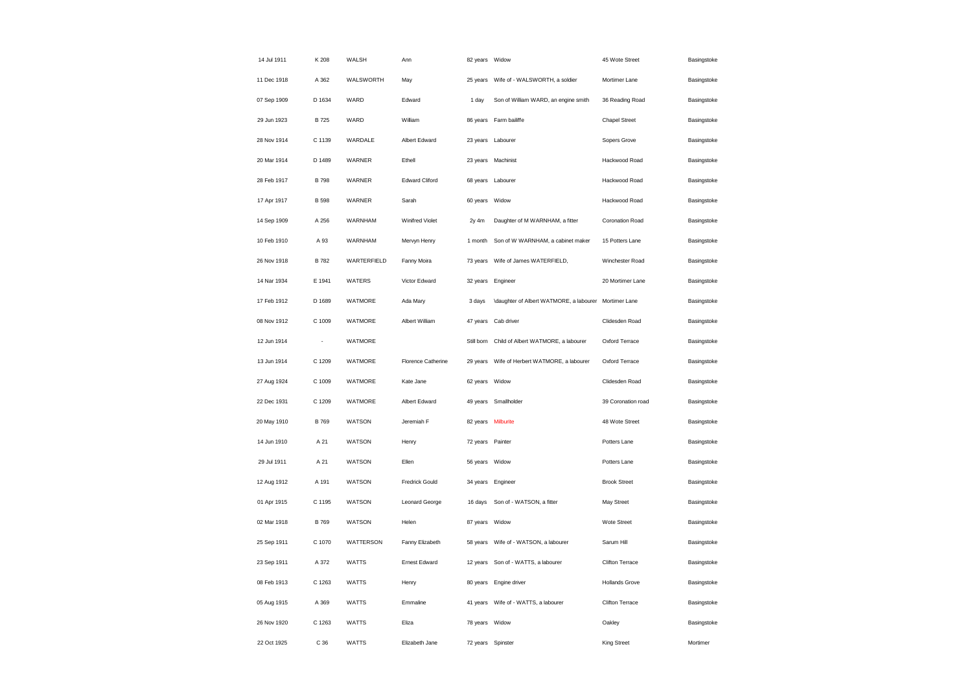| 14 Jul 1911 | K 208        | WALSH        | Ann                    | 82 years Widow     |                                                          | 45 Wote Street        | Basingstoke |
|-------------|--------------|--------------|------------------------|--------------------|----------------------------------------------------------|-----------------------|-------------|
| 11 Dec 1918 | A 362        | WALSWORTH    | May                    | 25 years           | Wife of - WALSWORTH, a soldier                           | Mortimer Lane         | Basingstoke |
| 07 Sep 1909 | D 1634       | WARD         | Edward                 | 1 day              | Son of William WARD, an engine smith                     | 36 Reading Road       | Basingstoke |
| 29 Jun 1923 | B 725        | WARD         | William                | 86 years           | Farm bailiffe                                            | <b>Chapel Street</b>  | Basingstoke |
| 28 Nov 1914 | C 1139       | WARDALE      | Albert Edward          | 23 years           | Labourer                                                 | Sopers Grove          | Basingstoke |
| 20 Mar 1914 | D 1489       | WARNER       | Ethell                 |                    | 23 years Machinist                                       | Hackwood Road         | Basingstoke |
| 28 Feb 1917 | <b>B</b> 798 | WARNER       | <b>Edward Cliford</b>  | 68 years           | Labourer                                                 | Hackwood Road         | Basingstoke |
| 17 Apr 1917 | <b>B</b> 598 | WARNER       | Sarah                  | 60 years           | Widow                                                    | Hackwood Road         | Basingstoke |
| 14 Sep 1909 | A 256        | WARNHAM      | <b>Winifred Violet</b> | $2y$ 4m            | Daughter of M WARNHAM, a fitter                          | Coronation Road       | Basingstoke |
| 10 Feb 1910 | A 93         | WARNHAM      | Mervyn Henry           | 1 month            | Son of W WARNHAM, a cabinet maker                        | 15 Potters Lane       | Basingstoke |
| 26 Nov 1918 | <b>B</b> 782 | WARTERFIELD  | Fanny Moira            | 73 years           | Wife of James WATERFIELD,                                | Winchester Road       | Basingstoke |
| 14 Nar 1934 | E 1941       | WATERS       | Victor Edward          | 32 years Engineer  |                                                          | 20 Mortimer Lane      | Basingstoke |
| 17 Feb 1912 | D 1689       | WATMORE      | Ada Mary               | 3 days             | \daughter of Albert WATMORE, a labourer    Mortimer Lane |                       | Basingstoke |
| 08 Nov 1912 | C 1009       | WATMORE      | Albert William         | 47 years           | Cab driver                                               | Clidesden Road        | Basingstoke |
| 12 Jun 1914 |              | WATMORE      |                        | Still born         | Child of Albert WATMORE, a labourer                      | Oxford Terrace        | Basingstoke |
| 13 Jun 1914 | C 1209       | WATMORE      | Florence Catherine     | 29 years           | Wife of Herbert WATMORE, a labourer                      | Oxford Terrace        | Basingstoke |
| 27 Aug 1924 | C 1009       | WATMORE      | Kate Jane              | 62 years           | Widow                                                    | Clidesden Road        | Basingstoke |
| 22 Dec 1931 | C 1209       | WATMORE      | Albert Edward          | 49 years           | Smallholder                                              | 39 Coronation road    | Basingstoke |
| 20 May 1910 | <b>B</b> 769 | WATSON       | Jeremiah F             | 82 years Milburite |                                                          | 48 Wote Street        | Basingstoke |
| 14 Jun 1910 | A 21         | WATSON       | Henry                  | 72 years           | Painter                                                  | Potters Lane          | Basingstoke |
| 29 Jul 1911 | A 21         | WATSON       | Ellen                  | 56 years Widow     |                                                          | Potters Lane          | Basingstoke |
| 12 Aug 1912 | A 191        | WATSON       | <b>Fredrick Gould</b>  | 34 years           | Engineer                                                 | <b>Brook Street</b>   | Basingstoke |
| 01 Apr 1915 | C 1195       | WATSON       | <b>Leonard George</b>  | 16 days            | Son of - WATSON, a fitter                                | May Street            | Basingstoke |
| 02 Mar 1918 | <b>B</b> 769 | WATSON       | Helen                  | 87 years           | Widow                                                    | Wote Street           | Basingstoke |
| 25 Sep 1911 | C 1070       | WATTERSON    | Fanny Elizabeth        |                    | 58 years     Wife of - WATSON, a labourer                | Sarum Hill            | Basingstoke |
| 23 Sep 1911 | A 372        | <b>WATTS</b> | <b>Ernest Edward</b>   | 12 years           | Son of - WATTS, a labourer                               | Clifton Terrace       | Basingstoke |
| 08 Feb 1913 | C 1263       | <b>WATTS</b> | Henry                  | 80 years           | Engine driver                                            | <b>Hollands Grove</b> | Basingstoke |
| 05 Aug 1915 | A 369        | <b>WATTS</b> | Emmaline               | 41 years           | Wife of - WATTS, a labourer                              | Clifton Terrace       | Basingstoke |
| 26 Nov 1920 | C 1263       | <b>WATTS</b> | Eliza                  | 78 years Widow     |                                                          | Oakley                | Basingstoke |
| 22 Oct 1925 | C 36         | <b>WATTS</b> | Elizabeth Jane         | 72 years Spinster  |                                                          | <b>King Street</b>    | Mortimer    |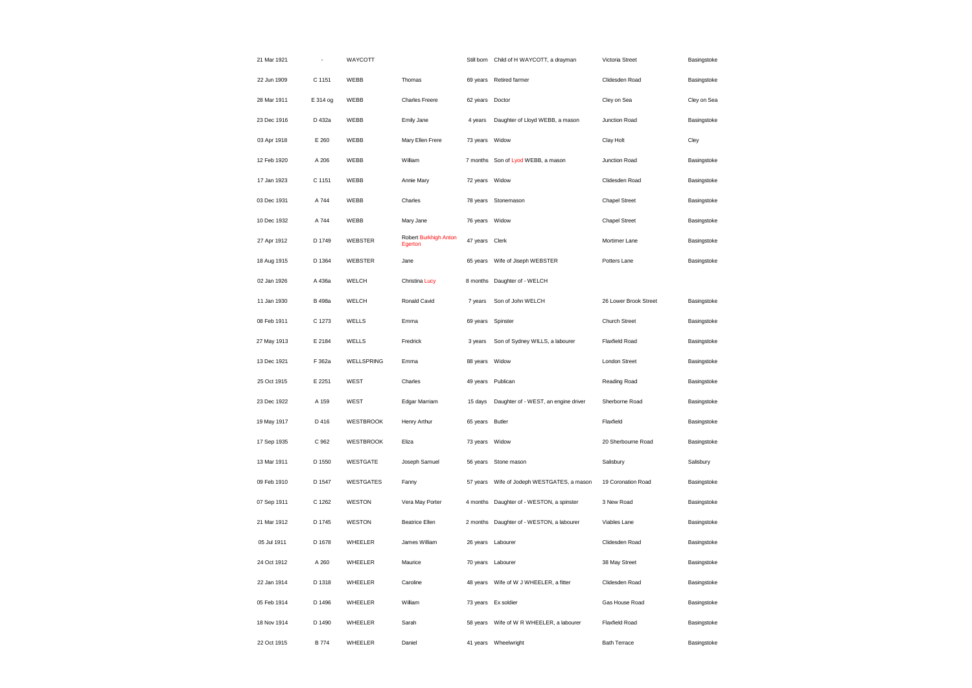| 21 Mar 1921 |               | WAYCOTT          |                                  | Still born      | Child of H WAYCOTT, a drayman            | Victoria Street       | Basingstoke |
|-------------|---------------|------------------|----------------------------------|-----------------|------------------------------------------|-----------------------|-------------|
| 22 Jun 1909 | C 1151        | WEBB             | Thomas                           | 69 years        | <b>Retired farmer</b>                    | Clidesden Road        | Basingstoke |
| 28 Mar 1911 | E 314 og      | WEBB             | Charles Freere                   | 62 years Doctor |                                          | Cley on Sea           | Cley on Sea |
| 23 Dec 1916 | D 432a        | WEBB             | Emily Jane                       | 4 years         | Daughter of Lloyd WEBB, a mason          | Junction Road         | Basingstoke |
| 03 Apr 1918 | E 260         | WEBB             | Mary Ellen Frere                 | 73 years        | Widow                                    | Clay Holt             | Cley        |
| 12 Feb 1920 | A 206         | WEBB             | William                          | 7 months        | Son of Lyod WEBB, a mason                | Junction Road         | Basingstoke |
| 17 Jan 1923 | C 1151        | WEBB             | Annie Mary                       | 72 years        | Widow                                    | Clidesden Road        | Basingstoke |
| 03 Dec 1931 | A 744         | WEBB             | Charles                          |                 | 78 years Stonemason                      | <b>Chapel Street</b>  | Basingstoke |
| 10 Dec 1932 | A 744         | WEBB             | Mary Jane                        | 76 years        | Widow                                    | <b>Chapel Street</b>  | Basingstoke |
| 27 Apr 1912 | D 1749        | WEBSTER          | Robert Burkhigh Anton<br>Egerton | 47 years Clerk  |                                          | Mortimer Lane         | Basingstoke |
| 18 Aug 1915 | D 1364        | WEBSTER          | Jane                             | 65 years        | Wife of Jiseph WEBSTER                   | Potters Lane          | Basingstoke |
| 02 Jan 1926 | A 436a        | WELCH            | Christina Lucy                   |                 | 8 months Daughter of - WELCH             |                       |             |
| 11 Jan 1930 | <b>B</b> 498a | WELCH            | Ronald Cavid                     | 7 years         | Son of John WELCH                        | 26 Lower Brook Street | Basingstoke |
| 08 Feb 1911 | C 1273        | WELLS            | Emma                             | 69 years        | Spinster                                 | Church Street         | Basingstoke |
| 27 May 1913 | E 2184        | WELLS            | Fredrick                         | 3 years         | Son of Sydney WILLS, a labourer          | <b>Flaxfield Road</b> | Basingstoke |
| 13 Dec 1921 | F 362a        | WELLSPRING       | Emma                             | 88 years Widow  |                                          | London Street         | Basingstoke |
| 25 Oct 1915 | E 2251        | WEST             | Charles                          | 49 years        | Publican                                 | Reading Road          | Basingstoke |
| 23 Dec 1922 | A 159         | WEST             | Edgar Marriam                    | 15 days         | Daughter of - WEST, an engine driver     | Sherborne Road        | Basingstoke |
| 19 May 1917 | D 416         | <b>WESTBROOK</b> | Henry Arthur                     | 65 years        | <b>Butler</b>                            | Flaxfield             | Basingstoke |
| 17 Sep 1935 | C 962         | <b>WESTBROOK</b> | Eliza                            | 73 years        | Widow                                    | 20 Sherbourne Road    | Basingstoke |
| 13 Mar 1911 | D 1550        | WESTGATE         | Joseph Samuel                    |                 | 56 years Stone mason                     | Salisbury             | Salisbury   |
| 09 Feb 1910 | D 1547        | <b>WESTGATES</b> | Fanny                            | 57 years        | Wife of Jodeph WESTGATES, a mason        | 19 Coronation Road    | Basingstoke |
| 07 Sep 1911 | C 1262        | WESTON           | Vera May Porter                  | 4 months        | Daughter of - WESTON, a spinster         | 3 New Road            | Basingstoke |
| 21 Mar 1912 | D 1745        | WESTON           | <b>Beatrice Ellen</b>            | 2 months        | Daughter of - WESTON, a labourer         | Viables Lane          | Basingstoke |
| 05 Jul 1911 | D 1678        | WHEELER          | James William                    |                 | 26 years Labourer                        | Clidesden Road        | Basingstoke |
| 24 Oct 1912 | A 260         | WHEELER          | Maurice                          | 70 years        | Labourer                                 | 38 May Street         | Basingstoke |
| 22 Jan 1914 | D 1318        | WHEELER          | Caroline                         |                 | 48 years Wife of W J WHEELER, a fitter   | Clidesden Road        | Basingstoke |
| 05 Feb 1914 | D 1496        | WHEELER          | William                          | 73 years        | Ex soldier                               | Gas House Road        | Basingstoke |
| 18 Nov 1914 | D 1490        | WHEELER          | Sarah                            |                 | 58 years Wife of W R WHEELER, a labourer | Flaxfield Road        | Basingstoke |
| 22 Oct 1915 | <b>B</b> 774  | WHEELER          | Daniel                           |                 | 41 years Wheelwright                     | <b>Bath Terrace</b>   | Basingstoke |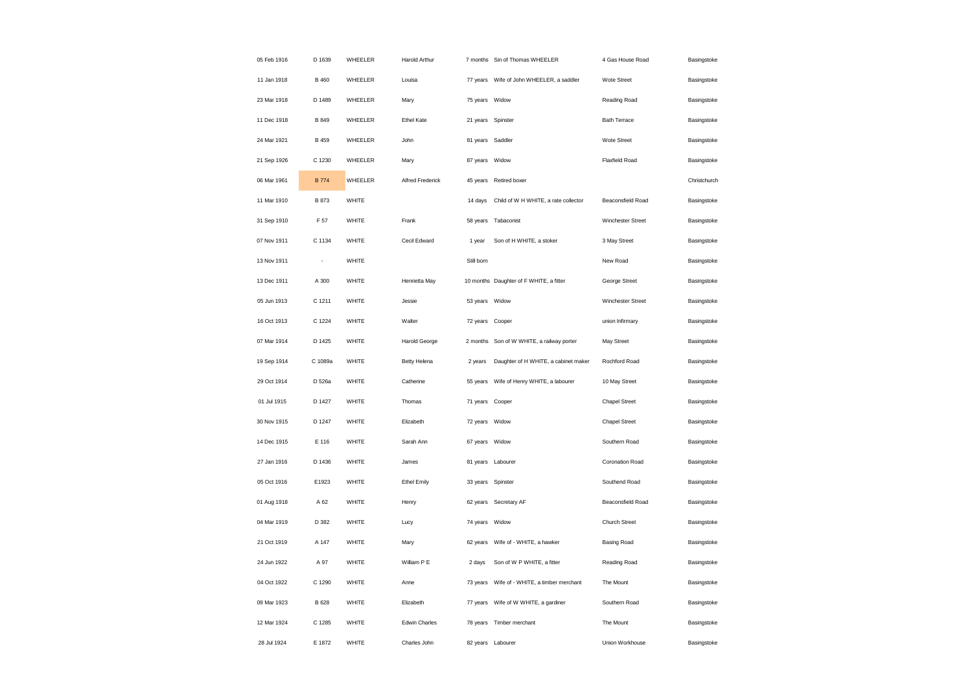| 05 Feb 1916 | D 1639       | WHEELER | Harold Arthur           |                | 7 months Sin of Thomas WHEELER          | 4 Gas House Road         | Basingstoke  |
|-------------|--------------|---------|-------------------------|----------------|-----------------------------------------|--------------------------|--------------|
| 11 Jan 1918 | <b>B</b> 460 | WHEELER | Louisa                  | 77 years       | Wife of John WHEELER, a saddler         | Wote Street              | Basingstoke  |
| 23 Mar 1918 | D 1489       | WHEELER | Mary                    | 75 years       | Widow                                   | Reading Road             | Basingstoke  |
| 11 Dec 1918 | B 849        | WHEELER | Ethel Kate              | 21 years       | Spinster                                | <b>Bath Terrace</b>      | Basingstoke  |
| 24 Mar 1921 | <b>B</b> 459 | WHEELER | John                    | 81 years       | Saddler                                 | Wote Street              | Basingstoke  |
| 21 Sep 1926 | C 1230       | WHEELER | Mary                    | 87 years       | Widow                                   | <b>Flaxfield Road</b>    | Basingstoke  |
| 06 Mar 1961 | <b>B</b> 774 | WHEELER | <b>Alfred Frederick</b> | 45 years       | Retired boxer                           |                          | Christchurch |
| 11 Mar 1910 | B 873        | WHITE   |                         | 14 days        | Child of W H WHITE, a rate collector    | Beaconsfield Road        | Basingstoke  |
| 31 Sep 1910 | F 57         | WHITE   | Frank                   | 58 years       | Tabaconist                              | Winchester Street        | Basingstoke  |
| 07 Nov 1911 | C 1134       | WHITE   | Cecil Edward            | 1 year         | Son of H WHITE, a stoker                | 3 May Street             | Basingstoke  |
| 13 Nov 1911 | ÷,           | WHITE   |                         | Still born     |                                         | New Road                 | Basingstoke  |
| 13 Dec 1911 | A 300        | WHITE   | Henrietta May           |                | 10 months Daughter of F WHITE, a fitter | George Street            | Basingstoke  |
| 05 Jun 1913 | C 1211       | WHITE   | Jessie                  | 53 years Widow |                                         | Winchester Street        | Basingstoke  |
| 16 Oct 1913 | C 1224       | WHITE   | Walter                  | 72 years       | Cooper                                  | union Infirmary          | Basingstoke  |
| 07 Mar 1914 | D 1425       | WHITE   | Harold George           | 2 months       | Son of W WHITE, a railway porter        | May Street               | Basingstoke  |
| 19 Sep 1914 | C 1089a      | WHITE   | Betty Helena            | 2 years        | Daughter of H WHITE, a cabinet maker    | Rochford Road            | Basingstoke  |
| 29 Oct 1914 | D 526a       | WHITE   | Catherine               | 55 years       | Wife of Henry WHITE, a labourer         | 10 May Street            | Basingstoke  |
| 01 Jul 1915 | D 1427       | WHITE   | Thomas                  | 71 years       | Cooper                                  | <b>Chapel Street</b>     | Basingstoke  |
| 30 Nov 1915 | D 1247       | WHITE   | Elizabeth               | 72 years Widow |                                         | <b>Chapel Street</b>     | Basingstoke  |
| 14 Dec 1915 | E 116        | WHITE   | Sarah Ann               | 67 years Widow |                                         | Southern Road            | Basingstoke  |
| 27 Jan 1916 | D 1436       | WHITE   | James                   |                | 81 years Labourer                       | Coronation Road          | Basingstoke  |
| 05 Oct 1916 | E1923        | WHITE   | <b>Ethel Emily</b>      | 33 years       | Spinster                                | Southend Road            | Basingstoke  |
| 01 Aug 1918 | A 62         | WHITE   | Henry                   | 62 years       | Secretary AF                            | <b>Beaconsfield Road</b> | Basingstoke  |
| 04 Mar 1919 | D 382        | WHITE   | Lucy                    | 74 years       | Widow                                   | Church Street            | Basingstoke  |
| 21 Oct 1919 | A 147        | WHITE   | Mary                    | 62 years       | Wife of - WHITE, a hawker               | <b>Basing Road</b>       | Basingstoke  |
| 24 Jun 1922 | A 97         | WHITE   | William P E             | 2 days         | Son of W P WHITE, a fitter              | Reading Road             | Basingstoke  |
| 04 Oct 1922 | C 1290       | WHITE   | Anne                    | 73 years       | Wife of - WHITE, a timber merchant      | The Mount                | Basingstoke  |
| 09 Mar 1923 | B 628        | WHITE   | Elizabeth               | 77 years       | Wife of W WHITE, a gardiner             | Southern Road            | Basingstoke  |
| 12 Mar 1924 | C 1285       | WHITE   | Edwin Charles           | 78 years       | Timber merchant                         | The Mount                | Basingstoke  |
| 28 Jul 1924 | E 1872       | WHITE   | Charles John            |                | 82 years Labourer                       | Union Workhouse          | Basingstoke  |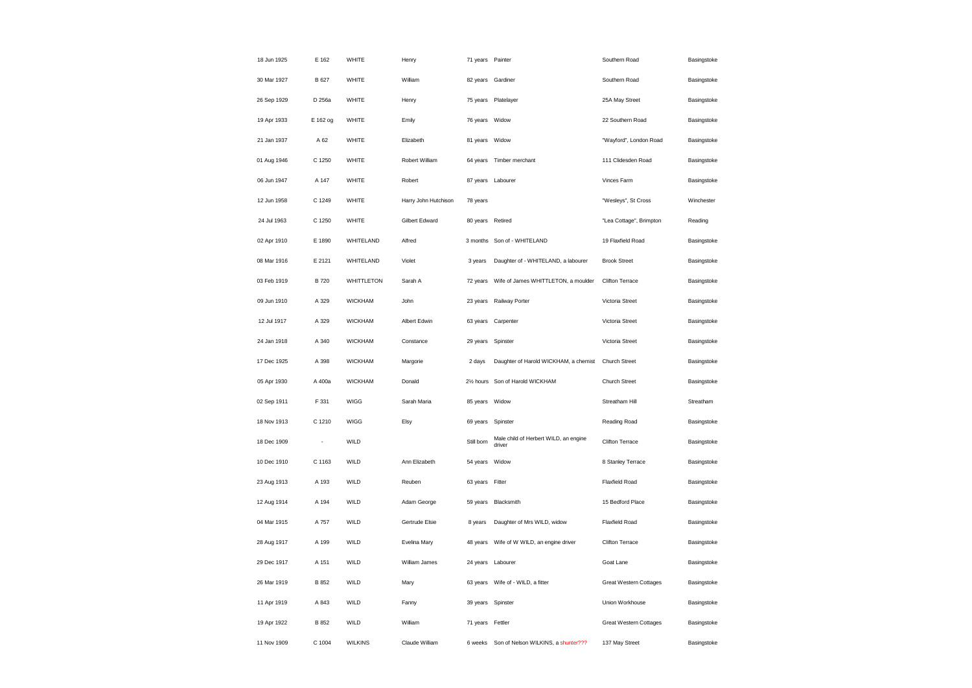| 18 Jun 1925 | E 162       | WHITE             | Henry                | 71 years Painter  |                                                 | Southern Road                 | Basingstoke |
|-------------|-------------|-------------------|----------------------|-------------------|-------------------------------------------------|-------------------------------|-------------|
| 30 Mar 1927 | B 627       | WHITE             | William              | 82 years Gardiner |                                                 | Southern Road                 | Basingstoke |
| 26 Sep 1929 | D 256a      | WHITE             | Henry                |                   | 75 years Platelayer                             | 25A May Street                | Basingstoke |
| 19 Apr 1933 | E 162 og    | WHITE             | Emily                | 76 years          | Widow                                           | 22 Southern Road              | Basingstoke |
| 21 Jan 1937 | A 62        | WHITE             | Elizabeth            | 81 years          | Widow                                           | "Wayford", London Road        | Basingstoke |
| 01 Aug 1946 | C 1250      | WHITE             | Robert William       |                   | 64 years Timber merchant                        | 111 Clidesden Road            | Basingstoke |
| 06 Jun 1947 | A 147       | WHITE             | Robert               | 87 years          | Labourer                                        | Vinces Farm                   | Basingstoke |
| 12 Jun 1958 | C 1249      | WHITE             | Harry John Hutchison | 78 years          |                                                 | "Wesleys", St Cross           | Winchester  |
| 24 Jul 1963 | C 1250      | WHITE             | Gilbert Edward       | 80 years          | Retired                                         | "Lea Cottage", Brimpton       | Reading     |
| 02 Apr 1910 | E 1890      | WHITELAND         | Alfred               |                   | 3 months Son of - WHITELAND                     | 19 Flaxfield Road             | Basingstoke |
| 08 Mar 1916 | E 2121      | WHITELAND         | Violet               | 3 years           | Daughter of - WHITELAND, a labourer             | <b>Brook Street</b>           | Basingstoke |
| 03 Feb 1919 | <b>B720</b> | <b>WHITTLETON</b> | Sarah A              |                   | 72 years  Wife of James WHITTLETON, a moulder   | Clifton Terrace               | Basingstoke |
| 09 Jun 1910 | A 329       | <b>WICKHAM</b>    | .John                | 23 years          | Railway Porter                                  | Victoria Street               | Basingstoke |
| 12 Jul 1917 | A 329       | <b>WICKHAM</b>    | Albert Edwin         | 63 years          | Carpenter                                       | Victoria Street               | Basingstoke |
| 24 Jan 1918 | A 340       | <b>WICKHAM</b>    | Constance            | 29 years          | Spinster                                        | Victoria Street               | Basingstoke |
| 17 Dec 1925 | A 398       | <b>WICKHAM</b>    | Margorie             | 2 days            | Daughter of Harold WICKHAM, a chemist           | Church Street                 | Basingstoke |
| 05 Apr 1930 | A 400a      | <b>WICKHAM</b>    | Donald               |                   | 21/2 hours Son of Harold WICKHAM                | Church Street                 | Basingstoke |
| 02 Sep 1911 | F 331       | <b>WIGG</b>       | Sarah Maria          | 85 years          | Widow                                           | Streatham Hill                | Streatham   |
| 18 Nov 1913 | C 1210      | WIGG              | Elsy                 | 69 years Spinster |                                                 | Reading Road                  | Basingstoke |
| 18 Dec 1909 | ÷,          | WILD              |                      | Still born        | Male child of Herbert WILD, an engine<br>driver | Clifton Terrace               | Basingstoke |
| 10 Dec 1910 | C 1163      | WILD              | Ann Elizabeth        | 54 years          | Widow                                           | 8 Stanley Terrace             | Basingstoke |
| 23 Aug 1913 | A 193       | WILD              | Reuben               | 63 years          | Fitter                                          | Flaxfield Road                | Basingstoke |
| 12 Aug 1914 | A 194       | WILD              | Adam George          |                   | 59 years Blacksmith                             | 15 Bedford Place              | Basingstoke |
| 04 Mar 1915 | A 757       | WILD              | Gertrude Elsie       | 8 years           | Daughter of Mrs WILD, widow                     | <b>Flaxfield Road</b>         | Basingstoke |
| 28 Aug 1917 | A 199       | WILD              | Evelina Mary         | 48 years          | Wife of W WILD, an engine driver                | Clifton Terrace               | Basingstoke |
| 29 Dec 1917 | A 151       | WILD              | William James        | 24 years          | Labourer                                        | Goat Lane                     | Basingstoke |
| 26 Mar 1919 | B 852       | WILD              | Mary                 |                   | 63 years Wife of - WILD, a fitter               | <b>Great Western Cottages</b> | Basingstoke |
| 11 Apr 1919 | A 843       | WILD              | Fanny                | 39 years Spinster |                                                 | Union Workhouse               | Basingstoke |
| 19 Apr 1922 | B 852       | WILD              | William              | 71 years Fettler  |                                                 | <b>Great Western Cottages</b> | Basingstoke |
| 11 Nov 1909 | C 1004      | <b>WILKINS</b>    | Claude William       | 6 weeks           | Son of Nelson WILKINS, a shunter???             | 137 May Street                | Basingstoke |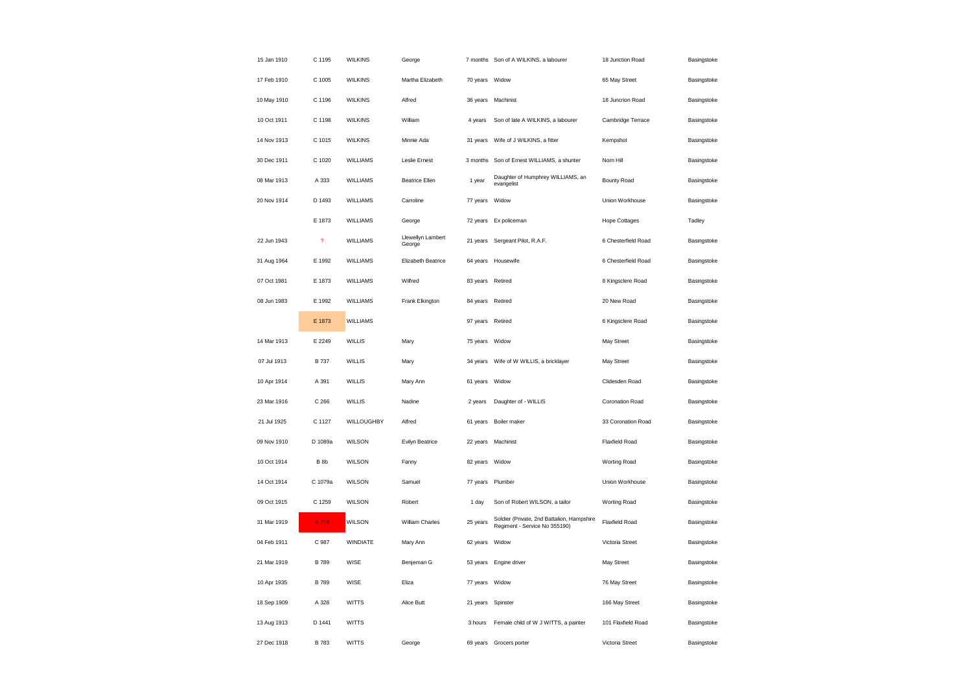| 15 Jan 1910 | C 1195                  | <b>WILKINS</b>  | George                      |                | 7 months Son of A WILKINS, a labourer                                       | 18 Junction Road      | Basingstoke |
|-------------|-------------------------|-----------------|-----------------------------|----------------|-----------------------------------------------------------------------------|-----------------------|-------------|
| 17 Feb 1910 | C 1005                  | <b>WILKINS</b>  | Martha Elizabeth            | 70 years       | Widow                                                                       | 65 May Street         | Basingstoke |
| 10 May 1910 | C 1196                  | <b>WILKINS</b>  | Alfred                      | 36 years       | Machinist                                                                   | 18 Juncrion Road      | Basingstoke |
| 10 Oct 1911 | C 1198                  | <b>WILKINS</b>  | William                     | 4 years        | Son of late A WILKINS, a labourer                                           | Cambridge Terrace     | Basingstoke |
| 14 Nov 1913 | C 1015                  | <b>WILKINS</b>  | Minnie Ada                  | 31 years       | Wife of J WILKINS, a fitter                                                 | Kempshot              | Basingstoke |
| 30 Dec 1911 | C 1020                  | WILLIAMS        | Leslie Ernest               | 3 months       | Son of Ernest WILLIAMS, a shunter                                           | Norn Hill             | Basingstoke |
| 08 Mar 1913 | A 333                   | <b>WILLIAMS</b> | <b>Beatrice Ellen</b>       | 1 year         | Daughter of Humphrey WILLIAMS, an<br>evangelist                             | <b>Bounty Road</b>    | Basingstoke |
| 20 Nov 1914 | D 1493                  | <b>WILLIAMS</b> | Carroline                   | 77 years       | Widow                                                                       | Union Workhouse       | Basingstoke |
|             | E 1873                  | <b>WILLIAMS</b> | George                      | 72 years       | Ex policeman                                                                | <b>Hope Cottages</b>  | Tadley      |
| 22 Jun 1943 | $\overline{\mathbf{?}}$ | WILLIAMS        | Llewellyn Lambert<br>George | 21 years       | Sergeant Pilot, R.A.F.                                                      | 6 Chesterfield Road   | Basingstoke |
| 31 Aug 1964 | E 1992                  | WILLIAMS        | <b>Elizabeth Beatrice</b>   | 64 years       | Housewife                                                                   | 6 Chesterfield Road   | Basingstoke |
| 07 Oct 1981 | E 1873                  | WILLIAMS        | Wilfred                     | 83 years       | Retired                                                                     | 8 Kingsclere Road     | Basingstoke |
| 08 Jun 1983 | E 1992                  | <b>WILLIAMS</b> | Frank Elkington             | 84 years       | Retired                                                                     | 20 New Road           | Basingstoke |
|             | E 1873                  | <b>WILLIAMS</b> |                             | 97 years       | Retired                                                                     | 6 Kingsclere Road     | Basingstoke |
| 14 Mar 1913 | E 2249                  | <b>WILLIS</b>   | Mary                        | 75 years       | Widow                                                                       | May Street            | Basingstoke |
| 07 Jul 1913 | <b>B</b> 737            | WILLIS          | Mary                        | 34 years       | Wife of W WILLIS, a bricklayer                                              | May Street            | Basingstoke |
| 10 Apr 1914 | A 391                   | <b>WILLIS</b>   | Mary Ann                    | 61 years       | Widow                                                                       | Clidesden Road        | Basingstoke |
| 23 Mar 1916 | C 266                   | <b>WILLIS</b>   | Nadine                      | 2 years        | Daughter of - WILLIS                                                        | Coronation Road       | Basingstoke |
| 21 Jul 1925 | C 1127                  | WILLOUGHBY      | Alfred                      | 61 years       | Boiler maker                                                                | 33 Coronation Road    | Basingstoke |
| 09 Nov 1910 | D 1089a                 | WILSON          | Evilyn Beatrice             | 22 years       | Machinist                                                                   | <b>Flaxfield Road</b> | Basingstoke |
| 10 Oct 1914 | B <sub>8b</sub>         | <b>WILSON</b>   | Fanny                       | 82 years       | Widow                                                                       | Worting Road          | Basingstoke |
| 14 Oct 1914 | C 1079a                 | WILSON          | Samuel                      | 77 years       | Plumber                                                                     | Union Workhouse       | Basingstoke |
| 09 Oct 1915 | C 1259                  | WILSON          | Robert                      | 1 day          | Son of Robert WILSON, a tailor                                              | Worting Road          | Basingstoke |
| 31 Mar 1919 | A 219                   | <b>WILSON</b>   | William Charles             | 25 years       | Soldier (Private, 2nd Battalion, Hampshire<br>Regiment - Service No 355190) | Flaxfield Road        | Basingstoke |
| 04 Feb 1911 | C 987                   | <b>WINDIATE</b> | Mary Ann                    | 62 years       | Widow                                                                       | Victoria Street       | Basingstoke |
| 21 Mar 1919 | <b>B</b> 789            | WISE            | Benjeman G                  | 53 years       | Engine driver                                                               | May Street            | Basingstoke |
| 10 Apr 1935 | <b>B</b> 789            | WISE            | Eliza                       | 77 years Widow |                                                                             | 76 May Street         | Basingstoke |
| 18 Sep 1909 | A 328                   | <b>WITTS</b>    | Alice Butt                  | 21 years       | Spinster                                                                    | 166 May Street        | Basingstoke |
| 13 Aug 1913 | D 1441                  | <b>WITTS</b>    |                             | 3 hours        | Female child of W J WITTS, a painter                                        | 101 Flaxfield Road    | Basingstoke |
| 27 Dec 1918 | <b>B</b> 783            | <b>WITTS</b>    | George                      | 69 years       | Grocers porter                                                              | Victoria Street       | Basingstoke |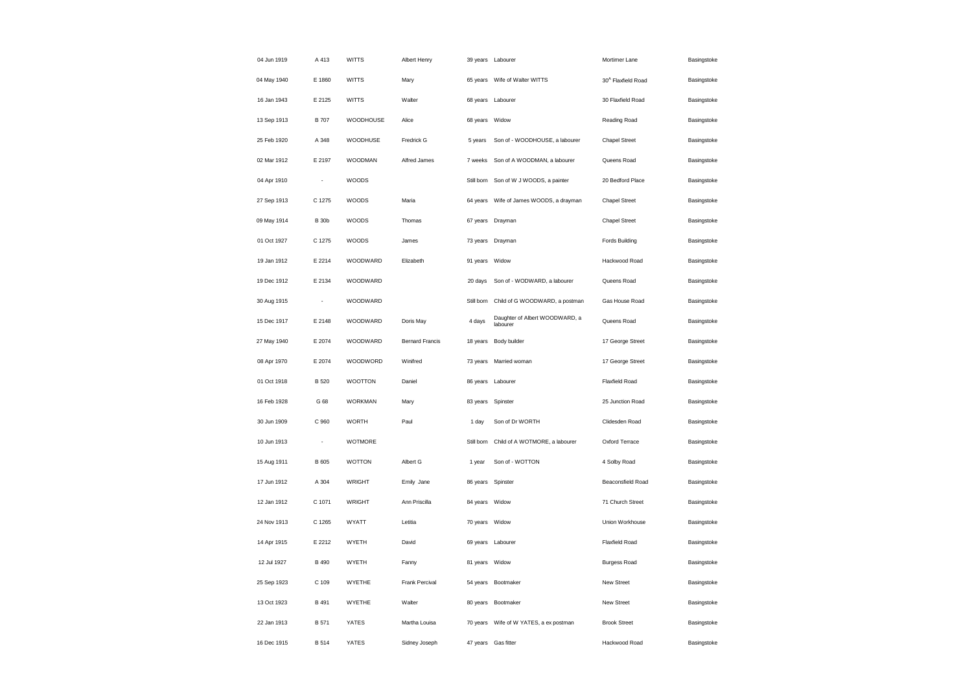| 04 Jun 1919 | A 413                    | <b>WITTS</b>   | Albert Henry           |                  | 39 years Labourer                          | Mortimer Lane                  | Basingstoke |
|-------------|--------------------------|----------------|------------------------|------------------|--------------------------------------------|--------------------------------|-------------|
| 04 May 1940 | E 1860                   | <b>WITTS</b>   | Mary                   |                  | 65 years Wife of Walter WITTS              | 30 <sup>A</sup> Flaxfield Road | Basingstoke |
| 16 Jan 1943 | E 2125                   | <b>WITTS</b>   | Walter                 |                  | 68 years Labourer                          | 30 Flaxfield Road              | Basingstoke |
| 13 Sep 1913 | <b>B</b> 707             | WOODHOUSE      | Alice                  | 68 years         | Widow                                      | Reading Road                   | Basingstoke |
| 25 Feb 1920 | A 348                    | WOODHUSE       | Fredrick G             | 5 years          | Son of - WOODHOUSE, a labourer             | <b>Chapel Street</b>           | Basingstoke |
| 02 Mar 1912 | E 2197                   | <b>WOODMAN</b> | Alfred James           | 7 weeks          | Son of A WOODMAN, a labourer               | Queens Road                    | Basingstoke |
| 04 Apr 1910 | $\overline{\phantom{a}}$ | WOODS          |                        | Still born       | Son of W J WOODS, a painter                | 20 Bedford Place               | Basingstoke |
| 27 Sep 1913 | C 1275                   | WOODS          | Maria                  | 64 years         | Wife of James WOODS, a drayman             | <b>Chapel Street</b>           | Basingstoke |
| 09 May 1914 | <b>B</b> 30b             | WOODS          | Thomas                 | 67 years Drayman |                                            | <b>Chapel Street</b>           | Basingstoke |
| 01 Oct 1927 | C 1275                   | WOODS          | James                  |                  | 73 years Drayman                           | Fords Building                 | Basingstoke |
| 19 Jan 1912 | F 2214                   | WOODWARD       | Elizabeth              | 91 years         | Widow                                      | Hackwood Road                  | Basingstoke |
| 19 Dec 1912 | E 2134                   | WOODWARD       |                        | 20 days          | Son of - WODWARD, a labourer               | Queens Road                    | Basingstoke |
| 30 Aug 1915 | ÷,                       | WOODWARD       |                        | Still born       | Child of G WOODWARD, a postman             | Gas House Road                 | Basingstoke |
| 15 Dec 1917 | E 2148                   | WOODWARD       | Doris May              | 4 days           | Daughter of Albert WOODWARD, a<br>labourer | Queens Road                    | Basingstoke |
| 27 May 1940 | E 2074                   | WOODWARD       | <b>Bernard Francis</b> | 18 years         | Body builder                               | 17 George Street               | Basingstoke |
| 08 Apr 1970 | E 2074                   | WOODWORD       | Winifred               | 73 years         | Married woman                              | 17 George Street               | Basingstoke |
| 01 Oct 1918 | <b>B</b> 520             | <b>WOOTTON</b> | Daniel                 | 86 years         | Labourer                                   | <b>Flaxfield Road</b>          | Basingstoke |
| 16 Feb 1928 | G 68                     | <b>WORKMAN</b> | Mary                   | 83 years         | Spinster                                   | 25 Junction Road               | Basingstoke |
| 30 Jun 1909 | C 960                    | <b>WORTH</b>   | Paul                   | 1 day            | Son of Dr WORTH                            | Clidesden Road                 | Basingstoke |
| 10 Jun 1913 |                          | WOTMORE        |                        | Still born       | Child of A WOTMORE, a labourer             | Oxford Terrace                 | Basingstoke |
| 15 Aug 1911 | B 605                    | <b>WOTTON</b>  | Albert G               | 1 year           | Son of - WOTTON                            | 4 Solby Road                   | Basingstoke |
| 17 Jun 1912 | A 304                    | <b>WRIGHT</b>  | Emily Jane             | 86 years         | Spinster                                   | Beaconsfield Road              | Basingstoke |
| 12 Jan 1912 | C 1071                   | <b>WRIGHT</b>  | Ann Priscilla          | 84 years Widow   |                                            | 71 Church Street               | Basingstoke |
| 24 Nov 1913 | C 1265                   | <b>WYATT</b>   | Letitia                | 70 years Widow   |                                            | Union Workhouse                | Basingstoke |
| 14 Apr 1915 | E 2212                   | WYETH          | David                  |                  | 69 years Labourer                          | Flaxfield Road                 | Basingstoke |
| 12 Jul 1927 | B 490                    | WYETH          | Fanny                  | 81 years         | Widow                                      | <b>Burgess Road</b>            | Basingstoke |
| 25 Sep 1923 | C 109                    | WYETHE         | Frank Percival         |                  | 54 years Bootmaker                         | New Street                     | Basingstoke |
| 13 Oct 1923 | B 491                    | WYETHE         | Walter                 | 80 years         | Bootmaker                                  | New Street                     | Basingstoke |
| 22 Jan 1913 | <b>B</b> 571             | YATES          | Martha Louisa          |                  | 70 years Wife of W YATES, a ex postman     | <b>Brook Street</b>            | Basingstoke |
| 16 Dec 1915 | B 514                    | <b>YATES</b>   | Sidney Joseph          |                  | 47 years Gas fitter                        | Hackwood Road                  | Basingstoke |